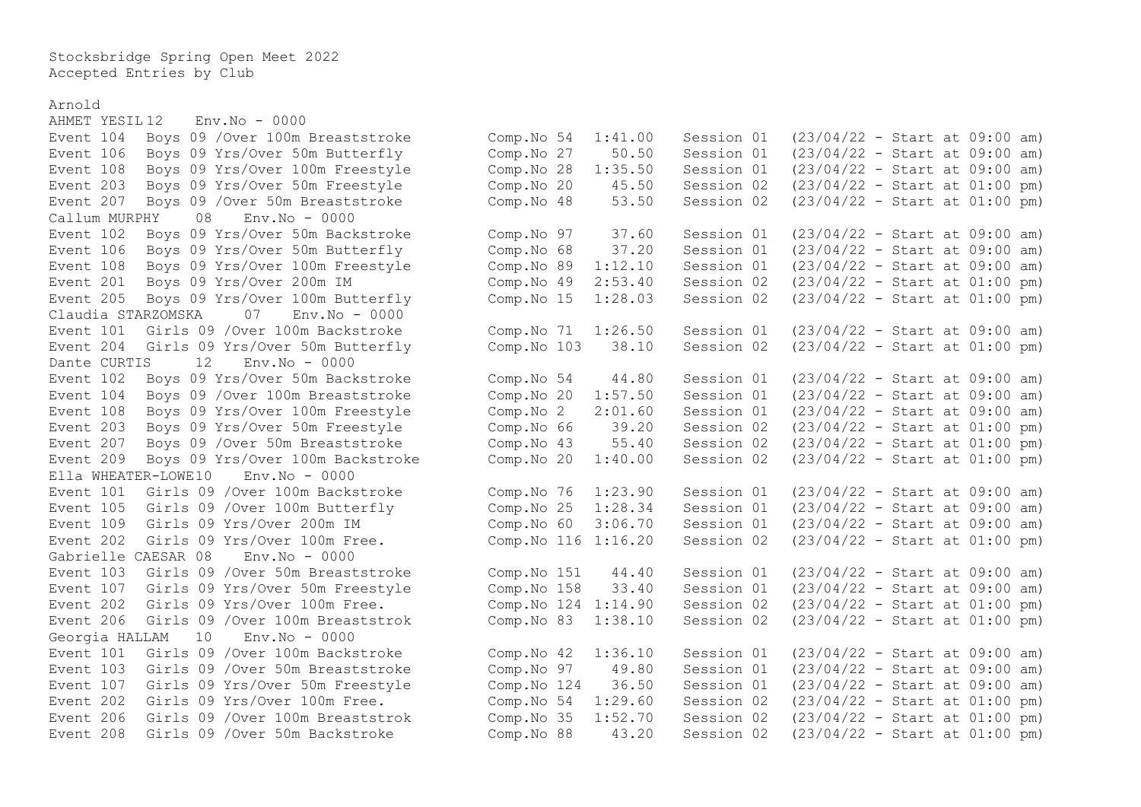Stocksbridge Spring Open Meet 2022 Accepted Entries by Club

Arnold

 $AHMET YESTI<sub>12</sub>$   $Env<sub>1</sub>N<sub>0</sub> - 0000$ Event 203 Boys 09 Yrs/Over 50m Freestyle Comp.No 20 45.50 Session 02  $Ca$ llum MURPHY  $0.08$  Env. No  $-0.000$ Event 205 Boys 09 Yrs/Over 100m Butterfly Comp.No 15 1:28.03 Session 02 Claudia STARZOMSKA 07 Env.No - 0000 Dante CURTIS 12 Env.No - 0000 Event 108 Boys 09 Yrs/Over 100m Freestyle Comp.No 2 2:01.60 Session 01 Event 207 Boys 09 / Over 50m Breaststroke Comp.No 43 55.40 Session 02 Ella WHEATER-LOWE10 Env.No - 0000 Event  $105$  Girls  $09$  /Over  $100m$  Butterfly  $COM$  Comp.No  $25$   $1:28.34$  Session  $01$ Gabrielle CAESAR 08 Env.No - 0000 Georgia HALLAM 10 Env.No - 0000

Event 104 Boys 09 /Over 100m Breaststroke Comp.No 54 1:41.00 Session 01 (23/04/22 - Start at 09:00 am) Event 106 Boys 09 Yrs/Over 50m Butterfly Comp.No 27 50.50 Session 01 (23/04/22 - Start at 09:00 am)<br>Event 108 Boys 09 Yrs/Over 100m Freestyle Comp.No 28 1:35.50 Session 01 (23/04/22 - Start at 09:00 am) Event 108 Boys 09 Yrs/Over 100m Freestyle Comp.No 28 1:35.50 Session 01 (23/04/22 - Start at 09:00 am)<br>Event 203 Bovs 09 Yrs/Over 50m Freestyle Comp.No 20 45.50 Session 02 (23/04/22 - Start at 01:00 pm) Event 207 Boys 09 /Over 50m Breaststroke Comp.No 48 53.50 Session 02 (23/04/22 - Start at 01:00 pm) Event 102 Boys 09 Yrs/Over 50m Backstroke Comp.No 97 37.60 Session 01 (23/04/22 - Start at 09:00 am) Event 106 Boys 09 Yrs/Over 50m Butterfly Comp.No 68 37.20 Session 01 (23/04/22 - Start at 09:00 am) Event 108 Boys 09 Yrs/Over 100m Freestyle Comp.No 89 1:12.10 Session 01 (23/04/22 - Start at 09:00 am)<br>Event 201 Boys 09 Yrs/Over 200m IM Comp.No 49 2:53.40 Session 02 (23/04/22 - Start at 01:00 pm) Event 201 Boys 09 Yrs/Over 200m IM Comp.No 49 2:53.40 Session 02 (23/04/22 - Start at 01:00 pm) Event 101 Girls 09 /Over 100m Backstroke Comp.No 71 1:26.50 Session 01 (23/04/22 - Start at 09:00 am) Event 204 Girls 09 Yrs/Over 50m Butterfly Comp.No 103 38.10 Session 02 (23/04/22 - Start at 01:00 pm) Event 102 Boys 09 Yrs/Over 50m Backstroke Comp.No 54 44.80 Session 01 (23/04/22 - Start at 09:00 am) Event 104 Boys 09 /Over 100m Breaststroke Comp.No 20 1:57.50 Session 01 (23/04/22 - Start at 09:00 am) Event 203 Boys 09 Yrs/Over 50m Freestyle Comp.No 66 39.20 Session 02 (23/04/22 - Start at 01:00 pm)<br>Event 207 Boys 09 /Over 50m Breaststroke Comp.No 43 55.40 Session 02 (23/04/22 - Start at 01:00 pm) Event 209 Boys 09 Yrs/Over 100m Backstroke Comp.No 20 1:40.00 Session 02 (23/04/22 - Start at 01:00 pm) Event 101 Girls 09 /Over 100m Backstroke Comp.No 76 1:23.90 Session 01 (23/04/22 - Start at 09:00 am)<br>Event 105 Girls 09 /Over 100m Butterfly Comp.No 25 1:28.34 Session 01 (23/04/22 - Start at 09:00 am) Event 109 Girls 09 Yrs/Over 200m IM Comp.No 60 3:06.70 Session 01 (23/04/22 - Start at 09:00 am) Event 202 Girls 09 Yrs/Over 100m Free. Comp.No 116 1:16.20 Session 02 (23/04/22 - Start at 01:00 pm) Event 103 Girls 09 /Over 50m Breaststroke Comp.No 151 44.40 Session 01 (23/04/22 - Start at 09:00 am) Event 107 Girls 09 Yrs/Over 50m Freestyle Comp.No 158 33.40 Session 01 (23/04/22 - Start at 09:00 am) Event 202 Girls 09 Yrs/Over 100m Free. Comp.No 124 1:14.90 Session 02 (23/04/22 - Start at 01:00 pm) Event 206 Girls 09 /Over 100m Breaststrok Comp.No 83 1:38.10 Session 02 (23/04/22 - Start at 01:00 pm) Event 101 Girls 09 /Over 100m Backstroke Comp.No 42 1:36.10 Session 01 (23/04/22 - Start at 09:00 am) Event 103 Girls 09 /Over 50m Breaststroke Comp.No 97 49.80 Session 01 (23/04/22 - Start at 09:00 am) Event 107 Girls 09 Yrs/Over 50m Freestyle Comp.No 124 36.50 Session 01 (23/04/22 - Start at 09:00 am) Event 202 Girls 09 Yrs/Over 100m Free. Comp.No 54 1:29.60 Session 02 (23/04/22 - Start at 01:00 pm) Event 206 Girls 09 /Over 100m Breaststrok Comp.No 35 1:52.70 Session 02 (23/04/22 - Start at 01:00 pm) Event 208 Girls 09 /Over 50m Backstroke Comp.No 88 43.20 Session 02 (23/04/22 - Start at 01:00 pm)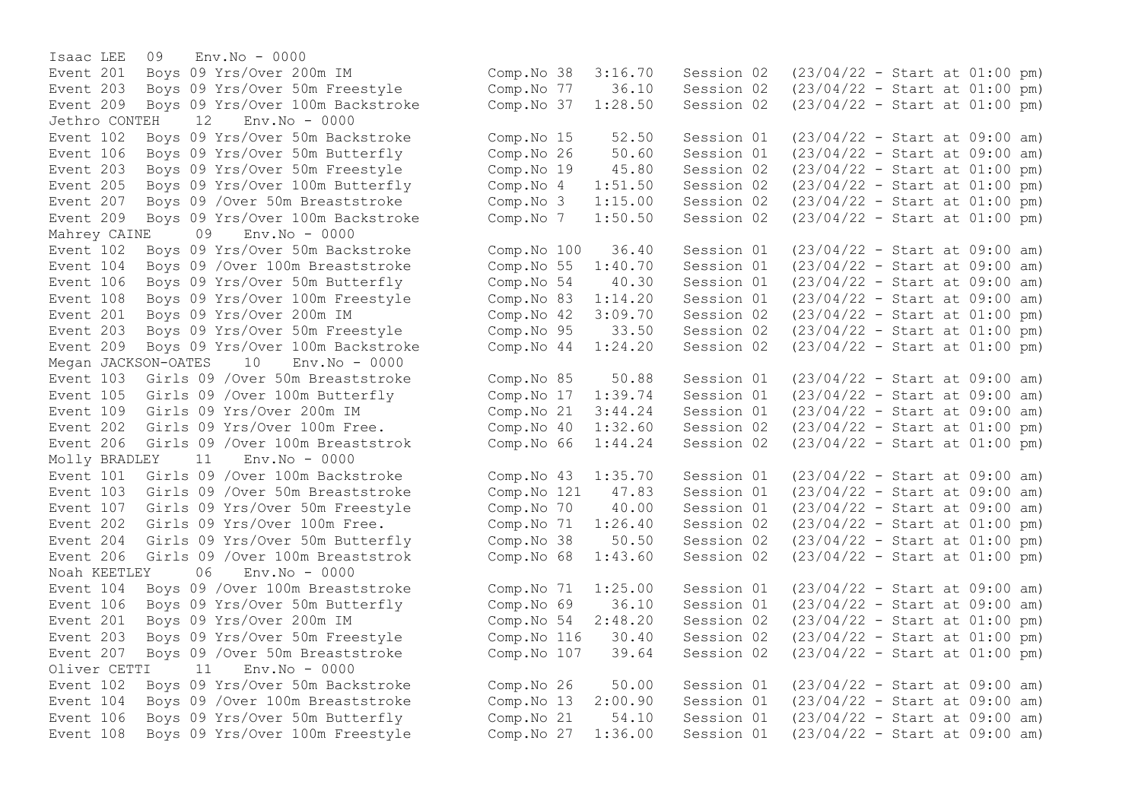Isaac LEE 09 Env.No - 0000 Jethro CONTEH 12 Env.No - 0000 Event 207 Boys 09 / Over 50m Breaststroke Comp.No 3 1:15.00 Session 02 Mahrey CAINE 09 Env.No - 0000 Event 108 Boys 09 Yrs/Over 100m Freestyle Comp.No 83 1:14.20 Session 01 Event 203 Boys 09 Yrs/Over 50m Freestyle Comp.No 95 33.50 Session 02 Megan JACKSON-OATES 10 Env.No - 0000 Event 109 Girls 09 Yrs/Over 200m IM Comp.No 21 3:44.24 Session 01 Event 206 Girls 09 /Over 100m Breaststrok Comp.No  $66$  1:44.24 Session 02 Molly BRADLEY 11 Env.No - 0000 Noah KEETLEY 06 Env.No - 0000  $Oliver CFTTI 11 Fny No -  $0000$$ 

Event 201 Boys 09 Yrs/Over 200m IM Comp.No 38 3:16.70 Session 02 (23/04/22 - Start at 01:00 pm) Event 203 Boys 09 Yrs/Over 50m Freestyle Comp.No 77 36.10 Session 02 (23/04/22 - Start at 01:00 pm) Event 209 Boys 09 Yrs/Over 100m Backstroke Comp.No 37 1:28.50 Session 02 (23/04/22 - Start at 01:00 pm) Event 102 Boys 09 Yrs/Over 50m Backstroke Comp.No 15 52.50 Session 01 (23/04/22 - Start at 09:00 am) Event 106 Boys 09 Yrs/Over 50m Butterfly (Comp.No 26 50.60 Session 01 (23/04/22 - Start at 09:00 am)<br>Event 203 Boys 09 Yrs/Over 50m Freestyle (Comp.No 19 45.80 Session 02 (23/04/22 - Start at 01:00 pm) Event 203 Boys 09 Yrs/Over 50m Freestyle Comp.No 19 45.80 Session 02 (23/04/22 - Start at 01:00 pm)<br>Event 205 Boys 09 Yrs/Over 100m Butterfly Comp.No 4 1:51.50 Session 02 (23/04/22 - Start at 01:00 pm) Event 205 Boys 09 Yrs/Over 100m Butterfly Comp.No 4 1:51.50 Session 02 (23/04/22 - Start at 01:00 pm)<br>Event 207 Boys 09 /Over 50m Breaststroke Comp.No 3 1:15.00 Session 02 (23/04/22 - Start at 01:00 pm) Event 209 Boys 09 Yrs/Over 100m Backstroke Comp.No 7 1:50.50 Session 02 (23/04/22 - Start at 01:00 pm) Event 102 Boys 09 Yrs/Over 50m Backstroke Comp.No 100 36.40 Session 01 (23/04/22 - Start at 09:00 am) Event 104 Boys 09 /Over 100m Breaststroke Comp.No 55 1:40.70 Session 01 (23/04/22 - Start at 09:00 am)<br>Event 106 Boys 09 Yrs/Over 50m Butterfly Comp.No 54 40.30 Session 01 (23/04/22 - Start at 09:00 am) Event 106 Boys 09 Yrs/Over 50m Butterfly Comp.No 54 40.30 Session 01 (23/04/22 - Start at 09:00 am)<br>Event 108 Boys 09 Yrs/Over 100m Freestyle Comp.No 83 1:14.20 Session 01 (23/04/22 - Start at 09:00 am) Event 201 Boys 09 Yrs/Over 200m IM Comp.No 42 3:09.70 Session 02 (23/04/22 - Start at 01:00 pm)<br>Event 203 Boys 09 Yrs/Over 50m Freestyle Comp.No 95 33.50 Session 02 (23/04/22 - Start a Event 209 Boys 09 Yrs/Over 100m Backstroke Comp.No 44 1:24.20 Session 02 (23/04/22 - Start at 01:00 pm) Event 103 Girls 09 /Over 50m Breaststroke Comp.No 85 50.88 Session 01 (23/04/22 - Start at 09:00 am) Event 105 Girls 09 /Over 100m Butterfly Comp.No 17 1:39.74 Session 01 (23/04/22 - Start at 09:00 am)<br>Event 109 Girls 09 Yrs/Over 200m IM Comp.No 21 3:44.24 Session 01 (23/04/22 - Start at 09:00 am) Event 202 Girls 09 Yrs/Over 100m Free. Comp.No 40 1:32.60 Session 02 (23/04/22 - Start at 01:00 pm)<br>Event 206 Girls 09 /Over 100m Breaststrok Comp.No 66 1:44.24 Session 02 (23/04/22 - Start at 01:00 pm) Event 101 Girls 09 /Over 100m Backstroke Comp.No 43 1:35.70 Session 01 (23/04/22 - Start at 09:00 am) Event 103 Girls 09 /Over 50m Breaststroke Comp.No 121 47.83 Session 01 (23/04/22 - Start at 09:00 am) Event 107 Girls 09 Yrs/Over 50m Freestyle Comp.No 70 40.00 Session 01 (23/04/22 - Start at 09:00 am) Event 202 Girls 09 Yrs/Over 100m Free. Comp.No 71 1:26.40 Session 02 (23/04/22 - Start at 01:00 pm) Event 204 Girls 09 Yrs/Over 50m Butterfly Comp.No 38 50.50 Session 02 (23/04/22 - Start at 01:00 pm) Event 206 Girls 09 /Over 100m Breaststrok Comp.No 68 1:43.60 Session 02 (23/04/22 - Start at 01:00 pm) Event 104 Boys 09 /Over 100m Breaststroke Comp.No 71 1:25.00 Session 01 (23/04/22 - Start at 09:00 am) Event 106 Boys 09 Yrs/Over 50m Butterfly Comp.No 69 36.10 Session 01 (23/04/22 - Start at 09:00 am) Event 201 Boys 09 Yrs/Over 200m IM Comp.No 54 2:48.20 Session 02 (23/04/22 - Start at 01:00 pm) Event 203 Boys 09 Yrs/Over 50m Freestyle Comp.No 116 30.40 Session 02 (23/04/22 - Start at 01:00 pm) Event 207 Boys 09 /Over 50m Breaststroke Comp.No 107 39.64 Session 02 (23/04/22 - Start at 01:00 pm) Event 102 Boys 09 Yrs/Over 50m Backstroke Comp.No 26 50.00 Session 01 (23/04/22 - Start at 09:00 am) Event 104 Boys 09 /Over 100m Breaststroke Comp.No 13 2:00.90 Session 01 (23/04/22 - Start at 09:00 am) Event 106 Boys 09 Yrs/Over 50m Butterfly Comp.No 21 54.10 Session 01 (23/04/22 - Start at 09:00 am) Event 108 Boys 09 Yrs/Over 100m Freestyle Comp.No 27 1:36.00 Session 01 (23/04/22 - Start at 09:00 am)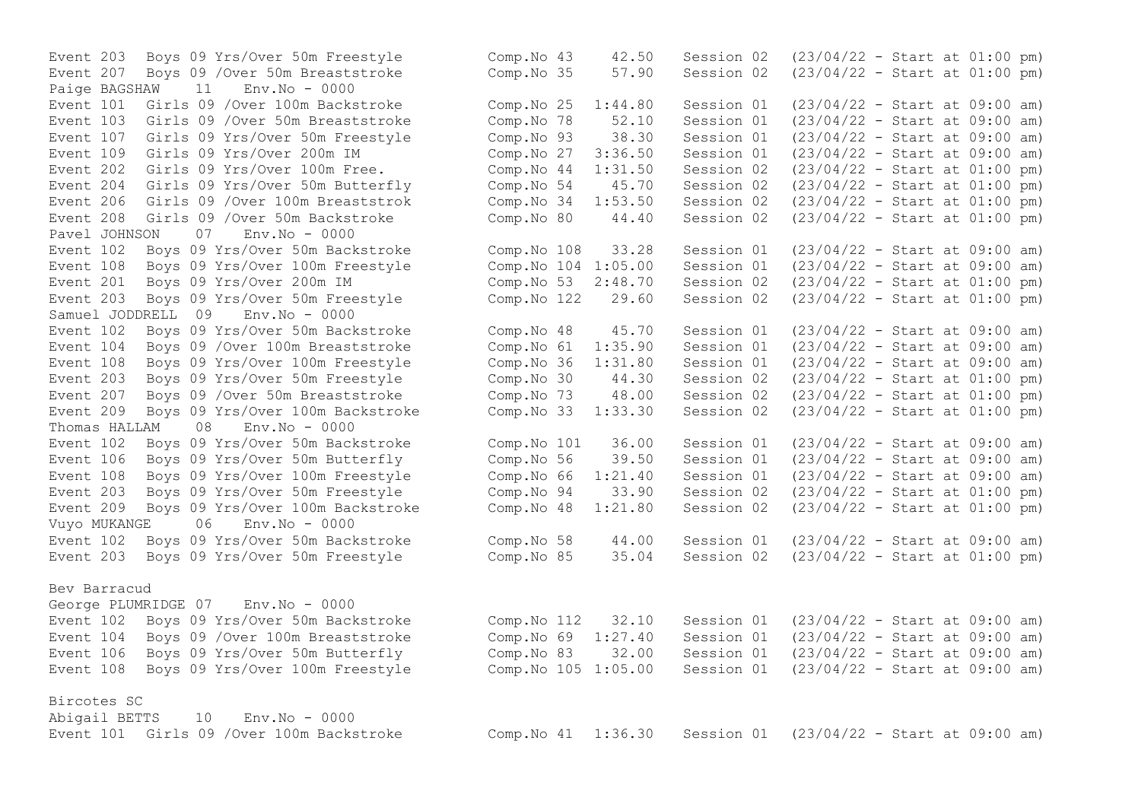Paige BAGSHAW 11 Env.No - 0000 Event 202 Girls 09 Yrs/Over 100m Free. Comp.No 44 1:31.50 Session 02 Pavel JOHNSON 07 Env.No - 0000 Event 201 Boys 09 Yrs/Over 200m IM  $\sim$  Comp.No 53 2:48.70 Session 02 Samuel JODDRELL 09 Env.No - 0000 Event 209 Boys 09 Yrs/Over 100m Backstroke Thomas HALLAM 08 Env.No - 0000 Event 209 Boys 09 Yrs/Over 100m Backstroke Comp.No 48 1:21.80 Session 02 Vuyo MUKANGE 06 Env.No - 0000 Bev Barracud George PLUMRIDGE 07 Env.No - 0000

Bircotes SC

Abigail BETTS 10 Env.No - 0000

Event 203 Boys 09 Yrs/Over 50m Freestyle Comp.No 43 42.50 Session 02 (23/04/22 - Start at 01:00 pm)<br>Event 207 Boys 09 /Over 50m Breaststroke Comp.No 35 57.90 Session 02 (23/04/22 - Start at 01:00 pm) Event 207 Boys 09 /Over 50m Breaststroke Comp.No 35 57.90 Session 02 (23/04/22 - Start at 01:00 pm) Event 101 Girls 09 /Over 100m Backstroke Comp.No 25 1:44.80 Session 01 (23/04/22 - Start at 09:00 am) Event 103 Girls 09 /Over 50m Breaststroke Comp.No 78 52.10 Session 01 (23/04/22 - Start at 09:00 am) Event 107 Girls 09 Yrs/Over 50m Freestyle Comp.No 93 38.30 Session 01 (23/04/22 - Start at 09:00 am)<br>Event 109 Girls 09 Yrs/Over 200m IM Comp.No 27 3:36.50 Session 01 (23/04/22 - Start at 09:00 am) Event 109 Girls 09 Yrs/Over 200m IM Comp.No 27 3:36.50 Session 01 (23/04/22 - Start at 09:00 am)<br>Event 202 Girls 09 Yrs/Over 100m Free. Comp.No 44 1:31.50 Session 02 (23/04/22 - Start at 01:00 pm) Event 204 Girls 09 Yrs/Over 50m Butterfly Comp.No 54 45.70 Session 02 (23/04/22 - Start at 01:00 pm) Event 206 Girls 09 /Over 100m Breaststrok Comp.No 34 1:53.50 Session 02 (23/04/22 - Start at 01:00 pm) Event 208 Girls 09 /Over 50m Backstroke Comp.No 80 44.40 Session 02 (23/04/22 - Start at 01:00 pm) Event 102 Boys 09 Yrs/Over 50m Backstroke Comp.No 108 33.28 Session 01 (23/04/22 - Start at 09:00 am) Event 108 Boys 09 Yrs/Over 100m Freestyle Comp.No 104 1:05.00 Session 01 (23/04/22 - Start at 09:00 am)<br>Event 201 Boys 09 Yrs/Over 200m IM Comp.No 53 2:48.70 Session 02 (23/04/22 - Start at 01:00 pm) Event 203 Boys 09 Yrs/Over 50m Freestyle Comp.No 122 29.60 Session 02 (23/04/22 - Start at 01:00 pm) Event 102 Boys 09 Yrs/Over 50m Backstroke Comp.No 48 45.70 Session 01 (23/04/22 - Start at 09:00 am) Event 104 Boys 09 /Over 100m Breaststroke Comp.No 61 1:35.90 Session 01 (23/04/22 - Start at 09:00 am) Event 108 Boys 09 Yrs/Over 100m Freestyle Comp.No 36 1:31.80 Session 01 (23/04/22 - Start at 09:00 am)<br>Event 203 Bovs 09 Yrs/Over 50m Freestyle Comp.No 30 44.30 Session 02 (23/04/22 - Start at 01:00 pm) Event 203 Boys 09 Yrs/Over 50m Freestyle Comp.No 30 44.30 Session 02 (23/04/22 - Start at 01:00 pm)<br>Event 207 Boys 09 /Over 50m Breaststroke Comp.No 73 48.00 Session 02 (23/04/22 - Start at 01:00 pm) Event 207 Boys 09 /Over 50m Breaststroke Comp.No 73 48.00 Session 02 (23/04/22 - Start at 01:00 pm)<br>Event 209 Boys 09 Yrs/Over 100m Backstroke Comp.No 33 1:33.30 Session 02 (23/04/22 - Start at 01:00 pm) Event 102 Boys 09 Yrs/Over 50m Backstroke Comp.No 101 36.00 Session 01 (23/04/22 - Start at 09:00 am) Event 106 Boys 09 Yrs/Over 50m Butterfly Comp.No 56 39.50 Session 01 (23/04/22 - Start at 09:00 am) Event 108 Boys 09 Yrs/Over 100m Freestyle Comp.No 66 1:21.40 Session 01 (23/04/22 - Start at 09:00 am) Event 203 Boys 09 Yrs/Over 50m Freestyle Comp.No 94 33.90 Session 02 (23/04/22 - Start at 01:00 pm)<br>Event 209 Boys 09 Yrs/Over 100m Backstroke Comp.No 48 1:21.80 Session 02 (23/04/22 - Start at 01:00 pm) Event 102 Boys 09 Yrs/Over 50m Backstroke Comp.No 58 44.00 Session 01 (23/04/22 - Start at 09:00 am) Event 203 Boys 09 Yrs/Over 50m Freestyle Comp.No 85 35.04 Session 02 (23/04/22 - Start at 01:00 pm) Event 102 Boys 09 Yrs/Over 50m Backstroke Comp.No 112 32.10 Session 01 (23/04/22 - Start at 09:00 am) Event 104 Boys 09 /Over 100m Breaststroke Comp.No 69 1:27.40 Session 01 (23/04/22 - Start at 09:00 am) Event 106 Boys 09 Yrs/Over 50m Butterfly Comp.No 83 32.00 Session 01 (23/04/22 - Start at 09:00 am) Event 108 Boys 09 Yrs/Over 100m Freestyle Comp.No 105 1:05.00 Session 01 (23/04/22 - Start at 09:00 am) Event 101 Girls 09 /Over 100m Backstroke Comp.No 41 1:36.30 Session 01 (23/04/22 - Start at 09:00 am)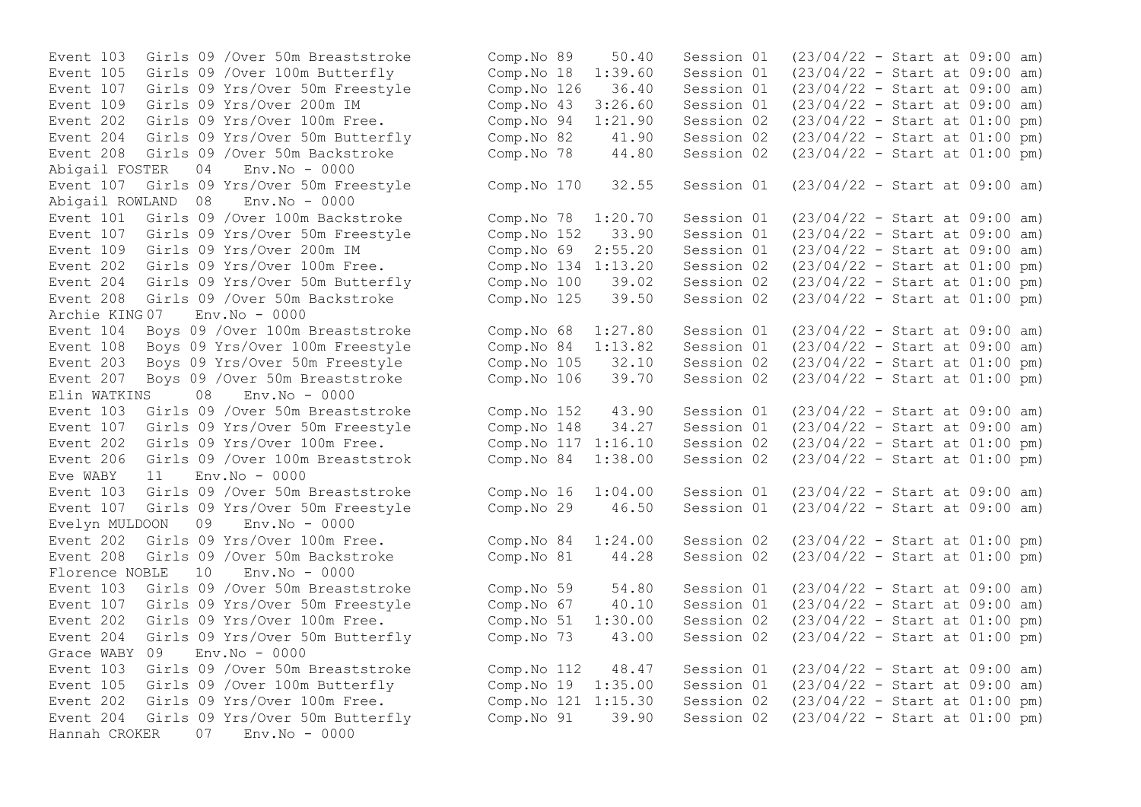Event 107 Girls 09 Yrs/Over 50m Freestyle Comp.No 126 36.40 Session 01 Event 208 Girls 09 /Over 50m Backstroke Abigail FOSTER 04 Env.No - 0000 Abigail ROWLAND 08 Env.No - 0000 Event 208 Girls 09 / Over 50m Backstroke Comp.No 125 Archie KING 07 Env.No - 0000 Event 207 Boys 09 / Over 50m Breaststroke Comp.No 106 39.70 Session 02 Elin WATKINS 08 Env.No - 0000 Eve WABY 11 Env.No - 0000 Event 107 Girls 09 Yrs/Over 50m Freestyle Comp.No 29 46.50 Session 01 Evelyn MULDOON 09 Env.No - 0000 Florence NOBLE 10 Env.No - 0000 Event 107 Girls 09 Yrs/Over 50m Freestyle Comp.No 67 40.10 Session 01 Event 204 Girls 09 Yrs/Over 50m Butterfly Comp.No 73 43.00 Session 02 Grace WABY  $0.9$  Env. No - 0000 Event 202 Girls 09 Yrs/Over 100m Free. Comp.No 121 1:15.30 Session 02 Hannah CROKER 07 Env.No - 0000

Event 103 Girls 09 /Over 50m Breaststroke Comp.No 89 50.40 Session 01 (23/04/22 - Start at 09:00 am)<br>Event 105 Girls 09 /Over 100m Butterfly Comp.No 18 1:39.60 Session 01 (23/04/22 - Start at 09:00 am) Event 105 Girls 09 /Over 100m Butterfly Comp.No 18 1:39.60 Session 01 (23/04/22 - Start at 09:00 am) Event 109 Girls 09 Yrs/Over 200m IM Comp.No 43 3:26.60 Session 01 (23/04/22 - Start at 09:00 am) Event 202 Girls 09 Yrs/Over 100m Free. Comp.No 94 1:21.90 Session 02 (23/04/22 - Start at 01:00 pm)<br>Event 204 Girls 09 Yrs/Over 50m Butterfly Comp.No 82 41.90 Session 02 (23/04/22 - Start at 01:00 pm) Event 204 Girls 09 Yrs/Over 50m Butterfly Comp.No 82 41.90 Session 02 (23/04/22 - Start at 01:00 pm) Event 107 Girls 09 Yrs/Over 50m Freestyle Comp.No 170 32.55 Session 01 (23/04/22 - Start at 09:00 am) Event 101 Girls 09 /Over 100m Backstroke Comp.No 78 1:20.70 Session 01 (23/04/22 - Start at 09:00 am) Event 107 Girls 09 Yrs/Over 50m Freestyle Comp.No 152 33.90 Session 01 (23/04/22 - Start at 09:00 am) Event 109 Girls 09 Yrs/Over 200m IM Comp.No 69 2:55.20 Session 01 (23/04/22 - Start at 09:00 am) Event 202 Girls 09 Yrs/Over 100m Free.<br>
Event 204 Girls 09 Yrs/Over 50m Butterfly Comp.No 100 39.02 Session 02 (23/04/22 - Start at 01:00 pm) Event 204 Girls 09 Yrs/Over 50m Butterfly Comp.No 100 39.02 Session 02 (23/04/22 - Start at 01:00 pm)<br>Event 208 Girls 09 /Over 50m Backstroke Comp.No 125 39.50 Session 02 (23/04/22 - Start at 01:00 pm) Event 104 Boys 09 /Over 100m Breaststroke Comp.No 68 1:27.80 Session 01 (23/04/22 - Start at 09:00 am) Event 108 Boys 09 Yrs/Over 100m Freestyle Comp.No 84 1:13.82 Session 01 (23/04/22 - Start at 09:00 am) Event 203 Boys 09 Yrs/Over 50m Freestyle Comp.No 105 32.10 Session 02 (23/04/22 - Start at 01:00 pm)<br>Event 207 Boys 09 /Over 50m Breaststroke Comp.No 106 39.70 Session 02 (23/04/22 - Start at 01:00 pm) Event 103 Girls 09 /Over 50m Breaststroke Comp.No 152 43.90 Session 01 (23/04/22 - Start at 09:00 am) Event 107 Girls 09 Yrs/Over 50m Freestyle Comp.No 148 34.27 Session 01 (23/04/22 - Start at 09:00 am) Event 202 Girls 09 Yrs/Over 100m Free. Comp.No 117 1:16.10 Session 02 (23/04/22 - Start at 01:00 pm) Event 206 Girls 09 /Over 100m Breaststrok Comp.No 84 1:38.00 Session 02 (23/04/22 - Start at 01:00 pm) Event 103 Girls 09 /Over 50m Breaststroke Comp.No 16 1:04.00 Session 01 (23/04/22 - Start at 09:00 am)<br>Event 107 Girls 09 Yrs/Over 50m Freestyle Comp.No 29 46.50 Session 01 (23/04/22 - Start at 09:00 am) Event 202 Girls 09 Yrs/Over 100m Free. Comp.No 84 1:24.00 Session 02 (23/04/22 - Start at 01:00 pm) Event 208 Girls 09 /Over 50m Backstroke Comp.No 81 44.28 Session 02 (23/04/22 - Start at 01:00 pm) Event 103 Girls 09 /Over 50m Breaststroke Comp. No 59 54.80 Session 01 (23/04/22 - Start at 09:00 am)<br>Event 107 Girls 09 Yrs/Over 50m Freestyle Comp. No 67 40.10 Session 01 (23/04/22 - Start at 09:00 am) Event 202 Girls 09 Yrs/Over 100m Free. Comp.No 51 1:30.00 Session 02 (23/04/22 - Start at 01:00 pm)<br>Event 204 Girls 09 Yrs/Over 50m Butterfly Comp.No 73 43.00 Session 02 (23/04/22 - Start at 01:00 pm) Event 103 Girls 09 /Over 50m Breaststroke Comp.No 112 48.47 Session 01 (23/04/22 - Start at 09:00 am) Event 105 Girls 09 /Over 100m Butterfly Comp.No 19 1:35.00 Session 01 (23/04/22 - Start at 09:00 am)<br>Event 202 Girls 09 Yrs/Over 100m Free. Comp.No 121 1:15.30 Session 02 (23/04/22 - Start at 01:00 pm) Event 204 Girls 09 Yrs/Over 50m Butterfly Comp.No 91 39.90 Session 02 (23/04/22 - Start at 01:00 pm)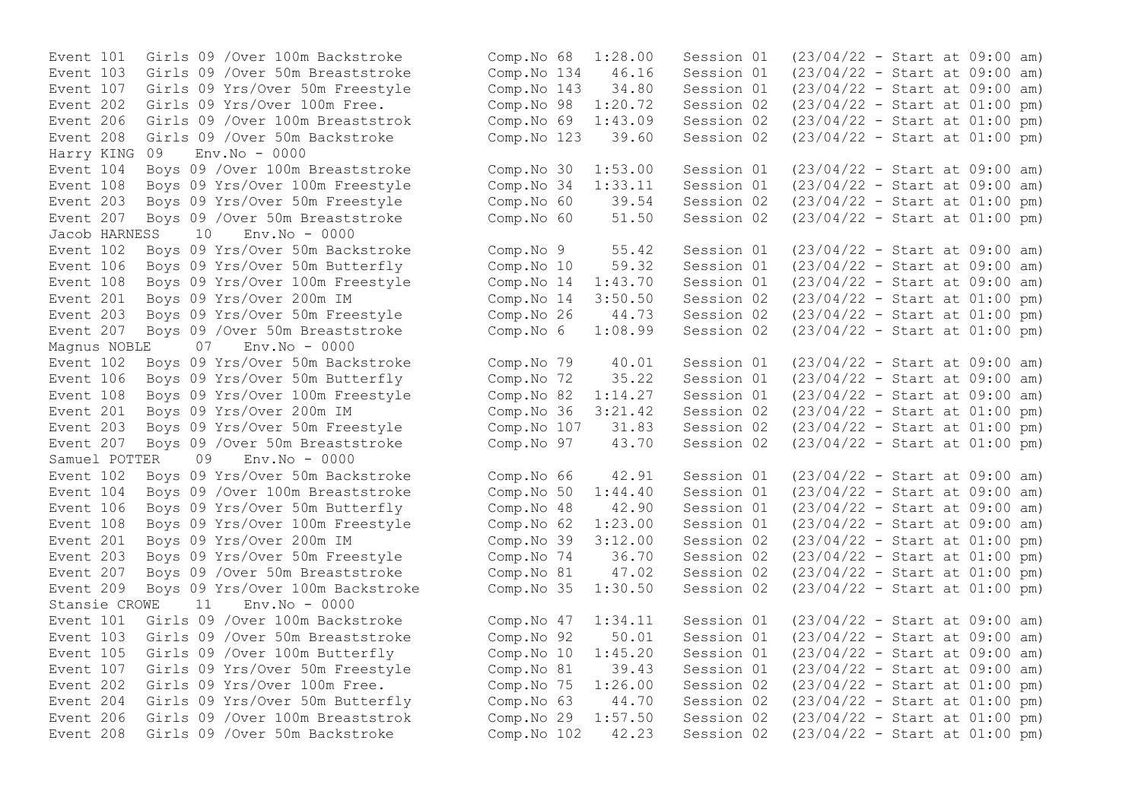Event 206 Girls 09 /Over 100m Breaststrok Comp.No 69 1:43.09 Session 02 Harry KING 09 Env.No - 0000 Event  $108$  Boys 09 Yrs/Over  $100m$  Freestyle Comp.No 34  $1:33.11$  Session 01 Jacob HARNESS 10 Env.No - 0000 Event 108 Boys 09 Yrs/Over 100m Freestyle Comp.No 14 1:43.70 Session 01 Magnus NOBLE 07 Env. No - 0000 Samuel POTTER 09 Env.No - 0000 Stansie CROWE 11 Env.No - 0000 Event 202 Girls 09 Yrs/Over 100m Free. Comp.No 75 1:26.00 Session 02

Event 101 Girls 09 /Over 100m Backstroke Comp.No 68 1:28.00 Session 01 (23/04/22 - Start at 09:00 am) Event 103 Girls 09 /Over 50m Breaststroke Comp.No 134 46.16 Session 01 (23/04/22 - Start at 09:00 am) Event 107 Girls 09 Yrs/Over 50m Freestyle Comp.No 143 34.80 Session 01 (23/04/22 - Start at 09:00 am) Event 202 Girls 09 Yrs/Over 100m Free.<br>
Event 206 Girls 09 /Over 100m Breaststrok Comp.No 69 1:43.09 Session 02 (23/04/22 - Start at 01:00 pm) Event 208 Girls 09 /Over 50m Backstroke Comp.No 123 39.60 Session 02 (23/04/22 - Start at 01:00 pm) Event 104 Boys 09 /Over 100m Breaststroke Comp. No 30 1:53.00 Session 01 (23/04/22 - Start at 09:00 am)<br>Event 108 Bovs 09 Yrs/Over 100m Freestyle Comp. No 34 1:33.11 Session 01 (23/04/22 - Start at 09:00 am) Event 203 Boys 09 Yrs/Over 50m Freestyle Comp.No 60 39.54 Session 02 (23/04/22 - Start at 01:00 pm) Event 207 Boys 09 /Over 50m Breaststroke Comp.No 60 51.50 Session 02 (23/04/22 - Start at 01:00 pm) Event 102 Boys 09 Yrs/Over 50m Backstroke Comp.No 9 55.42 Session 01 (23/04/22 - Start at 09:00 am) Event 106 Boys 09 Yrs/Over 50m Butterfly Comp.No 10 59.32 Session 01 (23/04/22 - Start at 09:00 am) Event 201 Boys 09 Yrs/Over 200m IM Comp.No 14 3:50.50 Session 02 (23/04/22 - Start at 01:00 pm) Event 203 Boys 09 Yrs/Over 50m Freestyle Comp.No 26 44.73 Session 02 (23/04/22 - Start at 01:00 pm) Event 207 Boys 09 /Over 50m Breaststroke Comp.No 6 1:08.99 Session 02 (23/04/22 - Start at 01:00 pm) Event 102 Boys 09 Yrs/Over 50m Backstroke Comp.No 79 40.01 Session 01 (23/04/22 - Start at 09:00 am) Event 106 Boys 09 Yrs/Over 50m Butterfly Comp.No 72 35.22 Session 01 (23/04/22 - Start at 09:00 am)<br>Event 108 Boys 09 Yrs/Over 100m Freestyle Comp.No 82 1:14.27 Session 01 (23/04/22 - Start at 09:00 am) Event 108 Boys 09 Yrs/Over 100m Freestyle Comp.No 82 1:14.27 Session 01 (23/04/22 - Start at 09:00 am)<br>Event 201 Boys 09 Yrs/Over 200m IM Comp.No 36 3:21.42 Session 02 (23/04/22 - Start at 01:00 pm) Event 201 Boys 09 Yrs/Over 200m IM Comp.No 36 3:21.42 Session 02 (23/04/22 - Start at 01:00 pm) Event 203 Boys 09 Yrs/Over 50m Freestyle Comp.No 107 31.83 Session 02 (23/04/22 - Start at 01:00 pm) Event 207 Boys 09 /Over 50m Breaststroke Comp.No 97 43.70 Session 02 (23/04/22 - Start at 01:00 pm) Event 102 Boys 09 Yrs/Over 50m Backstroke Comp.No 66 42.91 Session 01 (23/04/22 - Start at 09:00 am) Event 104 Boys 09 /Over 100m Breaststroke Comp.No 50 1:44.40 Session 01 (23/04/22 - Start at 09:00 am) Event 106 Boys 09 Yrs/Over 50m Butterfly Comp.No 48 42.90 Session 01 (23/04/22 - Start at 09:00 am) Event 108 Boys 09 Yrs/Over 100m Freestyle Comp.No 62 1:23.00 Session 01 (23/04/22 - Start at 09:00 am) Event 201 Boys 09 Yrs/Over 200m IM Comp.No 39 3:12.00 Session 02 (23/04/22 - Start at 01:00 pm) Event 203 Boys 09 Yrs/Over 50m Freestyle Comp.No 74 36.70 Session 02 (23/04/22 - Start at 01:00 pm) Event 207 Boys 09 /Over 50m Breaststroke Comp.No 81 47.02 Session 02 (23/04/22 - Start at 01:00 pm) Event 209 Boys 09 Yrs/Over 100m Backstroke Comp.No 35 1:30.50 Session 02 (23/04/22 - Start at 01:00 pm) Event 101 Girls 09 /Over 100m Backstroke Comp.No 47 1:34.11 Session 01 (23/04/22 - Start at 09:00 am) Event 103 Girls 09 /Over 50m Breaststroke Comp.No 92 50.01 Session 01 (23/04/22 - Start at 09:00 am) Event 105 Girls 09 /Over 100m Butterfly Comp.No 10 1:45.20 Session 01 (23/04/22 - Start at 09:00 am) Event 107 Girls 09 Yrs/Over 50m Freestyle Comp.No 81 39.43 Session 01 (23/04/22 - Start at 09:00 am)<br>Event 202 Girls 09 Yrs/Over 100m Free. Comp.No 75 1:26.00 Session 02 (23/04/22 - Start at 01:00 pm) Event 204 Girls 09 Yrs/Over 50m Butterfly Comp.No 63 44.70 Session 02 (23/04/22 - Start at 01:00 pm) Event 206 Girls 09 /Over 100m Breaststrok Comp.No 29 1:57.50 Session 02 (23/04/22 - Start at 01:00 pm) Event 208 Girls 09 /Over 50m Backstroke Comp.No 102 42.23 Session 02 (23/04/22 - Start at 01:00 pm)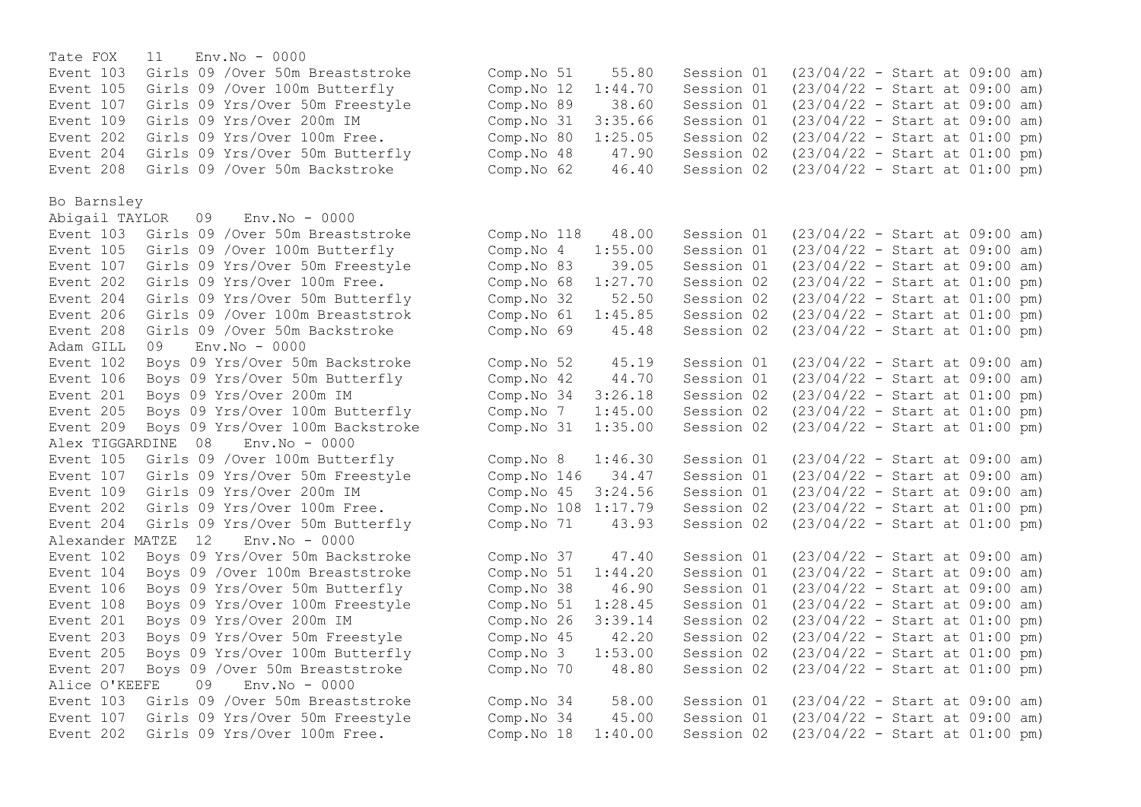Tate FOX 11 Env.No - 0000 Event 103 Girls 09 /Over 50m Breaststroke Comp. No 51 55.80 Session 01 (23/04/22 - Start at 09:00 am)<br>Event 105 Girls 09 /Over 100m Butterfly Comp. No 12 1:44.70 Session 01 (23/04/22 - Start at 09:00 am) Event 105 Girls 09 /Over 100m Butterfly Comp.No 12 1:44.70 Session 01 (23/04/22 - Start at 09:00 am) Event 107 Girls 09 Yrs/Over 50m Freestyle Comp. No 89 38.60 Session 01 (23/04/22 - Start at 09:00 am)<br>Event 109 Girls 09 Yrs/Over 200m IM Comp. No 31 3:35.66 Session 01 (23/04/22 - Start at 09:00 am) Event 109 Girls 09 Yrs/Over 200m IM Comp.No 31 3:35.66 Session 01 (23/04/22 - Start at 09:00 am)<br>Event 202 Girls 09 Yrs/Over 100m Free. Comp.No 80 1:25.05 Session 02 (23/04/22 - Start at 01:00 pm) Event 202 Girls 09 Yrs/Over 100m Free. Comp.No 80 1:25.05 Session 02 (23/04/22 - Start at 01:00 pm)<br>Event 204 Girls 09 Yrs/Over 50m Butterfly Comp.No 48 47.90 Session 02 (23/04/22 - Start at 01:00 pm) Event 204 Girls 09 Yrs/Over 50m Butterfly Comp.No 48 47.90 Session 02 (23/04/22 - Start at 01:00 pm)<br>Event 208 Girls 09 /Over 50m Backstroke Comp.No 62 46.40 Session 02 (23/04/22 - Start at 01:00 pm) Event 208 Girls 09 / Over 50m Backstroke Comp.No 62 46.40 Session 02 Bo Barnsley Abigail TAYLOR 09 Env.No - 0000 Event 103 Girls 09 /Over 50m Breaststroke Comp.No 118 48.00 Session 01 (23/04/22 - Start at 09:00 am) Event 105 Girls 09 /Over 100m Butterfly Comp.No 4 1:55.00 Session 01 (23/04/22 - Start at 09:00 am) Event 107 Girls 09 Yrs/Over 50m Freestyle Comp.No 83 39.05 Session 01 (23/04/22 - Start at 09:00 am)<br>Event 202 Girls 09 Yrs/Over 100m Free. Comp.No 68 1:27.70 Session 02 (23/04/22 - Start at 01:00 pm) Event 202 Girls 09 Yrs/Over 100m Free.<br>
Event 204 Girls 09 Yrs/Over 50m Butterfly (Comp.No 32 52.50 Session 02 (23/04/22 - Start at 01:00 pm) Event 204 Girls 09 Yrs/Over 50m Butterfly Comp.No 32 52.50 Session 02 (23/04/22 - Start at 01:00 pm)<br>Event 206 Girls 09 /Over 100m Breaststrok Comp.No 61 1:45.85 Session 02 (23/04/22 - Start at 01:00 pm) Event 206 Girls 09 /Over 100m Breaststrok Comp. No  $61$  1:45.85 Session 02 Event 208 Girls 09 /Over 50m Backstroke Comp.No 69 45.48 Session 02 (23/04/22 - Start at 01:00 pm) Adam GILL 09 Env.No - 0000 Event 102 Boys 09 Yrs/Over 50m Backstroke Comp.No 52 45.19 Session 01 (23/04/22 - Start at 09:00 am) Event 106 Boys 09 Yrs/Over 50m Butterfly Comp.No 42 44.70 Session 01 (23/04/22 - Start at 09:00 am)<br>Event 201 Bovs 09 Yrs/Over 200m IM Comp.No 34 3:26.18 Session 02 (23/04/22 - Start at 01:00 pm) Event 201 Boys 09 Yrs/Over 200m IM Comp.No 34 3:26.18 Session 02 (23/04/22 - Start at 01:00 pm)<br>Event 205 Boys 09 Yrs/Over 100m Butterfly Comp.No 7 1:45.00 Session 02 (23/04/22 - Start at 01:00 pm) Event 205 Boys 09 Yrs/Over 100m Butterfly Event 209 Boys 09 Yrs/Over 100m Backstroke Comp.No 31 1:35.00 Session 02 (23/04/22 - Start at 01:00 pm) Alex TIGGARDINE 08 Env.No - 0000 Event 105 Girls 09 /Over 100m Butterfly Comp.No 8 1:46.30 Session 01 (23/04/22 - Start at 09:00 am) Event 107 Girls 09 Yrs/Over 50m Freestyle Comp.No 146 34.47 Session 01 (23/04/22 - Start at 09:00 am) Event 109 Girls 09 Yrs/Over 200m IM Comp.No 45 3:24.56 Session 01 (23/04/22 - Start at 09:00 am) Event 202 Girls 09 Yrs/Over 100m Free. Comp.No 108 1:17.79 Session 02 (23/04/22 - Start at 01:00 pm) Event 204 Girls 09 Yrs/Over 50m Butterfly Comp.No 71 43.93 Session 02 (23/04/22 - Start at 01:00 pm) Alexander MATZE 12 Env.No - 0000 Event 102 Boys 09 Yrs/Over 50m Backstroke Comp.No 37 47.40 Session 01 (23/04/22 - Start at 09:00 am) Event 104 Boys 09 /Over 100m Breaststroke Comp.No 51 1:44.20 Session 01 (23/04/22 - Start at 09:00 am) Event 106 Boys 09 Yrs/Over 50m Butterfly Comp.No 38 46.90 Session 01 (23/04/22 - Start at 09:00 am) Event 108 Boys 09 Yrs/Over 100m Freestyle Comp.No 51 1:28.45 Session 01 (23/04/22 - Start at 09:00 am) Event 201 Boys 09 Yrs/Over 200m IM Comp.No 26 3:39.14 Session 02 (23/04/22 - Start at 01:00 pm) Event 203 Boys 09 Yrs/Over 50m Freestyle Comp.No 45 42.20 Session 02 (23/04/22 - Start at 01:00 pm) Event 205 Boys 09 Yrs/Over 100m Butterfly Comp.No 3 1:53.00 Session 02 (23/04/22 - Start at 01:00 pm) Event 207 Boys 09 /Over 50m Breaststroke Comp.No 70 48.80 Session 02 (23/04/22 - Start at 01:00 pm) Alice O'KEEFE 09 Env.No - 0000 Event 103 Girls 09 /Over 50m Breaststroke Comp.No 34 58.00 Session 01 (23/04/22 - Start at 09:00 am) Event 107 Girls 09 Yrs/Over 50m Freestyle Comp.No 34 45.00 Session 01 (23/04/22 - Start at 09:00 am) Event 202 Girls 09 Yrs/Over 100m Free. Comp.No 18 1:40.00 Session 02 (23/04/22 - Start at 01:00 pm)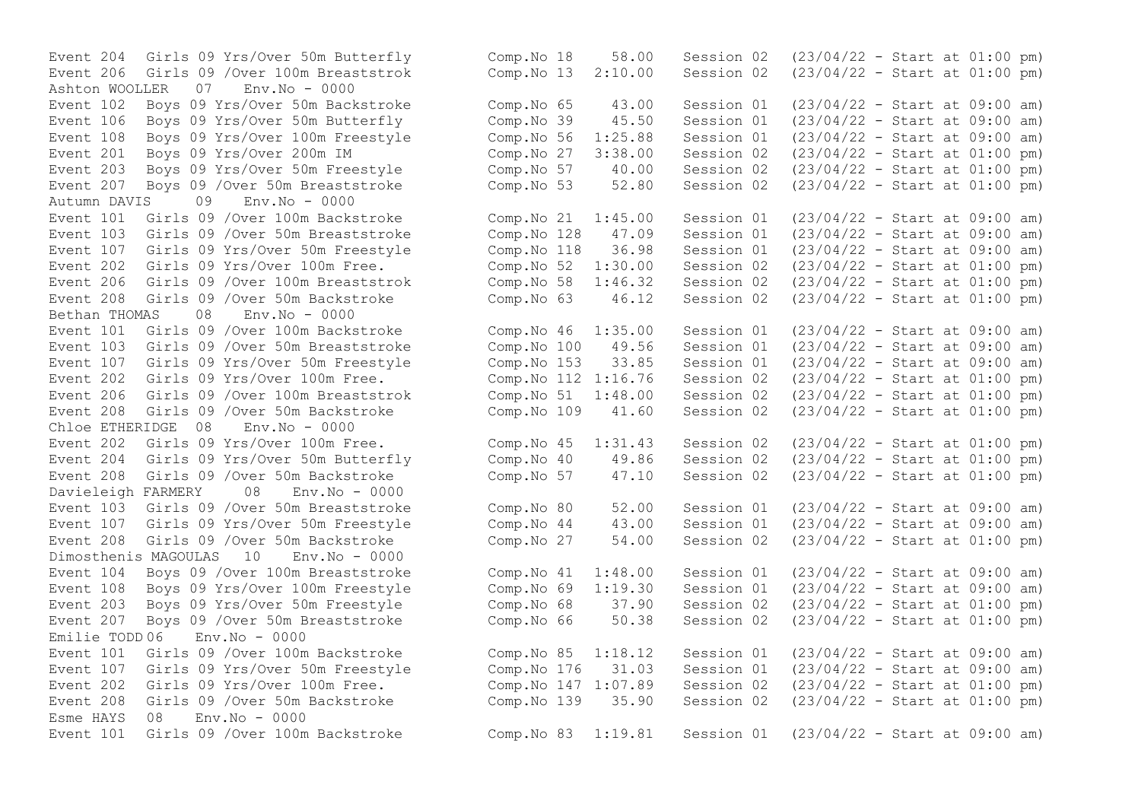Ashton WOOLLER 07 Env.No - 0000 Event 207 Boys 09 /Over 50m Breaststroke Autumn DAVIS 09 Env.No - 0000 Event 208 Girls 09 / Over 50 mBackstroke Bethan THOMAS 08 Env.No - 0000 Event 208 Girls 09 /Over 50m Backstroke Chloe ETHERIDGE 08 Env.No - 0000 Davieleigh FARMERY 08 Env.No - 0000 Dimosthenis MAGOULAS 10 Env.No - 0000 Emilie TODD 06 Env.No - 0000 Esme HAYS  $0.8$  Env. No - 0000

Event 204 Girls 09 Yrs/Over 50m Butterfly Comp.No 18 58.00 Session 02 (23/04/22 - Start at 01:00 pm) Event 206 Girls 09 /Over 100m Breaststrok Comp.No 13 2:10.00 Session 02 (23/04/22 - Start at 01:00 pm) Event 102 Boys 09 Yrs/Over 50m Backstroke Comp.No 65 43.00 Session 01 (23/04/22 - Start at 09:00 am) Event 106 Boys 09 Yrs/Over 50m Butterfly Comp.No 39 45.50 Session 01 (23/04/22 - Start at 09:00 am) Event 108 Boys 09 Yrs/Over 100m Freestyle Comp.No 56 1:25.88 Session 01 (23/04/22 - Start at 09:00 am)<br>Event 201 Boys 09 Yrs/Over 200m IM Comp.No 27 3:38.00 Session 02 (23/04/22 - Start at 01:00 pm) Event 201 Boys 09 Yrs/Over 200m IM Comp.No 27 3:38.00 Session 02 (23/04/22 - Start at 01:00 pm)<br>Event 203 Boys 09 Yrs/Over 50m Freestyle Comp.No 57 40.00 Session 02 (23/04/22 - Start Event 203 Boys 09 Yrs/Over 50m Freestyle Comp.No 57 40.00 Session 02 (23/04/22 - Start at 01:00 pm)<br>Event 207 Boys 09 /Over 50m Breaststroke Comp.No 53 52.80 Session 02 (23/04/22 - Start at 01:00 pm) Event 101 Girls 09 /Over 100m Backstroke Comp.No 21 1:45.00 Session 01 (23/04/22 - Start at 09:00 am) Event 103 Girls 09 /Over 50m Breaststroke Comp.No 128 47.09 Session 01 (23/04/22 - Start at 09:00 am)<br>Event 107 Girls 09 Yrs/Over 50m Freestyle Comp.No 118 36.98 Session 01 (23/04/22 - Start at 09:00 am) Event 107 Girls 09 Yrs/Over 50m Freestyle Comp.No 118 36.98 Session 01 (23/04/22 - Start at 09:00 am) Event 202 Girls 09 Yrs/Over 100m Free. Comp.No 52 1:30.00 Session 02 (23/04/22 - Start at 01:00 pm)<br>Event 206 Girls 09 /Over 100m Breaststrok Comp.No 58 1:46.32 Session 02 (23/04/22 - Start at 01:00 pm) Event 206 Girls 09 /Over 100m Breaststrok Comp.No 58 1:46.32 Session 02 (23/04/22 - Start at 01:00 pm)<br>Event 208 Girls 09 /Over 50m Backstroke Comp.No 63 46.12 Session 02 (23/04/22 - Start at 01:00 pm) Event 101 Girls 09 /Over 100m Backstroke Comp.No 46 1:35.00 Session 01 (23/04/22 - Start at 09:00 am) Event 103 Girls 09 /Over 50m Breaststroke Comp.No 100 49.56 Session 01 (23/04/22 - Start at 09:00 am) Event 107 Girls 09 Yrs/Over 50m Freestyle Comp.No 153 33.85 Session 01 (23/04/22 - Start at 09:00 am) Event 202 Girls 09 Yrs/Over 100m Free.<br>
Event 206 Girls 09 /Over 100m Breaststrok Comp.No 51 1:48.00 Session 02 (23/04/22 - Start at 01:00 pm) Event 206 Girls 09 /Over 100m Breaststrok Comp.No 51 1:48.00 Session 02 (23/04/22 - Start at 01:00 pm)<br>Event 208 Girls 09 /Over 50m Backstroke Comp.No 109 41.60 Session 02 (23/04/22 - Start at 01:00 pm) Event 202 Girls 09 Yrs/Over 100m Free. Comp.No 45 1:31.43 Session 02 (23/04/22 - Start at 01:00 pm) Event 204 Girls 09 Yrs/Over 50m Butterfly Comp.No 40 49.86 Session 02 (23/04/22 - Start at 01:00 pm) Event 208 Girls 09 /Over 50m Backstroke Comp.No 57 47.10 Session 02 (23/04/22 - Start at 01:00 pm) Event 103 Girls 09 /Over 50m Breaststroke Comp.No 80 52.00 Session 01 (23/04/22 - Start at 09:00 am) Event 107 Girls 09 Yrs/Over 50m Freestyle Comp.No 44 43.00 Session 01 (23/04/22 - Start at 09:00 am) Event 208 Girls 09 /Over 50m Backstroke Comp.No 27 54.00 Session 02 (23/04/22 - Start at 01:00 pm) Event 104 Boys 09 /Over 100m Breaststroke Comp.No 41 1:48.00 Session 01 (23/04/22 - Start at 09:00 am) Event 108 Boys 09 Yrs/Over 100m Freestyle Comp.No 69 1:19.30 Session 01 (23/04/22 - Start at 09:00 am)<br>Event 203 Boys 09 Yrs/Over 50m Freestyle Comp.No 68 37.90 Session 02 (23/04/22 - Start at 01:00 pm) Event 203 Boys 09 Yrs/Over 50m Freestyle Comp.No 68 37.90 Session 02 (23/04/22 - Start at 01:00 pm) Event 207 Boys 09 /Over 50m Breaststroke Comp.No 66 50.38 Session 02 (23/04/22 - Start at 01:00 pm) Event 101 Girls 09 /Over 100m Backstroke Comp.No 85 1:18.12 Session 01 (23/04/22 - Start at 09:00 am) Event 107 Girls 09 Yrs/Over 50m Freestyle Comp.No 176 31.03 Session 01 (23/04/22 - Start at 09:00 am) Event 202 Girls 09 Yrs/Over 100m Free. Comp.No 147 1:07.89 Session 02 (23/04/22 - Start at 01:00 pm) Event 208 Girls 09 /Over 50m Backstroke Comp.No 139 35.90 Session 02 (23/04/22 - Start at 01:00 pm) Event 101 Girls 09 /Over 100m Backstroke Comp.No 83 1:19.81 Session 01 (23/04/22 - Start at 09:00 am)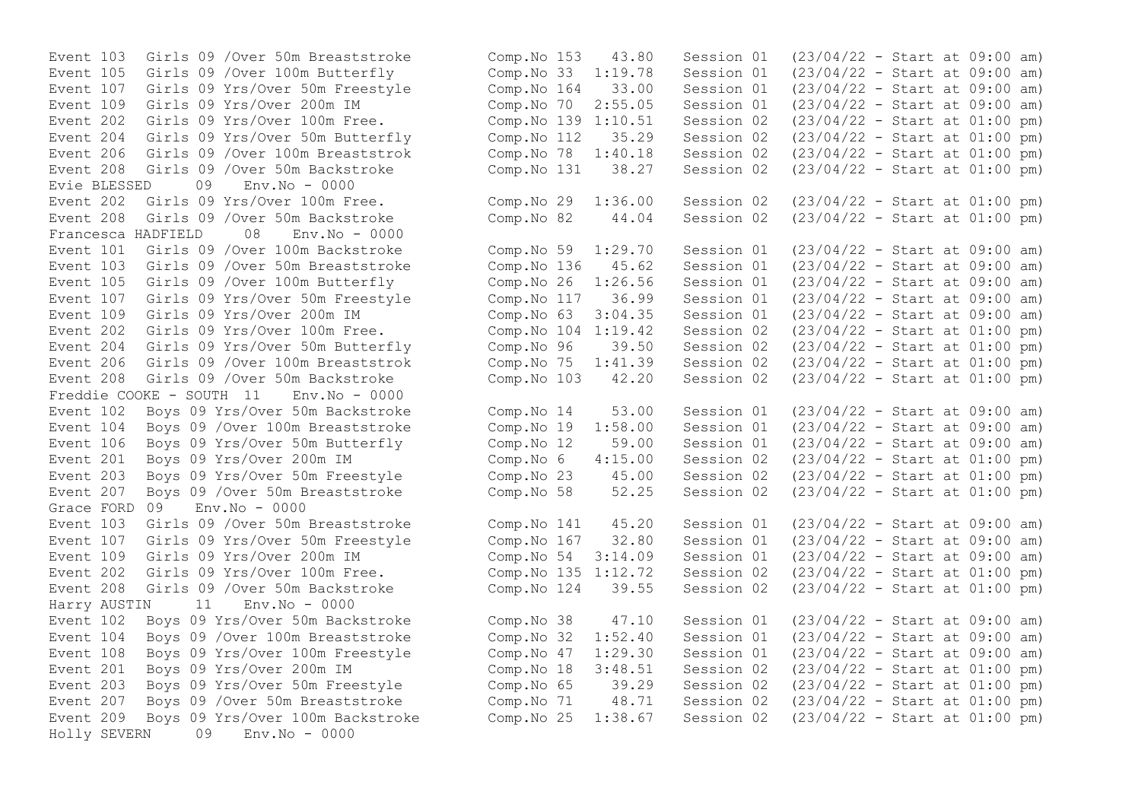Event 107 Girls 09 Yrs/Over 50m Freestyle Comp.No 164 33.00 Session 01 Event 206 Girls 09 /Over 100m Breaststrok Comp.No 78 1:40.18 Session 02<br>Event 208 Girls 09 /Over 50m Backstroke Comp.No 131 38.27 Session 02 Evie BLESSED 09 Env.No - 0000 Francesca HADFIELD 08 Env.No - 0000 Event 107 Girls 09 Yrs/Over 50m Freestyle Comp.No 117 36.99 Session 01 Event 204 Girls 09 Yrs/Over 50m Butterfly Comp.No 96 39.50 Session 02 Event 208 Girls 09 /Over 50m Backstroke Comp.No 103 42.20 Session 02 Freddie COOKE - SOUTH 11 Env.No - 0000 Event 201 Boys 09 Yrs/Over 200m IM  $\sim$  Comp.No 6 4:15.00 Session 02 Event 207 Boys 09 / Over 50m Breaststroke Comp. No 58 52.25 Session 02 Grace FORD 09 Env.No - 0000 Event 202 Girls 09 Yrs/Over 100m Free. Comp.No 135 1:12.72 Session 02 Harry AUSTIN 11 Env.No - 0000 Holly SEVERN 09 Env.No - 0000

Event 103 Girls 09 /Over 50m Breaststroke Comp. No 153 43.80 Session 01 (23/04/22 - Start at 09:00 am)<br>Event 105 Girls 09 /Over 100m Butterfly Comp. No 33 1:19.78 Session 01 (23/04/22 - Start at 09:00 am) Event 105 Girls 09 /Over 100m Butterfly Comp.No 33 1:19.78 Session 01 (23/04/22 - Start at 09:00 am) Event 109 Girls 09 Yrs/Over 200m IM Comp.No 70 2:55.05 Session 01 (23/04/22 - Start at 09:00 am) Event 202 Girls 09 Yrs/Over 100m Free. Comp.No 139 1:10.51 Session 02 (23/04/22 - Start at 01:00 pm)<br>Event 204 Girls 09 Yrs/Over 50m Butterfly Comp.No 112 35.29 Session 02 (23/04/22 - Start at 01:00 pm) Event 204 Girls 09 Yrs/Over 50m Butterfly Comp. No 112 35.29 Session 02 (23/04/22 - Start at 01:00 pm)<br>Event 206 Girls 09 /Over 100m Breaststrok Comp. No 78 1:40.18 Session 02 (23/04/22 - Start at 01:00 pm) Event 208 Girls 09 /Over 50m Backstroke Comp.No 131 38.27 Session 02 (23/04/22 - Start at 01:00 pm) Event 202 Girls 09 Yrs/Over 100m Free. Comp.No 29 1:36.00 Session 02 (23/04/22 - Start at 01:00 pm) Event 208 Girls 09 /Over 50m Backstroke Comp.No 82 44.04 Session 02 (23/04/22 - Start at 01:00 pm) Event 101 Girls 09 /Over 100m Backstroke Comp.No 59 1:29.70 Session 01 (23/04/22 - Start at 09:00 am) Event 103 Girls 09 /Over 50m Breaststroke Comp. No 136 45.62 Session 01 (23/04/22 - Start at 09:00 am)<br>Event 105 Girls 09 /Over 100m Butterfly Comp. No 26 1:26.56 Session 01 (23/04/22 - Start at 09:00 am) Event 105 Girls 09 /Over 100m Butterfly<br>
Event 107 Girls 09 Yrs/Over 50m Freestyle Comp.No 117 36.99 Session 01 (23/04/22 - Start at 09:00 am) Event 109 Girls 09 Yrs/Over 200m IM Comp.No 63 3:04.35 Session 01 (23/04/22 - Start at 09:00 am)<br>Event 202 Girls 09 Yrs/Over 100m Free. Comp.No 104 1:19.42 Session 02 (23/04/22 - Start at 01:00 pm) Event 202 Girls 09 Yrs/Over 100m Free.<br>
Event 204 Girls 09 Yrs/Over 50m Butterfly Comp.No 96 39.50 Session 02 (23/04/22 - Start at 01:00 pm) Event 206 Girls 09 /Over 100m Breaststrok Comp.No 75 1:41.39 Session 02 (23/04/22 - Start at 01:00 pm)<br>Event 208 Girls 09 /Over 50m Backstroke Comp.No 103 42.20 Session 02 (23/04/22 - Start at 01:00 pm) Event 102 Boys 09 Yrs/Over 50m Backstroke Comp.No 14 53.00 Session 01 (23/04/22 - Start at 09:00 am) Event 104 Boys 09 /Over 100m Breaststroke Comp.No 19 1:58.00 Session 01 (23/04/22 - Start at 09:00 am) Event 106 Boys 09 Yrs/Over 50m Butterfly Comp.No 12 59.00 Session 01 (23/04/22 - Start at 09:00 am)<br>Event 201 Boys 09 Yrs/Over 200m IM Comp.No 6 4:15.00 Session 02 (23/04/22 - Start at 01:00 pm) Event 203 Boys 09 Yrs/Over 50m Freestyle Comp.No 23 45.00 Session 02 (23/04/22 - Start at 01:00 pm)<br>Event 207 Boys 09 /Over 50m Breaststroke Comp.No 58 52.25 Session 02 (23/04/22 - Start at 01:00 pm) Event 103 Girls 09 /Over 50m Breaststroke Comp.No 141 45.20 Session 01 (23/04/22 - Start at 09:00 am) Event 107 Girls 09 Yrs/Over 50m Freestyle Comp.No 167 32.80 Session 01 (23/04/22 - Start at 09:00 am) Event 109 Girls 09 Yrs/Over 200m IM Comp.No 54 3:14.09 Session 01 (23/04/22 - Start at 09:00 am)<br>Event 202 Girls 09 Yrs/Over 100m Free. Comp.No 135 1:12.72 Session 02 (23/04/22 - Start at 01:00 pm) Event 208 Girls 09 /Over 50m Backstroke Comp.No 124 39.55 Session 02 (23/04/22 - Start at 01:00 pm) Event 102 Boys 09 Yrs/Over 50m Backstroke Comp.No 38 47.10 Session 01 (23/04/22 - Start at 09:00 am) Event 104 Boys 09 /Over 100m Breaststroke Comp.No 32 1:52.40 Session 01 (23/04/22 - Start at 09:00 am) Event 108 Boys 09 Yrs/Over 100m Freestyle Comp.No 47 1:29.30 Session 01 (23/04/22 - Start at 09:00 am) Event 201 Boys 09 Yrs/Over 200m IM Comp.No 18 3:48.51 Session 02 (23/04/22 - Start at 01:00 pm) Event 203 Boys 09 Yrs/Over 50m Freestyle Comp.No 65 39.29 Session 02 (23/04/22 - Start at 01:00 pm) Event 207 Boys 09 /Over 50m Breaststroke Comp.No 71 48.71 Session 02 (23/04/22 - Start at 01:00 pm) Event 209 Boys 09 Yrs/Over 100m Backstroke Comp.No 25 1:38.67 Session 02 (23/04/22 - Start at 01:00 pm)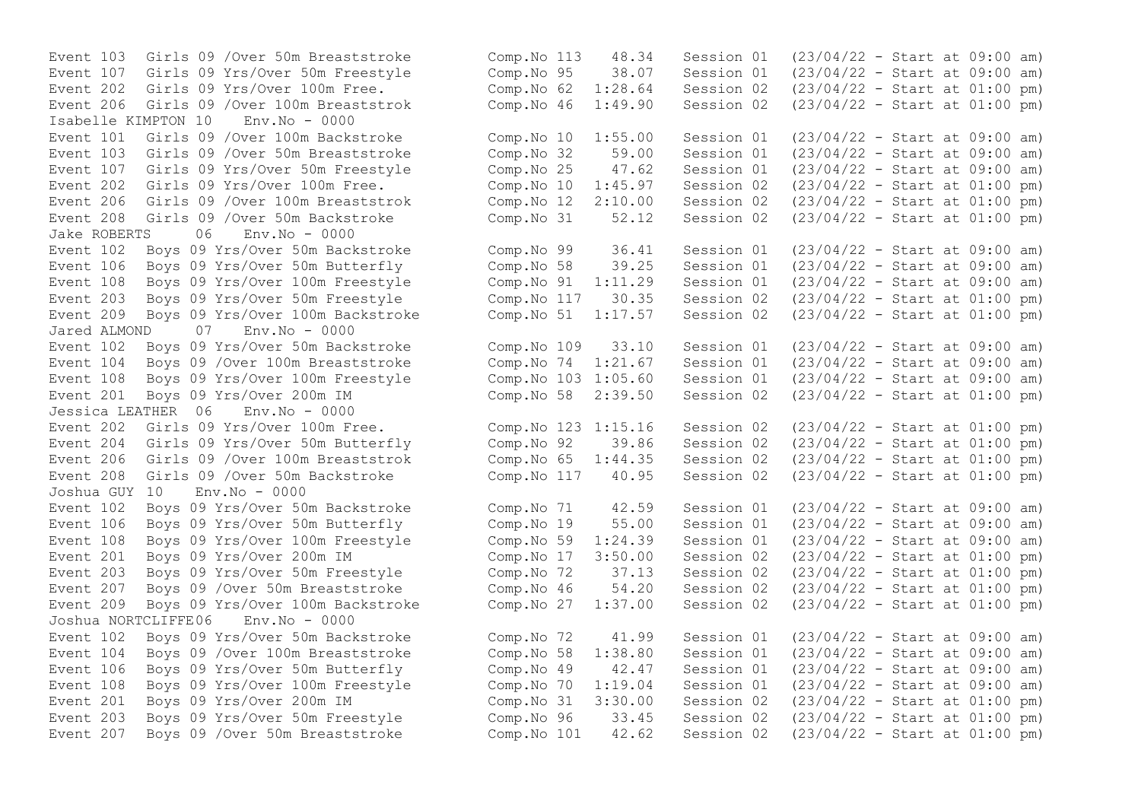Isabelle KIMPTON 10 Env.No - 0000 Event 206 Girls 09 /Over 100m Breaststrok Comp. No  $12$   $2:10.00$  Session 02 Jake ROBERTS 06 Env.No - 0000 Event 203 Boys 09 Yrs/Over 50m Freestyle Comp.No 117 30.35 Session 02<br>Event 209 Boys 09 Yrs/Over 100m Backstroke Comp.No 51 1:17.57 Session 02 Jared ALMOND 07 Env.No - 0000 Event 201 Boys 09 Yrs/Over 200m IM  $\sim$  Comp.No 58 2:39.50 Session 02 Jessica LEATHER 06 Env.No - 0000 Joshua GUY 10 Env.No - 0000 Joshua NORTCLIFFE06 Env.No - 0000

```
Event 103 Girls 09 /Over 50m Breaststroke Comp.No 113 48.34 Session 01 (23/04/22 - Start at 09:00 am)<br>Event 107 Girls 09 Yrs/Over 50m Freestyle Comp.No 95 38.07 Session 01 (23/04/22 - Start at 09:00 am)
Event 107 Girls 09 Yrs/Over 50m Freestyle Comp.No 95 38.07 Session 01 (23/04/22 - Start at 09:00 am)
Event 202 Girls 09 Yrs/Over 100m Free. Comp.No 62 1:28.64 Session 02 (23/04/22 - Start at 01:00 pm)
Event 206 Girls 09 /Over 100m Breaststrok Comp.No 46 1:49.90 Session 02 (23/04/22 - Start at 01:00 pm)
Event 101 Girls 09 /Over 100m Backstroke Comp.No 10 1:55.00 Session 01 (23/04/22 - Start at 09:00 am)<br>Event 103 Girls 09 /Over 50m Breaststroke Comp.No 32 59.00 Session 01 (23/04/22 - Start at 09:00 am)
Event 103 Girls 09 /Over 50m Breaststroke Comp. No 32 59.00 Session 01 (23/04/22 - Start at 09:00 am)<br>Event 107 Girls 09 Yrs/Over 50m Freestyle Comp. No 25 47.62 Session 01 (23/04/22 - Start at 09:00 am)
Event 107 Girls 09 Yrs/Over 50m Freestyle Comp. No 25 47.62 Session 01 (23/04/22 - Start at 09:00 am)<br>Event 202 Girls 09 Yrs/Over 100m Free. Comp. No 10 1:45.97 Session 02 (23/04/22 - Start at 01:00 pm)
Event 202 Girls 09 Yrs/Over 100m Free.<br>
Event 206 Girls 09 /Over 100m Breaststrok Comp.No 12 2:10.00 Session 02 (23/04/22 - Start at 01:00 pm)
Event 208 Girls 09 /Over 50m Backstroke Comp.No 31 52.12 Session 02 (23/04/22 - Start at 01:00 pm)
Event 102 Boys 09 Yrs/Over 50m Backstroke Comp.No 99 36.41 Session 01 (23/04/22 - Start at 09:00 am)
Event 106 Boys 09 Yrs/Over 50m Butterfly Comp.No 58 39.25 Session 01 (23/04/22 - Start at 09:00 am)<br>Event 108 Boys 09 Yrs/Over 100m Freestyle Comp.No 91 1:11.29 Session 01 (23/04/22 - Start at 09:00 am)
Event 108 Boys 09 Yrs/Over 100m Freestyle Comp. No 91 1:11.29 Session 01 (23/04/22 - Start at 09:00 am)<br>Event 203 Boys 09 Yrs/Over 50m Freestyle Comp. No 117 30.35 Session 02 (23/04/22 - Start at 01:00 pm)
Event 209 Boys 09 Yrs/Over 100m Backstroke Comp.No 51 1:17.57 Session 02 (23/04/22 - Start at 01:00 pm)
Event 102 Boys 09 Yrs/Over 50m Backstroke Comp.No 109 33.10 Session 01 (23/04/22 - Start at 09:00 am)
Event 104 Boys 09 /Over 100m Breaststroke Comp.No 74 1:21.67 Session 01 (23/04/22 - Start at 09:00 am)
Event 108 Boys 09 Yrs/Over 100m Freestyle Comp.No 103 1:05.60 Session 01 (23/04/22 - Start at 09:00 am)<br>Event 201 Boys 09 Yrs/Over 200m IM Comp.No 58 2:39.50 Session 02 (23/04/22 - Start at 01:00 pm)
Event 202 Girls 09 Yrs/Over 100m Free. Comp.No 123 1:15.16 Session 02 (23/04/22 - Start at 01:00 pm)
Event 204 Girls 09 Yrs/Over 50m Butterfly Comp.No 92 39.86 Session 02 (23/04/22 - Start at 01:00 pm)
Event 206 Girls 09 /Over 100m Breaststrok Comp.No 65 1:44.35 Session 02 (23/04/22 - Start at 01:00 pm)
Event 208 Girls 09 /Over 50m Backstroke Comp.No 117 40.95 Session 02 (23/04/22 - Start at 01:00 pm)
Event 102 Boys 09 Yrs/Over 50m Backstroke Comp.No 71 42.59 Session 01 (23/04/22 - Start at 09:00 am)
Event 106 Boys 09 Yrs/Over 50m Butterfly Comp.No 19 55.00 Session 01 (23/04/22 - Start at 09:00 am)
Event 108 Boys 09 Yrs/Over 100m Freestyle Comp.No 59 1:24.39 Session 01 (23/04/22 - Start at 09:00 am)
Event 201 Boys 09 Yrs/Over 200m IM Comp.No 17 3:50.00 Session 02 (23/04/22 - Start at 01:00 pm)
Event 203 Boys 09 Yrs/Over 50m Freestyle Comp.No 72 37.13 Session 02 (23/04/22 - Start at 01:00 pm)
Event 207 Boys 09 /Over 50m Breaststroke Comp.No 46 54.20 Session 02 (23/04/22 - Start at 01:00 pm)
Event 209 Boys 09 Yrs/Over 100m Backstroke Comp.No 27 1:37.00 Session 02 (23/04/22 - Start at 01:00 pm)
Event 102 Boys 09 Yrs/Over 50m Backstroke Comp.No 72 41.99 Session 01 (23/04/22 - Start at 09:00 am)
Event 104 Boys 09 /Over 100m Breaststroke Comp.No 58 1:38.80 Session 01 (23/04/22 - Start at 09:00 am)
Event 106 Boys 09 Yrs/Over 50m Butterfly Comp.No 49 42.47 Session 01 (23/04/22 - Start at 09:00 am)
Event 108 Boys 09 Yrs/Over 100m Freestyle Comp.No 70 1:19.04 Session 01 (23/04/22 - Start at 09:00 am)
Event 201 Boys 09 Yrs/Over 200m IM Comp.No 31 3:30.00 Session 02 (23/04/22 - Start at 01:00 pm)
Event 203 Boys 09 Yrs/Over 50m Freestyle Comp.No 96 33.45 Session 02 (23/04/22 - Start at 01:00 pm)
Event 207 Boys 09 /Over 50m Breaststroke Comp.No 101 42.62 Session 02 (23/04/22 - Start at 01:00 pm)
```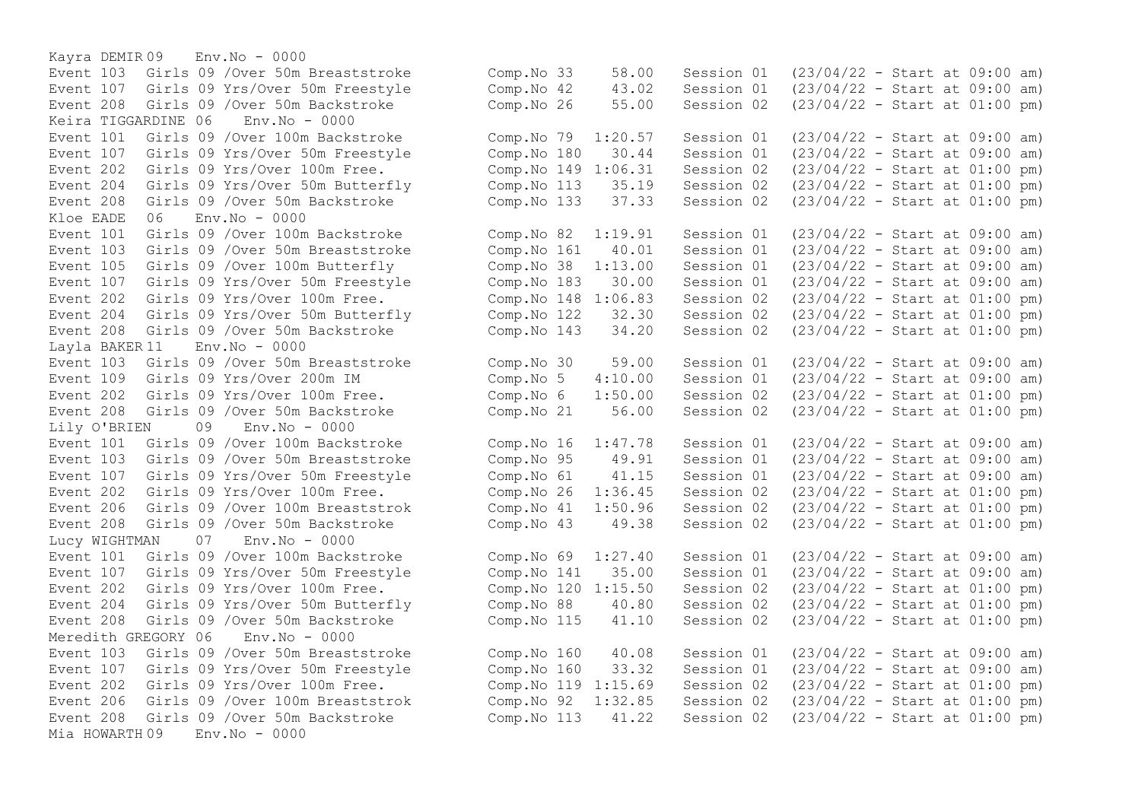Kayra DEMIR 09 Env.No - 0000 Keira TIGGARDINE 06 Env.No - 0000 Event 204 Girls 09 Yrs/Over 50m Butterfly Comp.No 113 35.19 Session 02 Kloe EADE 06 Env.No - 0000 Event 202 Girls 09 Yrs/Over 100m Free. Comp.No  $148$  1:06.83 Session 02 Layla BAKER 11 Env.No - 0000 Event 208 Girls 09 / Over 50m Backstroke Lily O'BRIEN 09 Env.No - 0000 Lucy WIGHTMAN 07 Env.No - 0000 Event 202 Girls 09 Yrs/Over 100m Free. Comp.No 120 1:15.50 Session 02 Meredith GREGORY 06 Env.No - 0000 Event 206 Girls 09 / Over 100m Breaststrok Comp. No 92 1:32.85 Session 02 Mia HOWARTH 09 Env.No - 0000

Event 103 Girls 09 /Over 50m Breaststroke Comp.No 33 58.00 Session 01 (23/04/22 - Start at 09:00 am) Event 107 Girls 09 Yrs/Over 50m Freestyle Comp.No 42 43.02 Session 01 (23/04/22 - Start at 09:00 am) Event 208 Girls 09 /Over 50m Backstroke Comp.No 26 55.00 Session 02 (23/04/22 - Start at 01:00 pm) Event 101 Girls 09 /Over 100m Backstroke (Comp.No 79 1:20.57 Session 01 (23/04/22 - Start at 09:00 am)<br>Event 107 Girls 09 Yrs/Over 50m Freestyle (Comp.No 180 30.44 Session 01 (23/04/22 - Start at 09:00 am) Event 107 Girls 09 Yrs/Over 50m Freestyle Comp.No 180 30.44 Session 01 (23/04/22 - Start at 09:00 am)<br>Event 202 Girls 09 Yrs/Over 100m Free. Comp.No 149 1:06.31 Session 02 (23/04/22 - Start at 01:00 pm) Event 202 Girls 09 Yrs/Over 100m Free.<br>
Event 204 Girls 09 Yrs/Over 50m Butterfly (Comp.No 113 35.19 Session 02 (23/04/22 - Start at 01:00 pm) Event 208 Girls 09 /Over 50m Backstroke Comp.No 133 37.33 Session 02 (23/04/22 - Start at 01:00 pm) Event 101 Girls 09 /Over 100m Backstroke Comp.No 82 1:19.91 Session 01 (23/04/22 - Start at 09:00 am) Event 103 Girls 09 /Over 50m Breaststroke Comp. No 161 40.01 Session 01 (23/04/22 - Start at 09:00 am)<br>Event 105 Girls 09 /Over 100m Butterfly Comp. No 38 1:13.00 Session 01 (23/04/22 - Start at 09:00 am) Event 105 Girls 09 /Over 100m Butterfly Comp.No 38 1:13.00 Session 01 (23/04/22 - Start at 09:00 am) Event 107 Girls 09 Yrs/Over 50m Freestyle Comp.No 183 30.00 Session 01 (23/04/22 - Start at 09:00 am)<br>Event 202 Girls 09 Yrs/Over 100m Free. Comp.No 148 1:06.83 Session 02 (23/04/22 - Start at 01:00 pm) Event 204 Girls 09 Yrs/Over 50m Butterfly Comp.No 122 32.30 Session 02 (23/04/22 - Start at 01:00 pm) Event 208 Girls 09 /Over 50m Backstroke Comp.No 143 34.20 Session 02 (23/04/22 - Start at 01:00 pm) Event 103 Girls 09 /Over 50m Breaststroke Comp.No 30 59.00 Session 01 (23/04/22 - Start at 09:00 am)<br>Event 109 Girls 09 Yrs/Over 200m IM Comp.No 5 4:10.00 Session 01 (23/04/22 - Start at 09:00 am) Event 109 Girls 09 Yrs/Over 200m IM Comp.No 5 4:10.00 Session 01 (23/04/22 - Start at 09:00 am)<br>Event 202 Girls 09 Yrs/Over 100m Free. Comp.No 6 1:50.00 Session 02 (23/04/22 - Start at 01:00 pm) Event 202 Girls 09 Yrs/Over 100m Free.<br>
Event 208 Girls 09 /Over 50m Backstroke Comp.No 21 56.00 Session 02 (23/04/22 - Start at 01:00 pm) Event 101 Girls 09 /Over 100m Backstroke Comp.No 16 1:47.78 Session 01 (23/04/22 - Start at 09:00 am) Event 103 Girls 09 /Over 50m Breaststroke Comp.No 95 49.91 Session 01 (23/04/22 - Start at 09:00 am) Event 107 Girls 09 Yrs/Over 50m Freestyle Comp.No 61 41.15 Session 01 (23/04/22 - Start at 09:00 am) Event 202 Girls 09 Yrs/Over 100m Free. Comp.No 26 1:36.45 Session 02 (23/04/22 - Start at 01:00 pm) Event 206 Girls 09 /Over 100m Breaststrok Comp.No 41 1:50.96 Session 02 (23/04/22 - Start at 01:00 pm) Event 208 Girls 09 /Over 50m Backstroke Comp.No 43 49.38 Session 02 (23/04/22 - Start at 01:00 pm) Event 101 Girls 09 /Over 100m Backstroke Comp.No 69 1:27.40 Session 01 (23/04/22 - Start at 09:00 am) Event 107 Girls 09 Yrs/Over 50m Freestyle Comp.No 141 35.00 Session 01 (23/04/22 - Start at 09:00 am)<br>Event 202 Girls 09 Yrs/Over 100m Free. Comp.No 120 1:15.50 Session 02 (23/04/22 - Start at 01:00 pm) Event 204 Girls 09 Yrs/Over 50m Butterfly Comp.No 88 40.80 Session 02 (23/04/22 - Start at 01:00 pm) Event 208 Girls 09 /Over 50m Backstroke Comp.No 115 41.10 Session 02 (23/04/22 - Start at 01:00 pm) Event 103 Girls 09 /Over 50m Breaststroke Comp.No 160 40.08 Session 01 (23/04/22 - Start at 09:00 am) Event 107 Girls 09 Yrs/Over 50m Freestyle Comp.No 160 33.32 Session 01 (23/04/22 - Start at 09:00 am) Event 202 Girls 09 Yrs/Over 100m Free. Comp.No 119 1:15.69 Session 02 (23/04/22 - Start at 01:00 pm)<br>Event 206 Girls 09 /Over 100m Breaststrok Comp.No 92 1:32.85 Session 02 (23/04/22 - Start at 01:00 pm) Event 208 Girls 09 /Over 50m Backstroke Comp.No 113 41.22 Session 02 (23/04/22 - Start at 01:00 pm)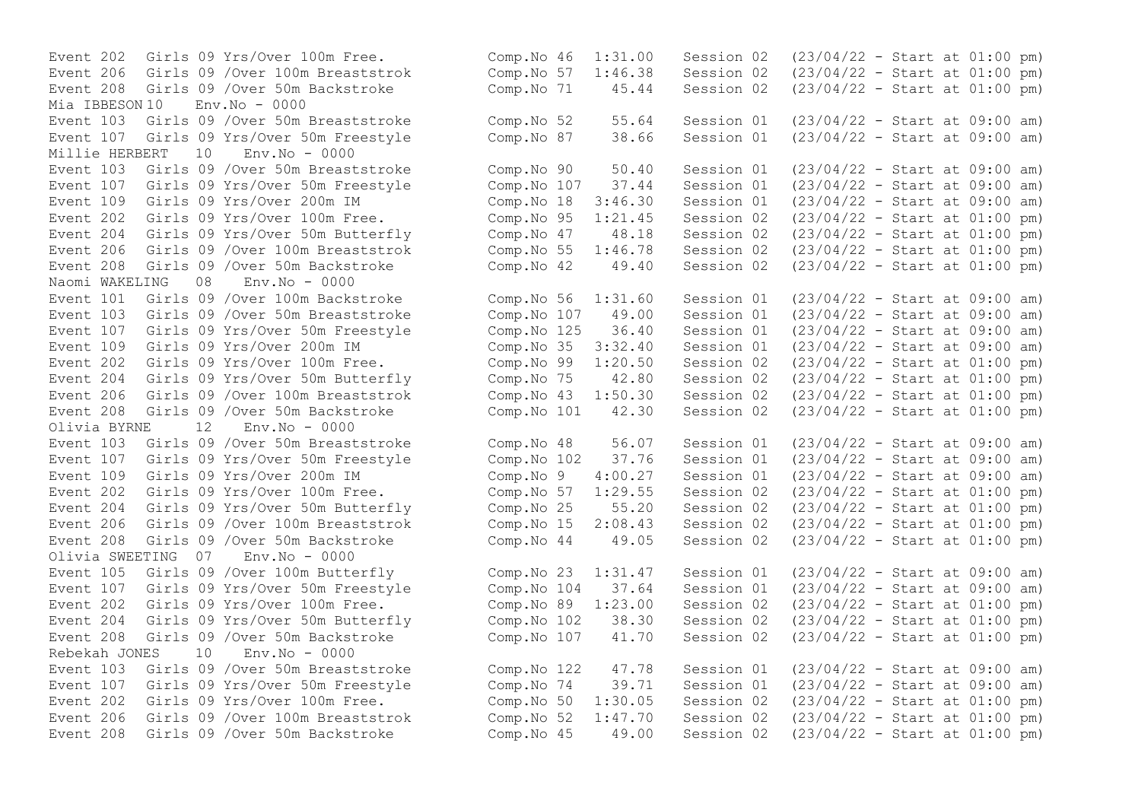Event 202 Girls 09 Yrs/Over 100m Free. Event 206 Girls 09 /Over 100m Breaststrok Event 208 Girls 09 /Over 50m Backstroke Mia IBBESON 10 Env.No - 0000 Event 103 Girls 09 /Over 50m Breaststroke Event 107 Girls 09 Yrs/Over 50m Freestyle<br>Millie HERBERT 10 Env No - 0000  $M<sub>i</sub>$ llie HERBERT 10 Event 103 Girls 09 /Over 50m Breaststroke Event 107 Girls 09 Yrs/Over 50m Freestyle Event 109 Girls 09 Yrs/Over 200m IM Event 202 Girls 09 Yrs/Over 100m Free. Event 204 Girls 09 Yrs/Over 50m Butterfly Event 206 Girls 09 /Over 100m Breaststrok Event 208 Girls 09 /Over 50m Backstroke<br>Naomi WAKELING 08 Env.No - 0000 Naomi WAKELING 08 Event 101 Girls 09 /Over 100m Backstroke Event 103 Girls 09 /Over 50m Breaststroke Event 107 Girls 09 Yrs/Over 50m Freestyle Event 109 Girls 09 Yrs/Over 200m IM Event 202 Girls 09 Yrs/Over 100m Free. Event 204 Girls 09 Yrs/Over 50m Butterfly Event 206 Girls 09 /Over 100m Breaststrok Event 208 Girls 09 /Over 50m Backstroke Olivia BYRNE 12 Env.No - 0000 Event 103 Girls 09 /Over 50m Breaststroke Event 107 Girls 09 Yrs/Over 50m Freestyle Event 109 Girls 09 Yrs/Over 200m IM Event  $202$  Girls 09 Yrs/Over 100m Free. Event 204 Girls 09 Yrs/Over 50m Butterfly Event 206 Girls 09 /Over 100m Breaststrok Event  $208$  Girls  $09$  /Over 50m Backstroke Olivia SWEETING 07 Env.No - 0000 Event 105 Girls 09 / Over 100m Butterfly Event 107 Girls 09 Yrs/Over 50m Freestyle Event 202 Girls 09 Yrs/Over 100m Free. Event 204 Girls 09 Yrs/Over 50m Butterfly Event 208 Girls 09 /Over 50m Backstroke Rebekah JONES 10 Env.No - 0000 Event  $103$  Girls  $09$  /Over 50m Breaststroke Event 107 Girls 09 Yrs/Over 50m Freestyle Event 202 Girls 09 Yrs/Over 100m Free. Event 206 Girls 09 /Over 100m Breaststrok Event 208 Girls 09 /Over 50m Backstroke

| Comp.No 46  | 1:31.00 | Session 02 | $(23/04/22 - Start at 01:00 pm)$ |  |  |     |
|-------------|---------|------------|----------------------------------|--|--|-----|
| Comp.No 57  | 1:46.38 | Session 02 | $(23/04/22 - Start at 01:00 pm)$ |  |  |     |
| Comp.No 71  | 45.44   | Session 02 | $(23/04/22 - Start at 01:00 pm)$ |  |  |     |
| Comp.No 52  | 55.64   | Session 01 | $(23/04/22 - Start at 09:00 am)$ |  |  |     |
| Comp.No 87  | 38.66   | Session 01 | $(23/04/22 - Start at 09:00$     |  |  | am) |
| Comp.No 90  | 50.40   | Session 01 | $(23/04/22 - Start at 09:00 am)$ |  |  |     |
| Comp.No 107 | 37.44   | Session 01 | $(23/04/22 - Start at 09:00$     |  |  | am) |
| Comp.No 18  | 3:46.30 | Session 01 | $(23/04/22 - Start at 09:00$     |  |  | am) |
| Comp.No 95  | 1:21.45 | Session 02 | $(23/04/22 - Start at 01:00$     |  |  | pm) |
| Comp.No 47  | 48.18   | Session 02 | $(23/04/22 - Start at 01:00$     |  |  | pm) |
| Comp.No 55  | 1:46.78 | Session 02 | $(23/04/22 - Start at 01:00$     |  |  | pm) |
| Comp.No 42  | 49.40   | Session 02 | $(23/04/22 - Start at 01:00 pm)$ |  |  |     |
| Comp.No 56  | 1:31.60 | Session 01 | $(23/04/22 - Start at 09:00$     |  |  | am) |
| Comp.No 107 | 49.00   | Session 01 | $(23/04/22 - Start at 09:00$     |  |  | am) |
| Comp.No 125 | 36.40   | Session 01 | $(23/04/22 - Start at 09:00$     |  |  | am) |
| Comp.No 35  | 3:32.40 | Session 01 | $(23/04/22 - Start at 09:00$     |  |  | am) |
| Comp.No 99  | 1:20.50 | Session 02 | $(23/04/22 - Start at 01:00$     |  |  | pm) |
| Comp.No 75  | 42.80   | Session 02 | $(23/04/22 - Start at 01:00$     |  |  | pm) |
| Comp.No 43  | 1:50.30 | Session 02 | $(23/04/22 - Start at 01:00 pm)$ |  |  |     |
| Comp.No 101 | 42.30   | Session 02 | $(23/04/22 - Start at 01:00 pm)$ |  |  |     |
| Comp.No 48  | 56.07   | Session 01 | $(23/04/22 - Start at 09:00$     |  |  | am) |
| Comp.No 102 | 37.76   | Session 01 | $(23/04/22 - Start at 09:00$     |  |  | am) |
| Comp.No 9   | 4:00.27 | Session 01 | $(23/04/22 - Start at 09:00$     |  |  | am) |
| Comp.No 57  | 1:29.55 | Session 02 | $(23/04/22 - Start at 01:00$     |  |  | pm) |
| Comp.No 25  | 55.20   | Session 02 | $(23/04/22 - Start at 01:00$     |  |  | pm) |
| Comp.No 15  | 2:08.43 | Session 02 | $(23/04/22 - Start at 01:00 pm)$ |  |  |     |
| Comp.No 44  | 49.05   | Session 02 | $(23/04/22 - Start at 01:00 pm)$ |  |  |     |
| Comp.No 23  | 1:31.47 | Session 01 | $(23/04/22 - Start at 09:00 am)$ |  |  |     |
| Comp.No 104 | 37.64   | Session 01 | $(23/04/22 - Start at 09:00$     |  |  | am) |
| Comp.No 89  | 1:23.00 | Session 02 | $(23/04/22 - Start at 01:00 pm)$ |  |  |     |
| Comp.No 102 | 38.30   | Session 02 | $(23/04/22 - Start at 01:00 pm)$ |  |  |     |
| Comp.No 107 | 41.70   | Session 02 | $(23/04/22 - Start at 01:00 pm)$ |  |  |     |
| Comp.No 122 | 47.78   | Session 01 | $(23/04/22 - Start at 09:00$     |  |  | am) |
| Comp.No 74  | 39.71   | Session 01 | $(23/04/22 - Start at 09:00$     |  |  | am) |
| Comp.No 50  | 1:30.05 | Session 02 | $(23/04/22 - Start at 01:00$     |  |  | pm) |
| Comp.No 52  | 1:47.70 | Session 02 | $(23/04/22 - Start at 01:00 pm)$ |  |  |     |
| Comp.No 45  | 49.00   | Session 02 | $(23/04/22 - Start at 01:00 pm)$ |  |  |     |
|             |         |            |                                  |  |  |     |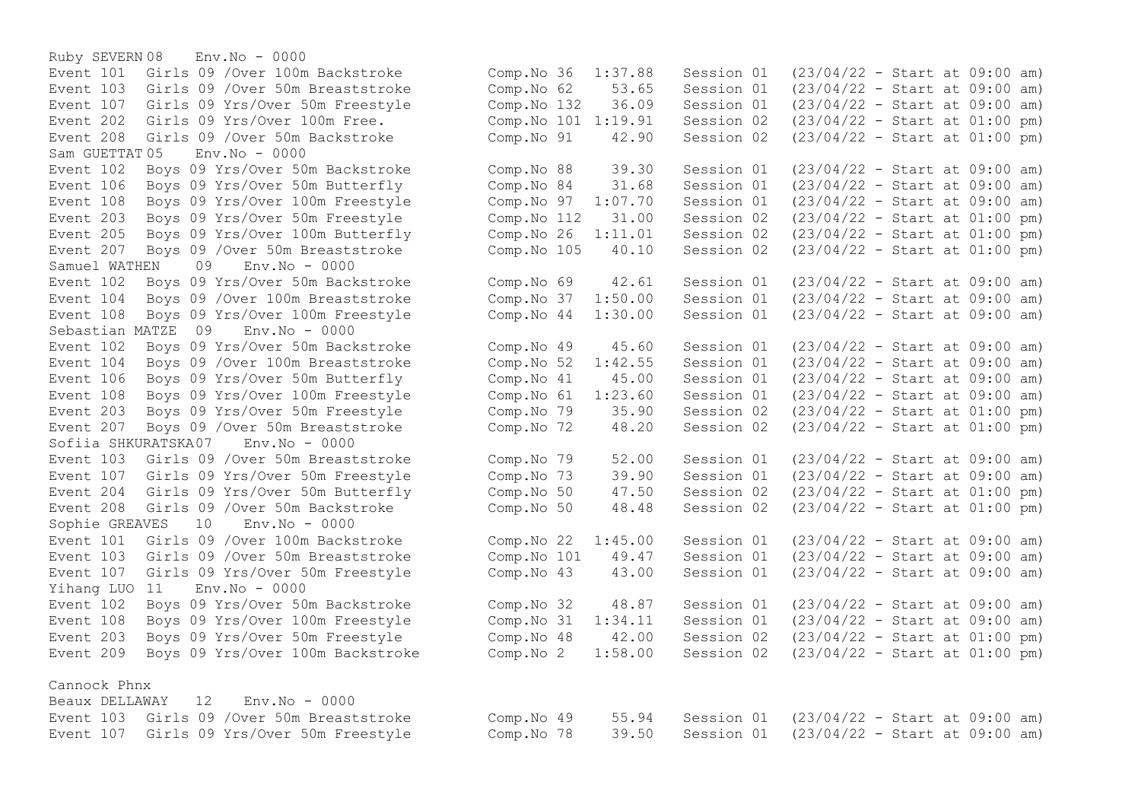Ruby SEVERN 08 Env.No - 0000 Event 101 Girls 09 /Over 100m Backstroke Event 103 Girls 09 / Over 50m Breaststroke Event 107 Girls 09 Yrs/Over 50m Freestyle Event 202 Girls 09 Yrs/Over 100m Free. Event 208 Girls 09 /Over 50m Backstroke  $Sam$  GUETTAT  $05$  Env.  $No = 0000$ Event 102 Boys 09 Yrs/Over 50m Backstroke Event 106 Boys 09 Yrs/Over 50m Butterfly Event 108 Boys 09 Yrs/Over 100m Freestyle Event 203 Boys 09 Yrs/Over 50m Freestyle Event 205 Boys 09 Yrs/Over 100m Butterfly Event 207 Boys 09 / Over 50m Breaststroke Samuel WATHEN 09 Env. No - 0000 Event 102 Boys 09 Yrs/Over 50m Backstroke Event 104 Boys 09 / Over 100m Breaststroke Event 108 Boys 09 Yrs/Over 100m Freestyle Sebastian MATZE 09 Env.No - 0000 Event 102 Boys 09 Yrs/Over 50m Backstroke Event 104 Boys 09 / Over 100m Breaststroke Event 106 Boys 09 Yrs/Over 50m Butterfly Event 108 Boys 09 Yrs/Over 100m Freestyle Event 203 Boys 09 Yrs/Over 50m Freestyle Event 207 Boys 09 / Over 50m Breaststroke Sofiia SHKURATSKA07 Env.No - 0000 Event 103 Girls 09 / Over 50m Breaststroke Event 107 Girls 09 Yrs/Over 50m Freestyle Event 204 Girls 09 Yrs/Over 50m Butterfly Event 208 Girls 09 /Over 50m Backstroke Sophie GREAVES 10 Env.No - 0000 Event 101 Girls 09 /Over 100m Backstroke Event 103 Girls 09 /Over 50m Breaststroke Event 107 Girls 09 Yrs/Over 50m Freestyle Yihang LUO 11 Env.No - 0000 Event 102 Boys 09 Yrs/Over 50m Backstroke Event 108 Boys 09 Yrs/Over 100m Freestyle Event 203 Boys 09 Yrs/Over 50m Freestyle Event 209 Boys 09 Yrs/Over 100m Backstroke

Cannock Phnx

|  | Beaux DELLAWAY 12 Env. No - 0000           |                                                                   |                                                 |  |  |
|--|--------------------------------------------|-------------------------------------------------------------------|-------------------------------------------------|--|--|
|  | Event 103 Girls 09 / Over 50m Breaststroke | Comp.No 49                                                        | 55.94 Session 01 (23/04/22 - Start at 09:00 am) |  |  |
|  | Event 107 Girls 09 Yrs/Over 50m Freestyle  | Comp. No $78$ $39.50$ Session 01 $(23/04/22 -$ Start at 09:00 am) |                                                 |  |  |

| Comp.No 36<br>Comp.No 62<br>Comp.No 132<br>Comp.No 101<br>Comp.No 91         |                | 1:37.88<br>53.65<br>36.09<br>1:19.91<br>42.90          | Session 01<br>Session 01<br>Session 01<br>Session 02<br>Session 02               | $(23/04/22 - Start at 09:00 am)$<br>$(23/04/22 - Start at 09:00$<br>$(23/04/22 - Start at 09:00$<br>$(23/04/22 -$<br>$(23/04/22 - Start at 01:00$                                            |                                  | Start at 01:00 | am)<br>am)<br>pm)<br>pm)               |
|------------------------------------------------------------------------------|----------------|--------------------------------------------------------|----------------------------------------------------------------------------------|----------------------------------------------------------------------------------------------------------------------------------------------------------------------------------------------|----------------------------------|----------------|----------------------------------------|
| Comp.No 88<br>Comp.No<br>Comp.No<br>Comp.No 112<br>Comp.No 26<br>Comp.No 105 | 84<br>97       | 39.30<br>31.68<br>1:07.70<br>31.00<br>1:11.01<br>40.10 | Session 01<br>Session 01<br>Session 01<br>Session 02<br>Session 02<br>Session 02 | $(23/04/22 - Start at 09:00$<br>$(23/04/22 - Start at 09:00$<br>$(23/04/22 - Start at 09:00$<br>$(23/04/22 - Start at 01:00$<br>$(23/04/22 - Start at 01:00$<br>$(23/04/22 - Start at 01:00$ |                                  |                | am)<br>am)<br>am)<br>pm)<br>pm)<br>pm) |
| Comp.No<br>Comp.No<br>Comp.No                                                | 69<br>37<br>44 | 42.61<br>1:50.00<br>1:30.00                            | Session 01<br>Session 01<br>Session 01                                           | $(23/04/22 -$<br>$(23/04/22 -$<br>$(23/04/22 - Start at 09:00$                                                                                                                               | Start at 09:00<br>Start at 09:00 |                | am)<br>am)<br>am)                      |
| Comp.No<br>Comp.No<br>Comp.No 41<br>Comp.No 61<br>Comp.No<br>Comp.No 72      | 49<br>52<br>79 | 45.60<br>1:42.55<br>45.00<br>1:23.60<br>35.90<br>48.20 | Session 01<br>Session 01<br>Session 01<br>Session 01<br>Session 02<br>Session 02 | $(23/04/22 - Start at 09:00$<br>$(23/04/22 - Start at 09:00$<br>$(23/04/22 - Start at 09:00$<br>$(23/04/22 -$<br>$(23/04/22 -$<br>$(23/04/22 -$                                              | Start at 09:00<br>Start at 01:00 | Start at 01:00 | am)<br>am)<br>am)<br>am)<br>pm)<br>pm) |
| Comp.No<br>Comp.No<br>Comp.No<br>Comp.No 50                                  | 79<br>73<br>50 | 52.00<br>39.90<br>47.50<br>48.48                       | Session 01<br>Session 01<br>Session 02<br>Session 02                             | $(23/04/22 - Start at 09:00$<br>$(23/04/22 - Start at 09:00$<br>$(23/04/22 - Start at 01:00$<br>$(23/04/22 - Start at 01:00$                                                                 |                                  |                | am)<br>am)<br>pm)<br>pm)               |
| Comp.No 22<br>Comp.No<br>Comp.No 43                                          | 101            | 1:45.00<br>49.47<br>43.00                              | Session 01<br>Session 01<br>Session 01                                           | $(23/04/22 -$<br>$(23/04/22 -$<br>$(23/04/22 - Start at 09:00$                                                                                                                               | Start at 09:00<br>Start at 09:00 |                | am)<br>am)<br>am)                      |
| Comp.No<br>Comp.No<br>Comp.No 48<br>Comp. No 2                               | 32<br>31       | 48.87<br>1:34.11<br>42.00<br>1:58.00                   | Session 01<br>Session 01<br>Session 02<br>Session 02                             | $(23/04/22 - Start at 09:00$<br>$(23/04/22 - Start at 09:00$<br>$(23/04/22 - Start at 01:00$<br>$(23/04/22 - Start at 01:00$                                                                 |                                  |                | am)<br>am)<br>pm)<br>pm)               |
|                                                                              |                |                                                        |                                                                                  |                                                                                                                                                                                              |                                  |                |                                        |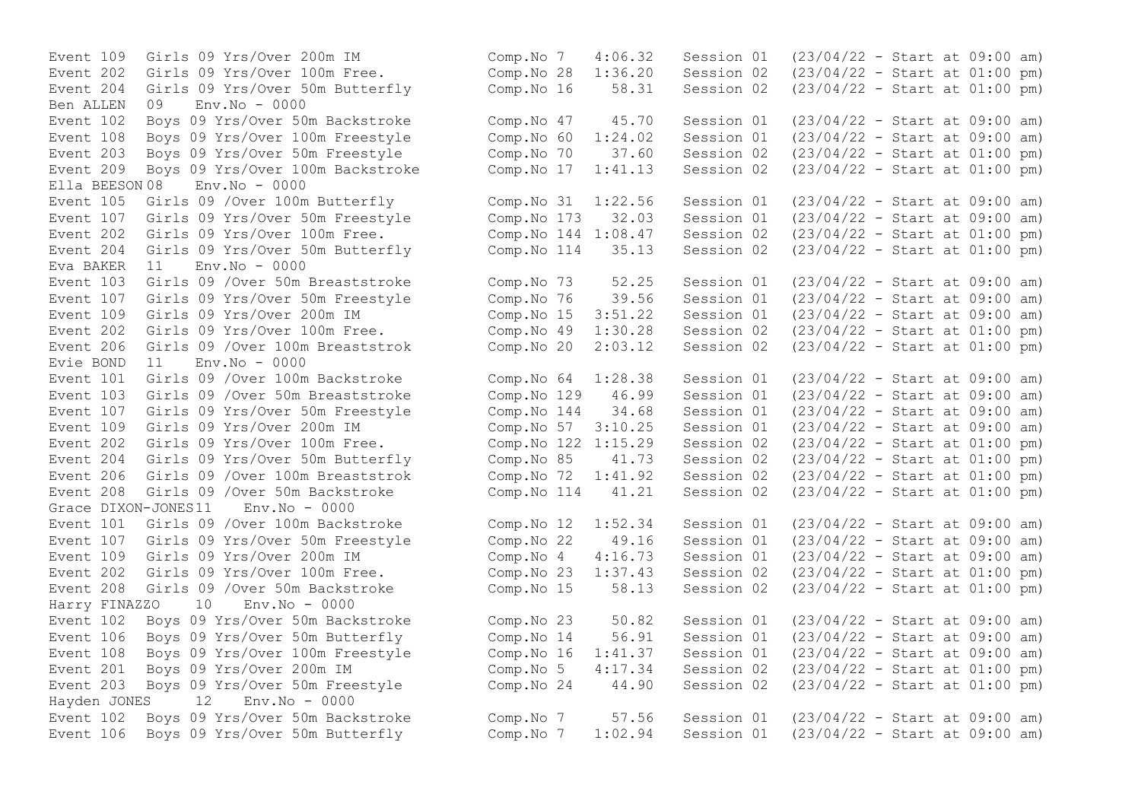Event 204 Girls 09 Yrs/Over 50m Butterfly Comp.No 16 58.31 Session 02 Ben ALLEN 09 Env.No - 0000 Event 203 Boys 09 Yrs/Over 50m Freestyle Comp.No 70 37.60 Session 02<br>Event 209 Boys 09 Yrs/Over 100m Backstroke Comp.No 17 1:41.13 Session 02 Ella BEESON 08 Env.No - 0000 Event 204 Girls 09 Yrs/Over 50m Butterfly Comp.No 114 35.13 Session 02  $Eva$  BAKER  $11$  Env. No  $-0000$ Event 107 Girls 09 Yrs/Over 50m Freestyle Comp.No 76 39.56 Session 01 Event 202 Girls 09 Yrs/Over 100m Free. Comp.No 49 1:30.28 Session 02 Evie BOND 11 Env.No - 0000 Event 107 Girls 09 Yrs/Over 50m Freestyle Comp.No 144 34.68 Session 01 Event 204 Girls 09 Yrs/Over 50m Butterfly Comp.No 85 41.73 Session 02 Event 208 Girls 09 /Over 50m Backstroke Comp.No 114 41.21 Session 02 Grace DIXON-JONES11 Env.No - 0000 Event 202 Girls 09 Yrs/Over 100m Free. Comp.No 23 1:37.43 Session 02 Harry FINAZZO 10 Env.No - 0000 Hayden JONES 12 Env.No - 0000

Event 109 Girls 09 Yrs/Over 200m IM Comp.No 7 4:06.32 Session 01 (23/04/22 - Start at 09:00 am) Event 202 Girls 09 Yrs/Over 100m Free. Comp.No 28 1:36.20 Session 02 (23/04/22 - Start at 01:00 pm)<br>Event 204 Girls 09 Yrs/Over 50m Butterfly Comp.No 16 58.31 Session 02 (23/04/22 - Start at 01:00 pm) Event 102 Boys 09 Yrs/Over 50m Backstroke Comp.No 47 45.70 Session 01 (23/04/22 - Start at 09:00 am) Event 108 Boys 09 Yrs/Over 100m Freestyle Comp.No 60 1:24.02 Session 01 (23/04/22 - Start at 09:00 am)<br>Event 203 Bovs 09 Yrs/Over 50m Freestyle Comp.No 70 37.60 Session 02 (23/04/22 - Start at 01:00 pm) Event 209 Boys 09 Yrs/Over 100m Backstroke Comp.No 17 1:41.13 Session 02 (23/04/22 - Start at 01:00 pm) Event 105 Girls 09 /Over 100m Butterfly Comp.No 31 1:22.56 Session 01 (23/04/22 - Start at 09:00 am) Event 107 Girls 09 Yrs/Over 50m Freestyle Comp.No 173 32.03 Session 01 (23/04/22 - Start at 09:00 am) Event 202 Girls 09 Yrs/Over 100m Free. Comp.No 144 1:08.47 Session 02 (23/04/22 - Start at 01:00 pm)<br>Event 204 Girls 09 Yrs/Over 50m Butterfly Comp.No 114 35.13 Session 02 (23/04/22 - Start at 01:00 pm) Event 103 Girls 09 /Over 50m Breaststroke Comp. No 73 52.25 Session 01 (23/04/22 - Start at 09:00 am)<br>Event 107 Girls 09 Yrs/Over 50m Freestyle Comp. No 76 39.56 Session 01 (23/04/22 - Start at 09:00 am) Event 109 Girls 09 Yrs/Over 200m IM Comp.No 15 3:51.22 Session 01 (23/04/22 - Start at 09:00 am)<br>Event 202 Girls 09 Yrs/Over 100m Free. Comp.No 49 1:30.28 Session 02 (23/04/22 - Start at 01:00 pm) Event 206 Girls 09 /Over 100m Breaststrok Comp.No 20 2:03.12 Session 02 (23/04/22 - Start at 01:00 pm) Event 101 Girls 09 /Over 100m Backstroke Comp.No 64 1:28.38 Session 01 (23/04/22 - Start at 09:00 am) Event 103 Girls 09 /Over 50m Breaststroke Comp.No 129 46.99 Session 01 (23/04/22 - Start at 09:00 am)<br>Event 107 Girls 09 Yrs/Over 50m Freestyle Comp.No 144 34.68 Session 01 (23/04/22 - Start at 09:00 am) Event 109 Girls 09 Yrs/Over 200m IM Comp.No 57 3:10.25 Session 01 (23/04/22 - Start at 09:00 am) Event 202 Girls 09 Yrs/Over 100m Free.<br>
Event 204 Girls 09 Yrs/Over 50m Butterfly Comp.No 85 41.73 Session 02 (23/04/22 - Start at 01:00 pm) Event 206 Girls 09 /Over 100m Breaststrok Comp.No 72 1:41.92 Session 02 (23/04/22 - Start at 01:00 pm)<br>Event 208 Girls 09 /Over 50m Backstroke Comp.No 114 41.21 Session 02 (23/04/22 - Start at 01:00 pm) Event 101 Girls 09 /Over 100m Backstroke Comp.No 12 1:52.34 Session 01 (23/04/22 - Start at 09:00 am) Event 107 Girls 09 Yrs/Over 50m Freestyle Comp.No 22 49.16 Session 01 (23/04/22 - Start at 09:00 am) Event 109 Girls 09 Yrs/Over 200m IM Comp.No 4 4:16.73 Session 01 (23/04/22 - Start at 09:00 am)<br>Event 202 Girls 09 Yrs/Over 100m Free. Comp.No 23 1:37.43 Session 02 (23/04/22 - Start at 01:00 pm) Event 208 Girls 09 /Over 50m Backstroke Comp.No 15 58.13 Session 02 (23/04/22 - Start at 01:00 pm) Event 102 Boys 09 Yrs/Over 50m Backstroke Comp.No 23 50.82 Session 01 (23/04/22 - Start at 09:00 am) Event 106 Boys 09 Yrs/Over 50m Butterfly Comp.No 14 56.91 Session 01 (23/04/22 - Start at 09:00 am) Event 108 Boys 09 Yrs/Over 100m Freestyle Comp.No 16 1:41.37 Session 01 (23/04/22 - Start at 09:00 am) Event 201 Boys 09 Yrs/Over 200m IM Comp.No 5 4:17.34 Session 02 (23/04/22 - Start at 01:00 pm) Event 203 Boys 09 Yrs/Over 50m Freestyle Comp.No 24 44.90 Session 02 (23/04/22 - Start at 01:00 pm) Event 102 Boys 09 Yrs/Over 50m Backstroke Comp.No 7 57.56 Session 01 (23/04/22 - Start at 09:00 am) Event 106 Boys 09 Yrs/Over 50m Butterfly Comp.No 7 1:02.94 Session 01 (23/04/22 - Start at 09:00 am)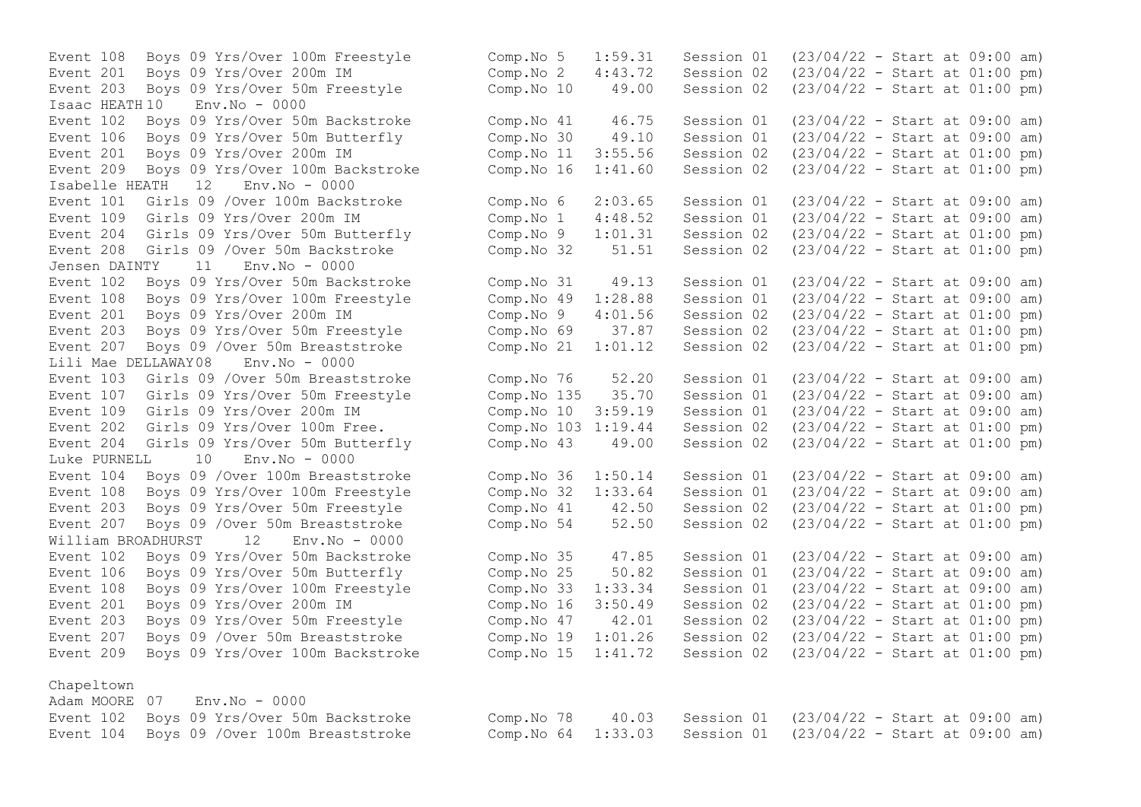Event 108 Boys 09 Yrs/Over 100m Freestyle Event 201 Boys 09 Yrs/Over 200m IM Event 203 Boys 09 Yrs/Over 50m Freestyle Isaac HEATH 10 Env.No - 0000 Event 102 Boys 09 Yrs/Over 50m Backstroke Event 106 Boys 09 Yrs/Over 50m Butterfly Event 201 Boys 09 Yrs/Over 200m IM Event 209 Boys 09 Yrs/Over 100m Backstroke Isabelle HEATH 12 Env.No - 0000 Event 101 Girls 09 /Over 100m Backstroke Event 109 Girls 09 Yrs/Over 200m IM Event 204 Girls 09 Yrs/Over 50m Butterfly Event 208 Girls 09 /Over 50m Backstroke Jensen DAINTY 11 Env.No - 0000 Event 102 Boys 09 Yrs/Over 50m Backstroke Event 108 Boys 09 Yrs/Over 100m Freestyle Event 201 Boys 09 Yrs/Over 200m IM Event 203 Boys 09 Yrs/Over 50m Freestyle Event 207 Boys 09 / Over 50m Breaststroke Lili Mae DELLAWAY08 Env.No - 0000 Event 103 Girls 09 /Over 50m Breaststroke Event 107 Girls 09 Yrs/Over 50m Freestyle Event 109 Girls 09 Yrs/Over 200m IM Event 202 Girls 09 Yrs/Over 100m Free. Event 204 Girls 09 Yrs/Over 50m Butterfly Luke PURNELL 10 Env.No - 0000 Event 104 Boys 09 / Over 100m Breaststroke Event 108 Boys 09 Yrs/Over 100m Freestyle Event 203 Boys 09 Yrs/Over 50m Freestyle Event 207 Boys 09 / Over 50m Breaststroke William BROADHURST 12 Env.No - 0000 Event 102 Boys 09 Yrs/Over 50m Backstroke Event 106 Boys 09 Yrs/Over 50m Butterfly Event 108 Boys 09 Yrs/Over 100m Freestyle Event 201 Boys 09 Yrs/Over 200m IM Event 203 Boys 09 Yrs/Over 50m Freestyle Event 207 Boys 09 / Over 50m Breaststroke Event 209 Boys 09 Yrs/Over 100m Backstroke

# Chapeltown

|  | Adam MOORE 07 Env.No - 0000                |
|--|--------------------------------------------|
|  | Event 102 Boys 09 Yrs/Over 50m Backstroke  |
|  | Event 104 Boys 09 / Over 100m Breaststroke |

| Comp.No 5<br>Comp.No 2<br>Comp.No 10                                                           |   | 1:59.31<br>4:43.72<br>49.00                                         | Session 01<br>Session 02<br>Session 02                                                         | $(23/04/22 - Start at 09:00 am)$<br>$(23/04/22 - Start at 01:00 pm)$<br>$(23/04/22 - Start at 01:00 pm)$                                                                                                                     |  |  |                                               |
|------------------------------------------------------------------------------------------------|---|---------------------------------------------------------------------|------------------------------------------------------------------------------------------------|------------------------------------------------------------------------------------------------------------------------------------------------------------------------------------------------------------------------------|--|--|-----------------------------------------------|
| Comp.No 41<br>Comp.No 30<br>Comp.No 11<br>Comp.No 16                                           |   | 46.75<br>49.10<br>3:55.56<br>1:41.60                                | Session 01<br>Session 01<br>Session 02<br>Session 02                                           | $(23/04/22 - Start at 09:00$<br>$(23/04/22 - Start at 09:00$<br>$(23/04/22 - Start at 01:00$<br>$(23/04/22 - Start at 01:00$                                                                                                 |  |  | am)<br>am)<br>pm)<br>pm)                      |
| Comp.No 6<br>Comp.No<br>Comp. No 9<br>Comp.No 32                                               | 1 | 2:03.65<br>4:48.52<br>1:01.31<br>51.51                              | Session 01<br>Session 01<br>Session 02<br>Session 02                                           | $(23/04/22 - Start at 09:00$<br>$(23/04/22 - Start at 09:00$<br>$(23/04/22 - Start at 01:00$<br>$(23/04/22 - Start at 01:00$                                                                                                 |  |  | am)<br>am)<br>pm)<br>pm)                      |
| Comp.No 31<br>Comp.No 49<br>Comp.No 9<br>Comp.No 69<br>Comp.No 21                              |   | 49.13<br>1:28.88<br>4:01.56<br>37.87<br>1:01.12                     | Session 01<br>Session 01<br>Session 02<br>Session 02<br>Session 02                             | $(23/04/22 - Start at 09:00$<br>$(23/04/22 - Start at 09:00$<br>$(23/04/22 - Start at 01:00$<br>$(23/04/22 - Start at 01:00$<br>$(23/04/22 - Start at 01:00 pm)$                                                             |  |  | am)<br>am)<br>pm)<br>pm)                      |
| Comp.No 76<br>Comp.No 135<br>Comp.No 10<br>Comp.No 103<br>Comp.No 43                           |   | 52.20<br>35.70<br>3:59.19<br>1:19.44<br>49.00                       | Session 01<br>Session 01<br>Session 01<br>Session 02<br>Session 02                             | $(23/04/22 - Start at 09:00 am)$<br>$(23/04/22 - Start at 09:00$<br>$(23/04/22 - Start at 09:00$<br>$(23/04/22 - Start at 01:00$<br>$(23/04/22 - Start at 01:00$                                                             |  |  | am)<br>am)<br>pm)<br>pm)                      |
| Comp.No 36<br>Comp.No 32<br>Comp.No 41<br>Comp.No 54                                           |   | 1:50.14<br>1:33.64<br>42.50<br>52.50                                | Session 01<br>Session 01<br>Session 02<br>Session 02                                           | $(23/04/22 - Start at 09:00$<br>$(23/04/22 - Start at 09:00$<br>$(23/04/22 - Start at 01:00$<br>$(23/04/22 - Start at 01:00 pm)$                                                                                             |  |  | am)<br>am)<br>pm)                             |
| Comp.No 35<br>Comp.No 25<br>Comp.No 33<br>Comp.No 16<br>Comp.No 47<br>Comp.No 19<br>Comp.No 15 |   | 47.85<br>50.82<br>1:33.34<br>3:50.49<br>42.01<br>1:01.26<br>1:41.72 | Session 01<br>Session 01<br>Session 01<br>Session 02<br>Session 02<br>Session 02<br>Session 02 | $(23/04/22 - Start at 09:00$<br>$(23/04/22 - Start at 09:00$<br>$(23/04/22 - Start at 09:00$<br>$(23/04/22 - Start at 01:00$<br>$(23/04/22 - Start at 01:00$<br>$(23/04/22 - Start at 01:00$<br>$(23/04/22 - Start at 01:00$ |  |  | am)<br>am)<br>am)<br>pm)<br>pm)<br>pm)<br>pm) |

| Event 102 Boys 09 Yrs/Over 50m Backstroke |  | Comp. No 78  40.03  Session 01  (23/04/22 - Start at 09:00 am)  |  |  |
|-------------------------------------------|--|-----------------------------------------------------------------|--|--|
| Event 104 Boys 09 /Over 100m Breaststroke |  | Comp. No $64$ 1:33.03 Session 01 (23/04/22 - Start at 09:00 am) |  |  |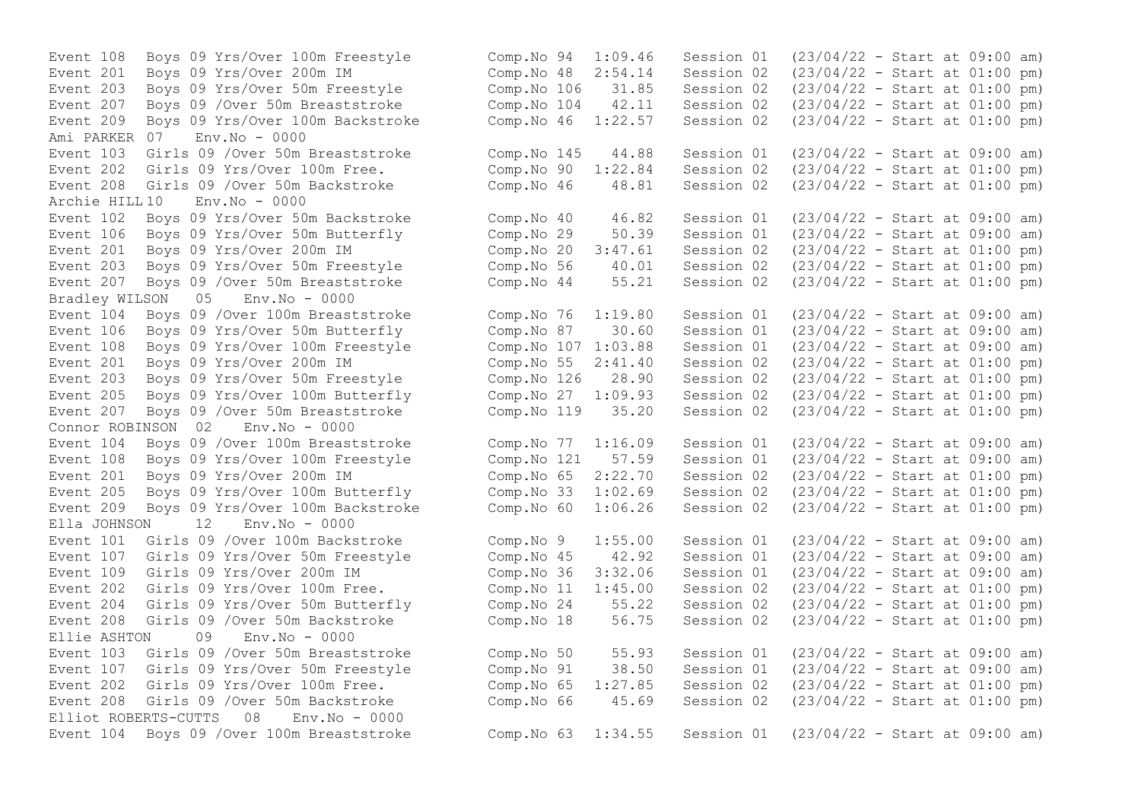Event 209 Boys 09 Yrs/Over 100m Backstroke Comp.No 46 1:22.57 Session 02 Ami PARKER 07 Env.No - 0000 Event 208 Girls 09 /Over 50m Backstroke  $\sim$  Comp.No 46  $\sim$  48.81 Archie HILL 10 Env.No - 0000 Event 207 Boys 09 / Over 50m Breaststroke Bradley WILSON 05 Env.No - 0000 Event 207 Boys 09 / Over 50m Breaststroke Connor ROBINSON 02 Env.No - 0000 Event 209 Boys 09 Yrs/Over 100m Backstroke  $\sim$  Comp.No 60  $\sim$  1:06.26 Session 02 Ella JOHNSON 12 Env.No - 0000 Ellie ASHTON 09 Env.No - 0000 Elliot ROBERTS-CUTTS 08 Env.No - 0000

Event 108 Boys 09 Yrs/Over 100m Freestyle Comp.No 94 1:09.46 Session 01 (23/04/22 - Start at 09:00 am) Event 201 Boys 09 Yrs/Over 200m IM Comp.No 48 2:54.14 Session 02 (23/04/22 - Start at 01:00 pm) Event 203 Boys 09 Yrs/Over 50m Freestyle Comp.No 106 31.85 Session 02 (23/04/22 - Start at 01:00 pm) Event 207 Boys 09 / Over 50m Breaststroke Comp. No 104 42.11 Session 02 (23/04/22 - Start at 01:00 pm)<br>Event 209 Bovs 09 Yrs/Over 100m Backstroke Comp. No 46 1:22.57 Session 02 (23/04/22 - Start at 01:00 pm) Event 103 Girls 09 /Over 50m Breaststroke Comp. No 145 44.88 Session 01 (23/04/22 - Start at 09:00 am)<br>Event 202 Girls 09 Yrs/Over 100m Free. Comp. No 90 1:22.84 Session 02 (23/04/22 - Start at 01:00 pm) Event 202 Girls 09 Yrs/Over 100m Free.<br>
Event 208 Girls 09 /Over 50m Backstroke Comp.No 46 48.81 Session 02 (23/04/22 - Start at 01:00 pm) Event 102 Boys 09 Yrs/Over 50m Backstroke Comp.No 40 46.82 Session 01 (23/04/22 - Start at 09:00 am) Event 106 Boys 09 Yrs/Over 50m Butterfly Comp.No 29 50.39 Session 01 (23/04/22 - Start at 09:00 am) Event 201 Boys 09 Yrs/Over 200m IM Comp.No 20 3:47.61 Session 02 (23/04/22 - Start at 01:00 pm)<br>Event 203 Bovs 09 Yrs/Over 50m Freestyle Comp.No 56 40.01 Session 02 (23/04/22 - Start at 01:00 pm) Event 203 Boys 09 Yrs/Over 50m Freestyle Comp.No 56 40.01 Session 02 (23/04/22 - Start at 01:00 pm)<br>Event 207 Boys 09 /Over 50m Breaststroke Comp.No 44 55.21 Session 02 (23/04/22 - Start at 01:00 pm) Event 104 Boys 09 /Over 100m Breaststroke Comp.No 76 1:19.80 Session 01 (23/04/22 - Start at 09:00 am) Event 106 Boys 09 Yrs/Over 50m Butterfly Comp.No 87 30.60 Session 01 (23/04/22 - Start at 09:00 am) Event 108 Boys 09 Yrs/Over 100m Freestyle Comp.No 107 1:03.88 Session 01 (23/04/22 - Start at 09:00 am) Event 201 Boys 09 Yrs/Over 200m IM Comp.No 55 2:41.40 Session 02 (23/04/22 - Start at 01:00 pm)<br>Event 203 Bovs 09 Yrs/Over 50m Freestyle Comp.No 126 28.90 Session 02 (23/04/22 Event 203 Boys 09 Yrs/Over 50m Freestyle Comp.No 126 28.90 Session 02 (23/04/22 - Start at 01:00 pm)<br>Event 205 Boys 09 Yrs/Over 100m Butterfly Comp.No 27 1:09.93 Session 02 (23/04/22 - Start at 01:00 pm) Event 205 Boys 09 Yrs/Over 100m Butterfly Comp.No 27 1:09.93 Session 02 (23/04/22 - Start at 01:00 pm)<br>Event 207 Boys 09 /Over 50m Breaststroke Comp.No 119 35.20 Session 02 (23/04/22 - Start at 01:00 pm) Event 104 Boys 09 /Over 100m Breaststroke Comp.No 77 1:16.09 Session 01 (23/04/22 - Start at 09:00 am) Event 108 Boys 09 Yrs/Over 100m Freestyle Comp.No 121 57.59 Session 01 (23/04/22 - Start at 09:00 am) Event 201 Boys 09 Yrs/Over 200m IM Comp.No 65 2:22.70 Session 02 (23/04/22 - Start at 01:00 pm) Event 205 Boys 09 Yrs/Over 100m Butterfly Comp.No 33 1:02.69 Session 02 (23/04/22 - Start at 01:00 pm)<br>Event 209 Boys 09 Yrs/Over 100m Backstroke Comp.No 60 1:06.26 Session 02 (23/04/22 - Start at 01:00 pm) Event 101 Girls 09 /Over 100m Backstroke Comp.No 9 1:55.00 Session 01 (23/04/22 - Start at 09:00 am) Event 107 Girls 09 Yrs/Over 50m Freestyle Comp.No 45 42.92 Session 01 (23/04/22 - Start at 09:00 am) Event 109 Girls 09 Yrs/Over 200m IM Comp.No 36 3:32.06 Session 01 (23/04/22 - Start at 09:00 am) Event 202 Girls 09 Yrs/Over 100m Free. Comp.No 11 1:45.00 Session 02 (23/04/22 - Start at 01:00 pm) Event 204 Girls 09 Yrs/Over 50m Butterfly Comp.No 24 55.22 Session 02 (23/04/22 - Start at 01:00 pm) Event 208 Girls 09 /Over 50m Backstroke Comp.No 18 56.75 Session 02 (23/04/22 - Start at 01:00 pm) Event 103 Girls 09 /Over 50m Breaststroke Comp.No 50 55.93 Session 01 (23/04/22 - Start at 09:00 am) Event 107 Girls 09 Yrs/Over 50m Freestyle Comp.No 91 38.50 Session 01 (23/04/22 - Start at 09:00 am) Event 202 Girls 09 Yrs/Over 100m Free. Comp.No 65 1:27.85 Session 02 (23/04/22 - Start at 01:00 pm) Event 208 Girls 09 /Over 50m Backstroke Comp.No 66 45.69 Session 02 (23/04/22 - Start at 01:00 pm) Event 104 Boys 09 /Over 100m Breaststroke Comp.No 63 1:34.55 Session 01 (23/04/22 - Start at 09:00 am)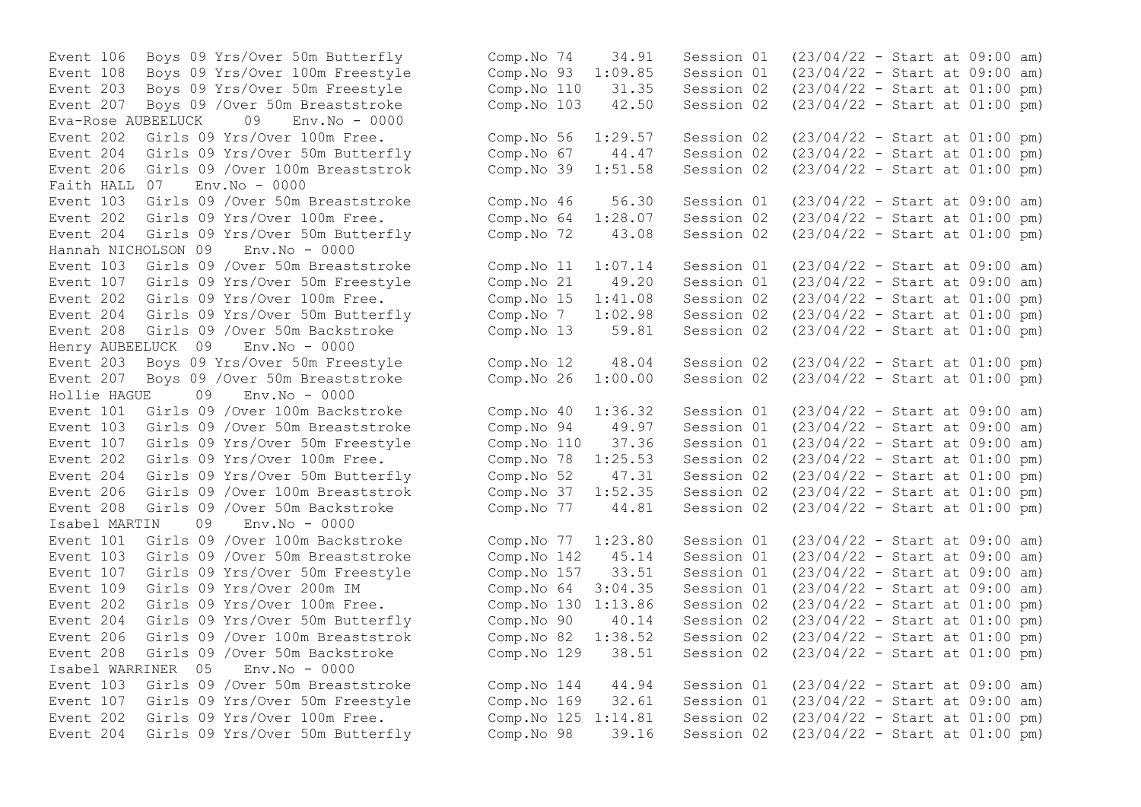Event 108 Boys 09 Yrs/Over 100m Freestyle Comp.No 93 1:09.85 Session 01 Eva-Rose AUBEELUCK 09 Env.No - 0000 Event 206 Girls 09 /Over 100m Breaststrok Faith HALL 07 Env.No - 0000 Event 204 Girls 09 Yrs/Over 50m Butterfly Comp.No 72 43.08 Session 02 Hannah NICHOLSON 09 Env.No - 0000 Event 204 Girls 09 Yrs/Over 50m Butterfly  $\sim$  Comp.No 7  $\sim$  1:02.98 Session 02 Henry AUBEELUCK 09 Env.No - 0000 Event 207 Boys 09 / Over 50m Breaststroke Comp.No 26 1:00.00 Session 02 Hollie HAGUE 09 Env.No - 0000 Event 204 Girls 09 Yrs/Over 50m Butterfly Comp.No 52 47.31 Session 02 Event 208 Girls 09 /Over 50m Backstroke Comp.No 77 44.81 Session 02 Isabel MARTIN 09 Env.No - 0000 Isabel WARRINER 05 Env.No - 0000

Event 106 Boys 09 Yrs/Over 50m Butterfly Comp.No 74 34.91 Session 01 (23/04/22 - Start at 09:00 am)<br>Event 108 Boys 09 Yrs/Over 100m Freestyle Comp.No 93 1:09.85 Session 01 (23/04/22 - Start at 09:00 am) Event 203 Boys 09 Yrs/Over 50m Freestyle Comp.No 110 31.35 Session 02 (23/04/22 - Start at 01:00 pm) Event 207 Boys 09 /Over 50m Breaststroke Comp.No 103 42.50 Session 02 (23/04/22 - Start at 01:00 pm) Event 202 Girls 09 Yrs/Over 100m Free.<br>
Event 204 Girls 09 Yrs/Over 50m Butterfly Comp.No 67 44.47 Session 02 (23/04/22 - Start at 01:00 pm) Event 204 Girls 09 Yrs/Over 50m Butterfly Comp.No 67 44.47 Session 02 (23/04/22 - Start at 01:00 pm)<br>Event 206 Girls 09 /Over 100m Breaststrok Comp.No 39 1:51.58 Session 02 (23/04/22 - Start at 01:00 pm) Event 103 Girls 09 /Over 50m Breaststroke Comp.No 46 56.30 Session 01 (23/04/22 - Start at 09:00 am) Event 202 Girls 09 Yrs/Over 100m Free. Comp.No 64 1:28.07 Session 02 (23/04/22 - Start at 01:00 pm)<br>Event 204 Girls 09 Yrs/Over 50m Butterfly Comp.No 72 43.08 Session 02 (23/04/22 - Start at 01:00 pm) Event 103 Girls 09 /Over 50m Breaststroke Comp.No 11 1:07.14 Session 01 (23/04/22 - Start at 09:00 am)<br>Event 107 Girls 09 Yrs/Over 50m Freestyle Comp.No 21 49.20 Session 01 (23/04/22 - Start at 09:00 am) Event 107 Girls 09 Yrs/Over 50m Freestyle Comp.No 21 49.20 Session 01 (23/04/22 - Start at 09:00 am)<br>Event 202 Girls 09 Yrs/Over 100m Free. Comp.No 15 1:41.08 Session 02 (23/04/22 - Start at 01:00 pm) Event 202 Girls 09 Yrs/Over 100m Free. Comp.No 15 1:41.08 Session 02 (23/04/22 - Start at 01:00 pm)<br>Event 204 Girls 09 Yrs/Over 50m Butterfly Comp.No 7 1:02.98 Session 02 (23/04/22 - Start at 01:00 pm) Event 208 Girls 09 /Over 50m Backstroke Comp.No 13 59.81 Session 02 (23/04/22 - Start at 01:00 pm) Event 203 Boys 09 Yrs/Over 50m Freestyle Comp.No 12 48.04 Session 02 (23/04/22 - Start at 01:00 pm)<br>Event 207 Boys 09 /Over 50m Breaststroke Comp.No 26 1:00.00 Session 02 (23/04/22 - Start at 01:00 pm) Event 101 Girls 09 /Over 100m Backstroke Comp.No 40 1:36.32 Session 01 (23/04/22 - Start at 09:00 am) Event 103 Girls 09 /Over 50m Breaststroke Comp.No 94 49.97 Session 01 (23/04/22 - Start at 09:00 am) Event 107 Girls 09 Yrs/Over 50m Freestyle Comp. No 110 37.36 Session 01 (23/04/22 - Start at 09:00 am)<br>Event 202 Girls 09 Yrs/Over 100m Free. Comp. No 78 1:25.53 Session 02 (23/04/22 - Start at 01:00 pm) Event 202 Girls 09 Yrs/Over 100m Free.<br>
Event 204 Girls 09 Yrs/Over 50m Butterfly Comp.No 52 47.31 Session 02 (23/04/22 - Start at 01:00 pm) Event 206 Girls 09 /Over 100m Breaststrok Comp.No 37 1:52.35 Session 02 (23/04/22 - Start at 01:00 pm)<br>Event 208 Girls 09 /Over 50m Backstroke Comp.No 77 44.81 Session 02 (23/04/22 - Start at 01:00 pm) Event 101 Girls 09 /Over 100m Backstroke Comp.No 77 1:23.80 Session 01 (23/04/22 - Start at 09:00 am) Event 103 Girls 09 /Over 50m Breaststroke Comp.No 142 45.14 Session 01 (23/04/22 - Start at 09:00 am) Event 107 Girls 09 Yrs/Over 50m Freestyle Comp.No 157 33.51 Session 01 (23/04/22 - Start at 09:00 am) Event 109 Girls 09 Yrs/Over 200m IM Comp.No 64 3:04.35 Session 01 (23/04/22 - Start at 09:00 am) Event 202 Girls 09 Yrs/Over 100m Free. Comp.No 130 1:13.86 Session 02 (23/04/22 - Start at 01:00 pm) Event 204 Girls 09 Yrs/Over 50m Butterfly Comp.No 90 40.14 Session 02 (23/04/22 - Start at 01:00 pm) Event 206 Girls 09 /Over 100m Breaststrok Comp.No 82 1:38.52 Session 02 (23/04/22 - Start at 01:00 pm) Event 208 Girls 09 /Over 50m Backstroke Comp.No 129 38.51 Session 02 (23/04/22 - Start at 01:00 pm) Event 103 Girls 09 /Over 50m Breaststroke Comp.No 144 44.94 Session 01 (23/04/22 - Start at 09:00 am) Event 107 Girls 09 Yrs/Over 50m Freestyle Comp.No 169 32.61 Session 01 (23/04/22 - Start at 09:00 am) Event 202 Girls 09 Yrs/Over 100m Free. Comp.No 125 1:14.81 Session 02 (23/04/22 - Start at 01:00 pm) Event 204 Girls 09 Yrs/Over 50m Butterfly Comp.No 98 39.16 Session 02 (23/04/22 - Start at 01:00 pm)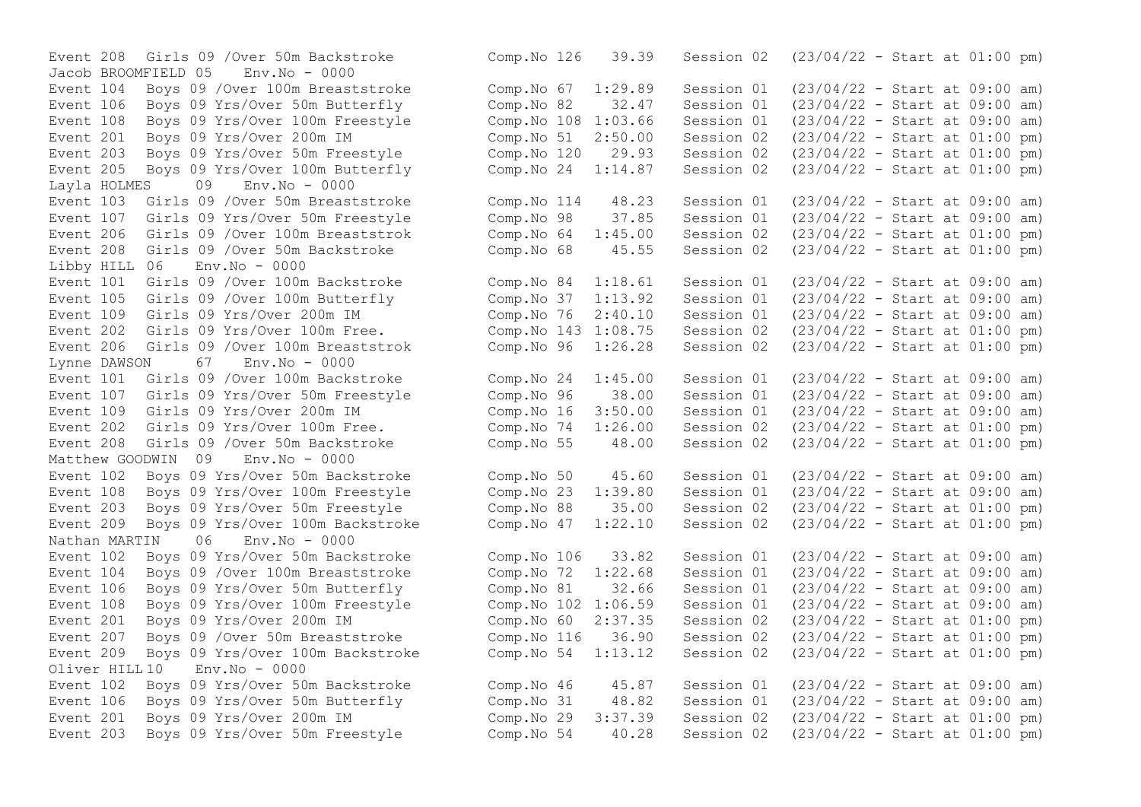Jacob BROOMFIELD 05 Env.No - 0000 Event 205 Boys 09 Yrs/Over 100m Butterfly Layla HOLMES 09 Env.No - 0000 Event 208 Girls 09 /Over 50m Backstroke  $\sim$  Comp. No 68  $\sim$  45.55 Session 02 Libby HILL 06 Env.No - 0000 Event 105 Girls 09 / Over 100m Butterfly Comp.No 37  $1:13.92$  Session 01 Event 206 Girls 09 / Over 100m Breaststrok Comp. No 96 1:26.28 Session 02 Lynne DAWSON 67 Env.No - 0000 Event  $109$  Girls  $09$  Yrs/Over  $200$ m IM  $\sim$  Comp.No  $16$  3:50.00 Session 01 Matthew GOODWIN 09 Env.No - 0000 Nathan MARTIN 06 Env.No - 0000  $Oliver HTIL10$  Env. No - 0000

Event 208 Girls 09 /Over 50m Backstroke Comp.No 126 39.39 Session 02 (23/04/22 - Start at 01:00 pm) Event 104 Boys 09 /Over 100m Breaststroke Comp.No 67 1:29.89 Session 01 (23/04/22 - Start at 09:00 am) Event 106 Boys 09 Yrs/Over 50m Butterfly Comp.No 82 32.47 Session 01 (23/04/22 - Start at 09:00 am)<br>Event 108 Boys 09 Yrs/Over 100m Freestyle Comp.No 108 1:03.66 Session 01 (23/04/22 - Start at 09:00 am) Event 108 Boys 09 Yrs/Over 100m Freestyle Comp.No 108 1:03.66 Session 01 (23/04/22 - Start at 09:00 am)<br>Event 201 Boys 09 Yrs/Over 200m IM Comp.No 51 2:50.00 Session 02 (23/04/22 - Start at 01:00 pm) Event 201 Boys 09 Yrs/Over 200m IM Comp.No 51 2:50.00 Session 02 (23/04/22 - Start at 01:00 pm) Event 203 Boys 09 Yrs/Over 50m Freestyle Comp.No 120 29.93 Session 02 (23/04/22 - Start at 01:00 pm)<br>Event 205 Boys 09 Yrs/Over 100m Butterfly Comp.No 24 1:14.87 Session 02 (23/04/22 - Start at 01:00 pm) Event 103 Girls 09 /Over 50m Breaststroke Comp.No 114 48.23 Session 01 (23/04/22 - Start at 09:00 am) Event 107 Girls 09 Yrs/Over 50m Freestyle Comp.No 98 37.85 Session 01 (23/04/22 - Start at 09:00 am) Event 206 Girls 09 /Over 100m Breaststrok Comp.No 64 1:45.00 Session 02 (23/04/22 - Start at 01:00 pm)<br>Event 208 Girls 09 /Over 50m Backstroke Comp.No 68 45.55 Session 02 (23/04/22 - Start at 01:00 pm) Event 101 Girls 09 /Over 100m Backstroke Comp.No 84 1:18.61 Session 01 (23/04/22 - Start at 09:00 am)<br>Event 105 Girls 09 /Over 100m Butterfly Comp.No 37 1:13.92 Session 01 (23/04/22 - Start at 09:00 am) Event 109 Girls 09 Yrs/Over 200m IM Comp.No 76 2:40.10 Session 01 (23/04/22 - Start at 09:00 am)<br>Event 202 Girls 09 Yrs/Over 100m Free. Comp.No 143 1:08.75 Session 02 (23/04/22 - Start at 01:00 pm) Event 202 Girls 09 Yrs/Over 100m Free. Comp.No 143 1:08.75 Session 02 (23/04/22 - Start at 01:00 pm)<br>Event 206 Girls 09 /Over 100m Breaststrok Comp.No 96 1:26.28 Session 02 (23/04/22 - Start at 01:00 pm) Event 101 Girls 09 /Over 100m Backstroke Comp.No 24 1:45.00 Session 01 (23/04/22 - Start at 09:00 am) Event 107 Girls 09 Yrs/Over 50m Freestyle Comp.No 96 38.00 Session 01 (23/04/22 - Start at 09:00 am)<br>Event 109 Girls 09 Yrs/Over 200m IM Comp.No 16 3:50.00 Session 01 (23/04/22 - Start at 09:00 am) Event 202 Girls 09 Yrs/Over 100m Free. Comp.No 74 1:26.00 Session 02 (23/04/22 - Start at 01:00 pm) Event 208 Girls 09 /Over 50m Backstroke Comp.No 55 48.00 Session 02 (23/04/22 - Start at 01:00 pm) Event 102 Boys 09 Yrs/Over 50m Backstroke Comp. No 50 45.60 Session 01 (23/04/22 - Start at 09:00 am)<br>Event 108 Bovs 09 Yrs/Over 100m Freestyle Comp. No 23 1:39.80 Session 01 (23/04/22 - Start at 09:00 am) Event 108 Boys 09 Yrs/Over 100m Freestyle Comp.No 23 1:39.80 Session 01 (23/04/22 - Start at 09:00 am) Event 203 Boys 09 Yrs/Over 50m Freestyle Comp.No 88 35.00 Session 02 (23/04/22 - Start at 01:00 pm) Event 209 Boys 09 Yrs/Over 100m Backstroke Comp.No 47 1:22.10 Session 02 (23/04/22 - Start at 01:00 pm) Event 102 Boys 09 Yrs/Over 50m Backstroke Comp.No 106 33.82 Session 01 (23/04/22 - Start at 09:00 am) Event 104 Boys 09 /Over 100m Breaststroke Comp.No 72 1:22.68 Session 01 (23/04/22 - Start at 09:00 am) Event 106 Boys 09 Yrs/Over 50m Butterfly Comp.No 81 32.66 Session 01 (23/04/22 - Start at 09:00 am) Event 108 Boys 09 Yrs/Over 100m Freestyle Comp.No 102 1:06.59 Session 01 (23/04/22 - Start at 09:00 am) Event 201 Boys 09 Yrs/Over 200m IM Comp.No 60 2:37.35 Session 02 (23/04/22 - Start at 01:00 pm) Event 207 Boys 09 /Over 50m Breaststroke Comp.No 116 36.90 Session 02 (23/04/22 - Start at 01:00 pm) Event 209 Boys 09 Yrs/Over 100m Backstroke Comp.No 54 1:13.12 Session 02 (23/04/22 - Start at 01:00 pm) Event 102 Boys 09 Yrs/Over 50m Backstroke Comp.No 46 45.87 Session 01 (23/04/22 - Start at 09:00 am) Event 106 Boys 09 Yrs/Over 50m Butterfly Comp.No 31 48.82 Session 01 (23/04/22 - Start at 09:00 am) Event 201 Boys 09 Yrs/Over 200m IM Comp.No 29 3:37.39 Session 02 (23/04/22 - Start at 01:00 pm) Event 203 Boys 09 Yrs/Over 50m Freestyle Comp.No 54 40.28 Session 02 (23/04/22 - Start at 01:00 pm)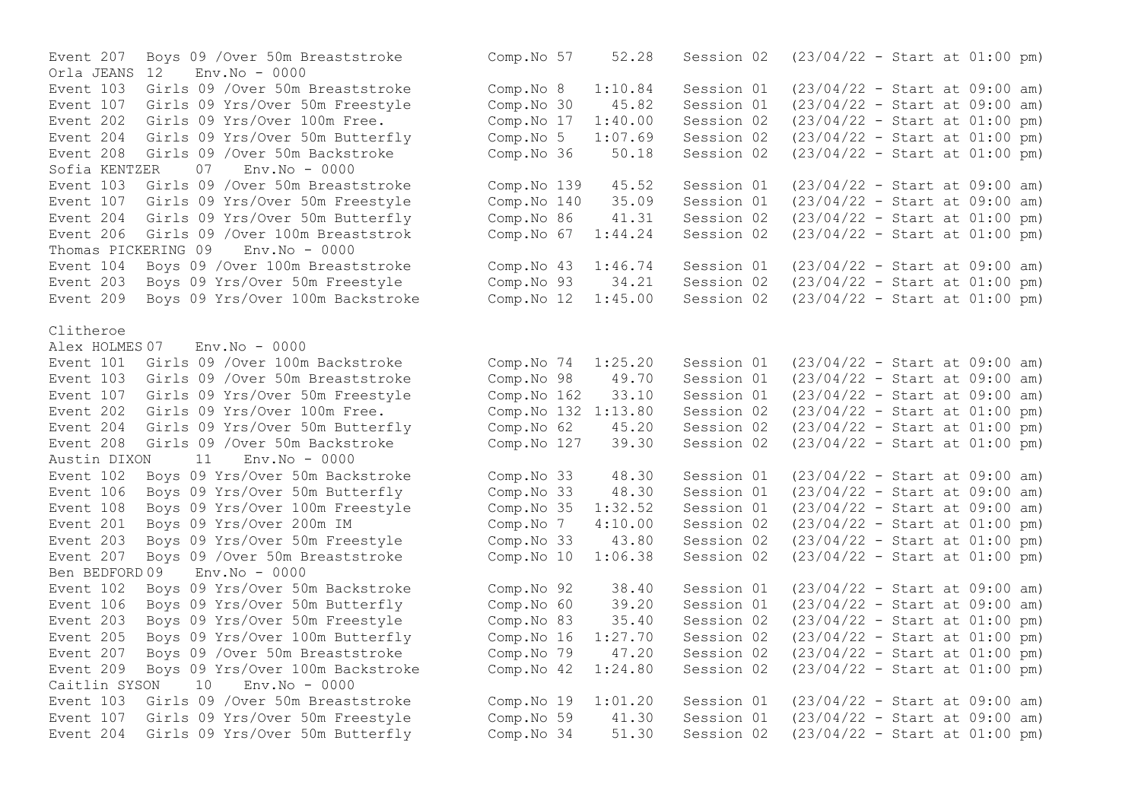Event 207 Boys 09 /Over 50m Breaststroke Comp.No 57 52.28 Session 02 (23/04/22 - Start at 01:00 pm) Orla JEANS 12 Env.No - 0000 Event 103 Girls 09 /Over 50m Breaststroke Comp.No 8 1:10.84 Session 01 (23/04/22 - Start at 09:00 am) Event 107 Girls 09 Yrs/Over 50m Freestyle Comp.No 30 45.82 Session 01 (23/04/22 - Start at 09:00 am) Event 202 Girls 09 Yrs/Over 100m Free.<br>
Event 204 Girls 09 Yrs/Over 50m Butterfly (Comp.No 5 1:07.69 Session 02 (23/04/22 - Start at 01:00 pm) Event 204 Girls 09 Yrs/Over 50m Butterfly comp.No 5 1:07.69 Session 02 (23/04/22 - Start at 01:00 pm)<br>Event 208 Girls 09 /Over 50m Backstroke (Comp.No 36 50.18 Session 02 (23/04/22 - Start at 01:00 pm) Event 208 Girls 09 /Over 50m Backstroke<br>Sofia KENTZER 07 Env No - 0000 Sofia KENTZER Event 103 Girls 09 /Over 50m Breaststroke Comp. No 139 45.52 Session 01 (23/04/22 - Start at 09:00 am)<br>Event 107 Girls 09 Yrs/Over 50m Freestyle Comp. No 140 35.09 Session 01 (23/04/22 - Start at 09:00 am) Event 107 Girls 09 Yrs/Over 50m Freestyle Comp. No 140 35.09 Session 01 (23/04/22 - Start at 09:00 am)<br>Event 204 Girls 09 Yrs/Over 50m Butterfly Comp. No 86 41.31 Session 02 (23/04/22 - Start at 01:00 pm) Event 204 Girls 09 Yrs/Over 50m Butterfly Comp.No 86 41.31 Session 02 (23/04/22 - Start at 01:00 pm)<br>Event 206 Girls 09 /Over 100m Breaststrok Comp.No 67 1:44.24 Session 02 (23/04/22 - Start at 01:00 pm) Event 206 Girls 09 /Over 100m Breaststrok Comp.No 67 1:44.24 Session 02 Thomas PICKERING 09 Env.No - 0000 Event 104 Boys 09 /Over 100m Breaststroke Comp.No 43 1:46.74 Session 01 (23/04/22 - Start at 09:00 am)<br>Event 203 Boys 09 Yrs/Over 50m Freestyle Comp.No 93 34.21 Session 02 (23/04/22 - Start at 01:00 pm) Event 203 Boys 09 Yrs/Over 50m Freestyle Comp.No 93 34.21 Session 02 (23/04/22 - Start at 01:00 pm)<br>Event 209 Boys 09 Yrs/Over 100m Backstroke Comp.No 12 1:45.00 Session 02 (23/04/22 - Start at 01:00 pm) Event 209 Boys 09 Yrs/Over 100m Backstroke Comp.No 12 1:45.00 Session 02 Clitheroe Alex HOLMES 07 Env.No - 0000 Event 101 Girls 09 /Over 100m Backstroke Comp.No 74 1:25.20 Session 01 (23/04/22 - Start at 09:00 am)<br>Event 103 Girls 09 /Over 50m Breaststroke Comp.No 98 49.70 Session 01 (23/04/22 - Start at 09:00 am) Event 103 Girls 09 /Over 50m Breaststroke Comp.No 98 49.70 Session 01 Event 107 Girls 09 Yrs/Over 50m Freestyle Comp. No 162 33.10 Session 01 (23/04/22 - Start at 09:00 am)<br>Event 202 Girls 09 Yrs/Over 100m Free. Comp. No 132 1:13.80 Session 02 (23/04/22 - Start at 01:00 pm) Event 202 Girls 09 Yrs/Over 100m Free. Event 204 Girls 09 Yrs/Over 50m Butterfly Comp.No 62 45.20 Session 02 (23/04/22 - Start at 01:00 pm) Event 208 Girls 09 /Over 50m Backstroke Comp.No 127 39.30 Session 02 (23/04/22 - Start at 01:00 pm) Austin DIXON 11 Env.No - 0000 Event 102 Boys 09 Yrs/Over 50m Backstroke Comp.No 33 48.30 Session 01 (23/04/22 - Start at 09:00 am)<br>Event 106 Bovs 09 Yrs/Over 50m Butterfly Comp.No 33 48.30 Session 01 (23/04/22 - Start at 09:00 am) Event 106 Boys 09 Yrs/Over 50m Butterfly Comp.No 33 48.30 Session 01 (23/04/22 - Start at 09:00 am)<br>Event 108 Bovs 09 Yrs/Over 100m Freestyle Comp.No 35 1:32.52 Session 01 (23/04/22 - Start at 09:00 am) Event 108 Boys 09 Yrs/Over 100m Freestyle Comp.No 35 1:32.52 Session 01 Event 201 Boys 09 Yrs/Over 200m IM Comp.No 7 4:10.00 Session 02 (23/04/22 - Start at 01:00 pm)<br>Event 203 Boys 09 Yrs/Over 50m Freestyle Comp.No 33 43.80 Session 02 (23/04/22 - Start at 01:00 pm) Event 203 Boys 09 Yrs/Over 50m Freestyle Comp.No 33 43.80 Session 02 (23/04/22 - Start at 01:00 pm) Event 207 Boys 09 /Over 50m Breaststroke Comp.No 10 1:06.38 Session 02 (23/04/22 - Start at 01:00 pm) Ben BEDFORD 09 Env.No - 0000 Event 102 Boys 09 Yrs/Over 50m Backstroke Comp.No 92 38.40 Session 01 (23/04/22 - Start at 09:00 am) Event 106 Boys 09 Yrs/Over 50m Butterfly Comp.No 60 39.20 Session 01 Event 203 Boys 09 Yrs/Over 50m Freestyle Comp.No 83 35.40 Session 02 (23/04/22 - Start at 01:00 pm)<br>Event 205 Boys 09 Yrs/Over 100m Butterfly Comp.No 16 1:27.70 Session 02 (23/04/22 - Start at 01:00 pm) Event 205 Boys 09 Yrs/Over 100m Butterfly Comp.No 16 1:27.70 Session 02 (23/04/22 - Start at 01:00 pm)<br>Event 207 Boys 09 /Over 50m Breaststroke Comp.No 79 47.20 Session 02 (23/04/22 - Start at 01:00 pm) Event 207 Boys 09 / Over 50m Breaststroke Comp.No 79 47.20 Session 02 Event 209 Boys 09 Yrs/Over 100m Backstroke Comp.No 42 1:24.80 Session 02 (23/04/22 - Start at 01:00 pm) Caitlin SYSON 10 Env.No - 0000 Event 103 Girls 09 /Over 50m Breaststroke Comp.No 19 1:01.20 Session 01 (23/04/22 - Start at 09:00 am) Event 107 Girls 09 Yrs/Over 50m Freestyle Comp.No 59 41.30 Session 01 (23/04/22 - Start at 09:00 am) Event 204 Girls 09 Yrs/Over 50m Butterfly Comp.No 34 51.30 Session 02 (23/04/22 - Start at 01:00 pm)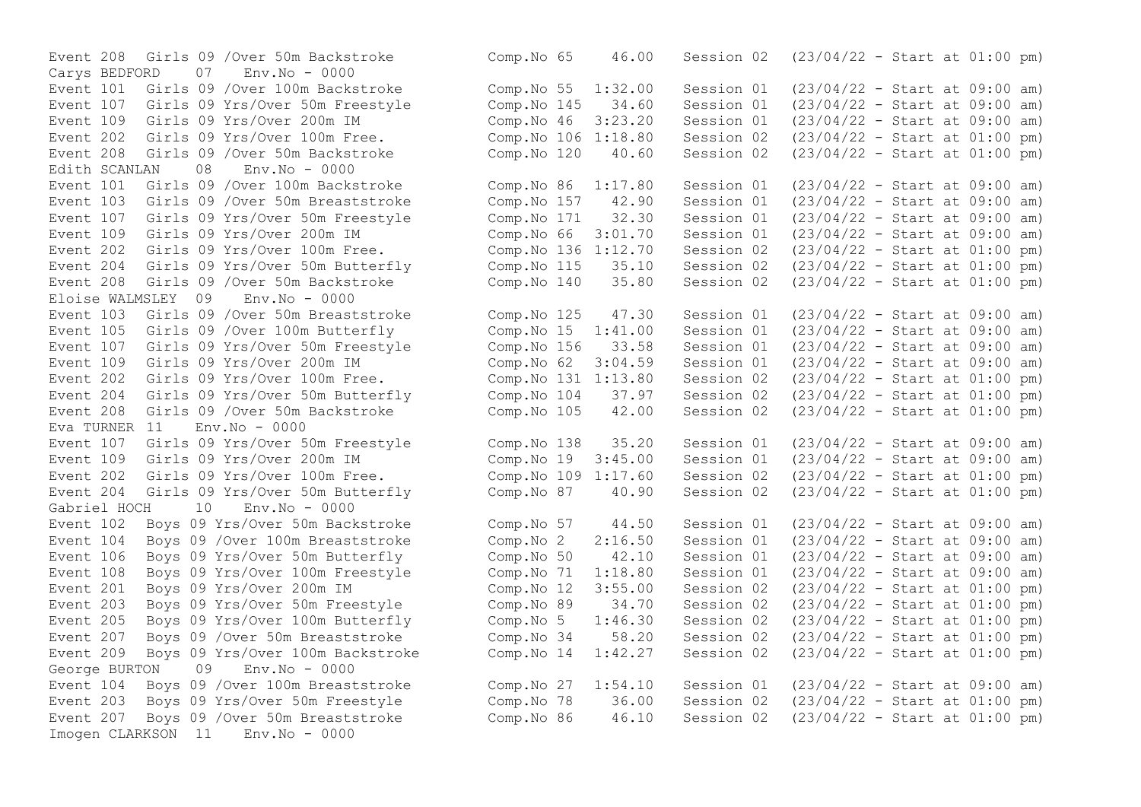$07$  Env.No - 0000 Event 208 Girls 09 /Over 50m Backstroke Comp.No 120  $40.60$ <br>Edith SCANLAN 08 Env No - 0000 Edith SCANLAN 08 Env.No - 0000 Event 208 Girls 09 /Over 50m Backstroke Eloise WALMSLEY 09 Env.No - 0000 Event 208 Girls 09 /Over 50m Backstroke Eva TURNER  $11$  Env. No - 0000 Event 204 Girls 09 Yrs/Over 50m Butterfly Comp.No 87 40.90 Session 02 Gabriel HOCH 10 Env.No - 0000 George BURTON 09 Env.No - 0000 Imogen CLARKSON 11 Env.No - 0000

Event 208 Girls 09 /Over 50m Backstroke Comp.No 65 46.00 Session 02 (23/04/22 - Start at 01:00 pm)<br>Carys BEDFORD 07 Env.No - 0000 Event 101 Girls 09 /Over 100m Backstroke Comp.No 55 1:32.00 Session 01 (23/04/22 - Start at 09:00 am) Event 107 Girls 09 Yrs/Over 50m Freestyle Comp.No 145 34.60 Session 01 (23/04/22 - Start at 09:00 am) Event 109 Girls 09 Yrs/Over 200m IM<br>Event 202 Girls 09 Yrs/Over 100m Free. Comp.No 106 1:18.80 Session 02 (23/04/22 - Start at 01:00 pm) Event 202 Girls 09 Yrs/Over 100m Free. Comp.No 106 1:18.80 Session 02 (23/04/22 - Start at 01:00 pm)<br>Event 208 Girls 09 /Over 50m Backstroke Comp.No 120 40.60 Session 02 (23/04/22 - Start at 01:00 pm) Event 101 Girls 09 /Over 100m Backstroke Comp.No 86 1:17.80 Session 01 (23/04/22 - Start at 09:00 am) Event 103 Girls 09 /Over 50m Breaststroke Comp.No 157 42.90 Session 01 (23/04/22 - Start at 09:00 am) Event 107 Girls 09 Yrs/Over 50m Freestyle Comp.No 171 32.30 Session 01 (23/04/22 - Start at 09:00 am) Event 109 Girls 09 Yrs/Over 200m IM Comp.No 66 3:01.70 Session 01 (23/04/22 - Start at 09:00 am) Event 202 Girls 09 Yrs/Over 100m Free. Comp.No 136 1:12.70 Session 02 (23/04/22 - Start at 01:00 pm)<br>Event 204 Girls 09 Yrs/Over 50m Butterfly Comp.No 115 35.10 Session 02 (23/04/22 - Start at 01:00 pm) Event 204 Girls 09 Yrs/Over 50m Butterfly Comp.No 115 35.10 Session 02 (23/04/22 - Start at 01:00 pm) Event 103 Girls 09 /Over 50m Breaststroke Comp.No 125 47.30 Session 01 (23/04/22 - Start at 09:00 am) Event 105 Girls 09 /Over 100m Butterfly Comp.No 15 1:41.00 Session 01 (23/04/22 - Start at 09:00 am) Event 107 Girls 09 Yrs/Over 50m Freestyle Comp.No 156 33.58 Session 01 (23/04/22 - Start at 09:00 am) Event 109 Girls 09 Yrs/Over 200m IM Comp.No 62 3:04.59 Session 01 (23/04/22 - Start at 09:00 am) Event 202 Girls 09 Yrs/Over 100m Free.<br>
Event 204 Girls 09 Yrs/Over 50m Butterfly Comp.No 104 37.97 Session 02 (23/04/22 - Start at 01:00 pm) Event 204 Girls 09 Yrs/Over 50m Butterfly Comp.No 104 37.97 Session 02 (23/04/22 - Start at 01:00 pm)<br>Event 208 Girls 09 /Over 50m Backstroke Comp.No 105 42.00 Session 02 (23/04/22 - Start at 01:00 pm) Event 107 Girls 09 Yrs/Over 50m Freestyle Comp.No 138 35.20 Session 01 (23/04/22 - Start at 09:00 am) Event 109 Girls 09 Yrs/Over 200m IM Comp.No 19 3:45.00 Session 01 (23/04/22 - Start at 09:00 am)<br>Event 202 Girls 09 Yrs/Over 100m Free. Comp.No 109 1:17.60 Session 02 (23/04/22 - Start at 01:00 pm) Event 202 Girls 09 Yrs/Over 100m Free.<br>
Event 204 Girls 09 Yrs/Over 50m Butterfly Comp.No 87 40.90 Session 02 (23/04/22 - Start at 01:00 pm) Event 102 Boys 09 Yrs/Over 50m Backstroke Comp.No 57 44.50 Session 01 (23/04/22 - Start at 09:00 am) Event 104 Boys 09 /Over 100m Breaststroke Comp.No 2 2:16.50 Session 01 (23/04/22 - Start at 09:00 am) Event 106 Boys 09 Yrs/Over 50m Butterfly Comp.No 50 42.10 Session 01 (23/04/22 - Start at 09:00 am) Event 108 Boys 09 Yrs/Over 100m Freestyle Comp.No 71 1:18.80 Session 01 (23/04/22 - Start at 09:00 am) Event 201 Boys 09 Yrs/Over 200m IM Comp.No 12 3:55.00 Session 02 (23/04/22 - Start at 01:00 pm) Event 203 Boys 09 Yrs/Over 50m Freestyle Comp.No 89 34.70 Session 02 (23/04/22 - Start at 01:00 pm) Event 205 Boys 09 Yrs/Over 100m Butterfly Comp.No 5 1:46.30 Session 02 (23/04/22 - Start at 01:00 pm) Event 207 Boys 09 /Over 50m Breaststroke Comp.No 34 58.20 Session 02 (23/04/22 - Start at 01:00 pm) Event 209 Boys 09 Yrs/Over 100m Backstroke Comp.No 14 1:42.27 Session 02 (23/04/22 - Start at 01:00 pm) Event 104 Boys 09 /Over 100m Breaststroke Comp.No 27 1:54.10 Session 01 (23/04/22 - Start at 09:00 am) Event 203 Boys 09 Yrs/Over 50m Freestyle Comp.No 78 36.00 Session 02 (23/04/22 - Start at 01:00 pm) Event 207 Boys 09 /Over 50m Breaststroke Comp.No 86 46.10 Session 02 (23/04/22 - Start at 01:00 pm)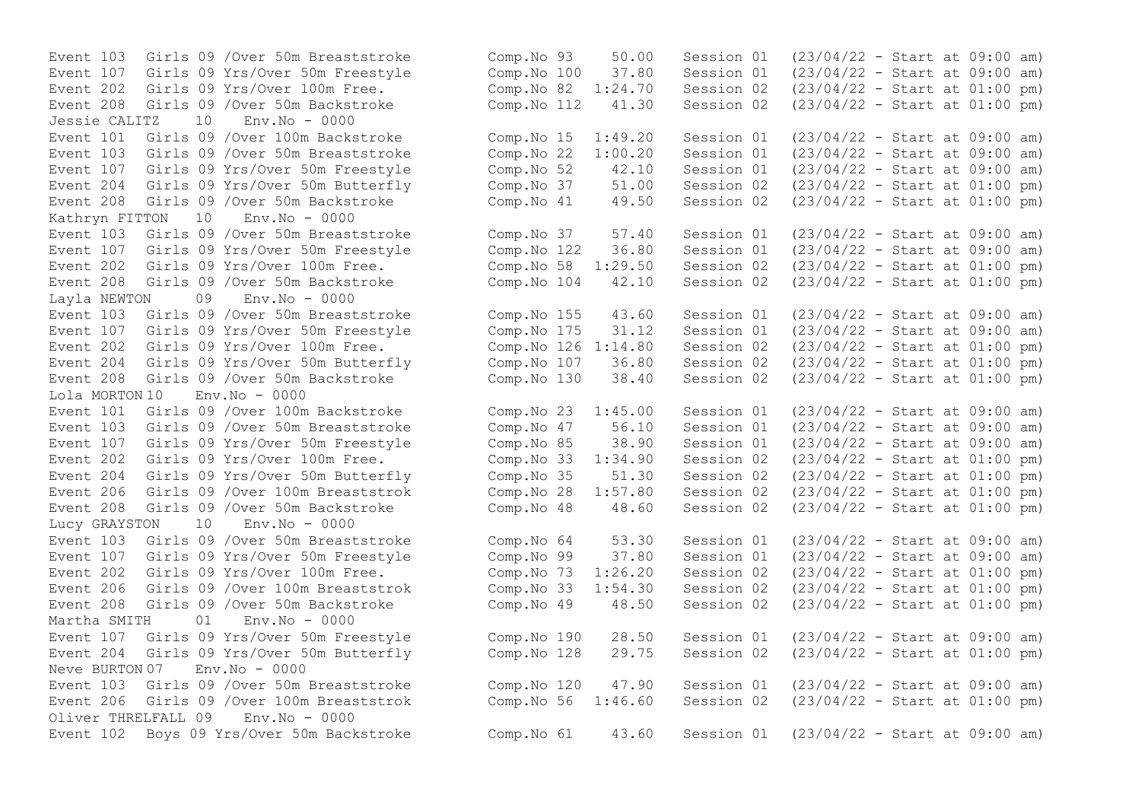Jessie CALITZ 10 Env.No - 0000 Event 204 Girls 09 Yrs/Over 50m Butterfly Comp.No 37 51.00 Session 02 Kathryn FITTON 10 Env.No - 0000 Event 208 Girls 09 /Over 50m Backstroke<br>Layla NEWTON 09 Env.No - 0000  $09$  Env. No - 0000 Event 208 Girls 09 /Over 50m Backstroke Comp.No 130 38.40 Session 02 Lola MORTON 10 Env.No - 0000 Event 204 Girls 09 Yrs/Over 50m Butterfly Comp.No 35 51.30 Session 02 Event 208 Girls 09 /Over 50m Backstroke Comp.No 48 48.60 Session 02 Lucy GRAYSTON 10 Env.No - 0000 Martha SMITH 01 Env.No - 0000  $N$ eve BURTON 07 Env.  $N$ o - 0000 Oliver THRELFALL 09 Env.No - 0000

Event 103 Girls 09 /Over 50m Breaststroke Comp.No 93 50.00 Session 01 (23/04/22 - Start at 09:00 am)<br>Event 107 Girls 09 Yrs/Over 50m Freestyle Comp.No 100 37.80 Session 01 (23/04/22 - Start at 09:00 am) Event 107 Girls 09 Yrs/Over 50m Freestyle Comp.No 100 37.80 Session 01 (23/04/22 - Start at 09:00 am) Event 202 Girls 09 Yrs/Over 100m Free. Comp.No 82 1:24.70 Session 02 (23/04/22 - Start at 01:00 pm) Event 208 Girls 09 /Over 50m Backstroke Comp.No 112 41.30 Session 02 (23/04/22 - Start at 01:00 pm) Event 101 Girls 09 /Over 100m Backstroke Comp.No 15 1:49.20 Session 01 (23/04/22 - Start at 09:00 am)<br>Event 103 Girls 09 /Over 50m Breaststroke Comp.No 22 1:00.20 Session 01 (23/04/22 - Start at 09:00 am) Event 103 Girls 09 /Over 50m Breaststroke Comp. No 22 1:00.20 Session 01 (23/04/22 - Start at 09:00 am)<br>Event 107 Girls 09 Yrs/Over 50m Freestyle Comp. No 52 42.10 Session 01 (23/04/22 - Start at 09:00 am) Event 107 Girls 09 Yrs/Over 50m Freestyle Comp. No 52 42.10 Session 01 (23/04/22 - Start at 09:00 am)<br>Event 204 Girls 09 Yrs/Over 50m Butterfly Comp. No 37 51.00 Session 02 (23/04/22 - Start at 01:00 pm) Event 208 Girls 09 /Over 50m Backstroke Comp.No 41 49.50 Session 02 (23/04/22 - Start at 01:00 pm) Event 103 Girls 09 /Over 50m Breaststroke Comp.No 37 57.40 Session 01 (23/04/22 - Start at 09:00 am) Event 107 Girls 09 Yrs/Over 50m Freestyle Comp.No 122 36.80 Session 01 (23/04/22 - Start at 09:00 am) Event 202 Girls 09 Yrs/Over 100m Free. Comp.No 58 1:29.50 Session 02 (23/04/22 - Start at 01:00 pm)<br>Event 208 Girls 09 /Over 50m Backstroke Comp.No 104 42.10 Session 02 (23/04/22 - Start at 01:00 pm) Event 103 Girls 09 /Over 50m Breaststroke Comp.No 155 43.60 Session 01 (23/04/22 - Start at 09:00 am) Event 107 Girls 09 Yrs/Over 50m Freestyle Comp.No 175 31.12 Session 01 (23/04/22 - Start at 09:00 am) Event 202 Girls 09 Yrs/Over 100m Free.<br>
Event 204 Girls 09 Yrs/Over 50m Butterfly Comp.No 107 36.80 Session 02 (23/04/22 - Start at 01:00 pm) Event 204 Girls 09 Yrs/Over 50m Butterfly Comp.No 107 36.80 Session 02 (23/04/22 - Start at 01:00 pm)<br>Event 208 Girls 09 /Over 50m Backstroke Comp.No 130 38.40 Session 02 (23/04/22 - Start at 01:00 pm) Event 101 Girls 09 /Over 100m Backstroke Comp.No 23 1:45.00 Session 01 (23/04/22 - Start at 09:00 am) Event 103 Girls 09 /Over 50m Breaststroke Comp.No 47 56.10 Session 01 (23/04/22 - Start at 09:00 am) Event 107 Girls 09 Yrs/Over 50m Freestyle Comp.No 85 38.90 Session 01 (23/04/22 - Start at 09:00 am)<br>Event 202 Girls 09 Yrs/Over 100m Free. Comp.No 33 1:34.90 Session 02 (23/04/22 - Start at 01:00 pm) Event 202 Girls 09 Yrs/Over 100m Free.<br>
Event 204 Girls 09 Yrs/Over 50m Butterfly (Comp.No 35 51.30 Session 02 (23/04/22 - Start at 01:00 pm) Event 206 Girls 09 /Over 100m Breaststrok Comp.No 28 1:57.80 Session 02 (23/04/22 - Start at 01:00 pm)<br>Event 208 Girls 09 /Over 50m Backstroke Comp.No 48 48.60 Session 02 (23/04/22 - Start at 01:00 pm) Event 103 Girls 09 /Over 50m Breaststroke Comp.No 64 53.30 Session 01 (23/04/22 - Start at 09:00 am) Event 107 Girls 09 Yrs/Over 50m Freestyle Comp.No 99 37.80 Session 01 (23/04/22 - Start at 09:00 am) Event 202 Girls 09 Yrs/Over 100m Free. Comp.No 73 1:26.20 Session 02 (23/04/22 - Start at 01:00 pm) Event 206 Girls 09 /Over 100m Breaststrok Comp.No 33 1:54.30 Session 02 (23/04/22 - Start at 01:00 pm) Event 208 Girls 09 /Over 50m Backstroke Comp.No 49 48.50 Session 02 (23/04/22 - Start at 01:00 pm) Event 107 Girls 09 Yrs/Over 50m Freestyle Comp.No 190 28.50 Session 01 (23/04/22 - Start at 09:00 am) Event 204 Girls 09 Yrs/Over 50m Butterfly Comp.No 128 29.75 Session 02 (23/04/22 - Start at 01:00 pm) Event 103 Girls 09 /Over 50m Breaststroke Comp. No 120 47.90 Session 01 (23/04/22 - Start at 09:00 am)<br>Event 206 Girls 09 /Over 100m Breaststrok Comp. No 56 1:46.60 Session 02 (23/04/22 - Start at 01:00 pm) Event 206 Girls 09 /Over 100m Breaststrok Comp.No 56 1:46.60 Session 02 (23/04/22 - Start at 01:00 pm) Event 102 Boys 09 Yrs/Over 50m Backstroke Comp.No 61 43.60 Session 01 (23/04/22 - Start at 09:00 am)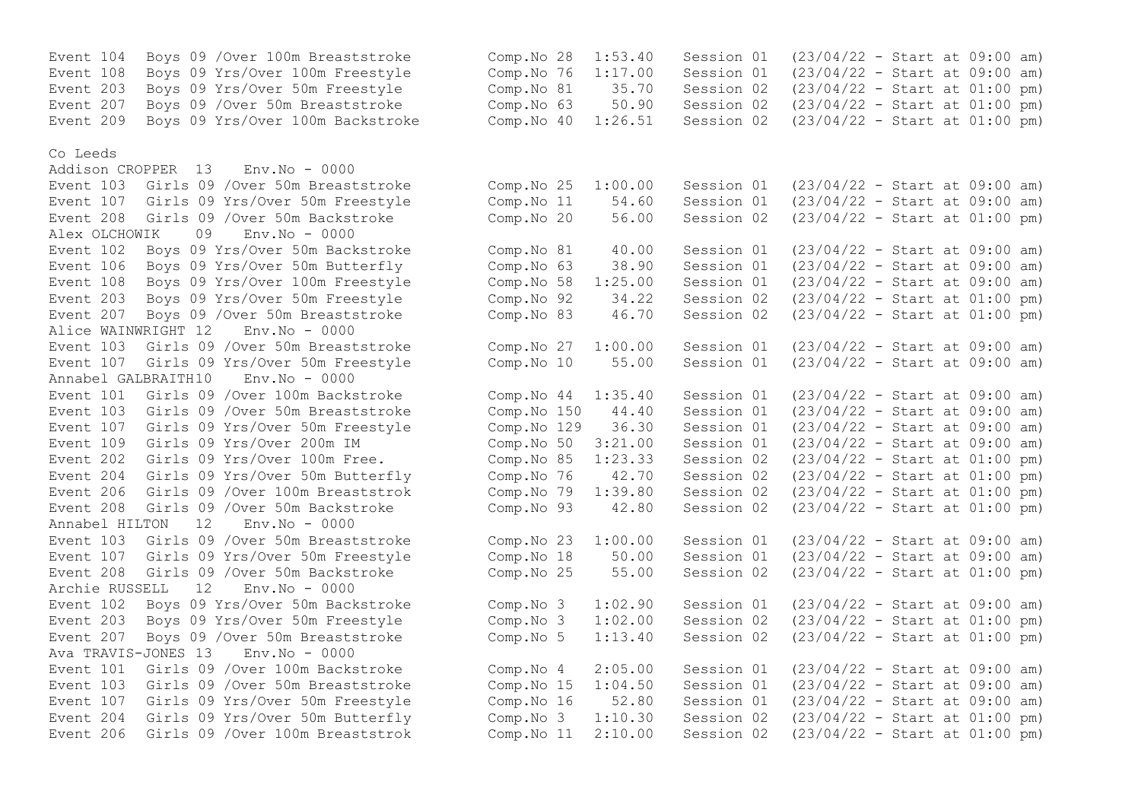| Event 104                      | Boys 09 / Over 100m Breaststroke           | Comp.No 28               | 1:53.40 | Session 01 | $(23/04/22 - Start at 09:00 am)$ |  |
|--------------------------------|--------------------------------------------|--------------------------|---------|------------|----------------------------------|--|
| Event 108                      | Boys 09 Yrs/Over 100m Freestyle            | Comp.No 76               | 1:17.00 | Session 01 | $(23/04/22 - Start at 09:00 am)$ |  |
| Event 203                      | Boys 09 Yrs/Over 50m Freestyle             | Comp.No 81               | 35.70   | Session 02 | $(23/04/22 - Start at 01:00 pm)$ |  |
| Event 207                      | Boys 09 / Over 50m Breaststroke            | Comp.No 63               | 50.90   | Session 02 | $(23/04/22 - Start at 01:00 pm)$ |  |
| Event 209                      | Boys 09 Yrs/Over 100m Backstroke           | Comp.No 40               | 1:26.51 | Session 02 | $(23/04/22 - Start at 01:00 pm)$ |  |
|                                |                                            |                          |         |            |                                  |  |
| Co Leeds<br>Addison CROPPER 13 | $Env.No - 0000$                            |                          |         |            |                                  |  |
|                                | Event 103 Girls 09 / Over 50m Breaststroke |                          | 1:00.00 | Session 01 | $(23/04/22 - Start at 09:00 am)$ |  |
|                                | Event 107 Girls 09 Yrs/Over 50m Freestyle  | Comp.No 25<br>Comp.No 11 | 54.60   | Session 01 | $(23/04/22 - Start at 09:00 am)$ |  |
| Event 208                      | Girls 09 / Over 50m Backstroke             | Comp.No 20               | 56.00   | Session 02 | $(23/04/22 - Start at 01:00 pm)$ |  |
|                                | 09<br>$Env.No - 0000$                      |                          |         |            |                                  |  |
| Alex OLCHOWIK                  |                                            |                          |         |            |                                  |  |
| Event 102                      | Boys 09 Yrs/Over 50m Backstroke            | Comp.No 81               | 40.00   | Session 01 | $(23/04/22 - Start at 09:00 am)$ |  |
| Event 106                      | Boys 09 Yrs/Over 50m Butterfly             | Comp.No 63               | 38.90   | Session 01 | $(23/04/22 - Start at 09:00 am)$ |  |
| Event 108                      | Boys 09 Yrs/Over 100m Freestyle            | Comp.No 58               | 1:25.00 | Session 01 | $(23/04/22 - Start at 09:00 am)$ |  |
| Event 203                      | Boys 09 Yrs/Over 50m Freestyle             | Comp.No 92               | 34.22   | Session 02 | $(23/04/22 - Start at 01:00 pm)$ |  |
| Event 207                      | Boys 09 / Over 50m Breaststroke            | Comp.No 83               | 46.70   | Session 02 | $(23/04/22 - Start at 01:00 pm)$ |  |
| Alice WAINWRIGHT 12            | $Env.No - 0000$                            |                          |         |            |                                  |  |
| Event 103                      | Girls 09 / Over 50m Breaststroke           | Comp.No 27               | 1:00.00 | Session 01 | $(23/04/22 - Start at 09:00 am)$ |  |
| Event 107                      | Girls 09 Yrs/Over 50m Freestyle            | Comp.No 10               | 55.00   | Session 01 | $(23/04/22 - Start at 09:00 am)$ |  |
| Annabel GALBRAITH10            | $Env.No - 0000$                            |                          |         |            |                                  |  |
| Event 101                      | Girls 09 / Over 100m Backstroke            | Comp.No 44               | 1:35.40 | Session 01 | $(23/04/22 - Start at 09:00 am)$ |  |
| Event 103                      | Girls 09 / Over 50m Breaststroke           | Comp.No 150              | 44.40   | Session 01 | $(23/04/22 - Start at 09:00 am)$ |  |
| Event 107                      | Girls 09 Yrs/Over 50m Freestyle            | Comp.No 129              | 36.30   | Session 01 | $(23/04/22 - Start at 09:00 am)$ |  |
| Event 109                      | Girls 09 Yrs/Over 200m IM                  | Comp.No 50               | 3:21.00 | Session 01 | $(23/04/22 - Start at 09:00 am)$ |  |
| Event 202                      | Girls 09 Yrs/Over 100m Free.               | Comp.No 85               | 1:23.33 | Session 02 | $(23/04/22 - Start at 01:00 pm)$ |  |
| Event 204                      | Girls 09 Yrs/Over 50m Butterfly            | Comp.No 76               | 42.70   | Session 02 | $(23/04/22 - Start at 01:00 pm)$ |  |
| Event 206                      | Girls 09 / Over 100m Breaststrok           | Comp.No 79               | 1:39.80 | Session 02 | $(23/04/22 - Start at 01:00 pm)$ |  |
| Event 208                      | Girls 09 / Over 50m Backstroke             | Comp.No 93               | 42.80   | Session 02 | $(23/04/22 - Start at 01:00 pm)$ |  |
| Annabel HILTON                 | 12<br>$Env.No - 0000$                      |                          |         |            |                                  |  |
| Event 103                      | Girls 09 / Over 50m Breaststroke           | Comp.No 23               | 1:00.00 | Session 01 | $(23/04/22 - Start at 09:00 am)$ |  |
| Event 107                      | Girls 09 Yrs/Over 50m Freestyle            | Comp.No 18               | 50.00   | Session 01 | $(23/04/22 - Start at 09:00 am)$ |  |
| Event 208                      | Girls 09 / Over 50m Backstroke             | Comp.No 25               | 55.00   | Session 02 | $(23/04/22 - Start at 01:00 pm)$ |  |
| Archie RUSSELL                 | 12<br>$Env.No - 0000$                      |                          |         |            |                                  |  |
| Event 102                      | Boys 09 Yrs/Over 50m Backstroke            | Comp.No 3                | 1:02.90 | Session 01 | $(23/04/22 - Start at 09:00 am)$ |  |
| Event 203                      | Boys 09 Yrs/Over 50m Freestyle             | Comp.No 3                | 1:02.00 | Session 02 | $(23/04/22 - Start at 01:00 pm)$ |  |
| Event 207                      | Boys 09 / Over 50m Breaststroke            | Comp.No 5                | 1:13.40 | Session 02 | $(23/04/22 - Start at 01:00 pm)$ |  |
| Ava TRAVIS-JONES 13            | $Env.No - 0000$                            |                          |         |            |                                  |  |
| Event 101                      | Girls 09 / Over 100m Backstroke            | Comp.No 4                | 2:05.00 | Session 01 | $(23/04/22 - Start at 09:00 am)$ |  |
| Event 103                      | Girls 09 / Over 50m Breaststroke           | Comp.No 15               | 1:04.50 | Session 01 | $(23/04/22 - Start at 09:00 am)$ |  |
| Event 107                      | Girls 09 Yrs/Over 50m Freestyle            | Comp.No 16               | 52.80   | Session 01 | $(23/04/22 - Start at 09:00 am)$ |  |
| Event 204                      | Girls 09 Yrs/Over 50m Butterfly            | Comp.No 3                | 1:10.30 | Session 02 | $(23/04/22 - Start at 01:00 pm)$ |  |
| Event 206                      | Girls 09 / Over 100m Breaststrok           | Comp.No 11               | 2:10.00 | Session 02 | $(23/04/22 - Start at 01:00 pm)$ |  |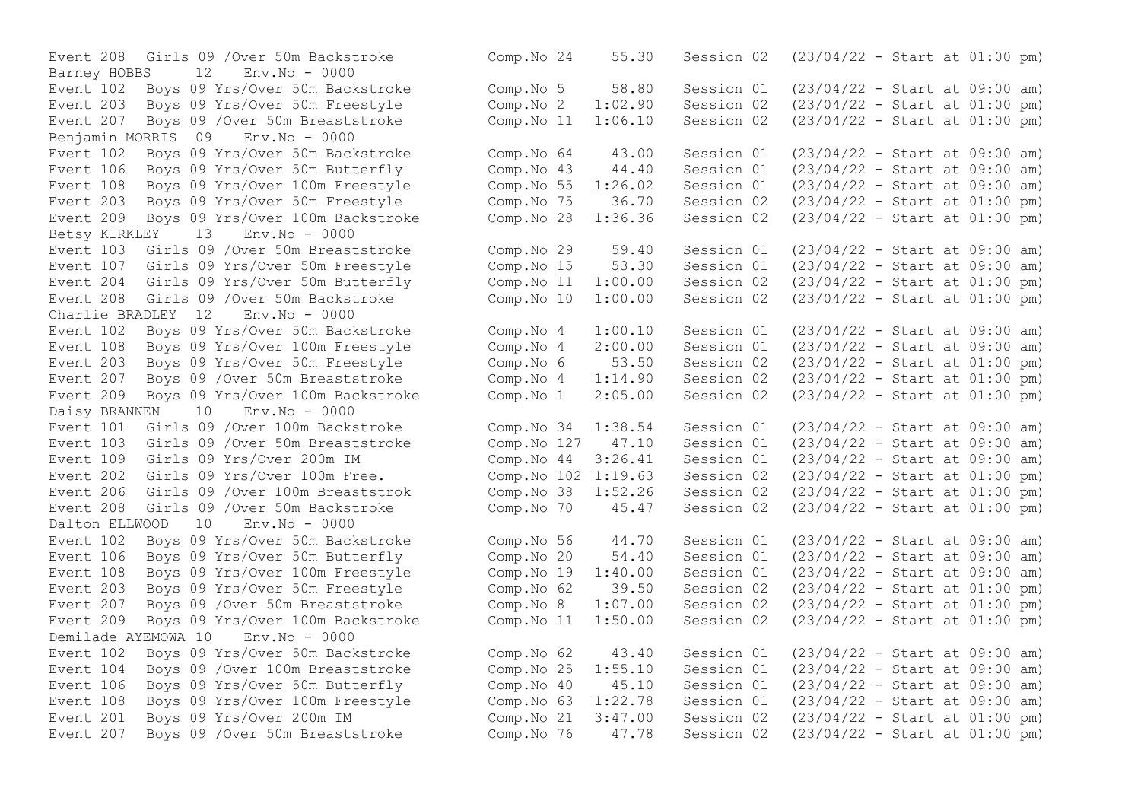Event 208 Girls 09 /Over 50m Backstroke Barney HOBBS 12 Env.No - 0000 Event 102 Boys 09 Yrs/Over 50m Backstroke Event 203 Boys 09 Yrs/Over 50m Freestyle Event 207 Boys 09 / Over 50m Breaststroke Benjamin MORRIS 09 Env.No - 0000 Event 102 Boys 09 Yrs/Over 50m Backstroke Event 106 Boys 09 Yrs/Over 50m Butterfly Event 108 Boys 09 Yrs/Over 100m Freestyle Event 203 Boys 09 Yrs/Over 50m Freestyle Event 209 Boys 09 Yrs/Over 100m Backstroke Betsy KIRKLEY 13 Env.No - 0000 Event 103 Girls 09 /Over 50m Breaststroke Event 107 Girls 09 Yrs/Over 50m Freestyle Event 204 Girls 09 Yrs/Over 50m Butterfly Event 208 Girls 09 /Over 50m Backstroke Charlie BRADLEY 12 Env.No - 0000 Event 102 Boys 09 Yrs/Over 50m Backstroke Event 108 Boys 09 Yrs/Over 100m Freestyle Event 203 Boys 09 Yrs/Over 50m Freestyle Event 207 Boys 09 / Over 50m Breaststroke Event 209 Boys 09 Yrs/Over 100m Backstroke Daisy BRANNEN 10 Env.No - 0000 Event 101 Girls 09 /Over 100m Backstroke Event 103 Girls 09 /Over 50m Breaststroke Event 109 Girls 09 Yrs/Over 200m IM Event 202 Girls 09 Yrs/Over 100m Free. Event 206 Girls 09 /Over 100m Breaststrok Event 208 Girls 09 /Over 50m Backstroke Dalton ELLWOOD 10 Env.No - 0000 Event 102 Boys 09 Yrs/Over 50m Backstroke Event 106 Boys 09 Yrs/Over 50m Butterfly Event 108 Boys 09 Yrs/Over 100m Freestyle Event 203 Boys 09 Yrs/Over 50m Freestyle Event 207 Boys 09 / Over 50 mBreaststroke Event 209 Boys 09 Yrs/Over 100m Backstroke Demilade AYEMOWA 10 Env.No - 0000 Event 102 Boys 09 Yrs/Over 50m Backstroke Event 104 Boys 09 / Over 100m Breaststroke Event 106 Boys 09 Yrs/Over 50m Butterfly Event 108 Boys 09 Yrs/Over 100m Freestyle Event 201 Boys 09 Yrs/Over 200m IM Event 207 Boys 09 / Over 50 mBreaststroke

| Comp.No 24  | 55.30   | Session 02 | $(23/04/22 - Start at 01:00 pm)$ |  |  |     |
|-------------|---------|------------|----------------------------------|--|--|-----|
| Comp.No 5   | 58.80   | Session 01 | $(23/04/22 - Start at 09:00 am)$ |  |  |     |
| Comp. No 2  | 1:02.90 | Session 02 | (23/04/22 - Start at 01:00 pm)   |  |  |     |
| Comp.No 11  | 1:06.10 | Session 02 | $(23/04/22 - Start at 01:00 pm)$ |  |  |     |
| Comp.No 64  | 43.00   | Session 01 | $(23/04/22 - Start at 09:00$     |  |  | am) |
| Comp.No 43  | 44.40   | Session 01 | $(23/04/22 - Start at 09:00$     |  |  | am) |
| Comp.No 55  | 1:26.02 | Session 01 | $(23/04/22 - Start at 09:00$     |  |  | am) |
| Comp.No 75  | 36.70   | Session 02 | $(23/04/22 - Start at 01:00$     |  |  | pm) |
| Comp.No 28  | 1:36.36 | Session 02 | $(23/04/22 - Start at 01:00 pm)$ |  |  |     |
| Comp.No 29  | 59.40   | Session 01 | $(23/04/22 - Start at 09:00$     |  |  | am) |
| Comp.No 15  | 53.30   | Session 01 | $(23/04/22 - Start at 09:00$     |  |  | am) |
| Comp.No 11  | 1:00.00 | Session 02 | $(23/04/22 - Start at 01:00$     |  |  | pm) |
| Comp.No 10  | 1:00.00 | Session 02 | $(23/04/22 - Start at 01:00 pm)$ |  |  |     |
| Comp. No 4  | 1:00.10 | Session 01 | $(23/04/22 - Start at 09:00$     |  |  | am) |
| Comp.No 4   | 2:00.00 | Session 01 | $(23/04/22 - Start at 09:00$     |  |  | am) |
| Comp.No 6   | 53.50   | Session 02 | $(23/04/22 - Start at 01:00$     |  |  | pm) |
| Comp.No 4   | 1:14.90 | Session 02 | $(23/04/22 - Start at 01:00 pm)$ |  |  |     |
| Comp.No 1   | 2:05.00 | Session 02 | $(23/04/22 - Start at 01:00 pm)$ |  |  |     |
| Comp.No 34  | 1:38.54 | Session 01 | $(23/04/22 - Start at 09:00$     |  |  | am) |
| Comp.No 127 | 47.10   | Session 01 | $(23/04/22 - Start at 09:00$     |  |  | am) |
| Comp.No 44  | 3:26.41 | Session 01 | $(23/04/22 - Start at 09:00$     |  |  | am) |
| Comp.No 102 | 1:19.63 | Session 02 | $(23/04/22 - Start at 01:00$     |  |  | pm) |
| Comp.No 38  | 1:52.26 | Session 02 | $(23/04/22 - Start at 01:00$     |  |  | pm) |
| Comp.No 70  | 45.47   | Session 02 | $(23/04/22 - Start at 01:00 pm)$ |  |  |     |
| Comp.No 56  | 44.70   | Session 01 | $(23/04/22 - Start at 09:00 am)$ |  |  |     |
| Comp.No 20  | 54.40   | Session 01 | $(23/04/22 - Start at 09:00$     |  |  | am) |
| Comp.No 19  | 1:40.00 | Session 01 | $(23/04/22 - Start at 09:00$     |  |  | am) |
| Comp.No 62  | 39.50   | Session 02 | $(23/04/22 - Start at 01:00$     |  |  | pm) |
| Comp.No 8   | 1:07.00 | Session 02 | $(23/04/22 - Start at 01:00 pm)$ |  |  |     |
| Comp.No 11  | 1:50.00 | Session 02 | $(23/04/22 - Start at 01:00 pm)$ |  |  |     |
| Comp.No 62  | 43.40   | Session 01 | $(23/04/22 - Start at 09:00$     |  |  | am) |
| Comp.No 25  | 1:55.10 | Session 01 | $(23/04/22 - Start at 09:00$     |  |  | am) |
| Comp.No 40  | 45.10   | Session 01 | $(23/04/22 - Start at 09:00$     |  |  | am) |
| Comp.No 63  | 1:22.78 | Session 01 | $(23/04/22 - Start at 09:00$     |  |  | am) |
| Comp.No 21  | 3:47.00 | Session 02 | $(23/04/22 - Start at 01:00$     |  |  | pm) |
| Comp.No 76  | 47.78   | Session 02 | $(23/04/22 - Start at 01:00 pm)$ |  |  |     |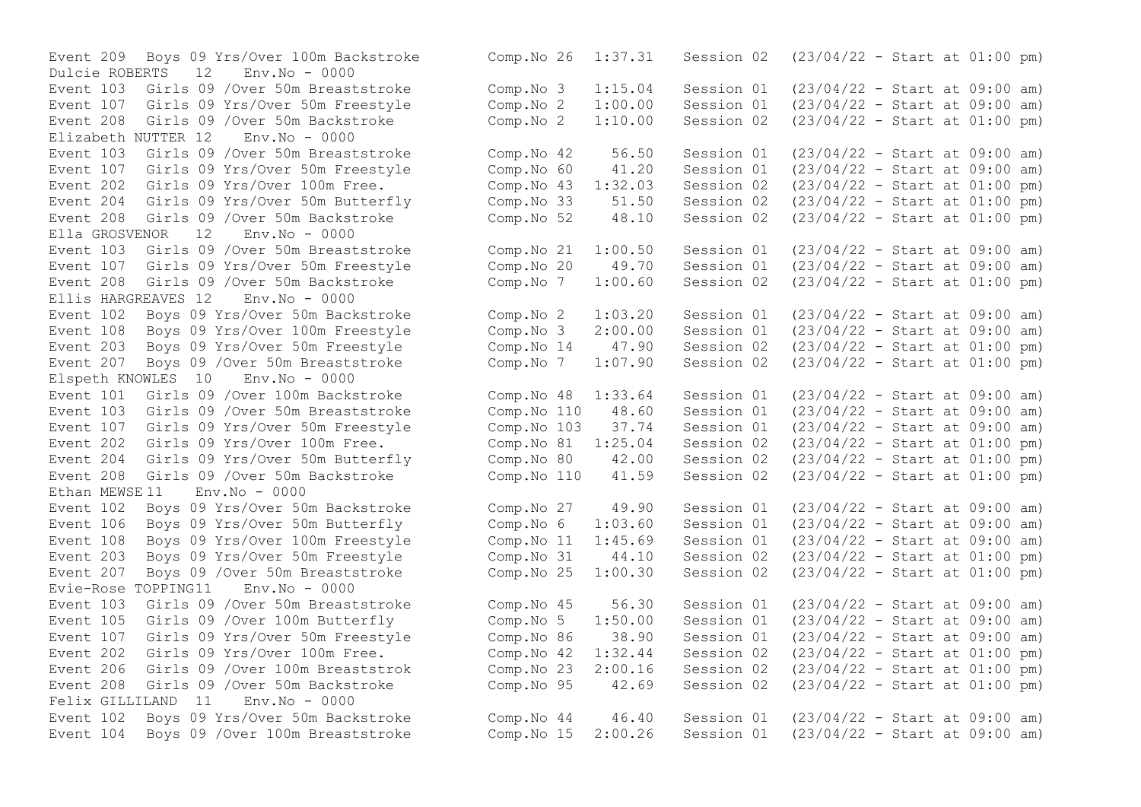Dulcie ROBERTS - 12 Event 208 Girls 09 /Over 50m Backstroke Comp.No 2 1:10.00 Session 02  $E1izabeth NIITTER 12$   $Enx No - 0000$ Event 204 Girls 09 Yrs/Over 50m Butterfly Comp.No 33 51.50 Session 02 Ella GROSVENOR 12 Env.No - 0000 Event 208 Girls 09 /Over 50m Backstroke Ellis HARGREAVES 12 Env.No - 0000 Event 207 Boys 09 / Over 50m Breaststroke Comp.No 7 1:07.90 Session 02 Elspeth KNOWLES 10 Env.No - 0000 Event 103 Girls 09 /Over 50m Breaststroke Comp.No 110 48.60 Session 01 Event 204 Girls 09 Yrs/Over 50m Butterfly Comp.No 80 42.00 Session 02 Ethan  $MEWSE 11$   $Env.No - 0000$ Evie-Rose TOPPING11 Env.No - 0000 Felix GILLILAND 11 Env. No - 0000

Event 209 Boys 09 Yrs/Over 100m Backstroke Comp. No 26 1:37.31 Session 02 (23/04/22 - Start at 01:00 pm)<br>Dulcie ROBERTS 12 Env. No - 0000 Event 103 Girls 09 /Over 50m Breaststroke Comp.No 3 1:15.04 Session 01 (23/04/22 - Start at 09:00 am) Event 107 Girls 09 Yrs/Over 50m Freestyle Comp.No 2 1:00.00 Session 01 (23/04/22 - Start at 09:00 am)<br>Event 208 Girls 09 /Over 50m Backstroke Comp.No 2 1:10.00 Session 02 (23/04/22 - Start at 01:00 pm) Event 103 Girls 09 /Over 50m Breaststroke Comp.No 42 56.50 Session 01 (23/04/22 - Start at 09:00 am)<br>Event 107 Girls 09 Yrs/Over 50m Freestyle Comp.No 60 41.20 Session 01 (23/04/22 - Start at 09:00 am) Event 107 Girls 09 Yrs/Over 50m Freestyle Comp. No 60 41.20 Session 01 (23/04/22 - Start at 09:00 am)<br>Event 202 Girls 09 Yrs/Over 100m Free. Comp. No 43 1:32.03 Session 02 (23/04/22 - Start at 01:00 pm) Event 202 Girls 09 Yrs/Over 100m Free. Comp.No 43 1:32.03 Session 02 (23/04/22 - Start at 01:00 pm)<br>Event 204 Girls 09 Yrs/Over 50m Butterfly Comp.No 33 51.50 Session 02 (23/04/22 - Start at 01:00 pm) Event 208 Girls 09 /Over 50m Backstroke Comp.No 52 48.10 Session 02 (23/04/22 - Start at 01:00 pm) Event 103 Girls 09 /Over 50m Breaststroke Comp.No 21 1:00.50 Session 01 (23/04/22 - Start at 09:00 am) Event 107 Girls 09 Yrs/Over 50m Freestyle Comp.No 20 49.70 Session 01 (23/04/22 - Start at 09:00 am)<br>Event 208 Girls 09 /Over 50m Backstroke Comp.No 7 1:00.60 Session 02 (23/04/22 - Start at 01:00 pm) Event 102 Boys 09 Yrs/Over 50m Backstroke Comp.No 2 1:03.20 Session 01 (23/04/22 - Start at 09:00 am)<br>Event 108 Boys 09 Yrs/Over 100m Freestyle Comp.No 3 2:00.00 Session 01 (23/04/22 - Start at 09:00 am) Event 108 Boys 09 Yrs/Over 100m Freestyle Comp.No 3 2:00.00 Session 01 (23/04/22 - Start at 09:00 am)<br>Event 203 Boys 09 Yrs/Over 50m Freestyle Comp.No 14 47.90 Session 02 (23/04/22 - Start at 01:00 pm) Event 203 Boys 09 Yrs/Over 50m Freestyle Comp.No 14 47.90 Session 02 (23/04/22 - Start at 01:00 pm)<br>Event 207 Boys 09 /Over 50m Breaststroke Comp.No 7 1:07.90 Session 02 (23/04/22 - Start at 01:00 pm) Event 101 Girls 09 /Over 100m Backstroke (Comp. No 48 1:33.64 Session 01 (23/04/22 - Start at 09:00 am)<br>Event 103 Girls 09 /Over 50m Breaststroke (Comp. No 110 48.60 Session 01 (23/04/22 - Start at 09:00 am) Event 107 Girls 09 Yrs/Over 50m Freestyle Comp.No 103 37.74 Session 01 (23/04/22 - Start at 09:00 am) Event 202 Girls 09 Yrs/Over 100m Free.<br>
Event 204 Girls 09 Yrs/Over 50m Butterfly Comp.No 80 42.00 Session 02 (23/04/22 - Start at 01:00 pm) Event 208 Girls 09 /Over 50m Backstroke Comp.No 110 41.59 Session 02 (23/04/22 - Start at 01:00 pm) Event 102 Boys 09 Yrs/Over 50m Backstroke Comp.No 27 49.90 Session 01 (23/04/22 - Start at 09:00 am) Event 106 Boys 09 Yrs/Over 50m Butterfly Comp.No 6 1:03.60 Session 01 (23/04/22 - Start at 09:00 am) Event 108 Boys 09 Yrs/Over 100m Freestyle Comp.No 11 1:45.69 Session 01 (23/04/22 - Start at 09:00 am) Event 203 Boys 09 Yrs/Over 50m Freestyle Comp.No 31 44.10 Session 02 (23/04/22 - Start at 01:00 pm) Event 207 Boys 09 /Over 50m Breaststroke Comp.No 25 1:00.30 Session 02 (23/04/22 - Start at 01:00 pm) Event 103 Girls 09 /Over 50m Breaststroke Comp.No 45 56.30 Session 01 (23/04/22 - Start at 09:00 am) Event 105 Girls 09 /Over 100m Butterfly Comp.No 5 1:50.00 Session 01 (23/04/22 - Start at 09:00 am) Event 107 Girls 09 Yrs/Over 50m Freestyle Comp.No 86 38.90 Session 01 (23/04/22 - Start at 09:00 am) Event 202 Girls 09 Yrs/Over 100m Free. Comp.No 42 1:32.44 Session 02 (23/04/22 - Start at 01:00 pm) Event 206 Girls 09 /Over 100m Breaststrok Comp.No 23 2:00.16 Session 02 (23/04/22 - Start at 01:00 pm) Event 208 Girls 09 /Over 50m Backstroke Comp.No 95 42.69 Session 02 (23/04/22 - Start at 01:00 pm) Event 102 Boys 09 Yrs/Over 50m Backstroke Comp.No 44 46.40 Session 01 (23/04/22 - Start at 09:00 am) Event 104 Boys 09 /Over 100m Breaststroke Comp.No 15 2:00.26 Session 01 (23/04/22 - Start at 09:00 am)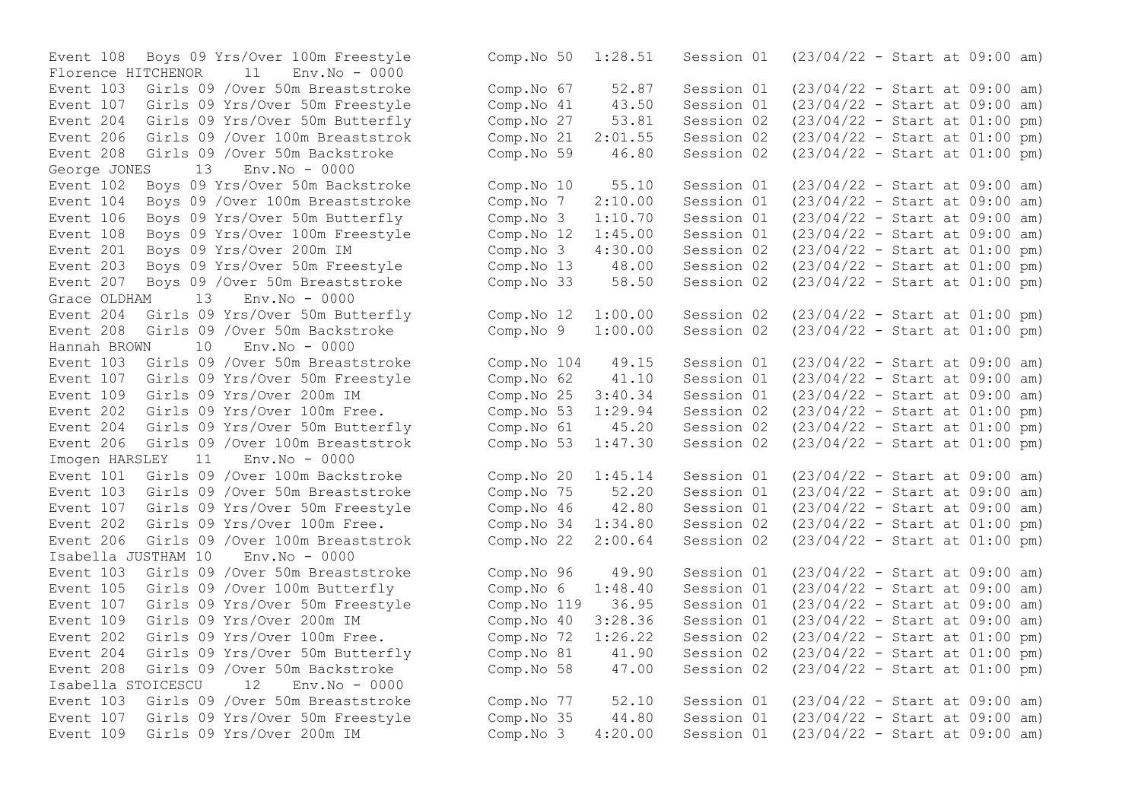Florence HITCHENOR 11 Event 208 Girls 09 /Over 50m Backstroke George JONES 13 Env.No - 0000<br>Event 102 Boys 09 Yrs/Over 50m Backstroke Event 106 Boys 09 Yrs/Over 50m Butterfly Comp.No 3 1:10.70 Session 01 Event 207 Boys 09 /Over 50m Breaststroke<br>Grace OLDHAM 13 Fnv.No - 0000 Grace OLDHAM 13 Env.No - 0000 Hannah BROWN 10 Env.No - 0000 Event 107 Girls 09 Yrs/Over 50m Freestyle Comp.No 62  $-41.10$  Session 01<br>Event 109 Girls 09 Yrs/Over 200m IM (23) Comp.No 25 3:40.34 Session 01 Event  $202$  Girls 09 Yrs/Over 100m Free. Imogen HARSLEY 11 Env.No - 0000 Isabella JUSTHAM 10 Env.No - 0000 Event 107 Girls 09 Yrs/Over 50m Freestyle Comp.No 119 36.95 Session 01 Event 204 Girls 09 Yrs/Over 50m Butterfly Comp.No 81 41.90 Session 02 Isabella STOICESCU 12 Env.No - 0000

Event 108 Boys 09 Yrs/Over 100m Freestyle Comp.No 50 1:28.51 Session 01 (23/04/22 - Start at 09:00 am)<br>Florence HITCHENOR 11 Env.No - 0000 Event 103 Girls 09 /Over 50m Breaststroke Comp.No 67 52.87 Session 01 (23/04/22 - Start at 09:00 am) Event 107 Girls 09 Yrs/Over 50m Freestyle Comp.No 41 43.50 Session 01 (23/04/22 - Start at 09:00 am) Event 204 Girls 09 Yrs/Over 50m Butterfly Comp.No 27 53.81 Session 02 (23/04/22 - Start at 01:00 pm)<br>Event 206 Girls 09 /Over 100m Breaststrok Comp.No 21 2:01.55 Session 02 (23/04/22 - Start at 01:00 pm) Event 206 Girls 09 /Over 100m Breaststrok (Comp. No 21 2:01.55 Session 02 (23/04/22 - Start at 01:00 pm)<br>Event 208 Girls 09 /Over 50m Backstroke (Comp. No 59 46.80 Session 02 (23/04/22 - Start at 01:00 pm) Event 102 Boys 09 Yrs/Over 50m Backstroke Comp.No 10 55.10 Session 01 (23/04/22 - Start at 09:00 am) Event 104 Boys 09 /Over 100m Breaststroke Comp.No 7 2:10.00 Session 01 (23/04/22 - Start at 09:00 am)<br>Event 106 Boys 09 Yrs/Over 50m Butterfly Comp.No 3 1:10.70 Session 01 (23/04/22 - Start at 09:00 am) Event 108 Boys 09 Yrs/Over 100m Freestyle Comp.No 12 1:45.00 Session 01 (23/04/22 - Start at 09:00 am)<br>Event 201 Bovs 09 Yrs/Over 200m IM Comp.No 3 4:30.00 Session 02 (23/04/22 - Start at 01:00 pm) Event 201 Boys 09 Yrs/Over 200m IM Comp.No 3 4:30.00 Session 02 (23/04/22 - Start at 01:00 pm) Event 203 Boys 09 Yrs/Over 50m Freestyle Comp.No 13 48.00 Session 02 (23/04/22 - Start at 01:00 pm)<br>Event 207 Boys 09 /Over 50m Breaststroke Comp.No 33 58.50 Session 02 (23/04/22 - Start at 01:00 pm) Event 204 Girls 09 Yrs/Over 50m Butterfly Comp.No 12 1:00.00 Session 02 (23/04/22 - Start at 01:00 pm) Event 208 Girls 09 /Over 50m Backstroke Comp.No 9 1:00.00 Session 02 (23/04/22 - Start at 01:00 pm) Event 103 Girls 09 /Over 50m Breaststroke Comp.No 104 49.15 Session 01 (23/04/22 - Start at 09:00 am)<br>Event 107 Girls 09 Yrs/Over 50m Freestyle Comp.No 62 41.10 Session 01 (23/04/22 - Start at 09:00 am) Event 109 Girls 09 Yrs/Over 200m IM Comp.No 25 3:40.34 Session 01 (23/04/22 - Start at 09:00 am)<br>Event 202 Girls 09 Yrs/Over 100m Free. Comp.No 53 1:29.94 Session 02 (23/04/22 - Start at 01:00 pm) Event 204 Girls 09 Yrs/Over 50m Butterfly Comp.No 61 45.20 Session 02 (23/04/22 - Start at 01:00 pm) Event 206 Girls 09 /Over 100m Breaststrok Comp.No 53 1:47.30 Session 02 (23/04/22 - Start at 01:00 pm) Event 101 Girls 09 /Over 100m Backstroke Comp.No 20 1:45.14 Session 01 (23/04/22 - Start at 09:00 am) Event 103 Girls 09 /Over 50m Breaststroke Comp.No 75 52.20 Session 01 (23/04/22 - Start at 09:00 am)<br>Event 107 Girls 09 Yrs/Over 50m Freestyle Comp.No 46 42.80 Session 01 (23/04/22 - Start at 09:00 am) Event 107 Girls 09 Yrs/Over 50m Freestyle Comp.No 46 42.80 Session 01 (23/04/22 - Start at 09:00 am) Event 202 Girls 09 Yrs/Over 100m Free. Comp.No 34 1:34.80 Session 02 (23/04/22 - Start at 01:00 pm) Event 206 Girls 09 /Over 100m Breaststrok Comp.No 22 2:00.64 Session 02 (23/04/22 - Start at 01:00 pm) Event 103 Girls 09 /Over 50m Breaststroke Comp.No 96 49.90 Session 01 (23/04/22 - Start at 09:00 am) Event 105 Girls 09 /Over 100m Butterfly Comp.No 6 1:48.40 Session 01 (23/04/22 - Start at 09:00 am) Event 109 Girls 09 Yrs/Over 200m IM Comp.No 40 3:28.36 Session 01 (23/04/22 - Start at 09:00 am)<br>Event 202 Girls 09 Yrs/Over 100m Free. Comp.No 72 1:26.22 Session 02 (23/04/22 - Event 202 Girls 09 Yrs/Over 100m Free.<br>
Event 204 Girls 09 Yrs/Over 50m Butterfly (Comp.No 81 41.90 Session 02 (23/04/22 - Start at 01:00 pm) Event 208 Girls 09 /Over 50m Backstroke Comp.No 58 47.00 Session 02 (23/04/22 - Start at 01:00 pm) Event 103 Girls 09 /Over 50m Breaststroke Comp.No 77 52.10 Session 01 (23/04/22 - Start at 09:00 am) Event 107 Girls 09 Yrs/Over 50m Freestyle Comp.No 35 44.80 Session 01 (23/04/22 - Start at 09:00 am) Event 109 Girls 09 Yrs/Over 200m IM Comp.No 3 4:20.00 Session 01 (23/04/22 - Start at 09:00 am)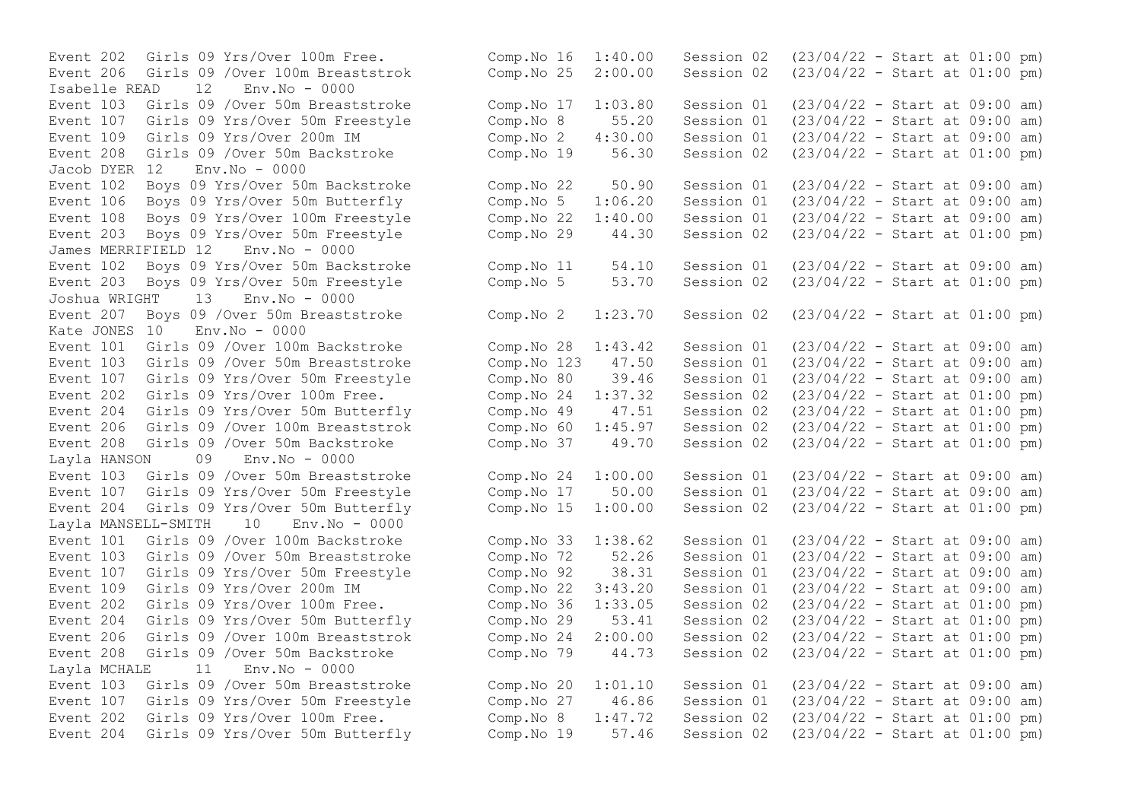Event 206 Girls 09 /Over 100m Breaststrok Comp. No  $25$   $2:00.00$  Session 02 Isabelle READ 12 Env.No - 0000 Event 208 Girls 09 /Over 50m Backstroke Jacob DYER 12 Env.No - 0000 Event 203 Boys 09 Yrs/Over 50m Freestyle Comp.No 29 44.30 Session 02 James MERRIFIELD 12 Env.No - 0000 Event 203 Boys 09 Yrs/Over 50m Freestyle<br>Joshua WRIGHT 13. Env.No - 0000 Joshua WRIGHT Kate JONES 10 Env.No - 0000 Event 206 Girls 09 / Over 100m Breaststrok Comp.No 60 1:45.97 Session 02 Layla HANSON 09 Env.No - 0000 Layla MANSELL-SMITH 10 Env.No - 0000 Layla MCHALE 11 Env.No - 0000

```
Event 202 Girls 09 Yrs/Over 100m Free. Comp.No 16 1:40.00 Session 02 (23/04/22 - Start at 01:00 pm)<br>Event 206 Girls 09 /Over 100m Breaststrok Comp.No 25 2:00.00 Session 02 (23/04/22 - Start at 01:00 pm)
Event 103 Girls 09 /Over 50m Breaststroke Comp.No 17 1:03.80 Session 01 (23/04/22 - Start at 09:00 am)
Event 107 Girls 09 Yrs/Over 50m Freestyle Comp.No 8 55.20 Session 01 (23/04/22 - Start at 09:00 am)
Event 109 Girls 09 Yrs/Over 200m IM Comp.No 2 4:30.00 Session 01 (23/04/22 - Start at 09:00 am)
Event 102 Boys 09 Yrs/Over 50m Backstroke Comp.No 22 50.90 Session 01 (23/04/22 - Start at 09:00 am)
Event 106 Boys 09 Yrs/Over 50m Butterfly Comp.No 5 1:06.20 Session 01 (23/04/22 - Start at 09:00 am)
Event 108 Boys 09 Yrs/Over 100m Freestyle Comp.No 22 1:40.00 Session 01 (23/04/22 - Start at 09:00 am)
Event 102 Boys 09 Yrs/Over 50m Backstroke Comp.No 11 54.10 Session 01 (23/04/22 - Start at 09:00 am)<br>Event 203 Boys 09 Yrs/Over 50m Freestyle Comp.No 5 53.70 Session 02 (23/04/22 - Start at 01:00 pm)
Event 207 Boys 09 /Over 50m Breaststroke Comp.No 2 1:23.70 Session 02 (23/04/22 - Start at 01:00 pm)
Event 101 Girls 09 /Over 100m Backstroke Comp.No 28 1:43.42 Session 01 (23/04/22 - Start at 09:00 am)
Event 103 Girls 09 /Over 50m Breaststroke Comp.No 123 47.50 Session 01 (23/04/22 - Start at 09:00 am)<br>Event 107 Girls 09 Yrs/Over 50m Freestyle Comp.No 80 39.46 Session 01 (23/04/22 - Start at 09:00 am)
Event 107 Girls 09 Yrs/Over 50m Freestyle Comp.No 80 39.46 Session 01 (23/04/22 - Start at 09:00 am)
Event 202 Girls 09 Yrs/Over 100m Free.<br>
Event 204 Girls 09 Yrs/Over 50m Butterfly Comp.No 49 47.51 Session 02 (23/04/22 - Start at 01:00 pm)
Event 204 Girls 09 Yrs/Over 50m Butterfly Comp.No 49 47.51 Session 02 (23/04/22 - Start at 01:00 pm)<br>Event 206 Girls 09 /Over 100m Breaststrok Comp.No 60 1:45.97 Session 02 (23/04/22 - Start at 01:00 pm)
Event 208 Girls 09 /Over 50m Backstroke Comp.No 37 49.70 Session 02 (23/04/22 - Start at 01:00 pm)
Event 103 Girls 09 /Over 50m Breaststroke Comp.No 24 1:00.00 Session 01 (23/04/22 - Start at 09:00 am)
Event 107 Girls 09 Yrs/Over 50m Freestyle Comp.No 17 50.00 Session 01 (23/04/22 - Start at 09:00 am)
Event 204 Girls 09 Yrs/Over 50m Butterfly Comp.No 15 1:00.00 Session 02 (23/04/22 - Start at 01:00 pm)
Event 101 Girls 09 /Over 100m Backstroke Comp.No 33 1:38.62 Session 01 (23/04/22 - Start at 09:00 am)
Event 103 Girls 09 /Over 50m Breaststroke Comp.No 72 52.26 Session 01 (23/04/22 - Start at 09:00 am)
Event 107 Girls 09 Yrs/Over 50m Freestyle Comp.No 92 38.31 Session 01 (23/04/22 - Start at 09:00 am)
Event 109 Girls 09 Yrs/Over 200m IM Comp.No 22 3:43.20 Session 01 (23/04/22 - Start at 09:00 am)
Event 202 Girls 09 Yrs/Over 100m Free. Comp.No 36 1:33.05 Session 02 (23/04/22 - Start at 01:00 pm)
Event 204 Girls 09 Yrs/Over 50m Butterfly Comp.No 29 53.41 Session 02 (23/04/22 - Start at 01:00 pm)
Event 206 Girls 09 /Over 100m Breaststrok Comp.No 24 2:00.00 Session 02 (23/04/22 - Start at 01:00 pm)
Event 208 Girls 09 /Over 50m Backstroke Comp.No 79 44.73 Session 02 (23/04/22 - Start at 01:00 pm)
Event 103 Girls 09 /Over 50m Breaststroke Comp.No 20 1:01.10 Session 01 (23/04/22 - Start at 09:00 am)
Event 107 Girls 09 Yrs/Over 50m Freestyle Comp.No 27 46.86 Session 01 (23/04/22 - Start at 09:00 am)
Event 202 Girls 09 Yrs/Over 100m Free. Comp.No 8 1:47.72 Session 02 (23/04/22 - Start at 01:00 pm)
Event 204 Girls 09 Yrs/Over 50m Butterfly Comp.No 19 57.46 Session 02 (23/04/22 - Start at 01:00 pm)
```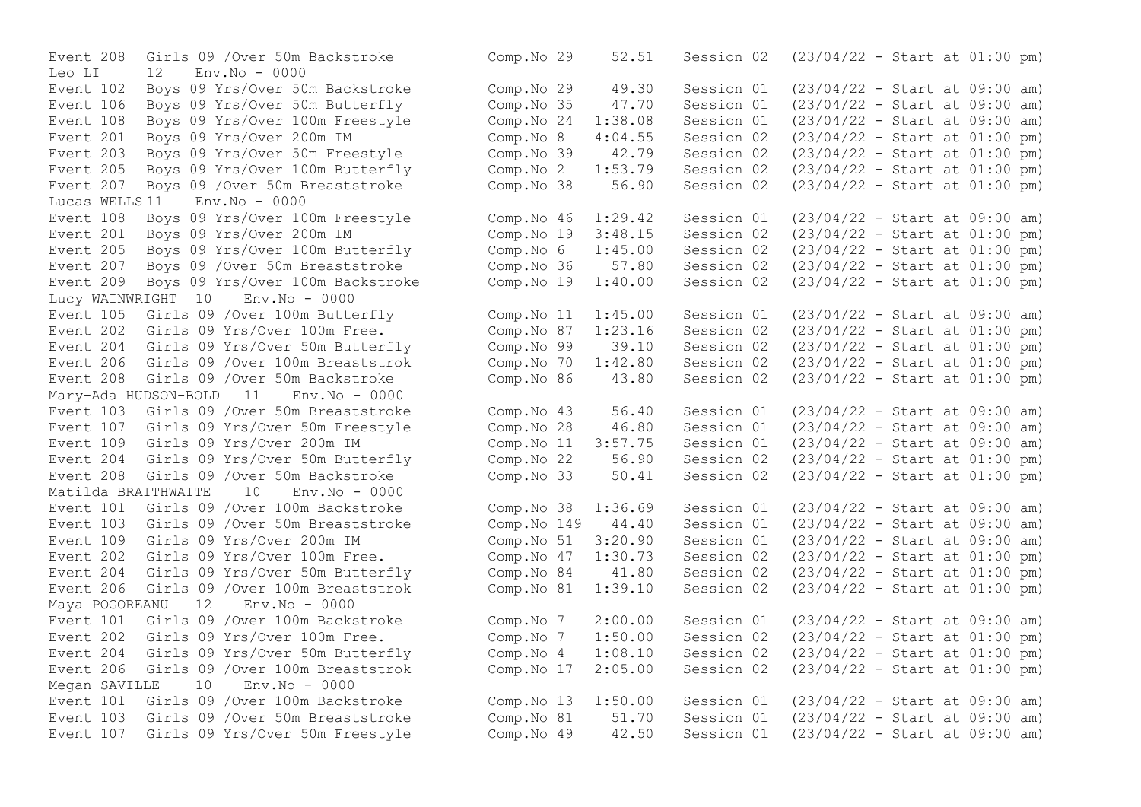Leo LI 12 Env.No - 0000 Event 201 Boys 09 Yrs/Over 200m IM Comp.No 8 4:04.55 Session 02<br>Event 203 Boys 09 Yrs/Over 50m Freestyle Comp.No 39 42.79 Session 02 Event 205 Boys 09 Yrs/Over 100m Butterfly Comp.No 2 1:53.79 Session 02<br>Event 207 Boys 09 /Over 50m Breaststroke Comp.No 38 56.90 Session 02 Lucas WELLS 11 Env.No - 0000 Event 209 Boys 09 Yrs/Over 100m Backstroke Lucy WAINWRIGHT 10 Env.No - 0000 Event 208 Girls 09 /Over 50m Backstroke Comp.No 86 43.80 Session 02 Mary-Ada HUDSON-BOLD 11 Env.No - 0000 Event 204 Girls 09 Yrs/Over 50m Butterfly Comp.No 22 56.90 Session 02 Matilda BRAITHWAITE 10 Env.No - 0000 Event 204 Girls 09 Yrs/Over 50m Butterfly Comp.No 84 41.80 Session 02 Maya POGOREANU 12 Event 202 Girls 09 Yrs/Over 100m Free. Comp.No  $7$   $1:50.00$  Session 02 Megan SAVILLE 10 Env.No - 0000

Event 208 Girls 09 /Over 50m Backstroke Comp.No 29 52.51 Session 02 (23/04/22 - Start at 01:00 pm) Event 102 Boys 09 Yrs/Over 50m Backstroke Comp.No 29 49.30 Session 01 (23/04/22 - Start at 09:00 am) Event 106 Boys 09 Yrs/Over 50m Butterfly Comp.No 35 47.70 Session 01 (23/04/22 - Start at 09:00 am) Event 108 Boys 09 Yrs/Over 100m Freestyle Comp.No 24 1:38.08 Session 01 (23/04/22 - Start at 09:00 am) Event 203 Boys 09 Yrs/Over 50m Freestyle Comp.No 39 42.79 Session 02 (23/04/22 - Start at 01:00 pm)<br>Event 205 Boys 09 Yrs/Over 100m Butterfly Comp.No 2 1:53.79 Session 02 (23/04/22 - Start at 01:00 pm) Event 207 Boys 09 /Over 50m Breaststroke Comp.No 38 56.90 Session 02 (23/04/22 - Start at 01:00 pm) Event 108 Boys 09 Yrs/Over 100m Freestyle Comp.No 46 1:29.42 Session 01 (23/04/22 - Start at 09:00 am) Event 201 Boys 09 Yrs/Over 200m IM Comp.No 19 3:48.15 Session 02 (23/04/22 - Start at 01:00 pm) Event 205 Boys 09 Yrs/Over 100m Butterfly Comp.No 6 1:45.00 Session 02 (23/04/22 - Start at 01:00 pm) Event 207 Boys 09 /Over 50m Breaststroke Comp.No 36 57.80 Session 02 (23/04/22 - Start at 01:00 pm)<br>Event 209 Boys 09 Yrs/Over 100m Backstroke Comp.No 19 1:40.00 Session 02 (23/04/22 - Start at 01:00 Event 105 Girls 09 /Over 100m Butterfly Comp.No 11 1:45.00 Session 01 (23/04/22 - Start at 09:00 am)<br>Event 202 Girls 09 Yrs/Over 100m Free. Comp.No 87 1:23.16 Session 02 (23/04/22 - Start at 01:00 pm) Event 202 Girls 09 Yrs/Over 100m Free. Comp.No 87 1:23.16 Session 02 (23/04/22 - Start at 01:00 pm)<br>Event 204 Girls 09 Yrs/Over 50m Butterfly Comp.No 99 39.10 Session 02 (23/04/22 - Start at 01:00 pm) Event 204 Girls 09 Yrs/Over 50m Butterfly Comp.No 99 39.10 Session 02 (23/04/22 - Start at 01:00 pm)<br>Event 206 Girls 09 /Over 100m Breaststrok Comp.No 70 1:42.80 Session 02 (23/04/22 - Start at 01:00 pm) Event 206 Girls 09 /Over 100m Breaststrok Comp.No 70 1:42.80 Session 02 (23/04/22 - Start at 01:00 pm)<br>Event 208 Girls 09 /Over 50m Backstroke Comp.No 86 43.80 Session 02 (23/04/22 - Start at 01:00 pm) Event 103 Girls 09 /Over 50m Breaststroke Comp.No 43 56.40 Session 01 (23/04/22 - Start at 09:00 am) Event 107 Girls 09 Yrs/Over 50m Freestyle Comp.No 28 46.80 Session 01 (23/04/22 - Start at 09:00 am) Event 109 Girls 09 Yrs/Over 200m IM Comp.No 11 3:57.75 Session 01 (23/04/22 - Start at 09:00 am)<br>Event 204 Girls 09 Yrs/Over 50m Butterfly Comp.No 22 56.90 Session 02 (23/04/22 - Start at 01:00 pm) Event 208 Girls 09 /Over 50m Backstroke Comp.No 33 50.41 Session 02 (23/04/22 - Start at 01:00 pm) Event 101 Girls 09 /Over 100m Backstroke Comp.No 38 1:36.69 Session 01 (23/04/22 - Start at 09:00 am) Event 103 Girls 09 /Over 50m Breaststroke Comp.No 149 44.40 Session 01 (23/04/22 - Start at 09:00 am) Event 109 Girls 09 Yrs/Over 200m IM Comp.No 51 3:20.90 Session 01 (23/04/22 - Start at 09:00 am) Event 202 Girls 09 Yrs/Over 100m Free. Comp.No 47 1:30.73 Session 02 (23/04/22 - Start at 01:00 pm)<br>Event 204 Girls 09 Yrs/Over 50m Butterfly Comp.No 84 41.80 Session 02 (23/04/22 - Start at 01:00 pm) Event 206 Girls 09 /Over 100m Breaststrok Comp.No 81 1:39.10 Session 02 (23/04/22 - Start at 01:00 pm)<br>Maya POGOREANU 12 Env.No - 0000 Event 101 Girls 09 /Over 100m Backstroke Comp.No 7 2:00.00 Session 01 (23/04/22 - Start at 09:00 am)<br>Event 202 Girls 09 Yrs/Over 100m Free. Comp.No 7 1:50.00 Session 02 (23/04/22 - Start at 01:00 pm) Event 204 Girls 09 Yrs/Over 50m Butterfly Comp.No 4 1:08.10 Session 02 (23/04/22 - Start at 01:00 pm) Event 206 Girls 09 /Over 100m Breaststrok Comp.No 17 2:05.00 Session 02 (23/04/22 - Start at 01:00 pm) Event 101 Girls 09 /Over 100m Backstroke Comp.No 13 1:50.00 Session 01 (23/04/22 - Start at 09:00 am) Event 103 Girls 09 /Over 50m Breaststroke Comp.No 81 51.70 Session 01 (23/04/22 - Start at 09:00 am) Event 107 Girls 09 Yrs/Over 50m Freestyle Comp.No 49 42.50 Session 01 (23/04/22 - Start at 09:00 am)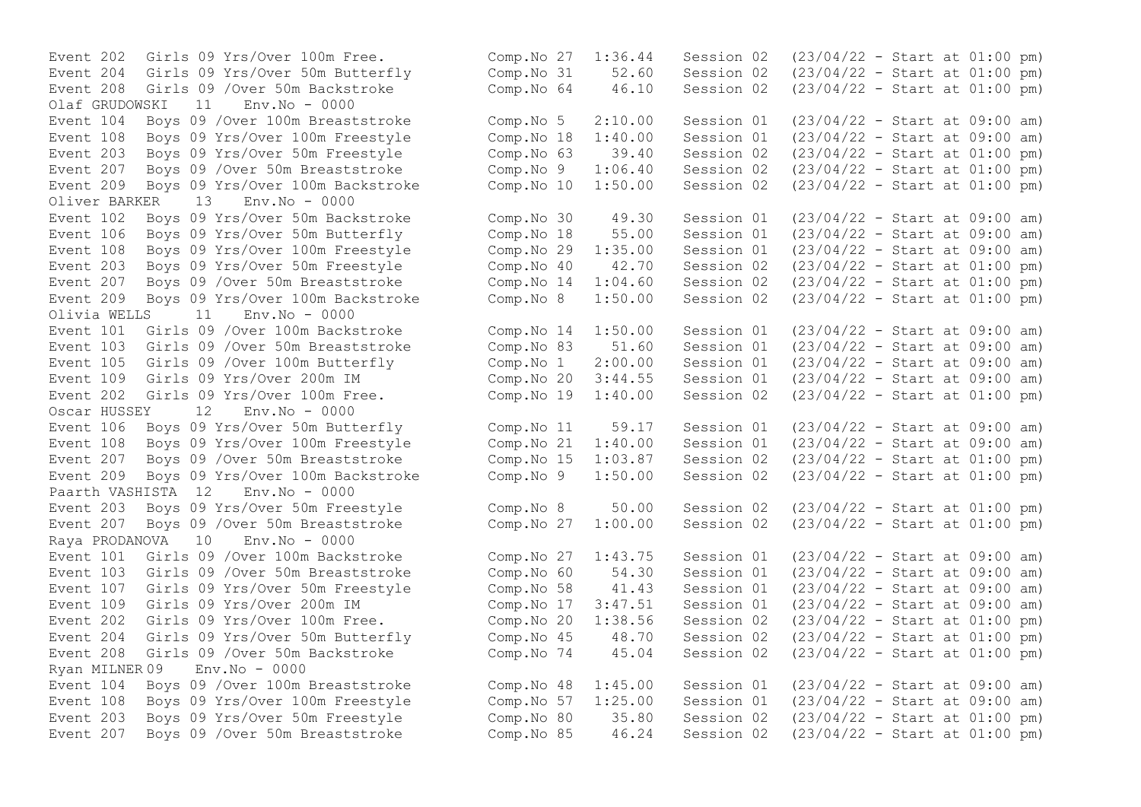Event 208 Girls 09 / Over 50m Backstroke Comp.No 64 46.10 Session 02 Olaf GRUDOWSKI 11 Env.No - 0000 Event 203 Boys 09 Yrs/Over 50m Freestyle Comp.No 63 39.40<br>Event 207 Boys 09 /Over 50m Breaststroke Comp.No 9 1:06.40 Event 209 Boys 09 Yrs/Over 100m Backstroke Comp.No 10 1:50.00 Oliver BARKER 13 Env.No - 0000 Event 209 Boys 09 Yrs/Over 100m Backstroke Comp. No 8 Olivia WELLS 11 Env.No - 0000 Event 202 Girls 09 Yrs/Over 100m Free. Comp.No  $19$   $1:40.00$  Session 02 Oscar HUSSEY 12 Env.No - 0000 Paarth VASHISTA 12 Env.No - 0000 Raya PRODANOVA 10 Env.No - 0000 Ryan MILNER 09 Env.No - 0000 Event 203 Boys 09 Yrs/Over 50m Freestyle Comp.No 80 35.80 Session 02

Event 202 Girls 09 Yrs/Over 100m Free. Comp.No 27 1:36.44 Session 02 (23/04/22 - Start at 01:00 pm) Event 204 Girls 09 Yrs/Over 50m Butterfly Comp.No 31 52.60 Session 02 (23/04/22 - Start at 01:00 pm) Event 104 Boys 09 /Over 100m Breaststroke Comp.No 5 2:10.00 Session 01 (23/04/22 - Start at 09:00 am) Event 108 Boys 09 Yrs/Over 100m Freestyle Comp.No 18 1:40.00 Session 01 (23/04/22 - Start at 09:00 am) Event 207 Boys 09 /Over 50m Breaststroke Comp.No 9 1:06.40 Session 02 (23/04/22 - Start at 01:00 pm)<br>Event 209 Boys 09 Yrs/Over 100m Backstroke Comp.No 10 1:50.00 Session 02 (23/04/22 - Start at 01:00 pm) Event 102 Boys 09 Yrs/Over 50m Backstroke Comp.No 30 49.30 Session 01 (23/04/22 - Start at 09:00 am) Event 106 Boys 09 Yrs/Over 50m Butterfly Comp.No 18 55.00 Session 01 (23/04/22 - Start at 09:00 am) Event 108 Boys 09 Yrs/Over 100m Freestyle Comp.No 29 1:35.00 Session 01 (23/04/22 - Start at 09:00 am) Event 203 Boys 09 Yrs/Over 50m Freestyle Comp.No 40 42.70 Session 02 (23/04/22 - Start at 01:00 pm)<br>Event 207 Boys 09 /Over 50m Breaststroke Comp.No 14 1:04.60 Session 02 (23/04/22 - Start at 01:00 pm) Event 207 Boys 09 /Over 50m Breaststroke Comp.No 14 1:04.60 Session 02 (23/04/22 - Start at 01:00 pm)<br>Event 209 Boys 09 Yrs/Over 100m Backstroke Comp.No 8 1:50.00 Session 02 (23/04/22 - Start at 01:00 pm) Event 101 Girls 09 /Over 100m Backstroke Comp.No 14 1:50.00 Session 01 (23/04/22 - Start at 09:00 am) Event 103 Girls 09 /Over 50m Breaststroke Comp.No 83 51.60 Session 01 (23/04/22 - Start at 09:00 am) Event 105 Girls 09 /Over 100m Butterfly Comp.No 1 2:00.00 Session 01 (23/04/22 - Start at 09:00 am) Event 109 Girls 09 Yrs/Over 200m IM Comp.No 20 3:44.55 Session 01 (23/04/22 - Start at 09:00 am)<br>Event 202 Girls 09 Yrs/Over 100m Free. Comp.No 19 1:40.00 Session 02 (23/04/22 - Start at 01:00 pm) Event 106 Boys 09 Yrs/Over 50m Butterfly Comp.No 11 59.17 Session 01 (23/04/22 - Start at 09:00 am) Event 108 Boys 09 Yrs/Over 100m Freestyle Comp.No 21 1:40.00 Session 01 (23/04/22 - Start at 09:00 am) Event 207 Boys 09 /Over 50m Breaststroke Comp.No 15 1:03.87 Session 02 (23/04/22 - Start at 01:00 pm) Event 209 Boys 09 Yrs/Over 100m Backstroke Comp.No 9 1:50.00 Session 02 (23/04/22 - Start at 01:00 pm) Event 203 Boys 09 Yrs/Over 50m Freestyle Comp.No 8 50.00 Session 02 (23/04/22 - Start at 01:00 pm) Event 207 Boys 09 /Over 50m Breaststroke Comp.No 27 1:00.00 Session 02 (23/04/22 - Start at 01:00 pm) Event 101 Girls 09 /Over 100m Backstroke Comp.No 27 1:43.75 Session 01 (23/04/22 - Start at 09:00 am) Event 103 Girls 09 /Over 50m Breaststroke Comp.No 60 54.30 Session 01 (23/04/22 - Start at 09:00 am) Event 107 Girls 09 Yrs/Over 50m Freestyle Comp.No 58 41.43 Session 01 (23/04/22 - Start at 09:00 am) Event 109 Girls 09 Yrs/Over 200m IM Comp.No 17 3:47.51 Session 01 (23/04/22 - Start at 09:00 am) Event 202 Girls 09 Yrs/Over 100m Free. Comp.No 20 1:38.56 Session 02 (23/04/22 - Start at 01:00 pm) Event 204 Girls 09 Yrs/Over 50m Butterfly Comp.No 45 48.70 Session 02 (23/04/22 - Start at 01:00 pm) Event 208 Girls 09 /Over 50m Backstroke Comp.No 74 45.04 Session 02 (23/04/22 - Start at 01:00 pm) Event 104 Boys 09 /Over 100m Breaststroke Comp.No 48 1:45.00 Session 01 (23/04/22 - Start at 09:00 am) Event 108 Boys 09 Yrs/Over 100m Freestyle Comp.No 57 1:25.00 Session 01 (23/04/22 - Start at 09:00 am)<br>Event 203 Boys 09 Yrs/Over 50m Freestyle Comp.No 80 35.80 Session 02 (23/04/22 - Start at 01:00 pm) Event 207 Boys 09 /Over 50m Breaststroke Comp.No 85 46.24 Session 02 (23/04/22 - Start at 01:00 pm)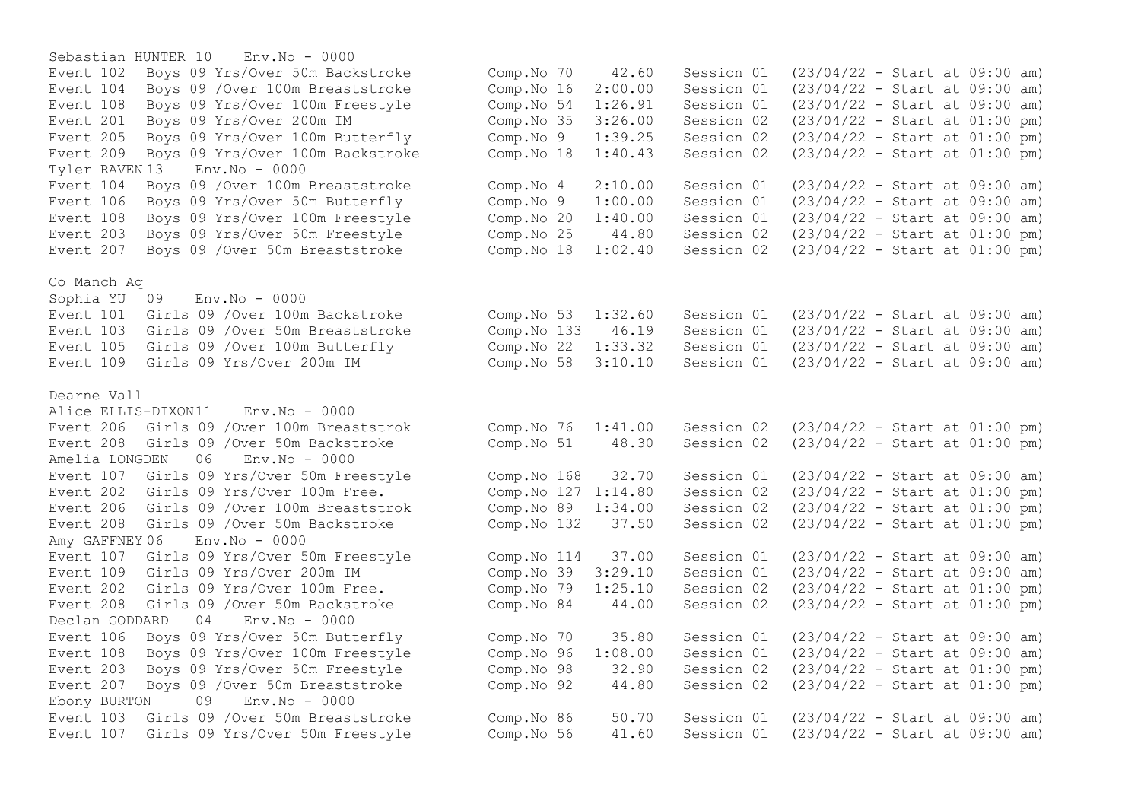Sebastian HUNTER 10 Env.No - 0000 Event 102 Boys 09 Yrs/Over 50m Backstroke Comp.No 70 42.60 Session 01 (23/04/22 - Start at 09:00 am) Event 104 Boys 09 /Over 100m Breaststroke Comp.No 16 2:00.00 Session 01 (23/04/22 - Start at 09:00 am) Event 108 Boys 09 Yrs/Over 100m Freestyle Comp.No 54 1:26.91 Session 01 (23/04/22 - Start at 09:00 am) Event 201 Boys 09 Yrs/Over 200m IM Comp.No 35 3:26.00 Session 02 (23/04/22 - Start at 01:00 pm) Event 205 Boys 09 Yrs/Over 100m Butterfly Comp.No 9 1:39.25 Session 02 (23/04/22 - Start at 01:00 pm)<br>Event 209 Bovs 09 Yrs/Over 100m Backstroke Comp.No 18 1:40.43 Session 02 (23/04/22 - Start at 01:00 pm) Event 209 Boys 09 Yrs/Over 100m Backstroke Tyler RAVEN 13 Env.No - 0000 Event 104 Boys 09 /Over 100m Breaststroke Comp.No 4 2:10.00 Session 01 (23/04/22 - Start at 09:00 am) Event 106 Boys 09 Yrs/Over 50m Butterfly Comp.No 9 1:00.00 Session 01 (23/04/22 - Start at 09:00 am) Event 108 Boys 09 Yrs/Over 100m Freestyle Comp.No 20 1:40.00 Session 01 (23/04/22 - Start at 09:00 am) Event 203 Boys 09 Yrs/Over 50m Freestyle Comp.No 25 44.80 Session 02 (23/04/22 - Start at 01:00 pm) Event 207 Boys 09 /Over 50m Breaststroke Comp.No 18 1:02.40 Session 02 (23/04/22 - Start at 01:00 pm) Co Manch Aq Sophia YU 09 Env.No - 0000 Event 101 Girls 09 /Over 100m Backstroke Comp.No 53 1:32.60 Session 01 (23/04/22 - Start at 09:00 am) Event 103 Girls 09 /Over 50m Breaststroke Comp.No 133 46.19 Session 01 (23/04/22 - Start at 09:00 am) Event 105 Girls 09 /Over 100m Butterfly Comp.No 22 1:33.32 Session 01 (23/04/22 - Start at 09:00 am) Event 109 Girls 09 Yrs/Over 200m IM Comp.No 58 3:10.10 Session 01 (23/04/22 - Start at 09:00 am) Dearne Vall Alice ELLIS-DIXON11 Env.No - 0000 Event 206 Girls 09 /Over 100m Breaststrok Comp.No 76 1:41.00 Session 02 (23/04/22 - Start at 01:00 pm) Event 208 Girls 09 /Over 50m Backstroke Comp.No 51 48.30 Session 02 (23/04/22 - Start at 01:00 pm) Amelia LONGDEN 06 Env.No - 0000 Event 107 Girls 09 Yrs/Over 50m Freestyle Comp.No 168 32.70 Session 01 (23/04/22 - Start at 09:00 am) Event 202 Girls 09 Yrs/Over 100m Free. Comp.No 127 1:14.80 Session 02 (23/04/22 - Start at 01:00 pm) Event 206 Girls 09 /Over 100m Breaststrok Comp.No 89 1:34.00 Session 02 (23/04/22 - Start at 01:00 pm) Event 208 Girls 09 /Over 50m Backstroke Comp.No 132 37.50 Session 02 (23/04/22 - Start at 01:00 pm) Amy GAFFNEY 06 Env.No - 0000 Event 107 Girls 09 Yrs/Over 50m Freestyle Comp.No 114 37.00 Session 01 (23/04/22 - Start at 09:00 am) Event 109 Girls 09 Yrs/Over 200m IM Comp.No 39 3:29.10 Session 01 (23/04/22 - Start at 09:00 am) Event 202 Girls 09 Yrs/Over 100m Free. Comp.No 79 1:25.10 Session 02 (23/04/22 - Start at 01:00 pm) Event 208 Girls 09 /Over 50m Backstroke Comp.No 84 44.00 Session 02 (23/04/22 - Start at 01:00 pm) Declan GODDARD 04 Env.No - 0000 Event 106 Boys 09 Yrs/Over 50m Butterfly Comp.No 70 35.80 Session 01 (23/04/22 - Start at 09:00 am) Event 108 Boys 09 Yrs/Over 100m Freestyle Comp.No 96 1:08.00 Session 01 (23/04/22 - Start at 09:00 am) Event 203 Boys 09 Yrs/Over 50m Freestyle Comp.No 98 32.90 Session 02 (23/04/22 - Start at 01:00 pm) Event 207 Boys 09 /Over 50m Breaststroke Comp.No 92 44.80 Session 02 (23/04/22 - Start at 01:00 pm) Ebony BURTON 09 Env.No - 0000 Event 103 Girls 09 /Over 50m Breaststroke Comp.No 86 50.70 Session 01 (23/04/22 - Start at 09:00 am) Event 107 Girls 09 Yrs/Over 50m Freestyle Comp.No 56 41.60 Session 01 (23/04/22 - Start at 09:00 am)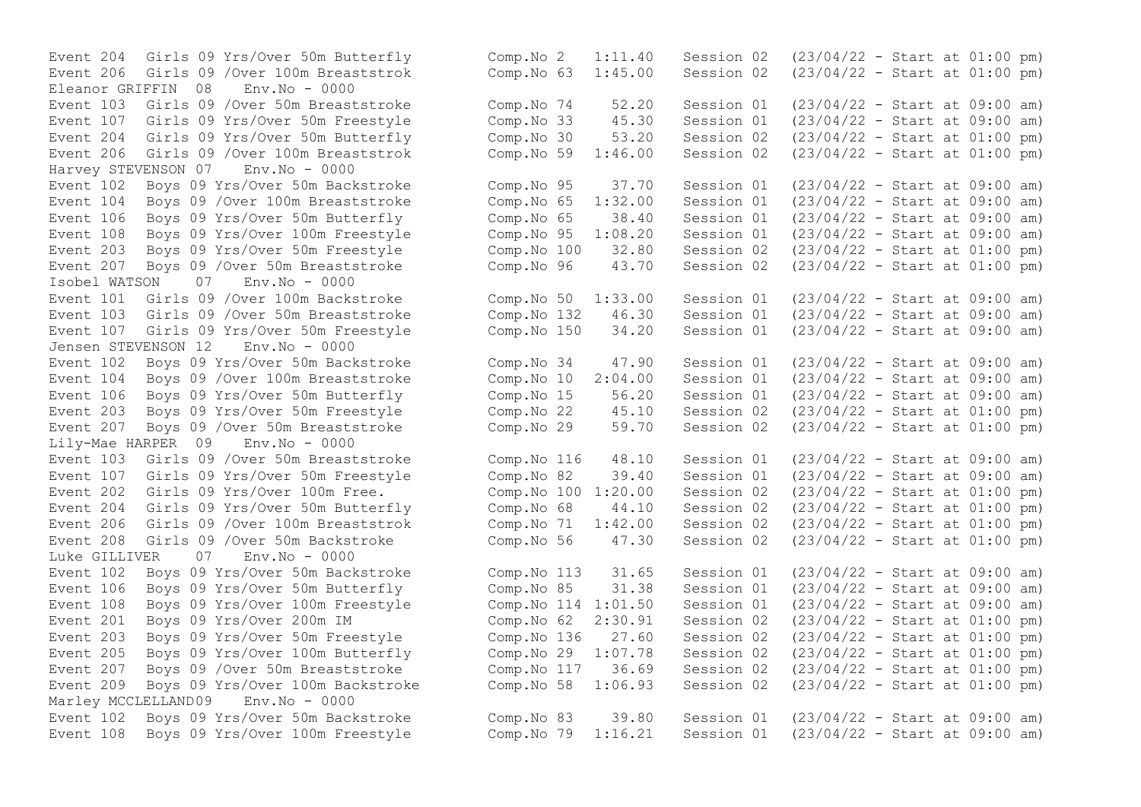Eleanor GRIFFIN 08 Event 206 Girls 09 /Over 100m Breaststrok Harvey STEVENSON 07 Env.No - 0000<br>Event 102 Boys 09 Yrs/Over 50m Backstroke Event 207 Boys 09 / Over 50m Breaststroke Comp.No 96 43.70 Session 02 Isobel WATSON 07 Env.No - 0000 Jensen STEVENSON 12 Env.No - 0000 Event 104 Boys 09 / Over 100m Breaststroke Comp.No 10 2:04.00 Session 01 Event 203 Boys 09 Yrs/Over 50m Freestyle Lily-Mae HARPER 09 Env.No - 0000 Luke GILLIVER 07 Env.No - 0000 Marley MCCLELLAND09 Env.No - 0000

Event 204 Girls 09 Yrs/Over 50m Butterfly Comp.No 2 1:11.40 Session 02 (23/04/22 - Start at 01:00 pm) Event 206 Girls 09 /Over 100m Breaststrok (Comp. No 63 1:45.00 Session 02 (23/04/22 - Start at 01:00 pm)<br>Eleanor GRIFFIN 08 Env. No - 0000 Event 103 Girls 09 /Over 50m Breaststroke Comp.No 74 52.20 Session 01 (23/04/22 - Start at 09:00 am)<br>Event 107 Girls 09 Yrs/Over 50m Freestyle Comp.No 33 45.30 Session 01 (23/04/22 - Start at 09:00 am) Event 107 Girls 09 Yrs/Over 50m Freestyle Comp.No 33 45.30 Session 01 (23/04/22 - Start at 09:00 am)<br>Event 204 Girls 09 Yrs/Over 50m Butterfly Comp.No 30 53.20 Session 02 (23/04/22 - Start at 01:00 pm) Event 204 Girls 09 Yrs/Over 50m Butterfly Comp.No 30 53.20 Session 02 (23/04/22 - Start at 01:00 pm)<br>Event 206 Girls 09 /Over 100m Breaststrok Comp.No 59 1:46.00 Session 02 (23/04/22 - Start at 01:00 pm) Event 102 Boys 09 Yrs/Over 50m Backstroke Comp.No 95 37.70 Session 01 (23/04/22 - Start at 09:00 am) Event 104 Boys 09 /Over 100m Breaststroke Comp.No 65 1:32.00 Session 01 (23/04/22 - Start at 09:00 am) Event 106 Boys 09 Yrs/Over 50m Butterfly Comp.No 65 38.40 Session 01 (23/04/22 - Start at 09:00 am) Event 108 Boys 09 Yrs/Over 100m Freestyle Comp.No 95 1:08.20 Session 01 (23/04/22 - Start at 09:00 am) Event 203 Boys 09 Yrs/Over 50m Freestyle Comp.No 100 32.80 Session 02 (23/04/22 - Start at 01:00 pm) Event 101 Girls 09 /Over 100m Backstroke Comp.No 50 1:33.00 Session 01 (23/04/22 - Start at 09:00 am) Event 103 Girls 09 /Over 50m Breaststroke Comp.No 132 46.30 Session 01 (23/04/22 - Start at 09:00 am) Event 107 Girls 09 Yrs/Over 50m Freestyle Comp.No 150 34.20 Session 01 (23/04/22 - Start at 09:00 am) Event 102 Boys 09 Yrs/Over 50m Backstroke Comp.No 34 47.90 Session 01 (23/04/22 - Start at 09:00 am) Event 106 Boys 09 Yrs/Over 50m Butterfly Comp.No 15 56.20 Session 01 (23/04/22 - Start at 09:00 am)<br>Event 203 Boys 09 Yrs/Over 50m Freestyle Comp.No 22 45.10 Session 02 (23/04/22 - Start at 01:00 pm) Event 207 Boys 09 /Over 50m Breaststroke Comp.No 29 59.70 Session 02 (23/04/22 - Start at 01:00 pm) Event 103 Girls 09 /Over 50m Breaststroke Comp.No 116 48.10 Session 01 (23/04/22 - Start at 09:00 am) Event 107 Girls 09 Yrs/Over 50m Freestyle Comp.No 82 39.40 Session 01 (23/04/22 - Start at 09:00 am) Event 202 Girls 09 Yrs/Over 100m Free. Comp.No 100 1:20.00 Session 02 (23/04/22 - Start at 01:00 pm) Event 204 Girls 09 Yrs/Over 50m Butterfly Comp.No 68 44.10 Session 02 (23/04/22 - Start at 01:00 pm) Event 206 Girls 09 /Over 100m Breaststrok Comp.No 71 1:42.00 Session 02 (23/04/22 - Start at 01:00 pm) Event 208 Girls 09 /Over 50m Backstroke Comp.No 56 47.30 Session 02 (23/04/22 - Start at 01:00 pm) Event 102 Boys 09 Yrs/Over 50m Backstroke Comp.No 113 31.65 Session 01 (23/04/22 - Start at 09:00 am) Event 106 Boys 09 Yrs/Over 50m Butterfly Comp.No 85 31.38 Session 01 (23/04/22 - Start at 09:00 am) Event 108 Boys 09 Yrs/Over 100m Freestyle Comp.No 114 1:01.50 Session 01 (23/04/22 - Start at 09:00 am) Event 201 Boys 09 Yrs/Over 200m IM Comp.No 62 2:30.91 Session 02 (23/04/22 - Start at 01:00 pm) Event 203 Boys 09 Yrs/Over 50m Freestyle Comp.No 136 27.60 Session 02 (23/04/22 - Start at 01:00 pm) Event 205 Boys 09 Yrs/Over 100m Butterfly Comp.No 29 1:07.78 Session 02 (23/04/22 - Start at 01:00 pm) Event 207 Boys 09 /Over 50m Breaststroke Comp.No 117 36.69 Session 02 (23/04/22 - Start at 01:00 pm) Event 209 Boys 09 Yrs/Over 100m Backstroke Comp.No 58 1:06.93 Session 02 (23/04/22 - Start at 01:00 pm) Event 102 Boys 09 Yrs/Over 50m Backstroke Comp.No 83 39.80 Session 01 (23/04/22 - Start at 09:00 am) Event 108 Boys 09 Yrs/Over 100m Freestyle Comp.No 79 1:16.21 Session 01 (23/04/22 - Start at 09:00 am)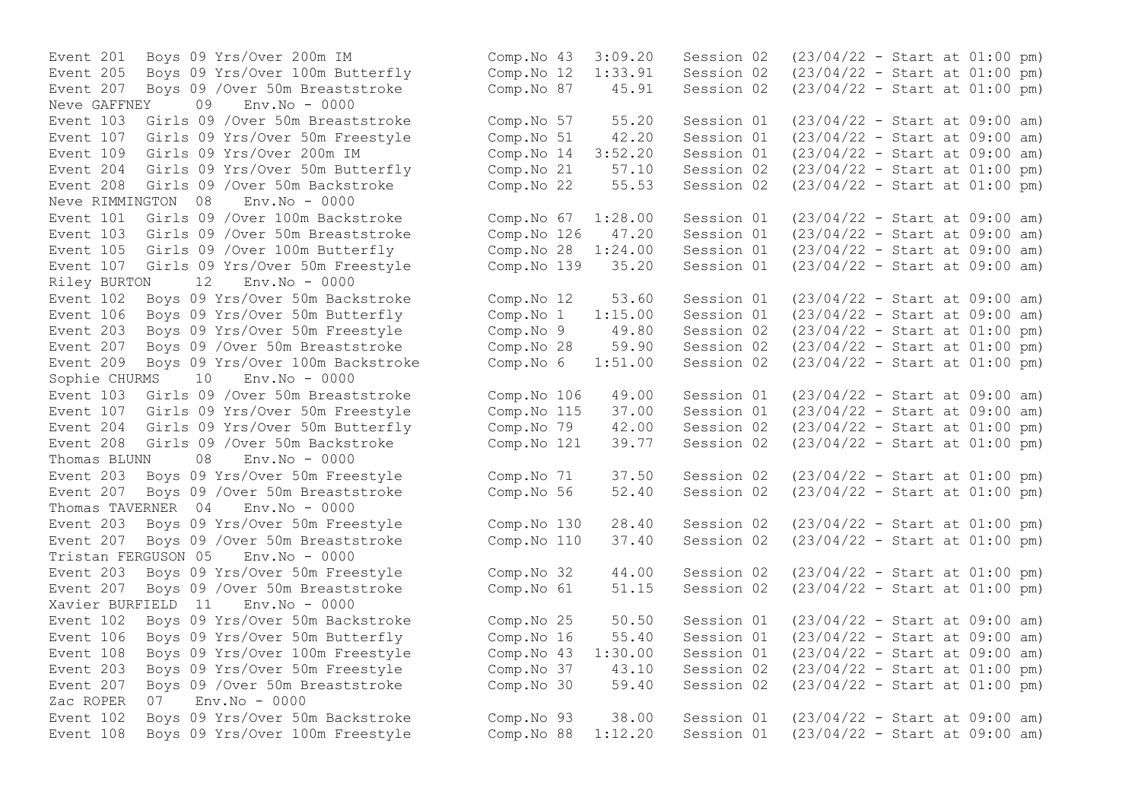Event 207 Boys 09 / Over 50m Breaststroke Comp.No 87 45.91 Session 02 Neve GAFFNEY 09 Env.No - 0000 Event  $109$  Girls  $09$  Yrs/Over  $200$ m IM  $\sim$  Comp.No  $14$  3:52.20 Session 01 Event 208 Girls 09 /Over 50m Backstroke Comp.No 22 55.53 Session 02 Neve RIMMINGTON 08 Env.No - 0000 Riley BURTON 12 Env.No - 0000 Event 209 Boys 09 Yrs/Over 100m Backstroke Comp.No 6 1:51.00 Session 02 Sophie CHURMS 10 Env.No - 0000 Event 208 Girls 09 / Over 50m Backstroke Comp.No 121 39.77 Session 02 Thomas BLUNN 08 Env.No - 0000 Event 207 Boys 09 / Over 50m Breaststroke Comp.No 56 52.40 Session 02 Thomas TAVERNER 04 Env.No - 0000 Event 207 Boys 09 / Over 50m Breaststroke Comp.No 110 37.40 Session 02 Tristan FERGUSON 05 Env.No - 0000 Xavier BURFIELD 11 Env.No - 0000 Zac ROPER 07 Env.No - 0000

Event 201 Boys 09 Yrs/Over 200m IM Comp.No 43 3:09.20 Session 02 (23/04/22 - Start at 01:00 pm) Event 205 Boys 09 Yrs/Over 100m Butterfly Comp.No 12 1:33.91 Session 02 (23/04/22 - Start at 01:00 pm) Event 103 Girls 09 /Over 50m Breaststroke Comp.No 57 55.20 Session 01 (23/04/22 - Start at 09:00 am) Event 107 Girls 09 Yrs/Over 50m Freestyle Comp.No 51 42.20 Session 01 (23/04/22 - Start at 09:00 am)<br>Event 109 Girls 09 Yrs/Over 200m IM Comp.No 04 3:52.20 Session 01 (23/04/22 - Start at 09:00 am) Event 204 Girls 09 Yrs/Over 50m Butterfly Comp.No 21 57.10 Session 02 (23/04/22 - Start at 01:00 pm)<br>Event 208 Girls 09 /Over 50m Backstroke Comp.No 22 55.53 Session 02 (23/04/22 - Start at 01:00 pm) Event 101 Girls 09 /Over 100m Backstroke Comp.No 67 1:28.00 Session 01 (23/04/22 - Start at 09:00 am) Event 103 Girls 09 /Over 50m Breaststroke Comp.No 126 47.20 Session 01 (23/04/22 - Start at 09:00 am) Event 105 Girls 09 /Over 100m Butterfly Comp.No 28 1:24.00 Session 01 (23/04/22 - Start at 09:00 am) Event 107 Girls 09 Yrs/Over 50m Freestyle Comp.No 139 35.20 Session 01 (23/04/22 - Start at 09:00 am) Event 102 Boys 09 Yrs/Over 50m Backstroke Comp.No 12 53.60 Session 01 (23/04/22 - Start at 09:00 am) Event 106 Boys 09 Yrs/Over 50m Butterfly Comp.No 1 1:15.00 Session 01 (23/04/22 - Start at 09:00 am) Event 203 Boys 09 Yrs/Over 50m Freestyle Comp.No 9 49.80 Session 02 (23/04/22 - Start at 01:00 pm) Event 207 Boys 09 /Over 50m Breaststroke Comp.No 28 59.90 Session 02 (23/04/22 - Start at 01:00 pm)<br>Event 209 Boys 09 Yrs/Over 100m Backstroke Comp.No 6 1:51.00 Session 02 (23/04/22 - Start at 01:0 Event 103 Girls 09 /Over 50m Breaststroke Comp. No 106 49.00 Session 01 (23/04/22 - Start at 09:00 am)<br>Event 107 Girls 09 Yrs/Over 50m Freestyle Comp. No 115 37.00 Session 01 (23/04/22 - Start at 09:00 am) Event 107 Girls 09 Yrs/Over 50m Freestyle Comp.No 115 37.00 Session 01 (23/04/22 - Start at 09:00 am)<br>Event 204 Girls 09 Yrs/Over 50m Butterfly Comp.No 79 42.00 Session 02 (23/04/22 - Start at 01:00 pm) Event 204 Girls 09 Yrs/Over 50m Butterfly Comp.No 79 42.00 Session 02 (23/04/22 - Start at 01:00 pm)<br>Event 208 Girls 09 /Over 50m Backstroke Comp.No 121 39.77 Session 02 (23/04/22 - Start at 01:00 pm) Event 203 Boys 09 Yrs/Over 50m Freestyle Comp.No 71 37.50 Session 02 (23/04/22 - Start at 01:00 pm)<br>Event 207 Boys 09 /Over 50m Breaststroke Comp.No 56 52.40 Session 02 (23/04/22 - Start at 01:00 pm) Event 203 Boys 09 Yrs/Over 50m Freestyle Comp.No 130 28.40 Session 02 (23/04/22 - Start at 01:00 pm)<br>Event 207 Boys 09 /Over 50m Breaststroke Comp.No 110 37.40 Session 02 (23/04/22 - Start at 01:00 pm) Event 203 Boys 09 Yrs/Over 50m Freestyle Comp.No 32 44.00 Session 02 (23/04/22 - Start at 01:00 pm) Event 207 Boys 09 /Over 50m Breaststroke Comp.No 61 51.15 Session 02 (23/04/22 - Start at 01:00 pm) Event 102 Boys 09 Yrs/Over 50m Backstroke Comp.No 25 50.50 Session 01 (23/04/22 - Start at 09:00 am) Event 106 Boys 09 Yrs/Over 50m Butterfly Comp.No 16 55.40 Session 01 (23/04/22 - Start at 09:00 am) Event 108 Boys 09 Yrs/Over 100m Freestyle Comp.No 43 1:30.00 Session 01 (23/04/22 - Start at 09:00 am) Event 203 Boys 09 Yrs/Over 50m Freestyle Comp.No 37 43.10 Session 02 (23/04/22 - Start at 01:00 pm) Event 207 Boys 09 /Over 50m Breaststroke Comp.No 30 59.40 Session 02 (23/04/22 - Start at 01:00 pm) Event 102 Boys 09 Yrs/Over 50m Backstroke Comp.No 93 38.00 Session 01 (23/04/22 - Start at 09:00 am) Event 108 Boys 09 Yrs/Over 100m Freestyle Comp.No 88 1:12.20 Session 01 (23/04/22 - Start at 09:00 am)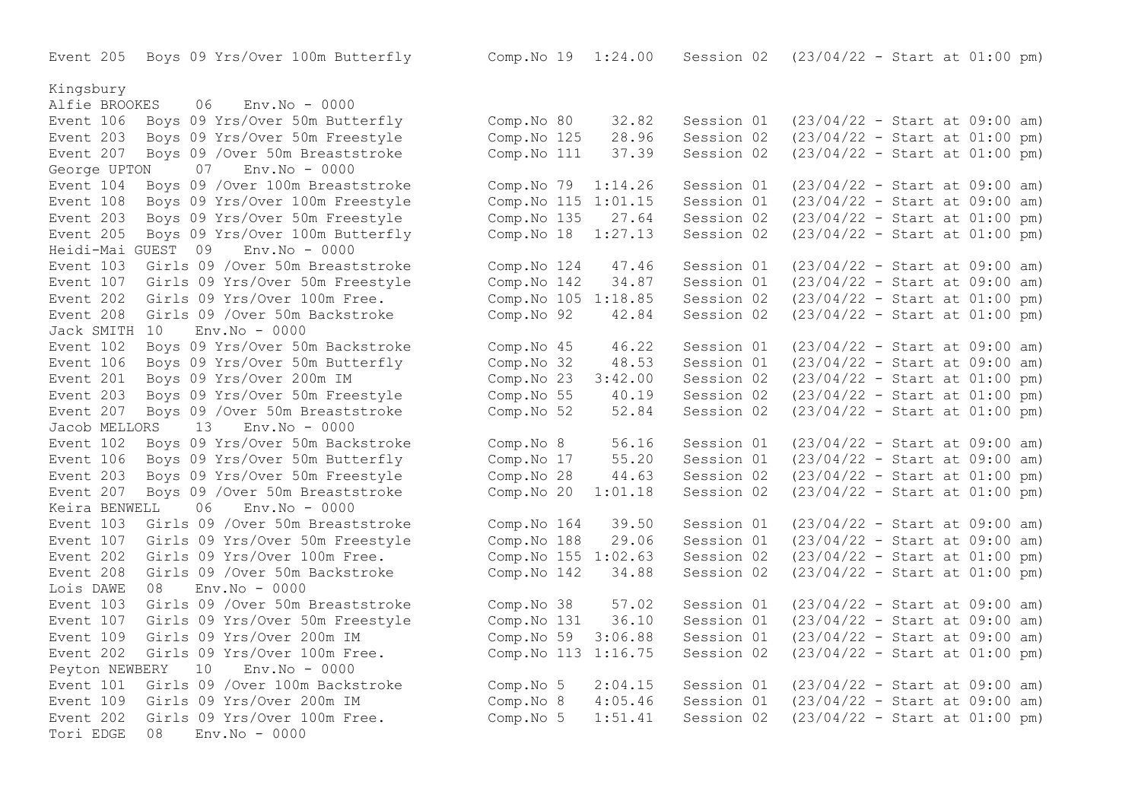Event 205 Boys 09 Yrs/Over 100m Butterfly Comp.No 19 1:24.00 Session 02 (23/04/22 - Start at 01:00 pm)

#### Kingsbury

Alfie BROOKES 06 Env.No - 0000 Event 106 Boys 09 Yrs/Over 50m Butterfly Event 203 Boys 09 Yrs/Over 50m Freestyle Event 207 Boys 09 / Over 50m Breaststroke George UPTON 07 Env.No - 0000 Event 104 Boys 09 / Over 100m Breaststroke Event 108 Boys 09 Yrs/Over 100m Freestyle Event 203 Boys 09 Yrs/Over 50m Freestyle Event 205 Boys 09 Yrs/Over 100m Butterfly Heidi-Mai GUEST 09 Env.No - 0000 Event 103 Girls 09 /Over 50m Breaststroke Event 107 Girls 09 Yrs/Over 50m Freestyle Event 202 Girls 09 Yrs/Over 100m Free. Event 208 Girls 09 /Over 50m Backstroke Jack SMITH 10 Env.No - 0000 Event 102 Boys 09 Yrs/Over 50m Backstroke Event 106 Boys 09 Yrs/Over 50m Butterfly Event 201 Boys 09 Yrs/Over 200m IM Event 203 Boys 09 Yrs/Over 50m Freestyle Event 207 Boys 09 / Over 50m Breaststroke Jacob MELLORS 13 Env.No - 0000 Event 102 Boys 09 Yrs/Over 50m Backstroke Event 106 Boys 09 Yrs/Over 50m Butterfly Event 203 Boys 09 Yrs/Over 50m Freestyle Event 207 Boys 09 / Over 50m Breaststroke Keira BENWELL 06 Env.No - 0000 Event 103 Girls 09 /Over 50m Breaststroke Event 107 Girls 09 Yrs/Over 50m Freestyle Event 202 Girls 09 Yrs/Over 100m Free. Event 208 Girls 09 / Over 50m Backstroke Lois DAWE 08 Env.No - 0000 Event 103 Girls 09 / Over 50m Breaststroke Event 107 Girls 09 Yrs/Over 50m Freestyle Event 109 Girls 09 Yrs/Over 200m IM Event 202 Girls 09 Yrs/Over 100m Free. Peyton NEWBERY 10 Env.No - 0000 Event 101 Girls 09 /Over 100m Backstroke Event 109 Girls 09 Yrs/Over 200m IM Event 202 Girls 09 Yrs/Over 100m Free. Tori EDGE 08 Env.No - 0000

| Comp.No 80<br>Comp.No 125<br>Comp.No 111                           | 32.82<br>28.96<br>37.39                     | Session 01<br>Session 02<br>Session 02                             | $(23/04/22 - Start at 09:00 am)$<br>(23/04/22 - Start at 01:00 pm)<br>(23/04/22 - Start at 01:00 pm)                                                                 |  |  |                          |
|--------------------------------------------------------------------|---------------------------------------------|--------------------------------------------------------------------|----------------------------------------------------------------------------------------------------------------------------------------------------------------------|--|--|--------------------------|
| Comp.No 79<br>Comp.No 115<br>Comp.No 135<br>Comp.No 18             | 1:14.26<br>1:01.15<br>27.64<br>1:27.13      | Session 01<br>Session 01<br>Session 02<br>Session 02               | $(23/04/22 - Start at 09:00 am)$<br>$(23/04/22 - Start at 09:00$<br>(23/04/22 - Start at 01:00 pm)<br>(23/04/22 - Start at 01:00 pm)                                 |  |  | am)                      |
| Comp.No 124<br>Comp.No 142<br>Comp.No 105<br>Comp.No 92            | 47.46<br>34.87<br>1:18.85<br>42.84          | Session 01<br>Session 01<br>Session 02<br>Session 02               | $(23/04/22 - Start at 09:00 am)$<br>$(23/04/22 - Start at 09:00$<br>$(23/04/22 - Start at 01:00$<br>(23/04/22 - Start at 01:00 pm)                                   |  |  | am)<br>pm)               |
| Comp.No 45<br>Comp.No 32<br>Comp.No 23<br>Comp.No 55<br>Comp.No 52 | 46.22<br>48.53<br>3:42.00<br>40.19<br>52.84 | Session 01<br>Session 01<br>Session 02<br>Session 02<br>Session 02 | $(23/04/22 - Start at 09:00 am)$<br>$(23/04/22 - Start at 09:00$<br>$(23/04/22 - Start at 01:00$<br>$(23/04/22 - Start at 01:00$<br>$(23/04/22 - Start at 01:00 pm)$ |  |  | am)<br>pm)<br>pm)        |
| Comp.No 8<br>Comp.No 17<br>Comp.No 28<br>Comp.No 20                | 56.16<br>55.20<br>44.63<br>1:01.18          | Session 01<br>Session 01<br>Session 02<br>Session 02               | $(23/04/22 - Start at 09:00 am)$<br>$(23/04/22 - Start at 09:00$<br>$(23/04/22 - Start at 01:00 pm)$<br>$(23/04/22 - Start at 01:00 pm)$                             |  |  | am)                      |
| Comp.No 164<br>Comp.No 188<br>Comp.No 155<br>Comp.No 142           | 39.50<br>29.06<br>1:02.63<br>34.88          | Session 01<br>Session 01<br>Session 02<br>Session 02               | (23/04/22 - Start at 09:00 am)<br>$(23/04/22 - Start at 09:00$<br>$(23/04/22 - Start at 01:00$<br>(23/04/22 - Start at 01:00 pm)                                     |  |  | am)<br>pm)               |
| Comp.No 38<br>Comp.No 131<br>Comp.No 59<br>Comp.No 113             | 57.02<br>36.10<br>3:06.88<br>1:16.75        | Session 01<br>Session 01<br>Session 01<br>Session 02               | $(23/04/22 - Start at 09:00$<br>$(23/04/22 - Start at 09:00$<br>$(23/04/22 - Start at 09:00$<br>$(23/04/22 - Start at 01:00$                                         |  |  | am)<br>am)<br>am)<br>pm) |
| Comp.No 5<br>Comp.No 8<br>Comp.No 5                                | 2:04.15<br>4:05.46<br>1:51.41               | Session 01<br>Session 01<br>Session 02                             | $(23/04/22 - Start at 09:00 am)$<br>$(23/04/22 - Start at 09:00 am)$<br>(23/04/22 - Start at 01:00 pm)                                                               |  |  |                          |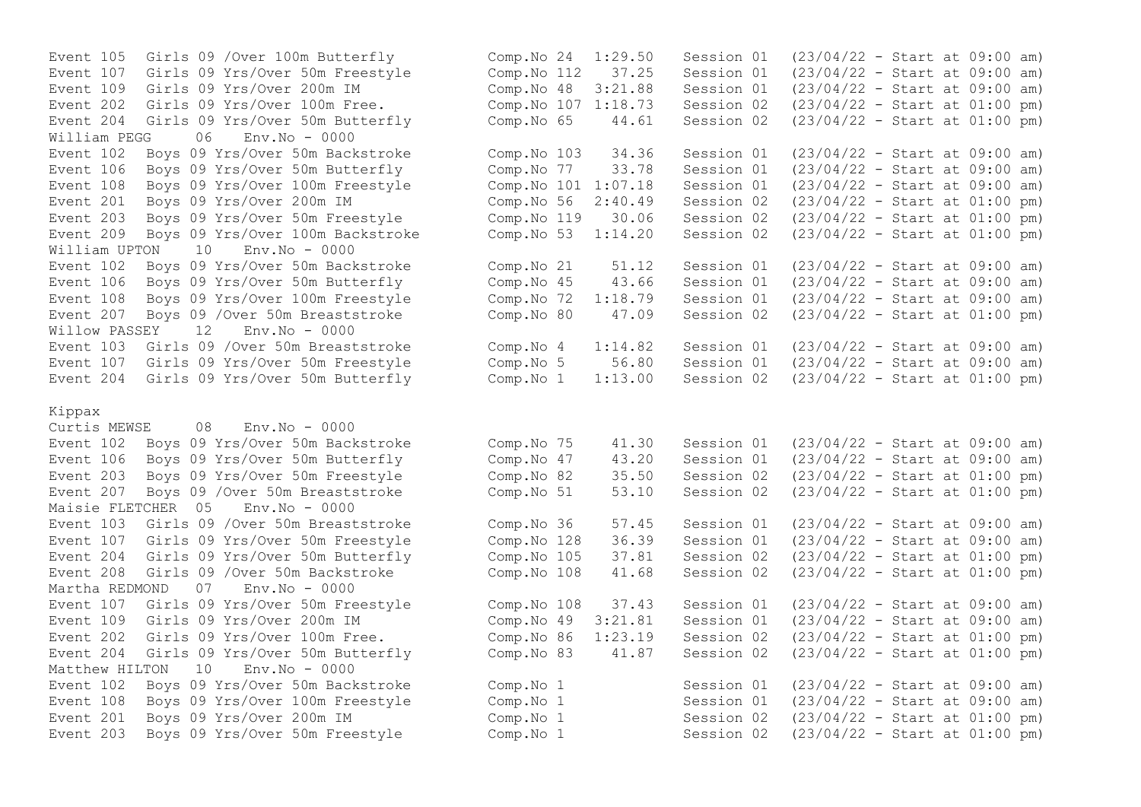Event 107 Girls 09 Yrs/Over 50m Freestyle Comp.No 112 37.25 Event 204 Girls 09 Yrs/Over 50m Butterfly Comp.No  $65$  44.61 Session 02<br>William PEGG 06 Env.No - 0000 William PEGG 06 Env. No - 0000 Event 108 Boys 09 Yrs/Over 100m Freestyle Comp.No 101 1:07.18 Session 01 Event 209 Boys 09 Yrs/Over 100m Backstroke Comp.No 53 1:14.20 Session 02 William UPTON 10 Env.No - 0000 Event 108 Boys 09 Yrs/Over 100m Freestyle Comp.No 72 1:18.79 Session 01 Willow PASSEY 12 Env.No - 0000

### Kippax

Curtis MEWSE 08 Env.No - 0000 Event 207 Boys 09 / Over 50m Breaststroke Comp.No 51 53.10 Session 02 Maisie FLETCHER 05 Env.No - 0000 Martha REDMOND 07 Env.No - 0000 Matthew HILTON 10 Env. No - 0000

Event 105 Girls 09 /Over 100m Butterfly<br>
Event 107 Girls 09 Yrs/Over 50m Freestyle Comp.No 112 37.25 Session 01 (23/04/22 - Start at 09:00 am) Event 109 Girls 09 Yrs/Over 200m IM Comp.No 48 3:21.88 Session 01 (23/04/22 - Start at 09:00 am) Event 202 Girls 09 Yrs/Over 100m Free.<br>
Event 204 Girls 09 Yrs/Over 50m Butterfly Comp.No 65 44.61 Session 02 (23/04/22 - Start at 01:00 pm) Event 102 Boys 09 Yrs/Over 50m Backstroke Comp.No 103 34.36 Session 01 (23/04/22 - Start at 09:00 am)<br>Event 106 Bovs 09 Yrs/Over 50m Butterfly Comp.No 77 33.78 Session 01 (23/04/22 - Start at 09:00 am) Event 106 Boys 09 Yrs/Over 50m Butterfly Comp.No 77 33.78 Session 01 (23/04/22 - Start at 09:00 am)<br>Event 108 Boys 09 Yrs/Over 100m Freestyle Comp.No 101 1:07.18 Session 01 (23/04/22 - Start at 09:00 am) Event 201 Boys 09 Yrs/Over 200m IM Comp.No 56 2:40.49 Session 02 (23/04/22 - Start at 01:00 pm) Event 203 Boys 09 Yrs/Over 50m Freestyle Comp.No 119 30.06 Session 02 (23/04/22 - Start at 01:00 pm)<br>Event 209 Boys 09 Yrs/Over 100m Backstroke Comp.No 53 1:14.20 Session 02 (23/04/22 - Start at 01:00 pm) Event 102 Boys 09 Yrs/Over 50m Backstroke Comp.No 21 51.12 Session 01 (23/04/22 - Start at 09:00 am)<br>Event 106 Boys 09 Yrs/Over 50m Butterfly Comp.No 45 43.66 Session 01 (23/04/22 - Start at 09:00 am) Event 106 Boys 09 Yrs/Over 50m Butterfly Comp.No 45 43.66 Session 01 (23/04/22 - Start at 09:00 am)<br>Event 108 Boys 09 Yrs/Over 100m Freestyle Comp.No 72 1:18.79 Session 01 (23/04/22 - Start at 09:00 am) Event 207 Boys 09 /Over 50m Breaststroke Comp.No 80 47.09 Session 02 (23/04/22 - Start at 01:00 pm) Event 103 Girls 09 /Over 50m Breaststroke Comp.No 4 1:14.82 Session 01 (23/04/22 - Start at 09:00 am) Event 107 Girls 09 Yrs/Over 50m Freestyle Comp.No 5 56.80 Session 01 (23/04/22 - Start at 09:00 am) Event 204 Girls 09 Yrs/Over 50m Butterfly Comp.No 1 1:13.00 Session 02 (23/04/22 - Start at 01:00 pm) Event 102 Boys 09 Yrs/Over 50m Backstroke Comp.No 75 41.30 Session 01 (23/04/22 - Start at 09:00 am) Event 106 Boys 09 Yrs/Over 50m Butterfly Comp.No 47 43.20 Session 01 (23/04/22 - Start at 09:00 am) Event 203 Boys 09 Yrs/Over 50m Freestyle Comp.No 82 35.50 Session 02 (23/04/22 - Start at 01:00 pm)<br>Event 207 Boys 09 /Over 50m Breaststroke Comp.No 51 53.10 Session 02 (23/04/22 - Start at 01:00 pm) Event 103 Girls 09 /Over 50m Breaststroke Comp.No 36 57.45 Session 01 (23/04/22 - Start at 09:00 am) Event 107 Girls 09 Yrs/Over 50m Freestyle Comp.No 128 36.39 Session 01 (23/04/22 - Start at 09:00 am) Event 204 Girls 09 Yrs/Over 50m Butterfly Comp.No 105 37.81 Session 02 (23/04/22 - Start at 01:00 pm) Event 208 Girls 09 /Over 50m Backstroke Comp.No 108 41.68 Session 02 (23/04/22 - Start at 01:00 pm) Event 107 Girls 09 Yrs/Over 50m Freestyle Comp.No 108 37.43 Session 01 (23/04/22 - Start at 09:00 am) Event 109 Girls 09 Yrs/Over 200m IM Comp.No 49 3:21.81 Session 01 (23/04/22 - Start at 09:00 am) Event 202 Girls 09 Yrs/Over 100m Free. Comp.No 86 1:23.19 Session 02 (23/04/22 - Start at 01:00 pm) Event 204 Girls 09 Yrs/Over 50m Butterfly Comp.No 83 41.87 Session 02 (23/04/22 - Start at 01:00 pm) Event 102 Boys 09 Yrs/Over 50m Backstroke Comp.No 1 Session 01 (23/04/22 - Start at 09:00 am) Event 108 Boys 09 Yrs/Over 100m Freestyle Comp.No 1 Session 01 (23/04/22 - Start at 09:00 am) Event 201 Boys 09 Yrs/Over 200m IM Comp.No 1 Session 02 (23/04/22 - Start at 01:00 pm) Event 203 Boys 09 Yrs/Over 50m Freestyle Comp.No 1 Session 02 (23/04/22 - Start at 01:00 pm)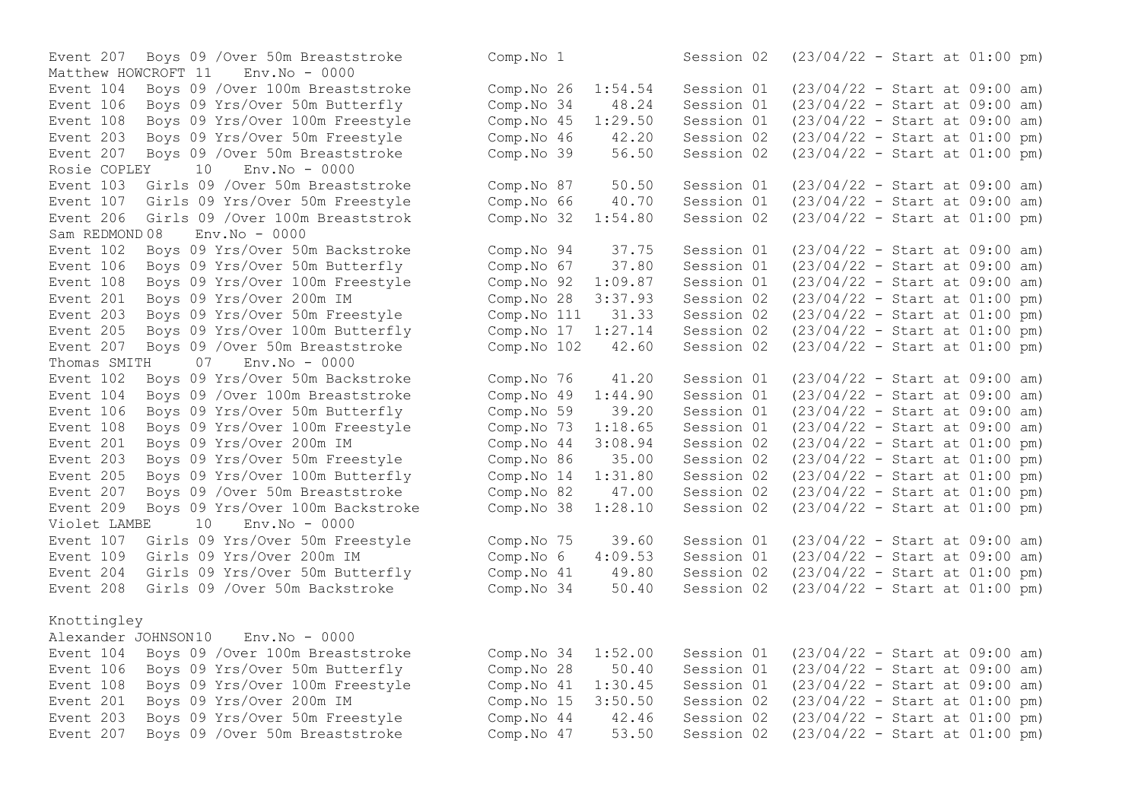Matthew HOWCROFT 11 Env.No - 0000 Event 207 Boys 09 / Over 50m Breaststroke<br>Rosie COPLEY 10 Env No - 0000 Rosie COPLEY 10 Env.No - 0000 Event 107 Girls 09 Yrs/Over 50m Freestyle Comp.No 66 40.70 Session 01  $Sam$  REDMOND  $0.8$  Env. No  $-0.000$ Event 201 Boys 09 Yrs/Over 200m IM  $\sim$  Comp.No 28 3:37.93 Session 02 Event 205 Boys 09 Yrs/Over 100m Butterfly Comp.No 17 1:27.14 Session 02 Thomas SMITH 07 Env.No - 0000 Event 106 Boys 09 Yrs/Over 50m Butterfly Comp.No 59 39.20 Session 01 Event 205 Boys 09 Yrs/Over 100m Butterfly Comp.No 14 1:31.80 Session 02 Event 209 Boys 09 Yrs/Over 100m Backstroke  $\sim$  Comp.No 38 1:28.10 Session 02 Violet LAMBE 10 Env.No - 0000 Event 204 Girls 09 Yrs/Over 50m Butterfly Comp.No 41 49.80 Session 02 Knottingley

Alexander JOHNSON10 Env.No - 0000 Event 207 Boys 09 /Over 50m Breaststroke Comp.No 47 53.50 Session 02 (23/04/22 - Start at 01:00 pm)

Event 207 Boys 09 / Over 50m Breaststroke Comp.No 1 Session 02 (23/04/22 - Start at 01:00 pm) Event 104 Boys 09 /Over 100m Breaststroke Comp.No 26 1:54.54 Session 01 (23/04/22 - Start at 09:00 am) Event 106 Boys 09 Yrs/Over 50m Butterfly Comp.No 34 48.24 Session 01 (23/04/22 - Start at 09:00 am) Event 108 Boys 09 Yrs/Over 100m Freestyle Comp.No 45 1:29.50 Session 01 (23/04/22 - Start at 09:00 am) Event 203 Boys 09 Yrs/Over 50m Freestyle Comp.No 46 42.20 Session 02 (23/04/22 - Start at 01:00 pm)<br>Event 207 Boys 09 /Over 50m Breaststroke Comp.No 39 56.50 Session 02 (23/04/22 - Start at 01:00 pm) Event 103 Girls 09 /Over 50m Breaststroke Comp. No 87 50.50 Session 01 (23/04/22 - Start at 09:00 am)<br>Event 107 Girls 09 Yrs/Over 50m Freestyle Comp. No 66 40.70 Session 01 (23/04/22 - Start at 09:00 am) Event 206 Girls 09 /Over 100m Breaststrok Comp.No 32 1:54.80 Session 02 (23/04/22 - Start at 01:00 pm) Event 102 Boys 09 Yrs/Over 50m Backstroke Comp.No 94 37.75 Session 01 (23/04/22 - Start at 09:00 am) Event 106 Boys 09 Yrs/Over 50m Butterfly Comp.No 67 37.80 Session 01 (23/04/22 - Start at 09:00 am) Event 108 Boys 09 Yrs/Over 100m Freestyle Comp.No 92 1:09.87 Session 01 (23/04/22 - Start at 09:00 am)<br>Event 201 Boys 09 Yrs/Over 200m IM Comp.No 28 3:37.93 Session 02 (23/04/22 - Start at 01:00 pm) Event 203 Boys 09 Yrs/Over 50m Freestyle Comp.No 111 31.33 Session 02 (23/04/22 - Start at 01:00 pm)<br>Event 205 Boys 09 Yrs/Over 100m Butterfly Comp.No 17 1:27.14 Session 02 (23/04/22 - Start at 01:00 pm) Event 207 Boys 09 /Over 50m Breaststroke Comp.No 102 42.60 Session 02 (23/04/22 - Start at 01:00 pm) Event 102 Boys 09 Yrs/Over 50m Backstroke Comp.No 76 41.20 Session 01 (23/04/22 - Start at 09:00 am) Event 104 Boys 09 /Over 100m Breaststroke Comp.No 49 1:44.90 Session 01 (23/04/22 - Start at 09:00 am)<br>Event 106 Boys 09 Yrs/Over 50m Butterfly Comp.No 59 39.20 Session 01 (23/04/22 - Start at 09:00 am) Event 108 Boys 09 Yrs/Over 100m Freestyle Comp.No 73 1:18.65 Session 01 (23/04/22 - Start at 09:00 am) Event 201 Boys 09 Yrs/Over 200m IM Comp.No 44 3:08.94 Session 02 (23/04/22 - Start at 01:00 pm)<br>Event 203 Boys 09 Yrs/Over 50m Freestyle Comp.No 86 35.00 Session 02 (23/04/22 - Start a Event 203 Boys 09 Yrs/Over 50m Freestyle Comp.No 86 35.00 Session 02 (23/04/22 - Start at 01:00 pm)<br>Event 205 Boys 09 Yrs/Over 100m Butterfly Comp.No 14 1:31.80 Session 02 (23/04/22 - Start at 01:00 pm) Event 207 Boys 09 / Over 50m Breaststroke Comp. No 82 47.00 Session 02 (23/04/22 - Start at 01:00 pm)<br>Event 209 Boys 09 Yrs/Over 100m Backstroke Comp. No 38 1:28.10 Session 02 (23/04/22 - Start at 01:00 pm) Event 107 Girls 09 Yrs/Over 50m Freestyle Comp.No 75 39.60 Session 01 (23/04/22 - Start at 09:00 am) Event 109 Girls 09 Yrs/Over 200m IM Comp.No 6 4:09.53 Session 01 (23/04/22 - Start at 09:00 am)<br>Event 204 Girls 09 Yrs/Over 50m Butterfly Comp.No 41 49.80 Session 02 (23/04/22 - Start at 01:00 pm) Event 208 Girls 09 /Over 50m Backstroke Comp.No 34 50.40 Session 02 (23/04/22 - Start at 01:00 pm) Event 104 Boys 09 /Over 100m Breaststroke Comp.No 34 1:52.00 Session 01 (23/04/22 - Start at 09:00 am) Event 106 Boys 09 Yrs/Over 50m Butterfly Comp.No 28 50.40 Session 01 (23/04/22 - Start at 09:00 am) Event 108 Boys 09 Yrs/Over 100m Freestyle Comp.No 41 1:30.45 Session 01 (23/04/22 - Start at 09:00 am) Event 201 Boys 09 Yrs/Over 200m IM Comp.No 15 3:50.50 Session 02 (23/04/22 - Start at 01:00 pm) Event 203 Boys 09 Yrs/Over 50m Freestyle Comp.No 44 42.46 Session 02 (23/04/22 - Start at 01:00 pm)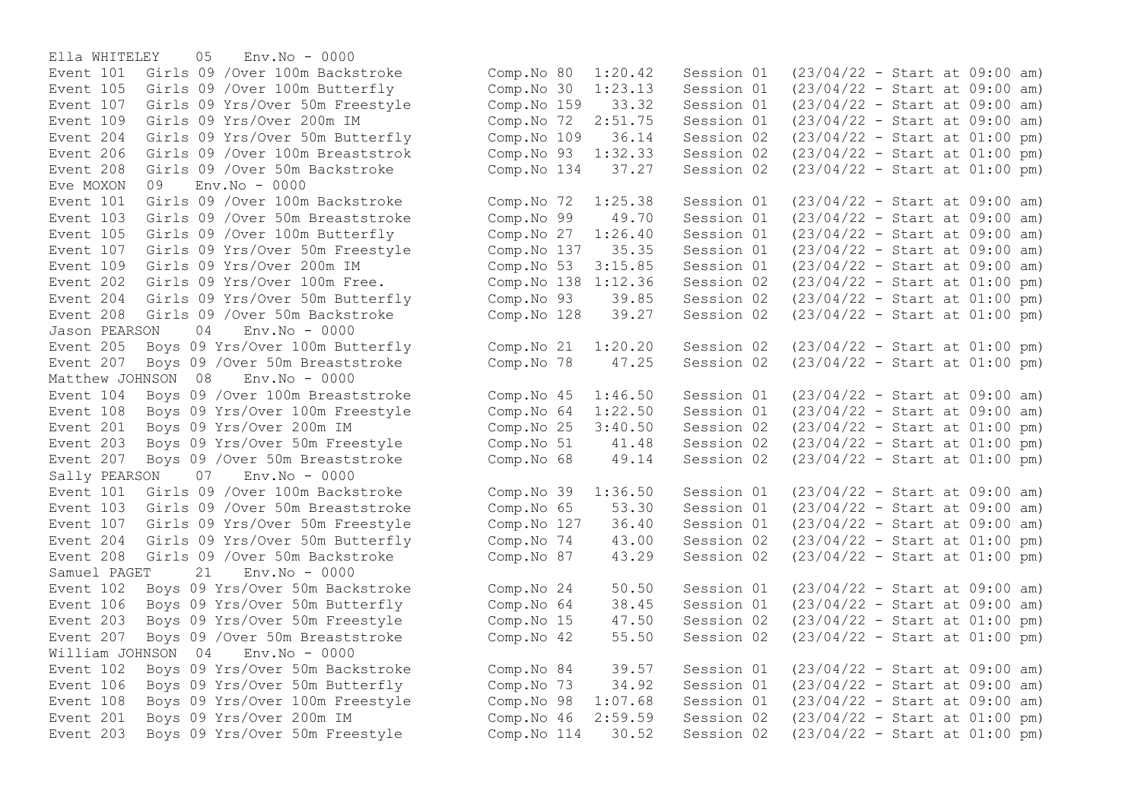Ella WHITELEY 05 Env.No - 0000 Event 208 Girls 09 / Over 50m Backstroke Comp.No 134 Eve MOXON  $0.9$  Env. No - 0000 Event 204 Girls 09 Yrs/Over 50m Butterfly Comp.No 93 39.85 Session 02 Jason PEARSON 04 Env.No - 0000 Matthew JOHNSON 08 Event 108 Boys 09 Yrs/Over 100m Freestyle Comp.No 64 1:22.50 Session 01 Event 203 Boys 09 Yrs/Over 50m Freestyle Comp.No 51 41.48 Session 02 Sally PEARSON 07 Env.No - 0000 Samuel PAGET  $21$  Env. No - 0000 William JOHNSON 04 Env.No - 0000

Event 101 Girls 09 /Over 100m Backstroke Comp.No 80 1:20.42 Session 01 (23/04/22 - Start at 09:00 am) Event 105 Girls 09 /Over 100m Butterfly Comp.No 30 1:23.13 Session 01 (23/04/22 - Start at 09:00 am) Event 107 Girls 09 Yrs/Over 50m Freestyle Comp.No 159 33.32 Session 01 (23/04/22 - Start at 09:00 am) Event 109 Girls 09 Yrs/Over 200m IM Comp.No 72 2:51.75 Session 01 (23/04/22 - Start at 09:00 am) Event 204 Girls 09 Yrs/Over 50m Butterfly Comp.No 109 36.14 Session 02 (23/04/22 - Start at 01:00 pm)<br>Event 206 Girls 09 /Over 100m Breaststrok Comp.No 93 1:32.33 Session 02 (23/04/22 - Start at 01:00 pm) Event 206 Girls 09 /Over 100m Breaststrok Comp.No 93 1:32.33 Session 02 (23/04/22 - Start at 01:00 pm)<br>Event 208 Girls 09 /Over 50m Backstroke Comp.No 134 37.27 Session 02 (23/04/22 - Start at 01:00 pm) Event 101 Girls 09 /Over 100m Backstroke Comp.No 72 1:25.38 Session 01 (23/04/22 - Start at 09:00 am) Event 103 Girls 09 /Over 50m Breaststroke Comp.No 99 49.70 Session 01 (23/04/22 - Start at 09:00 am) Event 105 Girls 09 /Over 100m Butterfly Comp.No 27 1:26.40 Session 01 (23/04/22 - Start at 09:00 am) Event 107 Girls 09 Yrs/Over 50m Freestyle Comp.No 137 35.35 Session 01 (23/04/22 - Start at 09:00 am)<br>Event 109 Girls 09 Yrs/Over 200m IM Comp.No 53 3:15.85 Session 01 (23/04/22 - Start at 09:00 am) Event 109 Girls 09 Yrs/Over 200m IM Comp.No 53 3:15.85 Session 01 (23/04/22 - Start at 09:00 am) Event 202 Girls 09 Yrs/Over 100m Free.<br>
Event 204 Girls 09 Yrs/Over 50m Butterfly (Comp.No 93 39.85 Session 02 (23/04/22 - Start at 01:00 pm) Event 208 Girls 09 /Over 50m Backstroke Comp.No 128 39.27 Session 02 (23/04/22 - Start at 01:00 pm) Event 205 Boys 09 Yrs/Over 100m Butterfly Comp.No 21 1:20.20 Session 02 (23/04/22 - Start at 01:00 pm) Event 207 Boys 09 /Over 50m Breaststroke Comp.No 78 47.25 Session 02 (23/04/22 - Start at 01:00 pm)<br>Matthew JOHNSON 08 Env.No - 0000 Event 104 Boys 09 /Over 100m Breaststroke Comp.No 45 1:46.50 Session 01 (23/04/22 - Start at 09:00 am)<br>Event 108 Boys 09 Yrs/Over 100m Freestyle Comp.No 64 1:22.50 Session 01 (23/04/22 - Start at 09:00 am) Event 201 Boys 09 Yrs/Over 200m IM Comp.No 25 3:40.50 Session 02 (23/04/22 - Start at 01:00 pm)<br>Event 203 Boys 09 Yrs/Over 50m Freestyle Comp.No 51 41.48 Session 02 (23/04/22 - Start at 01:00 pm) Event 207 Boys 09 /Over 50m Breaststroke Comp.No 68 49.14 Session 02 (23/04/22 - Start at 01:00 pm) Event 101 Girls 09 /Over 100m Backstroke Comp.No 39 1:36.50 Session 01 (23/04/22 - Start at 09:00 am) Event 103 Girls 09 /Over 50m Breaststroke Comp.No 65 53.30 Session 01 (23/04/22 - Start at 09:00 am) Event 107 Girls 09 Yrs/Over 50m Freestyle Comp.No 127 36.40 Session 01 (23/04/22 - Start at 09:00 am) Event 204 Girls 09 Yrs/Over 50m Butterfly Comp.No 74 43.00 Session 02 (23/04/22 - Start at 01:00 pm) Event 208 Girls 09 /Over 50m Backstroke Comp.No 87 43.29 Session 02 (23/04/22 - Start at 01:00 pm) Event 102 Boys 09 Yrs/Over 50m Backstroke Comp. No 24 50.50 Session 01 (23/04/22 - Start at 09:00 am)<br>Event 106 Bovs 09 Yrs/Over 50m Butterfly Comp. No 64 38.45 Session 01 (23/04/22 - Start at 09:00 am) Event 106 Boys 09 Yrs/Over 50m Butterfly Comp.No 64 38.45 Session 01 (23/04/22 - Start at 09:00 am) Event 203 Boys 09 Yrs/Over 50m Freestyle Comp.No 15 47.50 Session 02 (23/04/22 - Start at 01:00 pm) Event 207 Boys 09 /Over 50m Breaststroke Comp.No 42 55.50 Session 02 (23/04/22 - Start at 01:00 pm) Event 102 Boys 09 Yrs/Over 50m Backstroke Comp.No 84 39.57 Session 01 (23/04/22 - Start at 09:00 am) Event 106 Boys 09 Yrs/Over 50m Butterfly Comp.No 73 34.92 Session 01 (23/04/22 - Start at 09:00 am) Event 108 Boys 09 Yrs/Over 100m Freestyle Comp.No 98 1:07.68 Session 01 (23/04/22 - Start at 09:00 am) Event 201 Boys 09 Yrs/Over 200m IM Comp.No 46 2:59.59 Session 02 (23/04/22 - Start at 01:00 pm) Event 203 Boys 09 Yrs/Over 50m Freestyle Comp.No 114 30.52 Session 02 (23/04/22 - Start at 01:00 pm)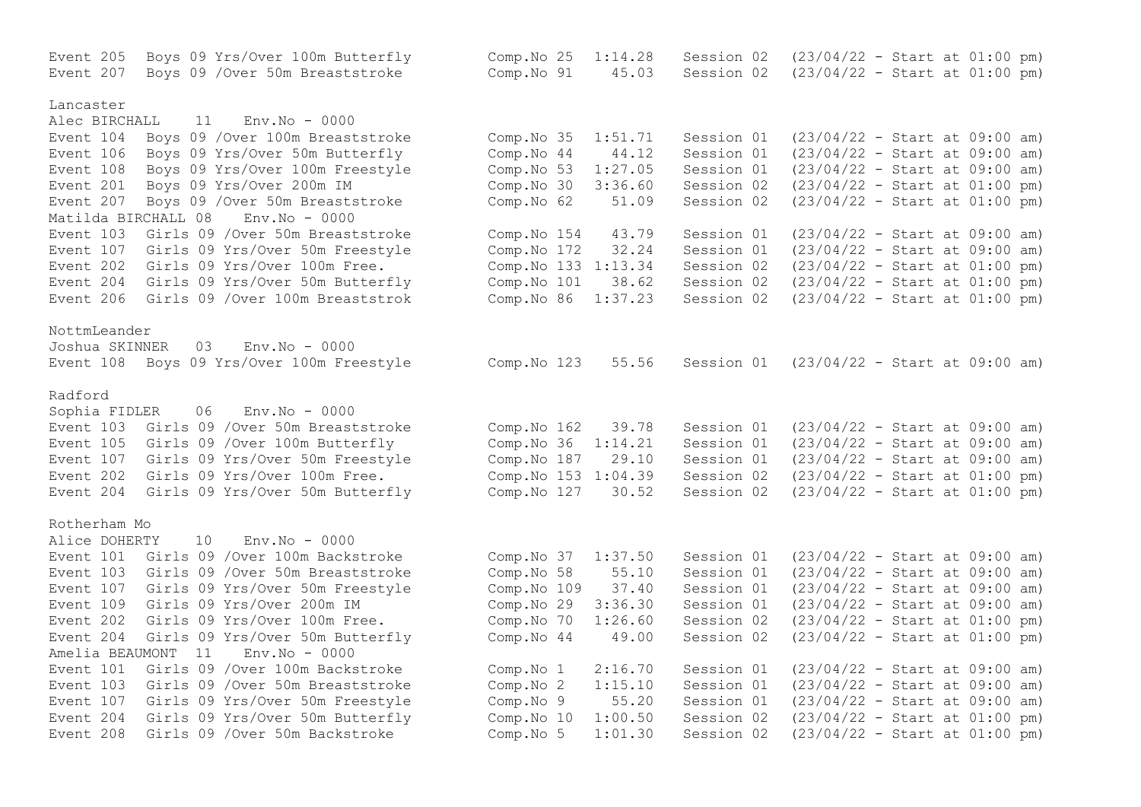Event 205 Boys 09 Yrs/Over 100m Butterfly Comp.No 25 1:14.28 Session 02 (23/04/22 - Start at 01:00 pm) Event 207 Boys 09 /Over 50m Breaststroke Comp.No 91 45.03 Session 02 (23/04/22 - Start at 01:00 pm) Lancaster Alec BIRCHALL 11 Env.No - 0000 Event 104 Boys 09 /Over 100m Breaststroke Comp.No 35 1:51.71 Session 01 (23/04/22 - Start at 09:00 am) Event 106 Boys 09 Yrs/Over 50m Butterfly Comp.No 44 44.12 Session 01 (23/04/22 - Start at 09:00 am)<br>Event 108 Boys 09 Yrs/Over 100m Freestyle Comp.No 53 1:27.05 Session 01 (23/04/22 - Start at 09:00 am) Event 108 Boys 09 Yrs/Over 100m Freestyle Comp.No 53 1:27.05 Session 01 (23/04/22 - Start at 09:00 am)<br>Event 201 Bovs 09 Yrs/Over 200m IM Comp.No 30 3:36.60 Session 02 (23/04/22 - Start at 01:00 pm) Event 201 Boys 09 Yrs/Over 200m IM Comp.No 30 3:36.60 Session 02 Event 207 Boys 09 /Over 50m Breaststroke Comp.No 62 51.09 Session 02 (23/04/22 - Start at 01:00 pm) Matilda BIRCHALL 08 Env.No - 0000 Event 103 Girls 09 /Over 50m Breaststroke Comp. No 154 43.79 Session 01 (23/04/22 - Start at 09:00 am)<br>Event 107 Girls 09 Yrs/Over 50m Freestvle Comp. No 172 32.24 Session 01 (23/04/22 - Start at 09:00 am) Event 107 Girls 09 Yrs/Over 50m Freestyle Comp.No 172 32.24 Session 01 (23/04/22 - Start at 09:00 am) Event 202 Girls 09 Yrs/Over 100m Free. Comp.No 133 1:13.34 Session 02 (23/04/22 - Start at 01:00 pm)<br>Event 204 Girls 09 Yrs/Over 50m Butterfly Comp.No 101 38.62 Session 02 (23/04/22 - Start at 01:00 pm) Event 204 Girls 09 Yrs/Over 50m Butterfly Comp. No 101 38.62 Session 02 (23/04/22 - Start at 01:00 pm)<br>Event 206 Girls 09 /Over 100m Breaststrok Comp. No 86 1:37.23 Session 02 (23/04/22 - Start at 01:00 pm) Event 206 Girls 09 /Over 100m Breaststrok Comp.No 86  $1:37.23$  Session 02 NottmLeander Joshua SKINNER 03 Env.No - 0000 Event 108 Boys 09 Yrs/Over 100m Freestyle Comp.No 123 55.56 Session 01 (23/04/22 - Start at 09:00 am) Radford Sophia FIDLER 06 Env.No - 0000 Event 103 Girls 09 /Over 50m Breaststroke Comp.No 162 39.78 Session 01 (23/04/22 - Start at 09:00 am) Event 105 Girls 09 /Over 100m Butterfly Comp.No 36 1:14.21 Session 01 (23/04/22 - Start at 09:00 am) Event 107 Girls 09 Yrs/Over 50m Freestyle Comp.No 187 29.10 Session 01 (23/04/22 - Start at 09:00 am) Event 202 Girls 09 Yrs/Over 100m Free. Comp.No 153 1:04.39 Session 02 (23/04/22 - Start at 01:00 pm) Event 204 Girls 09 Yrs/Over 50m Butterfly Comp.No 127 30.52 Session 02 (23/04/22 - Start at 01:00 pm) Rotherham Mo Alice DOHERTY 10 Env.No - 0000 Event 101 Girls 09 /Over 100m Backstroke Comp.No 37 1:37.50 Session 01 (23/04/22 - Start at 09:00 am) Event 103 Girls 09 /Over 50m Breaststroke Comp.No 58 55.10 Session 01 (23/04/22 - Start at 09:00 am) Event 107 Girls 09 Yrs/Over 50m Freestyle Comp.No 109 37.40 Session 01 (23/04/22 - Start at 09:00 am) Event 109 Girls 09 Yrs/Over 200m IM Comp.No 29 3:36.30 Session 01 (23/04/22 - Start at 09:00 am) Event 202 Girls 09 Yrs/Over 100m Free. Comp.No 70 1:26.60 Session 02 (23/04/22 - Start at 01:00 pm) Event 204 Girls 09 Yrs/Over 50m Butterfly Comp.No 44 49.00 Session 02 (23/04/22 - Start at 01:00 pm) Amelia BEAUMONT 11 Env.No - 0000 Event 101 Girls 09 /Over 100m Backstroke Comp.No 1 2:16.70 Session 01 (23/04/22 - Start at 09:00 am) Event 103 Girls 09 /Over 50m Breaststroke Comp.No 2 1:15.10 Session 01 (23/04/22 - Start at 09:00 am) Event 107 Girls 09 Yrs/Over 50m Freestyle Comp.No 9 55.20 Session 01 (23/04/22 - Start at 09:00 am) Event 204 Girls 09 Yrs/Over 50m Butterfly Comp.No 10 1:00.50 Session 02 (23/04/22 - Start at 01:00 pm) Event 208 Girls 09 /Over 50m Backstroke Comp.No 5 1:01.30 Session 02 (23/04/22 - Start at 01:00 pm)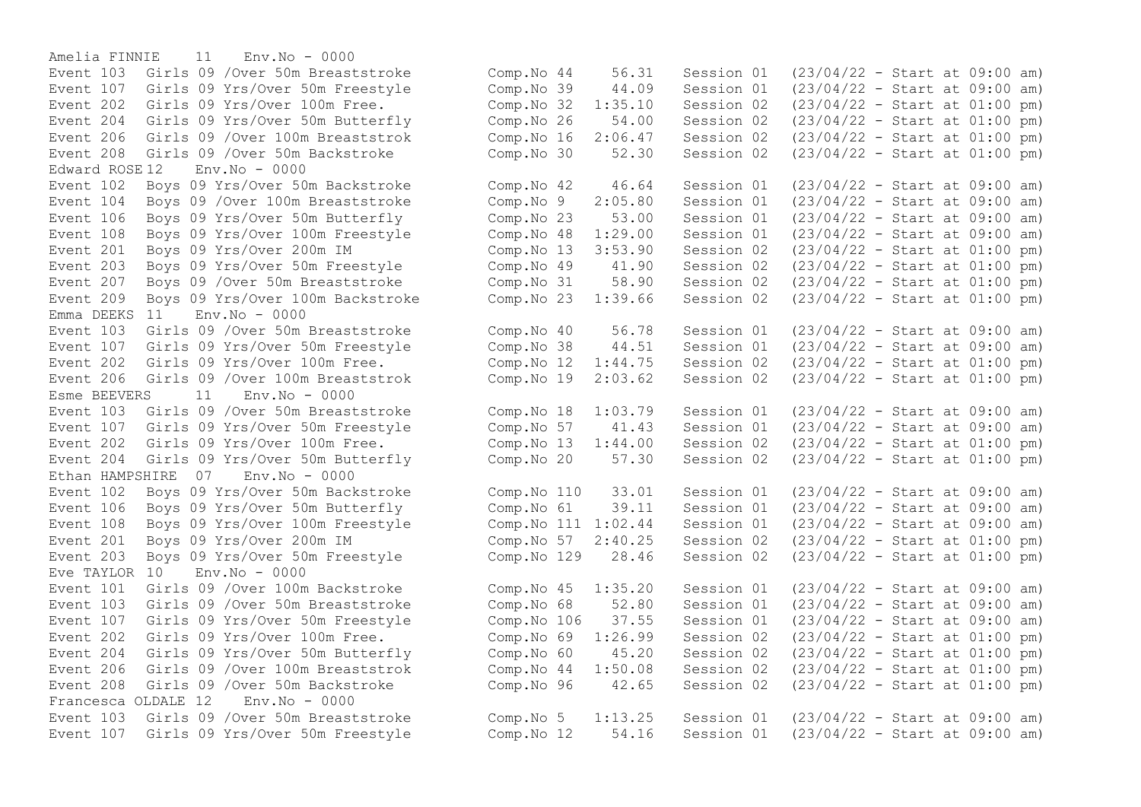Amelia FINNIE 11 Env.No - 0000 Event 208 Girls 09 /Over 50m Backstroke Edward ROSE 12 Env.No - 0000 Event 209 Boys 09 Yrs/Over 100m Backstroke Emma DEEKS  $11$  Env.No - 0000 Event 206 Girls 09 /Over 100m Breaststrok Comp.No  $19$   $2:03.62$  Session 02 Esme BEEVERS 11 Env.No - 0000 Ethan HAMPSHIRE 07 Env.No - 0000 Event 106 Boys 09 Yrs/Over 50m Butterfly Comp.No 61 39.11 Session 01 Eve TAYLOR 10 Env.No - 0000 Event 103 Girls 09 /Over 50m Breaststroke Comp.No 68 52.80 Session 01 Event 202 Girls 09 Yrs/Over 100m Free. Comp.No 69 1:26.99 Session 02 Francesca OLDALE 12 Env.No - 0000

Event 103 Girls 09 /Over 50m Breaststroke Comp.No 44 56.31 Session 01 (23/04/22 - Start at 09:00 am)<br>Event 107 Girls 09 Yrs/Over 50m Freestyle Comp.No 39 44.09 Session 01 (23/04/22 - Start at 09:00 am) Event 107 Girls 09 Yrs/Over 50m Freestyle Comp.No 39 44.09 Session 01 (23/04/22 - Start at 09:00 am) Event 202 Girls 09 Yrs/Over 100m Free. Comp.No 32 1:35.10 Session 02 (23/04/22 - Start at 01:00 pm) Event 204 Girls 09 Yrs/Over 50m Butterfly Comp.No 26 54.00 Session 02 (23/04/22 - Start at 01:00 pm)<br>Event 206 Girls 09 /Over 100m Breaststrok Comp.No 16 2:06.47 Session 02 (23/04/22 - Start at 01:00 pm) Event 206 Girls 09 /Over 100m Breaststrok Comp.No 16 2:06.47 Session 02 (23/04/22 - Start at 01:00 pm) Event 102 Boys 09 Yrs/Over 50m Backstroke Comp.No 42 46.64 Session 01 (23/04/22 - Start at 09:00 am) Event 104 Boys 09 /Over 100m Breaststroke Comp.No 9 2:05.80 Session 01 (23/04/22 - Start at 09:00 am) Event 106 Boys 09 Yrs/Over 50m Butterfly Comp.No 23 53.00 Session 01 (23/04/22 - Start at 09:00 am) Event 108 Boys 09 Yrs/Over 100m Freestyle Comp.No 48 1:29.00 Session 01 (23/04/22 - Start at 09:00 am) Event 201 Boys 09 Yrs/Over 200m IM Comp.No 13 3:53.90 Session 02 (23/04/22 - Start at 01:00 pm) Event 203 Boys 09 Yrs/Over 50m Freestyle Comp.No 49 41.90 Session 02 (23/04/22 - Start at 01:00 pm)<br>Event 207 Boys 09 /Over 50m Breaststroke Comp.No 31 58.90 Session 02 (23/04/22 - Start at 01:00 pm) Event 207 Boys 09 /Over 50m Breaststroke Comp.No 31 58.90 Session 02 (23/04/22 - Start at 01:00 pm)<br>Event 209 Boys 09 Yrs/Over 100m Backstroke Comp.No 23 1:39.66 Session 02 (23/04/22 - Start at 01:00 pm) Event 103 Girls 09 /Over 50m Breaststroke Comp.No 40 56.78 Session 01 (23/04/22 - Start at 09:00 am) Event 107 Girls 09 Yrs/Over 50m Freestyle Comp.No 38 44.51 Session 01 (23/04/22 - Start at 09:00 am) Event 202 Girls 09 Yrs/Over 100m Free. Comp.No 12 1:44.75 Session 02 (23/04/22 - Start at 01:00 pm)<br>Event 206 Girls 09 /Over 100m Breaststrok Comp.No 19 2:03.62 Session 02 (23/04/22 - Start at 01:00 pm) Event 103 Girls 09 /Over 50m Breaststroke Comp.No 18 1:03.79 Session 01 (23/04/22 - Start at 09:00 am) Event 107 Girls 09 Yrs/Over 50m Freestyle Comp.No 57 41.43 Session 01 (23/04/22 - Start at 09:00 am) Event 202 Girls 09 Yrs/Over 100m Free. Comp.No 13 1:44.00 Session 02 (23/04/22 - Start at 01:00 pm) Event 204 Girls 09 Yrs/Over 50m Butterfly Comp.No 20 57.30 Session 02 (23/04/22 - Start at 01:00 pm) Event 102 Boys 09 Yrs/Over 50m Backstroke Comp. No 110 33.01 Session 01 (23/04/22 - Start at 09:00 am)<br>Event 106 Bovs 09 Yrs/Over 50m Butterfly Comp. No 61 39.11 Session 01 (23/04/22 - Start at 09:00 am) Event 108 Boys 09 Yrs/Over 100m Freestyle Comp.No 111 1:02.44 Session 01 (23/04/22 - Start at 09:00 am) Event 201 Boys 09 Yrs/Over 200m IM Comp.No 57 2:40.25 Session 02 (23/04/22 - Start at 01:00 pm) Event 203 Boys 09 Yrs/Over 50m Freestyle Comp.No 129 28.46 Session 02 (23/04/22 - Start at 01:00 pm) Event 101 Girls 09 /Over 100m Backstroke Comp.No 45 1:35.20 Session 01 (23/04/22 - Start at 09:00 am)<br>Event 103 Girls 09 /Over 50m Breaststroke Comp.No 68 52.80 Session 01 (23/04/22 - Start at 09:00 am) Event 107 Girls 09 Yrs/Over 50m Freestyle Comp.No 106 37.55 Session 01 (23/04/22 - Start at 09:00 am)<br>Event 202 Girls 09 Yrs/Over 100m Free. Comp.No 69 1:26.99 Session 02 (23/04/22 - Start at 01:00 pm) Event 204 Girls 09 Yrs/Over 50m Butterfly Comp.No 60 45.20 Session 02 (23/04/22 - Start at 01:00 pm) Event 206 Girls 09 /Over 100m Breaststrok Comp.No 44 1:50.08 Session 02 (23/04/22 - Start at 01:00 pm) Event 208 Girls 09 /Over 50m Backstroke Comp.No 96 42.65 Session 02 (23/04/22 - Start at 01:00 pm) Event 103 Girls 09 /Over 50m Breaststroke Comp.No 5 1:13.25 Session 01 (23/04/22 - Start at 09:00 am) Event 107 Girls 09 Yrs/Over 50m Freestyle Comp.No 12 54.16 Session 01 (23/04/22 - Start at 09:00 am)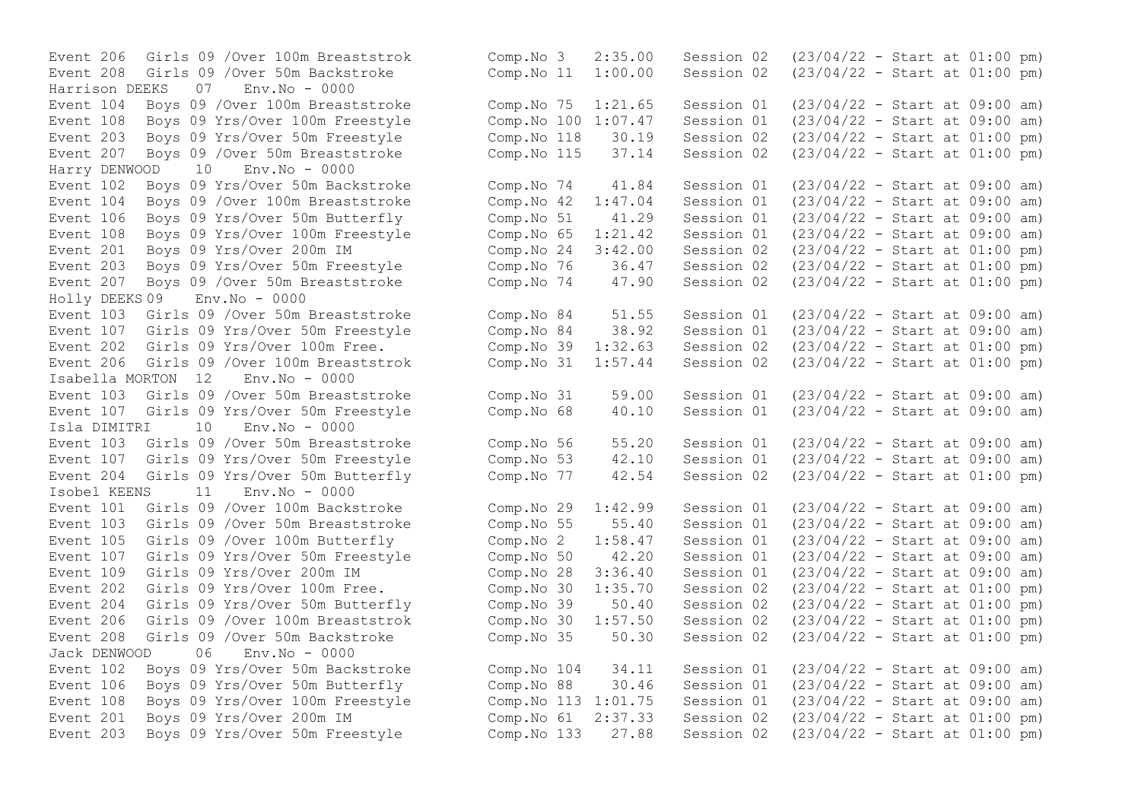Harrison DEEKS 07 Env.No - 0000 Event 207 Boys 09 / Over 50m Breaststroke Harry DENWOOD 10 Env.No - 0000 Event 106 Boys 09 Yrs/Over 50m Butterfly Comp.No 51 41.29 Session 01 Event 207 Boys 09 / Over 50m Breaststroke Holly DEEKS 09 Env.No - 0000 Event 206 Girls 09 / Over 100m Breaststrok Comp.No 31 1:57.44 Session 02 Isabella MORTON 12 Env.No - 0000 Event 107 Girls 09 Yrs/Over 50m Freestyle Isla DIMITRI 10 Env.No - 0000 Event 107 Girls 09 Yrs/Over 50m Freestyle Comp.No 53 42.10 Session 01 Isobel KEENS 11 Env.No - 0000 Jack DENWOOD 06 Env.No - 0000

Event 206 Girls 09 /Over 100m Breaststrok Comp.No 3 2:35.00 Session 02 (23/04/22 - Start at 01:00 pm) Event 208 Girls 09 /Over 50m Backstroke Comp.No 11 1:00.00 Session 02 (23/04/22 - Start at 01:00 pm) Event 104 Boys 09 /Over 100m Breaststroke Comp.No 75 1:21.65 Session 01 (23/04/22 - Start at 09:00 am) Event 108 Boys 09 Yrs/Over 100m Freestyle Comp.No 100 1:07.47 Session 01 (23/04/22 - Start at 09:00 am)<br>Event 203 Bovs 09 Yrs/Over 50m Freestyle Comp.No 118 30.19 Session 02 (23/04/22 - Start at 01:00 pm) Event 203 Boys 09 Yrs/Over 50m Freestyle Comp.No 118 30.19 Session 02 (23/04/22 - Start at 01:00 pm)<br>Event 207 Bovs 09 /Over 50m Breaststroke Comp.No 115 37.14 Session 02 (23/04/22 - Start at 01:00 pm) Event 102 Boys 09 Yrs/Over 50m Backstroke Comp.No 74 41.84 Session 01 (23/04/22 - Start at 09:00 am) Event 104 Boys 09 /Over 100m Breaststroke Comp. No 42 1:47.04 Session 01 (23/04/22 - Start at 09:00 am)<br>Event 106 Boys 09 Yrs/Over 50m Butterfly Comp. No 51 41.29 Session 01 (23/04/22 - Start at 09:00 am) Event 108 Boys 09 Yrs/Over 100m Freestyle Comp.No 65 1:21.42 Session 01 (23/04/22 - Start at 09:00 am) Event 201 Boys 09 Yrs/Over 200m IM Comp.No 24 3:42.00 Session 02 (23/04/22 - Start at 01:00 pm) Event 203 Boys 09 Yrs/Over 50m Freestyle Comp.No 76 36.47 Session 02 (23/04/22 - Start at 01:00 pm)<br>Event 207 Boys 09 /Over 50m Breaststroke Comp.No 74 47.90 Session 02 (23/04/22 - Start at 01:00 pm) Event 103 Girls 09 /Over 50m Breaststroke Comp.No 84 51.55 Session 01 (23/04/22 - Start at 09:00 am) Event 107 Girls 09 Yrs/Over 50m Freestyle Comp.No 84 38.92 Session 01 (23/04/22 - Start at 09:00 am) Event 202 Girls 09 Yrs/Over 100m Free. Comp.No 39 1:32.63 Session 02 (23/04/22 - Start at 01:00 pm)<br>Event 206 Girls 09 /Over 100m Breaststrok Comp.No 31 1:57.44 Session 02 (23/04/22 - Start at 01:00 pm) Event 103 Girls 09 /Over 50m Breaststroke Comp. No 31 59.00 Session 01 (23/04/22 - Start at 09:00 am)<br>Event 107 Girls 09 Yrs/Over 50m Freestyle Comp. No 68 40.10 Session 01 (23/04/22 - Start at 09:00 am) Event 103 Girls 09 /Over 50m Breaststroke Comp. No 56 55.20 Session 01 (23/04/22 - Start at 09:00 am)<br>Event 107 Girls 09 Yrs/Over 50m Freestyle Comp. No 53 42.10 Session 01 (23/04/22 - Start at 09:00 am) Event 204 Girls 09 Yrs/Over 50m Butterfly Comp.No 77 42.54 Session 02 (23/04/22 - Start at 01:00 pm) Event 101 Girls 09 /Over 100m Backstroke Comp.No 29 1:42.99 Session 01 (23/04/22 - Start at 09:00 am) Event 103 Girls 09 /Over 50m Breaststroke Comp.No 55 55.40 Session 01 (23/04/22 - Start at 09:00 am) Event 105 Girls 09 /Over 100m Butterfly Comp.No 2 1:58.47 Session 01 (23/04/22 - Start at 09:00 am) Event 107 Girls 09 Yrs/Over 50m Freestyle Comp.No 50 42.20 Session 01 (23/04/22 - Start at 09:00 am) Event 109 Girls 09 Yrs/Over 200m IM Comp.No 28 3:36.40 Session 01 (23/04/22 - Start at 09:00 am) Event 202 Girls 09 Yrs/Over 100m Free. Comp.No 30 1:35.70 Session 02 (23/04/22 - Start at 01:00 pm) Event 204 Girls 09 Yrs/Over 50m Butterfly Comp.No 39 50.40 Session 02 (23/04/22 - Start at 01:00 pm) Event 206 Girls 09 /Over 100m Breaststrok Comp.No 30 1:57.50 Session 02 (23/04/22 - Start at 01:00 pm) Event 208 Girls 09 /Over 50m Backstroke Comp.No 35 50.30 Session 02 (23/04/22 - Start at 01:00 pm) Event 102 Boys 09 Yrs/Over 50m Backstroke Comp.No 104 34.11 Session 01 (23/04/22 - Start at 09:00 am) Event 106 Boys 09 Yrs/Over 50m Butterfly Comp.No 88 30.46 Session 01 (23/04/22 - Start at 09:00 am) Event 108 Boys 09 Yrs/Over 100m Freestyle Comp.No 113 1:01.75 Session 01 (23/04/22 - Start at 09:00 am) Event 201 Boys 09 Yrs/Over 200m IM Comp.No 61 2:37.33 Session 02 (23/04/22 - Start at 01:00 pm) Event 203 Boys 09 Yrs/Over 50m Freestyle Comp.No 133 27.88 Session 02 (23/04/22 - Start at 01:00 pm)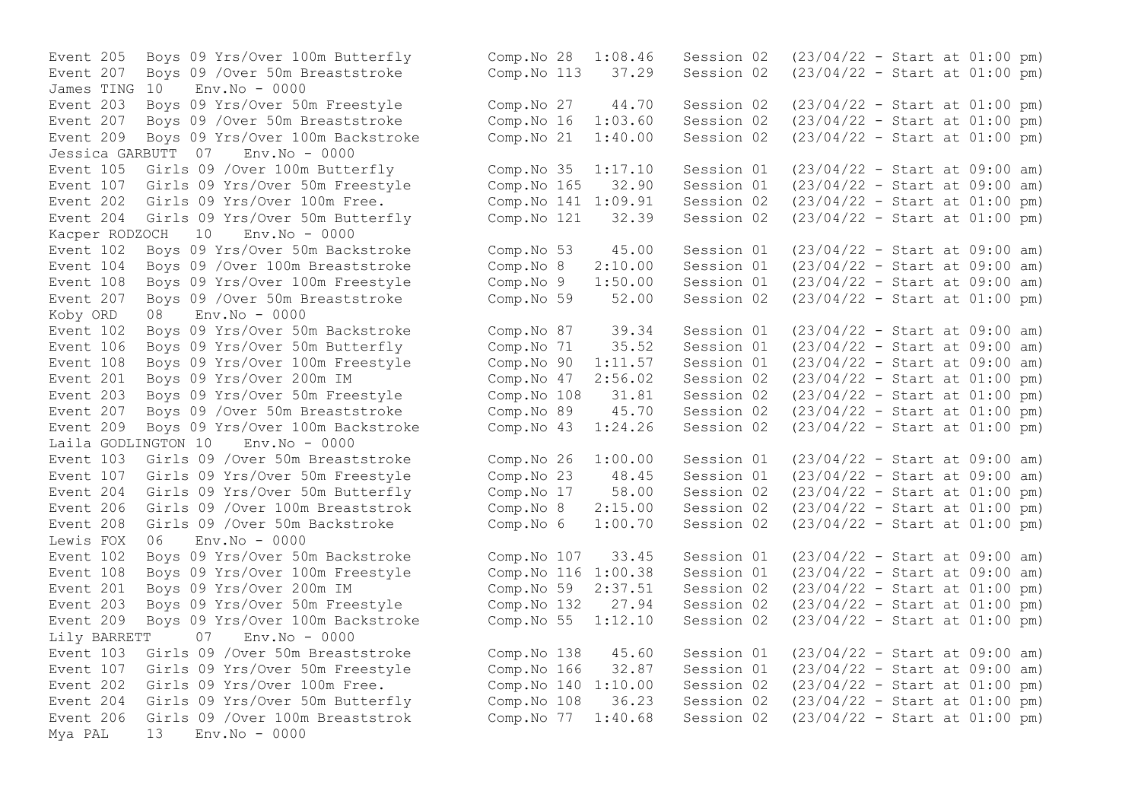Event 207 Boys 09 / Over 50m Breaststroke Comp. No 113 37.29 Session 02 James TING 10 Env.No - 0000 Event 209 Boys 09 Yrs/Over 100m Backstroke Comp.No 21 1:40.00 Session 02 Jessica GARBUTT 07 Env.No - 0000 Event 107 Girls 09 Yrs/Over 50m Freestyle Comp.No 165 32.90 Session 01 Kacper RODZOCH 10 Env.No - 0000 Event 207 Boys 09 / Over 50m Breaststroke Comp.No 59 52.00 Session 02 Koby ORD 08 Env.No - 0000 Laila GODLINGTON 10 Env.No - 0000 Lewis  $FOX$  06  $Env$   $No - 0000$ Lily BARRETT 07 Env.No - 0000 Event 204 Girls 09 Yrs/Over 50m Butterfly Comp.No 108 36.23 Session 02 Mya PAL 13 Env.No - 0000

Event 205 Boys 09 Yrs/Over 100m Butterfly Comp.No 28 1:08.46 Session 02 (23/04/22 - Start at 01:00 pm)<br>Event 207 Boys 09 /Over 50m Breaststroke Comp.No 113 37.29 Session 02 (23/04/22 - Start at 01:00 pm) Event 203 Boys 09 Yrs/Over 50m Freestyle Comp.No 27 44.70 Session 02 (23/04/22 - Start at 01:00 pm)<br>Event 207 Boys 09 /Over 50m Breaststroke Comp.No 16 1:03.60 Session 02 (23/04/22 - Start at 01:00 pm) Event 207 Boys 09 /Over 50m Breaststroke Comp.No 16 1:03.60 Session 02 (23/04/22 - Start at 01:00 pm)<br>Event 209 Boys 09 Yrs/Over 100m Backstroke Comp.No 21 1:40.00 Session 02 (23/04/22 - Start at 01:00 pm) Event 105 Girls 09 /Over 100m Butterfly<br>
Event 107 Girls 09 Yrs/Over 50m Freestyle Comp.No 165 32.90 Session 01 (23/04/22 - Start at 09:00 am) Event 202 Girls 09 Yrs/Over 100m Free. Comp.No 141 1:09.91 Session 02 (23/04/22 - Start at 01:00 pm) Event 204 Girls 09 Yrs/Over 50m Butterfly Comp.No 121 32.39 Session 02 (23/04/22 - Start at 01:00 pm) Event 102 Boys 09 Yrs/Over 50m Backstroke Comp.No 53 45.00 Session 01 (23/04/22 - Start at 09:00 am) Event 104 Boys 09 /Over 100m Breaststroke Comp.No 8 2:10.00 Session 01 (23/04/22 - Start at 09:00 am) Event 108 Boys 09 Yrs/Over 100m Freestyle Comp.No 9 1:50.00 Session 01 (23/04/22 - Start at 09:00 am)<br>Event 207 Boys 09 /Over 50m Breaststroke Comp.No 59 52.00 Session 02 (23/04/22 - Start at 01:00 pm) Event 102 Boys 09 Yrs/Over 50m Backstroke Comp.No 87 39.34 Session 01 (23/04/22 - Start at 09:00 am) Event 106 Boys 09 Yrs/Over 50m Butterfly Comp.No 71 35.52 Session 01 (23/04/22 - Start at 09:00 am)<br>Event 108 Boys 09 Yrs/Over 100m Freestyle Comp.No 90 1:11.57 Session 01 (23/04/22 - Start at 09:00 am) Event 108 Boys 09 Yrs/Over 100m Freestyle Comp.No 90 1:11.57 Session 01 (23/04/22 - Start at 09:00 am) Event 201 Boys 09 Yrs/Over 200m IM Comp.No 47 2:56.02 Session 02 (23/04/22 - Start at 01:00 pm) Event 203 Boys 09 Yrs/Over 50m Freestyle Comp.No 108 31.81 Session 02 (23/04/22 - Start at 01:00 pm)<br>Event 207 Boys 09 /Over 50m Breaststroke Comp.No 89 45.70 Session 02 (23/04/22 - Start at 01:00 pm) Event 207 Boys 09 /Over 50m Breaststroke Comp.No 89 45.70 Session 02 (23/04/22 - Start at 01:00 pm) Event 209 Boys 09 Yrs/Over 100m Backstroke Comp.No 43 1:24.26 Session 02 (23/04/22 - Start at 01:00 pm) Event 103 Girls 09 /Over 50m Breaststroke Comp.No 26 1:00.00 Session 01 (23/04/22 - Start at 09:00 am) Event 107 Girls 09 Yrs/Over 50m Freestyle Comp.No 23 48.45 Session 01 (23/04/22 - Start at 09:00 am) Event 204 Girls 09 Yrs/Over 50m Butterfly Comp.No 17 58.00 Session 02 (23/04/22 - Start at 01:00 pm) Event 206 Girls 09 /Over 100m Breaststrok Comp.No 8 2:15.00 Session 02 (23/04/22 - Start at 01:00 pm) Event 208 Girls 09 /Over 50m Backstroke Comp.No 6 1:00.70 Session 02 (23/04/22 - Start at 01:00 pm) Event 102 Boys 09 Yrs/Over 50m Backstroke Comp.No 107 33.45 Session 01 (23/04/22 - Start at 09:00 am) Event 108 Boys 09 Yrs/Over 100m Freestyle Comp.No 116 1:00.38 Session 01 (23/04/22 - Start at 09:00 am) Event 201 Boys 09 Yrs/Over 200m IM Comp.No 59 2:37.51 Session 02 (23/04/22 - Start at 01:00 pm) Event 203 Boys 09 Yrs/Over 50m Freestyle Comp.No 132 27.94 Session 02 (23/04/22 - Start at 01:00 pm) Event 209 Boys 09 Yrs/Over 100m Backstroke Comp.No 55 1:12.10 Session 02 (23/04/22 - Start at 01:00 pm) Event 103 Girls 09 /Over 50m Breaststroke Comp.No 138 45.60 Session 01 (23/04/22 - Start at 09:00 am) Event 107 Girls 09 Yrs/Over 50m Freestyle Comp.No 166 32.87 Session 01 (23/04/22 - Start at 09:00 am)<br>Event 202 Girls 09 Yrs/Over 100m Free. Comp.No 140 1:10.00 Session 02 (23/04/22 - Start at 01:00 pm) Event 202 Girls 09 Yrs/Over 100m Free. Comp.No 140 1:10.00 Session 02 (23/04/22 - Start at 01:00 pm)<br>Event 204 Girls 09 Yrs/Over 50m Butterfly Comp.No 108 36.23 Session 02 (23/04/22 - Start at 01:00 pm) Event 206 Girls 09 /Over 100m Breaststrok Comp.No 77 1:40.68 Session 02 (23/04/22 - Start at 01:00 pm)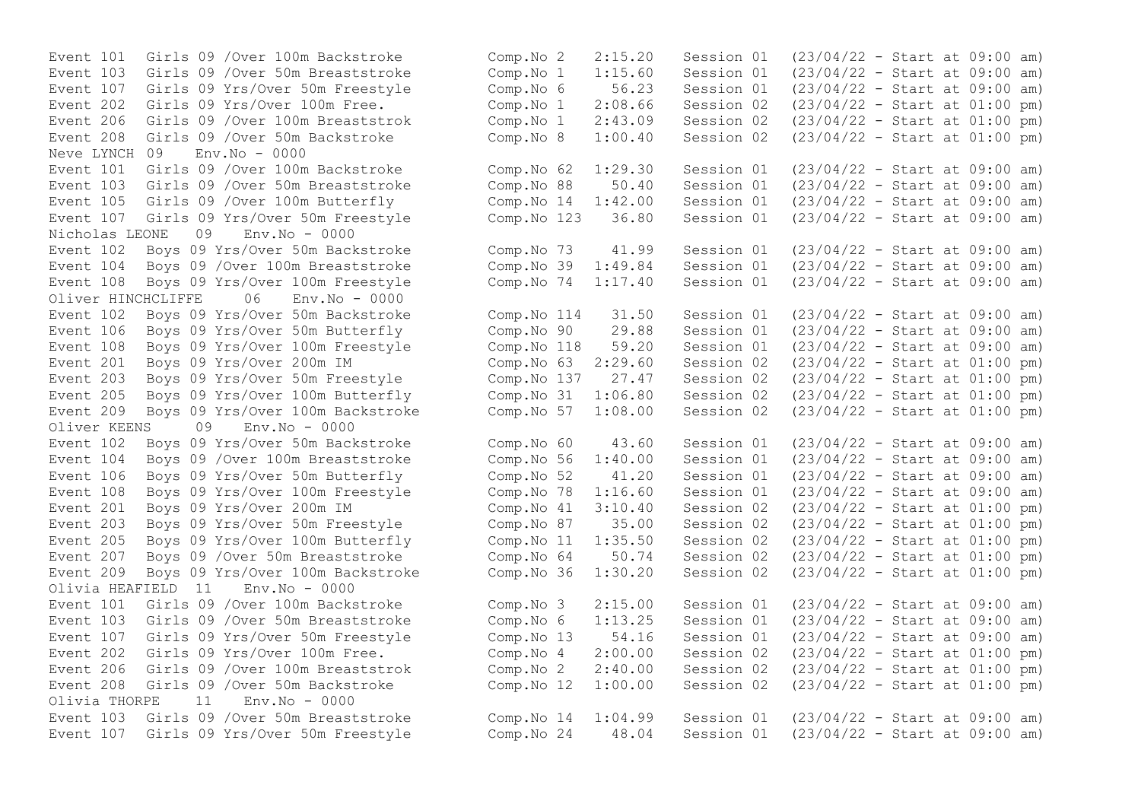Event 103 Girls 09 /Over 50m Breaststroke Comp.No 1 1:15.60 Session 01 Event 208 Girls 09 /Over 50m Backstroke Comp.No 8 1:00.40 Session 02 Neve LYNCH 09 Env.No - 0000 Event 103 Girls 09 /Over 50m Breaststroke Comp.No 88 50.40 Session 01 Nicholas LEONE 09 Env.No - 0000 Event 108 Boys 09 Yrs/Over 100m Freestyle Comp.No 74 1:17.40<br>Oliver HINCHCLIFFE 06 Env.No - 0000 Oliver HINCHCLIFFE Event 209 Boys 09 Yrs/Over 100m Backstroke Oliver KEENS 09 Env.No - 0000 Olivia HEAFIELD 11 Olivia THORPE 11 Env.No - 0000

Event 101 Girls 09 /Over 100m Backstroke Comp.No 2 2:15.20 Session 01 (23/04/22 - Start at 09:00 am)<br>Event 103 Girls 09 /Over 50m Breaststroke Comp.No 1 1:15.60 Session 01 (23/04/22 - Start at 09:00 am) Event 107 Girls 09 Yrs/Over 50m Freestyle Comp.No 6 56.23 Session 01 (23/04/22 - Start at 09:00 am) Event 202 Girls 09 Yrs/Over 100m Free.<br>
Event 206 Girls 09 /Over 100m Breaststrok Comp.No 1 2:43.09 Session 02 (23/04/22 - Start at 01:00 pm) Event 206 Girls 09 /Over 100m Breaststrok Comp.No 1 2:43.09 Session 02 (23/04/22 - Start at 01:00 pm) Event 101 Girls 09 /Over 100m Backstroke Comp.No 62 1:29.30 Session 01 (23/04/22 - Start at 09:00 am)<br>Event 103 Girls 09 /Over 50m Breaststroke Comp.No 88 50.40 Session 01 (23/04/22 - Start at 09:00 am) Event 105 Girls 09 /Over 100m Butterfly Comp.No 14 1:42.00 Session 01 (23/04/22 - Start at 09:00 am) Event 107 Girls 09 Yrs/Over 50m Freestyle Comp.No 123 36.80 Session 01 (23/04/22 - Start at 09:00 am) Event 102 Boys 09 Yrs/Over 50m Backstroke Comp.No 73 41.99 Session 01 (23/04/22 - Start at 09:00 am) Event 104 Boys 09 /Over 100m Breaststroke Comp.No 39 1:49.84 Session 01 (23/04/22 - Start at 09:00 am)<br>Event 108 Boys 09 Yrs/Over 100m Freestyle Comp.No 74 1:17.40 Session 01 (23/04/22 - Start at 09:00 am) Event 102 Boys 09 Yrs/Over 50m Backstroke Comp.No 114 31.50 Session 01 (23/04/22 - Start at 09:00 am) Event 106 Boys 09 Yrs/Over 50m Butterfly Comp.No 90 29.88 Session 01 (23/04/22 - Start at 09:00 am) Event 108 Boys 09 Yrs/Over 100m Freestyle Comp.No 118 59.20 Session 01 (23/04/22 - Start at 09:00 am) Event 201 Boys 09 Yrs/Over 200m IM Comp.No 63 2:29.60 Session 02 (23/04/22 - Start at 01:00 pm) Event 203 Boys 09 Yrs/Over 50m Freestyle Comp.No 137 27.47 Session 02 (23/04/22 - Start at 01:00 pm) Event 205 Boys 09 Yrs/Over 100m Butterfly Comp.No 31 1:06.80 Session 02 (23/04/22 - Start at 01:00 pm)<br>Event 209 Boys 09 Yrs/Over 100m Backstroke Comp.No 57 1:08.00 Session 02 (23/04/22 - Start at 01:00 pm) Event 102 Boys 09 Yrs/Over 50m Backstroke Comp.No 60 43.60 Session 01 (23/04/22 - Start at 09:00 am) Event 104 Boys 09 /Over 100m Breaststroke Comp.No 56 1:40.00 Session 01 (23/04/22 - Start at 09:00 am) Event 106 Boys 09 Yrs/Over 50m Butterfly Comp.No 52 41.20 Session 01 (23/04/22 - Start at 09:00 am) Event 108 Boys 09 Yrs/Over 100m Freestyle Comp.No 78 1:16.60 Session 01 (23/04/22 - Start at 09:00 am) Event 201 Boys 09 Yrs/Over 200m IM Comp.No 41 3:10.40 Session 02 (23/04/22 - Start at 01:00 pm) Event 203 Boys 09 Yrs/Over 50m Freestyle Comp.No 87 35.00 Session 02 (23/04/22 - Start at 01:00 pm) Event 205 Boys 09 Yrs/Over 100m Butterfly Comp.No 11 1:35.50 Session 02 (23/04/22 - Start at 01:00 pm) Event 207 Boys 09 /Over 50m Breaststroke Comp.No 64 50.74 Session 02 (23/04/22 - Start at 01:00 pm) Event 209 Boys 09 Yrs/Over 100m Backstroke Comp. No 36 1:30.20 Session 02 (23/04/22 - Start at 01:00 pm)<br>Olivia HEAFIELD 11 Env. No - 0000 Event 101 Girls 09 /Over 100m Backstroke Comp.No 3 2:15.00 Session 01 (23/04/22 - Start at 09:00 am) Event 103 Girls 09 /Over 50m Breaststroke Comp.No 6 1:13.25 Session 01 (23/04/22 - Start at 09:00 am) Event 107 Girls 09 Yrs/Over 50m Freestyle Comp.No 13 54.16 Session 01 (23/04/22 - Start at 09:00 am) Event 202 Girls 09 Yrs/Over 100m Free. Comp.No 4 2:00.00 Session 02 (23/04/22 - Start at 01:00 pm) Event 206 Girls 09 /Over 100m Breaststrok Comp.No 2 2:40.00 Session 02 (23/04/22 - Start at 01:00 pm) Event 208 Girls 09 /Over 50m Backstroke Comp.No 12 1:00.00 Session 02 (23/04/22 - Start at 01:00 pm) Event 103 Girls 09 /Over 50m Breaststroke Comp.No 14 1:04.99 Session 01 (23/04/22 - Start at 09:00 am) Event 107 Girls 09 Yrs/Over 50m Freestyle Comp.No 24 48.04 Session 01 (23/04/22 - Start at 09:00 am)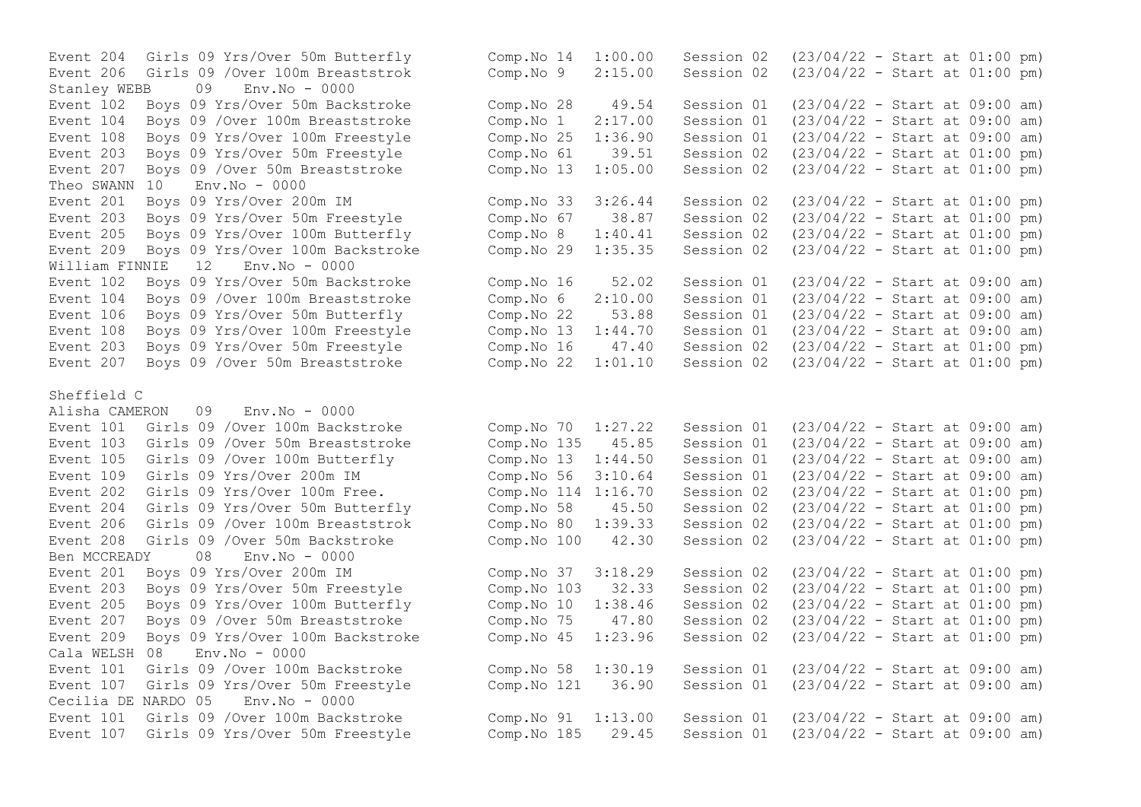Event 206 Girls 09 /Over 100m Breaststrok Comp. No 9  $2:15.00$  Session 02 Stanley WEBB 09 Env.No - 0000 Event 207 Boys 09 / Over 50m Breaststroke Comp.No 13 Theo SWANN 10 Env.No - 0000 William FINNIE 12 Env. No - 0000 Event 104 Boys 09 / Over 100m Breaststroke Comp. No 6 2:10.00 Session 01 Event 207 Boys 09 / Over 50m Breaststroke Comp.No 22 1:01.10 Session 02 Sheffield C Alisha CAMERON 09 Env.No - 0000 Ben MCCREADY 08 Env.No - 0000 Cala WELSH 08 Env.No - 0000 Cecilia DE NARDO 05 Env.No - 0000

Event 204 Girls 09 Yrs/Over 50m Butterfly Comp.No 14 1:00.00 Session 02 (23/04/22 - Start at 01:00 pm)<br>Event 206 Girls 09 /Over 100m Breaststrok Comp.No 9 2:15.00 Session 02 (23/04/22 - Start at 01:00 pm) Event 102 Boys 09 Yrs/Over 50m Backstroke Comp.No 28 49.54 Session 01 (23/04/22 - Start at 09:00 am) Event 104 Boys 09 /Over 100m Breaststroke Comp.No 1 2:17.00 Session 01 (23/04/22 - Start at 09:00 am) Event 108 Boys 09 Yrs/Over 100m Freestyle Comp.No 25 1:36.90 Session 01 (23/04/22 - Start at 09:00 am) Event 203 Boys 09 Yrs/Over 50m Freestyle Comp.No 61 39.51 Session 02 (23/04/22 - Start at 01:00 pm)<br>Event 207 Boys 09 /Over 50m Breaststroke Comp.No 13 1:05.00 Session 02 (23/04/22 - Start at 01:00 pm) Event 201 Boys 09 Yrs/Over 200m IM Comp.No 33 3:26.44 Session 02 (23/04/22 - Start at 01:00 pm) Event 203 Boys 09 Yrs/Over 50m Freestyle Comp.No 67 38.87 Session 02 (23/04/22 - Start at 01:00 pm) Event 205 Boys 09 Yrs/Over 100m Butterfly Comp.No 8 1:40.41 Session 02 (23/04/22 - Start at 01:00 pm)<br>Event 209 Boys 09 Yrs/Over 100m Backstroke Comp.No 29 1:35.35 Session 02 (23/04/22 - Start at 01:00 pm) Event 209 Boys 09 Yrs/Over 100m Backstroke Comp.No 29 1:35.35 Session 02 (23/04/22 - Start at 01:00 pm) Event 102 Boys 09 Yrs/Over 50m Backstroke Comp.No 16 52.02 Session 01 (23/04/22 - Start at 09:00 am)<br>Event 104 Boys 09 /Over 100m Breaststroke Comp.No 6 2:10.00 Session 01 (23/04/22 - Start at 09:00 am) Event 106 Boys 09 Yrs/Over 50m Butterfly Comp.No 22 53.88 Session 01 (23/04/22 - Start at 09:00 am) Event 108 Boys 09 Yrs/Over 100m Freestyle Comp.No 13 1:44.70 Session 01 (23/04/22 - Start at 09:00 am)<br>Event 203 Boys 09 Yrs/Over 50m Freestyle Comp.No 16 47.40 Session 02 (23/04/22 - Start at 01:00 pm) Event 203 Boys 09 Yrs/Over 50m Freestyle Comp.No 16 47.40 Session 02 (23/04/22 - Start at 01:00 pm)<br>Event 207 Boys 09 /Over 50m Breaststroke Comp.No 22 1:01.10 Session 02 (23/04/22 - Start at 01:00 pm) Event 101 Girls 09 /Over 100m Backstroke Comp.No 70 1:27.22 Session 01 (23/04/22 - Start at 09:00 am) Event 103 Girls 09 /Over 50m Breaststroke Comp.No 135 45.85 Session 01 (23/04/22 - Start at 09:00 am) Event 105 Girls 09 /Over 100m Butterfly Comp.No 13 1:44.50 Session 01 (23/04/22 - Start at 09:00 am) Event 109 Girls 09 Yrs/Over 200m IM Comp.No 56 3:10.64 Session 01 (23/04/22 - Start at 09:00 am) Event 202 Girls 09 Yrs/Over 100m Free. Comp.No 114 1:16.70 Session 02 (23/04/22 - Start at 01:00 pm) Event 204 Girls 09 Yrs/Over 50m Butterfly Comp.No 58 45.50 Session 02 (23/04/22 - Start at 01:00 pm) Event 206 Girls 09 /Over 100m Breaststrok Comp.No 80 1:39.33 Session 02 (23/04/22 - Start at 01:00 pm) Event 208 Girls 09 /Over 50m Backstroke Comp.No 100 42.30 Session 02 (23/04/22 - Start at 01:00 pm) Event 201 Boys 09 Yrs/Over 200m IM Comp.No 37 3:18.29 Session 02 (23/04/22 - Start at 01:00 pm) Event 203 Boys 09 Yrs/Over 50m Freestyle Comp.No 103 32.33 Session 02 (23/04/22 - Start at 01:00 pm) Event 205 Boys 09 Yrs/Over 100m Butterfly Comp.No 10 1:38.46 Session 02 (23/04/22 - Start at 01:00 pm) Event 207 Boys 09 /Over 50m Breaststroke Comp.No 75 47.80 Session 02 (23/04/22 - Start at 01:00 pm) Event 209 Boys 09 Yrs/Over 100m Backstroke Comp.No 45 1:23.96 Session 02 (23/04/22 - Start at 01:00 pm) Event 101 Girls 09 /Over 100m Backstroke Comp.No 58 1:30.19 Session 01 (23/04/22 - Start at 09:00 am) Event 107 Girls 09 Yrs/Over 50m Freestyle Comp.No 121 36.90 Session 01 (23/04/22 - Start at 09:00 am) Event 101 Girls 09 /Over 100m Backstroke Comp.No 91 1:13.00 Session 01 (23/04/22 - Start at 09:00 am) Event 107 Girls 09 Yrs/Over 50m Freestyle Comp.No 185 29.45 Session 01 (23/04/22 - Start at 09:00 am)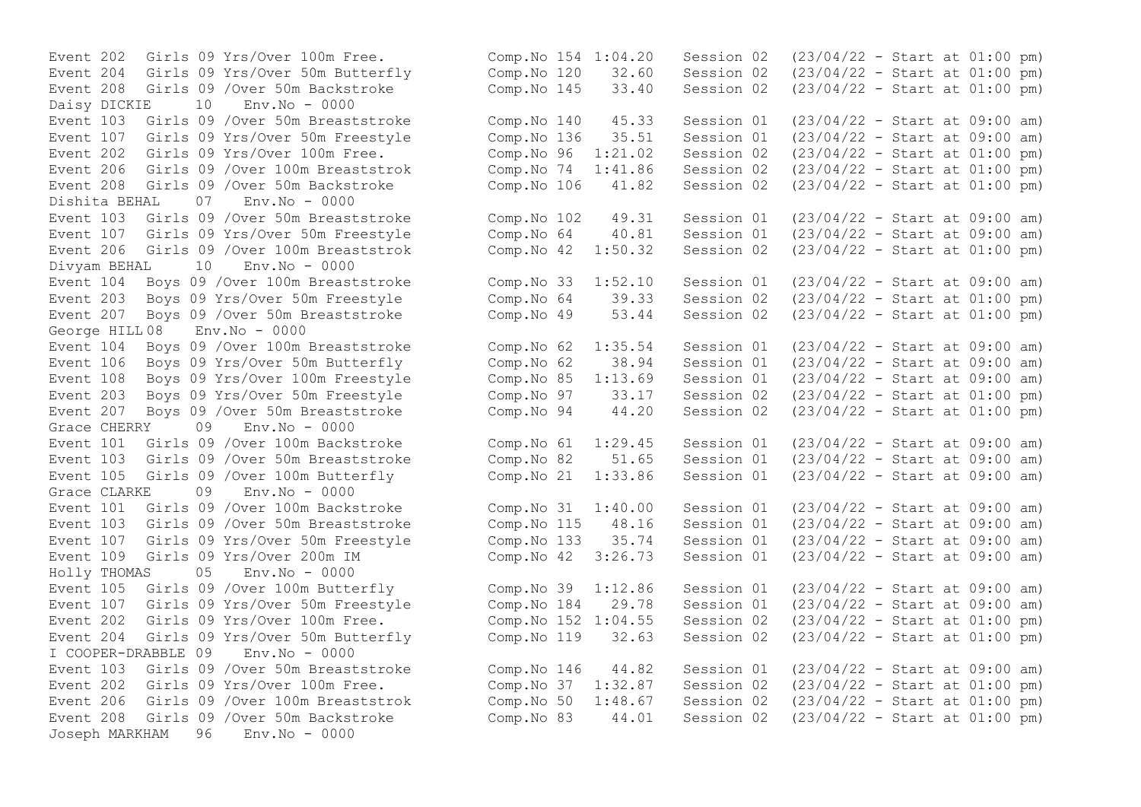Event 208 Girls 09 /Over 50m Backstroke Comp.No 145 33.40 Session 02 Daisy DICKIE 10 Env.No - 0000 Event 208 Girls 09 / Over 50m Backstroke Comp.No 106 41.82 Session 02 Dishita BEHAL 07 Env.No - 0000 Divyam BEHAL 10 Env.No - 0000 Event 203 Boys 09 Yrs/Over 50m Freestyle Comp.No 64 39.33 Session 02 George HILL 08 Env.No - 0000 Event 207 Boys 09 / Over 50m Breaststroke Grace CHERRY 09 Env.No - 0000 Grace CLARKE 09 Env.No - 0000 Holly THOMAS 05 Env.No - 0000 Event 107 Girls 09 Yrs/Over 50m Freestyle Comp.No 184 29.78 Session 01 I COOPER-DRABBLE 09 Env.No - 0000 Event 206 Girls 09 / Over 100m Breaststrok Comp. No 50 1:48.67 Session 02 Joseph MARKHAM 96 Env.No - 0000

Event 202 Girls 09 Yrs/Over 100m Free.<br>
Event 204 Girls 09 Yrs/Over 50m Butterfly (Comp.No 120 32.60 Session 02 (23/04/22 - Start at 01:00 pm) Event 204 Girls 09 Yrs/Over 50m Butterfly Comp.No 120 32.60 Session 02 (23/04/22 - Start at 01:00 pm)<br>Event 208 Girls 09 /Over 50m Backstroke Comp.No 145 33.40 Session 02 (23/04/22 - Start at 01:00 pm) Event 103 Girls 09 /Over 50m Breaststroke Comp.No 140 45.33 Session 01 (23/04/22 - Start at 09:00 am) Event 107 Girls 09 Yrs/Over 50m Freestyle Comp.No 136 35.51 Session 01 (23/04/22 - Start at 09:00 am)<br>Event 202 Girls 09 Yrs/Over 100m Free. Comp.No 96 1:21.02 Session 02 (23/04/22 - Start at 01:00 pm) Event 202 Girls 09 Yrs/Over 100m Free.<br>
Event 206 Girls 09 /Over 100m Breaststrok Comp.No 74 1:41.86 Session 02 (23/04/22 - Start at 01:00 pm) Event 206 Girls 09 /Over 100m Breaststrok Comp.No 74 1:41.86 Session 02 (23/04/22 - Start at 01:00 pm)<br>Event 208 Girls 09 /Over 50m Backstroke Comp.No 106 41.82 Session 02 (23/04/22 - Start at 01:00 pm) Event 103 Girls 09 /Over 50m Breaststroke Comp.No 102 49.31 Session 01 (23/04/22 - Start at 09:00 am) Event 107 Girls 09 Yrs/Over 50m Freestyle Comp.No 64 40.81 Session 01 (23/04/22 - Start at 09:00 am) Event 206 Girls 09 /Over 100m Breaststrok Comp.No 42 1:50.32 Session 02 (23/04/22 - Start at 01:00 pm) Event 104 Boys 09 /Over 100m Breaststroke Comp.No 33 1:52.10 Session 01 (23/04/22 - Start at 09:00 am)<br>Event 203 Boys 09 Yrs/Over 50m Freestyle Comp.No 64 39.33 Session 02 (23/04/22 - Start at 01:00 pm) Event 207 Boys 09 /Over 50m Breaststroke Comp.No 49 53.44 Session 02 (23/04/22 - Start at 01:00 pm) Event 104 Boys 09 /Over 100m Breaststroke Comp.No 62 1:35.54 Session 01 (23/04/22 - Start at 09:00 am) Event 106 Boys 09 Yrs/Over 50m Butterfly Comp.No 62 38.94 Session 01 (23/04/22 - Start at 09:00 am) Event 108 Boys 09 Yrs/Over 100m Freestyle Comp.No 85 1:13.69 Session 01 (23/04/22 - Start at 09:00 am)<br>Event 203 Bovs 09 Yrs/Over 50m Freestyle Comp.No 97 33.17 Session 02 (23/04/22 - Start at 01:00 pm) Event 203 Boys 09 Yrs/Over 50m Freestyle Comp.No 97 33.17 Session 02 (23/04/22 - Start at 01:00 pm)<br>Event 207 Boys 09 /Over 50m Breaststroke Comp.No 94 44.20 Session 02 (23/04/22 - Start at 01:00 pm) Event 101 Girls 09 /Over 100m Backstroke Comp.No 61 1:29.45 Session 01 (23/04/22 - Start at 09:00 am) Event 103 Girls 09 /Over 50m Breaststroke Comp.No 82 51.65 Session 01 (23/04/22 - Start at 09:00 am) Event 105 Girls 09 /Over 100m Butterfly Comp.No 21 1:33.86 Session 01 (23/04/22 - Start at 09:00 am) Event 101 Girls 09 /Over 100m Backstroke Comp.No 31 1:40.00 Session 01 (23/04/22 - Start at 09:00 am) Event 103 Girls 09 /Over 50m Breaststroke Comp.No 115 48.16 Session 01 (23/04/22 - Start at 09:00 am) Event 107 Girls 09 Yrs/Over 50m Freestyle Comp.No 133 35.74 Session 01 (23/04/22 - Start at 09:00 am)<br>Event 109 Girls 09 Yrs/Over 200m IM Comp.No 42 3:26.73 Session 01 (23/04/22 - Start at 09:00 am) Event 109 Girls 09 Yrs/Over 200m IM Comp.No 42 3:26.73 Session 01 (23/04/22 - Start at 09:00 am) Event 105 Girls 09 /Over 100m Butterfly Comp.No 39 1:12.86 Session 01 (23/04/22 - Start at 09:00 am) Event 202 Girls 09 Yrs/Over 100m Free. Comp.No 152 1:04.55 Session 02 (23/04/22 - Start at 01:00 pm) Event 204 Girls 09 Yrs/Over 50m Butterfly Comp.No 119 32.63 Session 02 (23/04/22 - Start at 01:00 pm) Event 103 Girls 09 /Over 50m Breaststroke Comp.No 146 44.82 Session 01 (23/04/22 - Start at 09:00 am) Event 202 Girls 09 Yrs/Over 100m Free. Comp.No 37 1:32.87 Session 02 (23/04/22 - Start at 01:00 pm)<br>Event 206 Girls 09 /Over 100m Breaststrok Comp.No 50 1:48.67 Session 02 (23/04/22 - Start at 01:00 pm) Event 208 Girls 09 /Over 50m Backstroke Comp.No 83 44.01 Session 02 (23/04/22 - Start at 01:00 pm)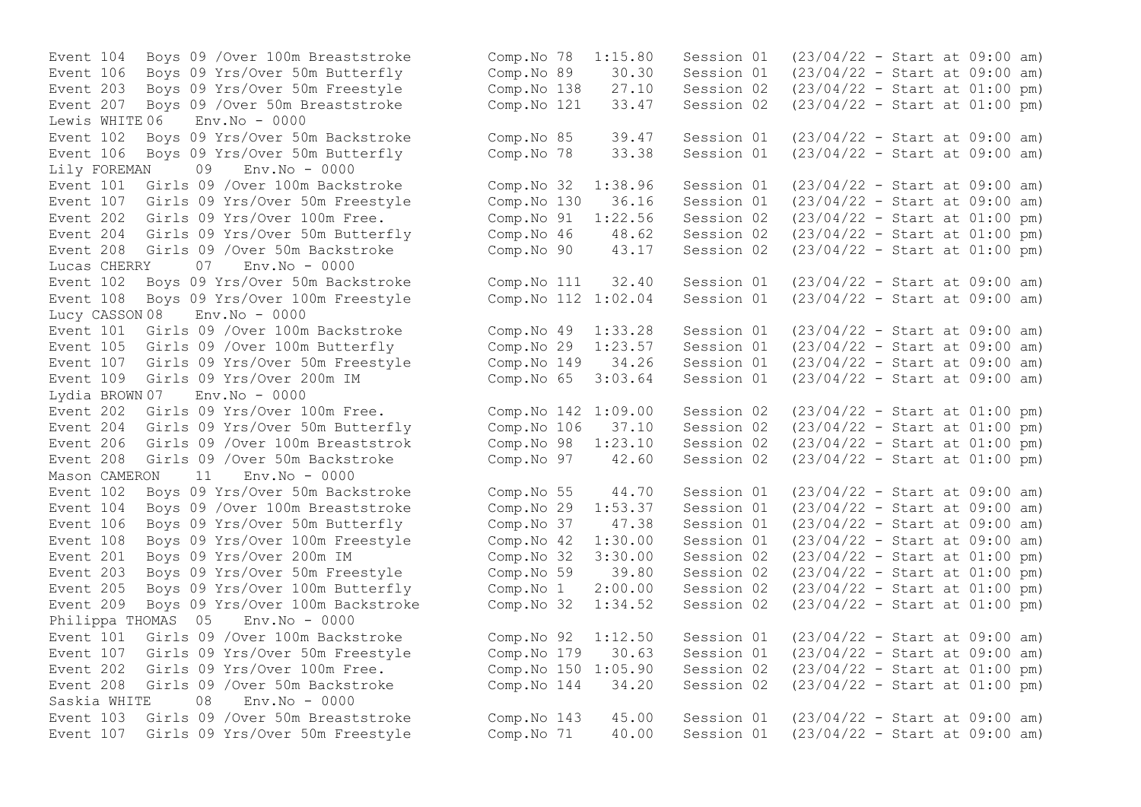Lewis WHITE 06 Env.No - 0000 Event 106 Boys 09 Yrs/Over 50m Butterfly Comp.No 78 Lily FOREMAN 09 Env.No - 0000 Event 208 Girls 09 /Over 50m Backstroke Comp.No 90 43.17 Session 02 Lucas CHERRY 07 Env.No - 0000 Event  $108$  Boys 09 Yrs/Over  $100m$  Freestyle Comp.No  $112$   $1:02.04$ Lucy CASSON 08 Env.No - 0000 Lydia BROWN 07 Env.No - 0000 Mason CAMERON 11 Env.No - 0000 Event 203 Boys 09 Yrs/Over 50m Freestyle Comp.No 59 39.80 Session 02 Philippa THOMAS 05 Env.No - 0000 Saskia WHITE 08 Env.No - 0000

Event 104 Boys 09 /Over 100m Breaststroke Comp.No 78 1:15.80 Session 01 (23/04/22 - Start at 09:00 am) Event 106 Boys 09 Yrs/Over 50m Butterfly Comp.No 89 30.30 Session 01 (23/04/22 - Start at 09:00 am)<br>Event 203 Bovs 09 Yrs/Over 50m Freestyle Comp.No 138 27.10 Session 02 (23/04/22 - Start at 01:00 pm) Event 203 Boys 09 Yrs/Over 50m Freestyle Comp.No 138 27.10 Session 02 (23/04/22 - Start at 01:00 pm) Event 207 Boys 09 /Over 50m Breaststroke Comp.No 121 33.47 Session 02 (23/04/22 - Start at 01:00 pm) Event 102 Boys 09 Yrs/Over 50m Backstroke Comp.No 85 39.47 Session 01 (23/04/22 - Start at 09:00 am) Event 101 Girls 09 /Over 100m Backstroke Comp.No 32 1:38.96 Session 01 (23/04/22 - Start at 09:00 am) Event 107 Girls 09 Yrs/Over 50m Freestyle Comp.No 130 36.16 Session 01 (23/04/22 - Start at 09:00 am) Event 202 Girls 09 Yrs/Over 100m Free.<br>
Event 204 Girls 09 Yrs/Over 50m Butterfly Comp.No 46 48.62 Session 02 (23/04/22 - Start at 01:00 pm) Event 204 Girls 09 Yrs/Over 50m Butterfly Comp.No 46 48.62 Session 02 (23/04/22 - Start at 01:00 pm)<br>Event 208 Girls 09 /Over 50m Backstroke Comp.No 90 43.17 Session 02 (23/04/22 - Start at 01:00 pm) Event 102 Boys 09 Yrs/Over 50m Backstroke Comp.No 111 32.40 Session 01 (23/04/22 - Start at 09:00 am) Event 101 Girls 09 /Over 100m Backstroke Comp.No 49 1:33.28 Session 01 (23/04/22 - Start at 09:00 am) Event 105 Girls 09 /Over 100m Butterfly Comp.No 29 1:23.57 Session 01 (23/04/22 - Start at 09:00 am) Event 107 Girls 09 Yrs/Over 50m Freestyle Comp.No 149 34.26 Session 01 (23/04/22 - Start at 09:00 am) Event 109 Girls 09 Yrs/Over 200m IM Comp.No 65 3:03.64 Session 01 (23/04/22 - Start at 09:00 am) Event 202 Girls 09 Yrs/Over 100m Free. Comp.No 142 1:09.00 Session 02 (23/04/22 - Start at 01:00 pm) Event 204 Girls 09 Yrs/Over 50m Butterfly Comp.No 106 37.10 Session 02 (23/04/22 - Start at 01:00 pm) Event 206 Girls 09 /Over 100m Breaststrok Comp.No 98 1:23.10 Session 02 (23/04/22 - Start at 01:00 pm) Event 208 Girls 09 /Over 50m Backstroke Comp.No 97 42.60 Session 02 (23/04/22 - Start at 01:00 pm) Event 102 Boys 09 Yrs/Over 50m Backstroke Comp.No 55 44.70 Session 01 (23/04/22 - Start at 09:00 am) Event 104 Boys 09 /Over 100m Breaststroke Comp.No 29 1:53.37 Session 01 (23/04/22 - Start at 09:00 am) Event 106 Boys 09 Yrs/Over 50m Butterfly Comp.No 37 47.38 Session 01 (23/04/22 - Start at 09:00 am) Event 108 Boys 09 Yrs/Over 100m Freestyle Comp.No 42 1:30.00 Session 01 (23/04/22 - Start at 09:00 am) Event 201 Boys 09 Yrs/Over 200m IM Comp.No 32 3:30.00 Session 02 (23/04/22 - Start at 01:00 pm)<br>Event 203 Boys 09 Yrs/Over 50m Freestyle Comp.No 59 39.80 Session 02 (23/04/22 - Start at 01:00 pm) Event 205 Boys 09 Yrs/Over 100m Butterfly Comp.No 1 2:00.00 Session 02 (23/04/22 - Start at 01:00 pm) Event 209 Boys 09 Yrs/Over 100m Backstroke Comp.No 32 1:34.52 Session 02 (23/04/22 - Start at 01:00 pm) Event 101 Girls 09 /Over 100m Backstroke Comp.No 92 1:12.50 Session 01 (23/04/22 - Start at 09:00 am) Event 107 Girls 09 Yrs/Over 50m Freestyle Comp.No 179 30.63 Session 01 (23/04/22 - Start at 09:00 am) Event 202 Girls 09 Yrs/Over 100m Free. Comp.No 150 1:05.90 Session 02 (23/04/22 - Start at 01:00 pm) Event 208 Girls 09 /Over 50m Backstroke Comp.No 144 34.20 Session 02 (23/04/22 - Start at 01:00 pm) Event 103 Girls 09 /Over 50m Breaststroke Comp.No 143 45.00 Session 01 (23/04/22 - Start at 09:00 am) Event 107 Girls 09 Yrs/Over 50m Freestyle Comp.No 71 40.00 Session 01 (23/04/22 - Start at 09:00 am)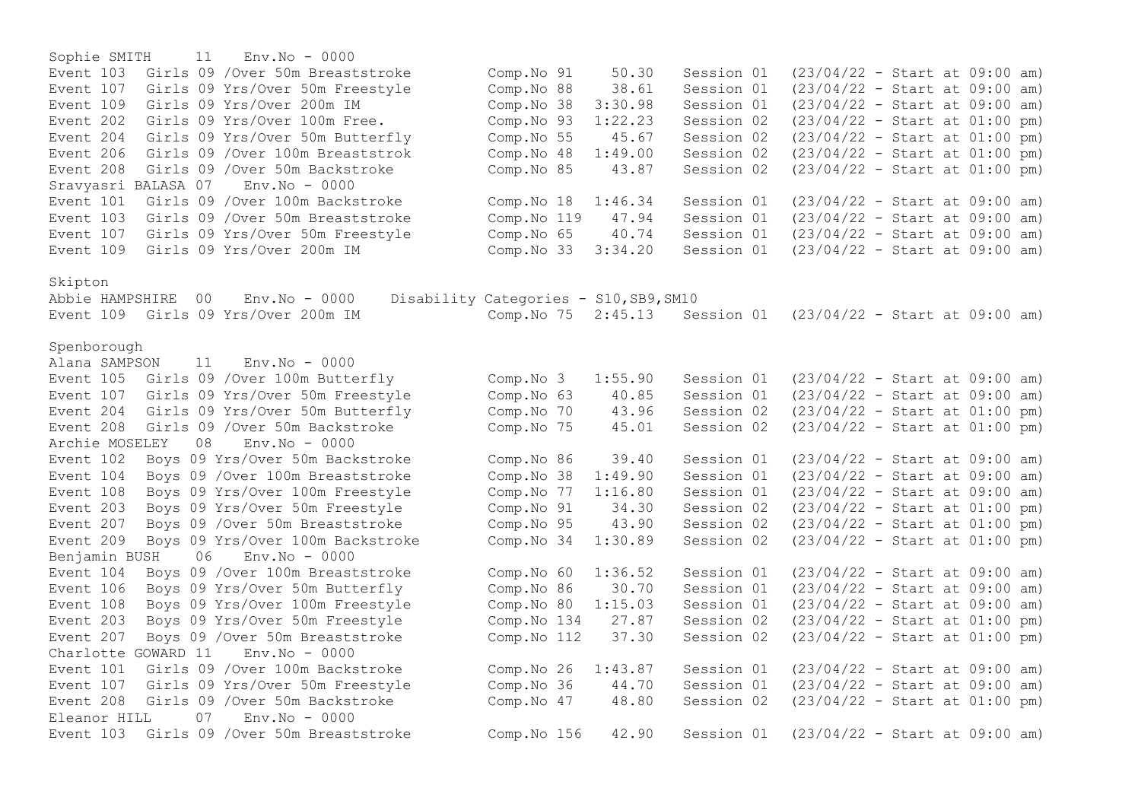Sophie SMITH 11 Env.No - 0000 Event 103 Girls 09 /Over 50m Breaststroke Comp.No 91 50.30 Session 01 (23/04/22 - Start at 09:00 am)<br>Event 107 Girls 09 Yrs/Over 50m Freestyle Comp.No 88 38.61 Session 01 (23/04/22 - Start at 09:00 am) Event 107 Girls 09 Yrs/Over 50m Freestyle Comp.No 88 38.61 Session 01 (23/04/22 - Start at 09:00 am) Event 109 Girls 09 Yrs/Over 200m IM Comp.No 38 3:30.98 Session 01 (23/04/22 - Start at 09:00 am) Event 202 Girls 09 Yrs/Over 100m Free. Comp.No 93 1:22.23 Session 02 (23/04/22 - Start at 01:00 pm)<br>Event 204 Girls 09 Yrs/Over 50m Butterfly Comp.No 55 45.67 Session 02 (23/04/22 - Start at 01:00 pm) Event 204 Girls 09 Yrs/Over 50m Butterfly Comp.No 55 45.67 Session 02 (23/04/22 - Start at 01:00 pm) Event 206 Girls 09 /Over 100m Breaststrok Comp.No 48 1:49.00 Session 02 (23/04/22 - Start at 01:00 pm)<br>Event 208 Girls 09 /Over 50m Backstroke Comp.No 85 43.87 Session 02 (23/04/22 - Start at 01:00 pm) Event 208 Girls 09 / Over 50m Backstroke Comp.No 85 43.87 Session 02 Sravyasri BALASA 07 Env.No - 0000 Event 101 Girls 09 /Over 100m Backstroke Comp.No 18 1:46.34 Session 01 (23/04/22 - Start at 09:00 am) Event 103 Girls 09 /Over 50m Breaststroke Comp.No 119 47.94 Session 01 (23/04/22 - Start at 09:00 am) Event 107 Girls 09 Yrs/Over 50m Freestyle Comp.No 65 40.74 Session 01 (23/04/22 - Start at 09:00 am) Event 109 Girls 09 Yrs/Over 200m IM Comp.No 33 3:34.20 Session 01 (23/04/22 - Start at 09:00 am) Skipton Abbie HAMPSHIRE 00 Env.No - 0000 Disability Categories - S10,SB9,SM10 Event 109 Girls 09 Yrs/Over 200m IM Comp.No 75 2:45.13 Session 01 (23/04/22 - Start at 09:00 am) Spenborough Alana SAMPSON 11 Env.No - 0000 Event 105 Girls 09 /Over 100m Butterfly Comp.No 3 1:55.90 Session 01 (23/04/22 - Start at 09:00 am) Event 107 Girls 09 Yrs/Over 50m Freestyle Comp.No 63 40.85 Session 01 (23/04/22 - Start at 09:00 am)<br>Event 204 Girls 09 Yrs/Over 50m Butterfly Comp.No 70 43.96 Session 02 (23/04/22 - Start at 01:00 pm) Event 204 Girls 09 Yrs/Over 50m Butterfly Comp.No 70 43.96 Session 02 Event 208 Girls 09 /Over 50m Backstroke Comp.No 75 45.01 Session 02 (23/04/22 - Start at 01:00 pm) Archie MOSELEY 08 Env.No - 0000 Event 102 Boys 09 Yrs/Over 50m Backstroke Comp.No 86 39.40 Session 01 (23/04/22 - Start at 09:00 am) Event 104 Boys 09 /Over 100m Breaststroke Comp.No 38 1:49.90 Session 01 (23/04/22 - Start at 09:00 am) Event 108 Boys 09 Yrs/Over 100m Freestyle Comp.No 77 1:16.80 Session 01 (23/04/22 - Start at 09:00 am) Event 203 Boys 09 Yrs/Over 50m Freestyle Comp.No 91 34.30 Session 02 (23/04/22 - Start at 01:00 pm) Event 207 Boys 09 /Over 50m Breaststroke Comp.No 95 43.90 Session 02 (23/04/22 - Start at 01:00 pm) Event 209 Boys 09 Yrs/Over 100m Backstroke Comp.No 34 1:30.89 Session 02 (23/04/22 - Start at 01:00 pm) Benjamin BUSH 06 Env.No - 0000 Event 104 Boys 09 /Over 100m Breaststroke Comp.No 60 1:36.52 Session 01 (23/04/22 - Start at 09:00 am) Event 106 Boys 09 Yrs/Over 50m Butterfly Comp.No 86 30.70 Session 01 (23/04/22 - Start at 09:00 am) Event 108 Boys 09 Yrs/Over 100m Freestyle Comp.No 80 1:15.03 Session 01 (23/04/22 - Start at 09:00 am) Event 203 Boys 09 Yrs/Over 50m Freestyle Comp.No 134 27.87 Session 02 (23/04/22 - Start at 01:00 pm) Event 207 Boys 09 /Over 50m Breaststroke Comp.No 112 37.30 Session 02 (23/04/22 - Start at 01:00 pm) Charlotte GOWARD 11 Env.No - 0000 Event 101 Girls 09 /Over 100m Backstroke Comp.No 26 1:43.87 Session 01 (23/04/22 - Start at 09:00 am) Event 107 Girls 09 Yrs/Over 50m Freestyle Comp.No 36 44.70 Session 01 (23/04/22 - Start at 09:00 am) Event 208 Girls 09 /Over 50m Backstroke Comp.No 47 48.80 Session 02 (23/04/22 - Start at 01:00 pm) Eleanor HILL 07 Env.No - 0000 Event 103 Girls 09 /Over 50m Breaststroke Comp.No 156 42.90 Session 01 (23/04/22 - Start at 09:00 am)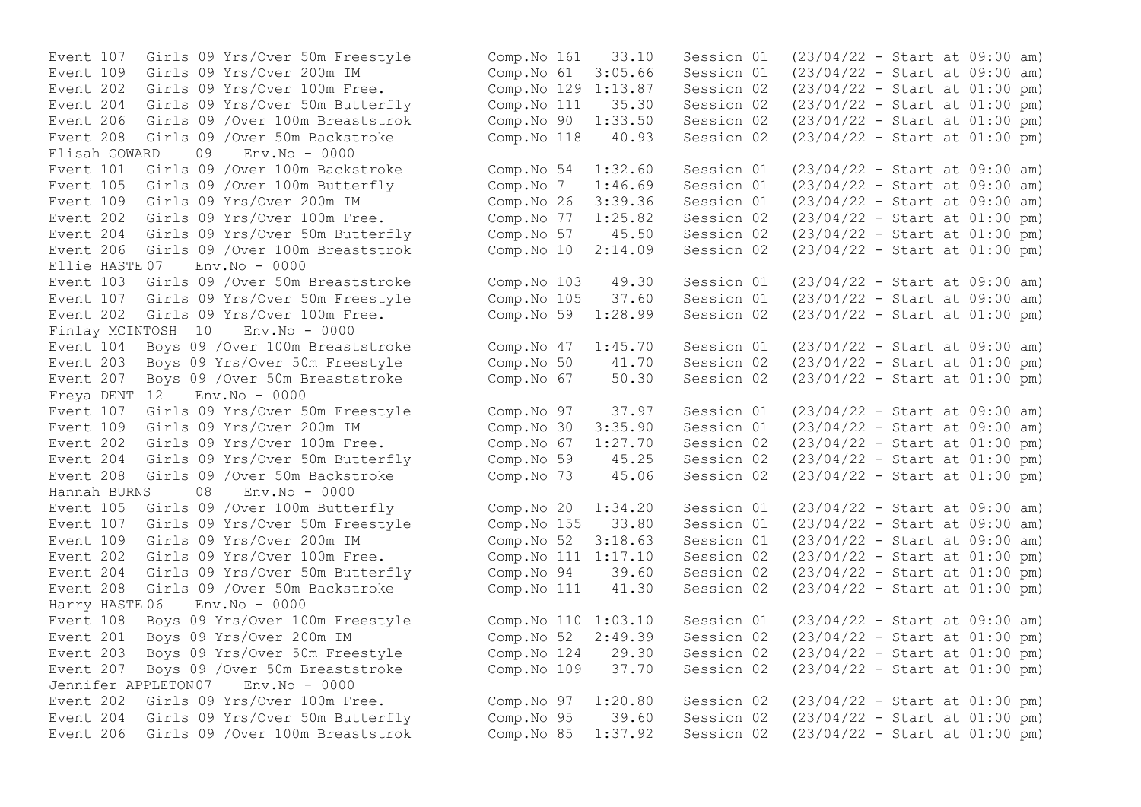Event 208 Girls 09 /Over 50m Backstroke Comp.No 118 40.93 Session 02<br>Elisab GOWARD 09 Env No - 0000 Elisah GOWARD 09 Env.No - 0000 Event 105 Girls 09 / Over 100m Butterfly Comp.No 7 1:46.69 Session 01 Event 202 Girls 09 Yrs/Over 100m Free. Comp.No 77 1:25.82 Session 02 Event 206 Girls 09 /Over 100m Breaststrok Comp.No 10 2:14.09 Session 02  $E11i \approx HASTE 07$   $Env No = 0000$ Event 107 Girls 09 Yrs/Over 50m Freestyle Comp.No 105 37.60 Session 01 Finlay MCINTOSH 10 Env.No - 0000 Event 207 Boys 09 / Over 50m Breaststroke Comp.No 67 50.30 Session 02 Freya DENT 12 Env.No - 0000 Event 204 Girls 09 Yrs/Over 50m Butterfly Comp.No 59 45.25 Session 02 Hannah BURNS 08 Env.No - 0000 Event 204 Girls 09 Yrs/Over 50m Butterfly Comp.No 94 39.60 Session 02 Harry HASTE 06 Env.No - 0000 Jennifer APPLETON07 Env.No - 0000

Event 107 Girls 09 Yrs/Over 50m Freestyle Comp.No 161 33.10 Session 01 (23/04/22 - Start at 09:00 am) Event 109 Girls 09 Yrs/Over 200m IM Comp.No 61 3:05.66 Session 01 (23/04/22 - Start at 09:00 am) Event 202 Girls 09 Yrs/Over 100m Free. Comp.No 129 1:13.87 Session 02 (23/04/22 - Start at 01:00 pm) Event 204 Girls 09 Yrs/Over 50m Butterfly Comp.No 111 35.30 Session 02 (23/04/22 - Start at 01:00 pm)<br>Event 206 Girls 09 /Over 100m Breaststrok Comp.No 90 1:33.50 Session 02 (23/04/22 - Start at 01:00 pm) Event 206 Girls 09 /Over 100m Breaststrok (Comp. No 90 1:33.50 Session 02 (23/04/22 - Start at 01:00 pm)<br>Event 208 Girls 09 /Over 50m Backstroke (Comp. No 118 40.93 Session 02 (23/04/22 - Start at 01:00 pm) Event 101 Girls 09 /Over 100m Backstroke Comp.No 54 1:32.60 Session 01 (23/04/22 - Start at 09:00 am)<br>Event 105 Girls 09 /Over 100m Butterfly Comp.No 7 1:46.69 Session 01 (23/04/22 - Start at 09:00 am) Event 109 Girls 09 Yrs/Over 200m IM Comp.No 26 3:39.36 Session 01 (23/04/22 - Start at 09:00 am)<br>Event 202 Girls 09 Yrs/Over 100m Free. Comp.No 77 1:25.82 Session 02 (23/04/22 - Start at 01:00 pm) Event 204 Girls 09 Yrs/Over 50m Butterfly Comp.No 57 45.50 Session 02 (23/04/22 - Start at 01:00 pm)<br>Event 206 Girls 09 /Over 100m Breaststrok Comp.No 10 2:14.09 Session 02 (23/04/22 - Start at 01:00 pm) Event 103 Girls 09 /Over 50m Breaststroke Comp.No 103 49.30 Session 01 (23/04/22 - Start at 09:00 am)<br>Event 107 Girls 09 Yrs/Over 50m Freestyle Comp.No 105 37.60 Session 01 (23/04/22 - Start at 09:00 am) Event 202 Girls 09 Yrs/Over 100m Free. Comp.No 59 1:28.99 Session 02 (23/04/22 - Start at 01:00 pm) Event 104 Boys 09 /Over 100m Breaststroke Comp.No 47 1:45.70 Session 01 (23/04/22 - Start at 09:00 am)<br>Event 203 Bovs 09 Yrs/Over 50m Freestyle Comp.No 50 41.70 Session 02 (23/04/22 - Start at 01:00 pm) Event 203 Boys 09 Yrs/Over 50m Freestyle Comp.No 50 41.70 Session 02 (23/04/22 - Start at 01:00 pm)<br>Event 207 Boys 09 /Over 50m Breaststroke Comp.No 67 50.30 Session 02 (23/04/22 - Start at 01:00 pm) Event 107 Girls 09 Yrs/Over 50m Freestyle Comp.No 97 37.97 Session 01 (23/04/22 - Start at 09:00 am) Event 109 Girls 09 Yrs/Over 200m IM Comp.No 30 3:35.90 Session 01 (23/04/22 - Start at 09:00 am) Event 202 Girls 09 Yrs/Over 100m Free.<br>
Event 204 Girls 09 Yrs/Over 50m Butterfly Comp.No 59 45.25 Session 02 (23/04/22 - Start at 01:00 pm) Event 208 Girls 09 /Over 50m Backstroke Comp.No 73 45.06 Session 02 (23/04/22 - Start at 01:00 pm) Event 105 Girls 09 /Over 100m Butterfly Comp.No 20 1:34.20 Session 01 (23/04/22 - Start at 09:00 am) Event 107 Girls 09 Yrs/Over 50m Freestyle Comp.No 155 33.80 Session 01 (23/04/22 - Start at 09:00 am) Event 109 Girls 09 Yrs/Over 200m IM Comp.No 52 3:18.63 Session 01 (23/04/22 - Start at 09:00 am) Event 202 Girls 09 Yrs/Over 100m Free. Comp.No 111 1:17.10 Session 02 (23/04/22 - Start at 01:00 pm)<br>Event 204 Girls 09 Yrs/Over 50m Butterfly Comp.No 94 39.60 Session 02 (23/04/22 - Start at 01:00 pm) Event 208 Girls 09 /Over 50m Backstroke Comp.No 111 41.30 Session 02 (23/04/22 - Start at 01:00 pm) Event 108 Boys 09 Yrs/Over 100m Freestyle Comp.No 110 1:03.10 Session 01 (23/04/22 - Start at 09:00 am) Event 201 Boys 09 Yrs/Over 200m IM Comp.No 52 2:49.39 Session 02 (23/04/22 - Start at 01:00 pm) Event 203 Boys 09 Yrs/Over 50m Freestyle Comp.No 124 29.30 Session 02 (23/04/22 - Start at 01:00 pm) Event 207 Boys 09 /Over 50m Breaststroke Comp.No 109 37.70 Session 02 (23/04/22 - Start at 01:00 pm) Event 202 Girls 09 Yrs/Over 100m Free. Comp.No 97 1:20.80 Session 02 (23/04/22 - Start at 01:00 pm) Event 204 Girls 09 Yrs/Over 50m Butterfly Comp.No 95 39.60 Session 02 (23/04/22 - Start at 01:00 pm) Event 206 Girls 09 /Over 100m Breaststrok Comp.No 85 1:37.92 Session 02 (23/04/22 - Start at 01:00 pm)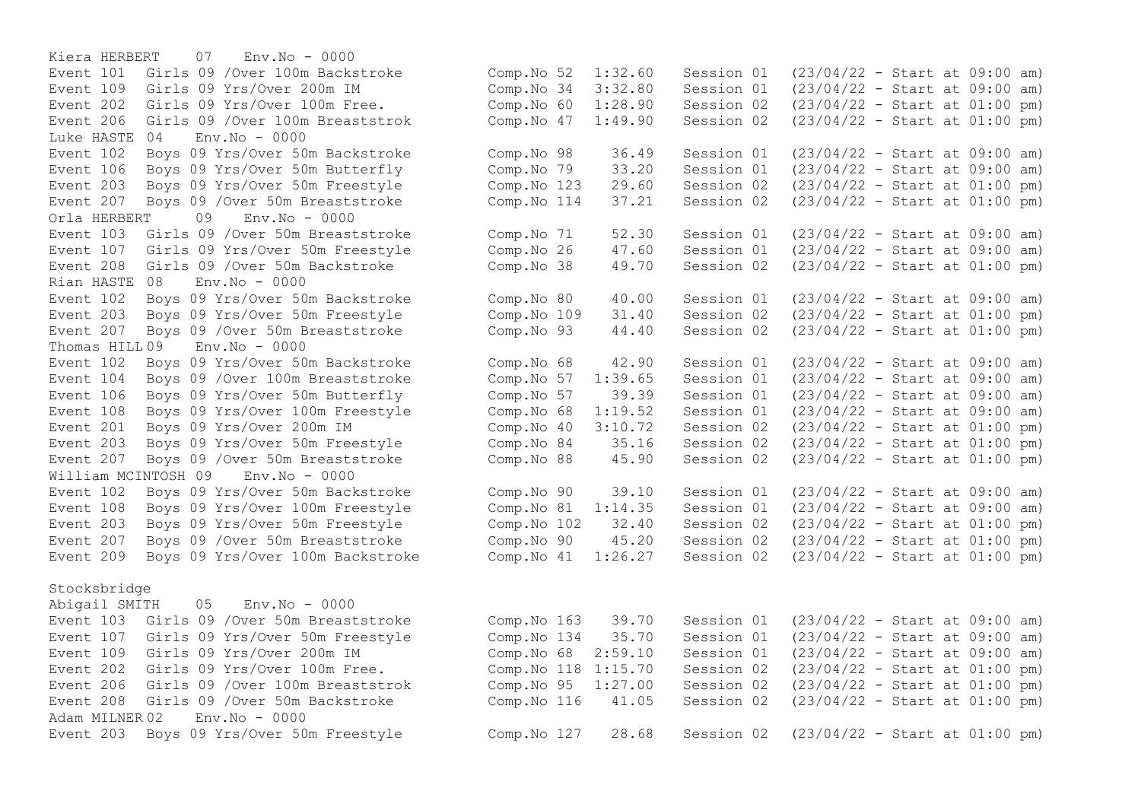Kiera HERBERT 07 Env.No - 0000 Event 101 Girls 09 /Over 100m Backstroke Event 109 Girls 09 Yrs/Over 200m IM Event 202 Girls 09 Yrs/Over 100m Free. Event 206 Girls 09 /Over 100m Breaststrok Luke HASTE  $04$  Env. No  $-0000$ Event 102 Boys 09 Yrs/Over 50m Backstroke Event 106 Boys 09 Yrs/Over 50m Butterfly Event 203 Boys 09 Yrs/Over 50m Freestyle Event 207 Boys 09 / Over 50m Breaststroke Orla HERBERT 09 Env.No - 0000 Event 103 Girls 09 /Over 50m Breaststroke Event 107 Girls 09 Yrs/Over 50m Freestyle Event 208 Girls 09 / Over 50 m Backstroke Rian HASTE 08 Env.No - 0000 Event 102 Boys 09 Yrs/Over 50m Backstroke Event 203 Boys 09 Yrs/Over 50m Freestyle Event 207 Boys 09 / Over 50m Breaststroke Thomas HILL 09 Env.No - 0000 Event 102 Boys 09 Yrs/Over 50m Backstroke Event 104 Boys 09 / Over 100m Breaststroke Event 106 Boys 09 Yrs/Over 50m Butterfly Event 108 Boys 09 Yrs/Over 100m Freestyle Event 201 Boys 09 Yrs/Over 200m IM Event 203 Boys 09 Yrs/Over 50m Freestyle Event 207 Boys 09 / Over 50 mBreaststroke William MCINTOSH 09 Env.No - 0000 Event 102 Boys 09 Yrs/Over 50m Backstroke Event 108 Boys 09 Yrs/Over 100m Freestyle Event 203 Boys 09 Yrs/Over 50m Freestyle Event 207 Boys 09 / Over 50m Breaststroke Event 209 Boys 09 Yrs/Over 100m Backstroke

## Stocksbridge

Abigail SMITH 05 Env.No - 0000 Event 103 Girls 09 / Over 50m Breaststroke Event 107 Girls 09 Yrs/Over 50m Freestyle Event 109 Girls 09 Yrs/Over 200m IM Event  $202$  Girls 09 Yrs/Over 100m Free. Event 206 Girls 09 /Over 100m Breaststrok Event 208 Girls 09 / Over 50m Backstroke Adam MILNER 02 Env.No - 0000 Event 203 Boys 09 Yrs/Over 50m Freestyle

| Comp.No 52  | 1:32.60 | Session 01 | $(23/04/22 - Start at 09:00 am)$ |  |  |     |
|-------------|---------|------------|----------------------------------|--|--|-----|
| Comp.No 34  | 3:32.80 | Session 01 | $(23/04/22 - Start at 09:00$     |  |  | am) |
| Comp.No 60  | 1:28.90 | Session 02 | $(23/04/22 - Start at 01:00$     |  |  | pm) |
| Comp.No 47  | 1:49.90 | Session 02 | $(23/04/22 - Start at 01:00 pm)$ |  |  |     |
| Comp.No 98  | 36.49   | Session 01 | $(23/04/22 - Start at 09:00$     |  |  | am) |
| Comp.No 79  | 33.20   | Session 01 | $(23/04/22 - Start at 09:00$     |  |  | am) |
| Comp.No 123 | 29.60   | Session 02 | $(23/04/22 - Start at 01:00$     |  |  | pm) |
| Comp.No 114 | 37.21   | Session 02 | $(23/04/22 - Start at 01:00 pm)$ |  |  |     |
| Comp.No 71  | 52.30   | Session 01 | $(23/04/22 - Start at 09:00 am)$ |  |  |     |
| Comp.No 26  | 47.60   | Session 01 | $(23/04/22 - Start at 09:00$     |  |  | am) |
| Comp.No 38  | 49.70   | Session 02 | $(23/04/22 - Start at 01:00 pm)$ |  |  |     |
| Comp.No 80  | 40.00   | Session 01 | $(23/04/22 - Start at 09:00 am)$ |  |  |     |
| Comp.No 109 | 31.40   | Session 02 | $(23/04/22 - Start at 01:00 pm)$ |  |  |     |
| Comp.No 93  | 44.40   | Session 02 | $(23/04/22 - Start at 01:00 pm)$ |  |  |     |
| Comp.No 68  | 42.90   | Session 01 | $(23/04/22 - Start at 09:00 am)$ |  |  |     |
| Comp.No 57  | 1:39.65 | Session 01 | $(23/04/22 - Start at 09:00$     |  |  | am) |
| Comp.No 57  | 39.39   | Session 01 | $(23/04/22 - Start at 09:00$     |  |  | am) |
| Comp.No 68  | 1:19.52 | Session 01 | $(23/04/22 - Start at 09:00$     |  |  | am) |
| Comp.No 40  | 3:10.72 | Session 02 | $(23/04/22 - Start at 01:00$     |  |  | pm) |
| Comp.No 84  | 35.16   | Session 02 | $(23/04/22 - Start at 01:00$     |  |  | pm) |
| Comp.No 88  | 45.90   | Session 02 | $(23/04/22 - Start at 01:00 pm)$ |  |  |     |
| Comp.No 90  | 39.10   | Session 01 | $(23/04/22 - Start at 09:00 am)$ |  |  |     |
| Comp.No 81  | 1:14.35 | Session 01 | $(23/04/22 - Start at 09:00$     |  |  | am) |
| Comp.No 102 | 32.40   | Session 02 | $(23/04/22 - Start at 01:00 pm)$ |  |  |     |
| Comp.No 90  | 45.20   | Session 02 | $(23/04/22 - Start at 01:00 pm)$ |  |  |     |
| Comp.No 41  | 1:26.27 | Session 02 | (23/04/22 - Start at 01:00 pm)   |  |  |     |
|             |         |            |                                  |  |  |     |
| Comp.No 163 | 39.70   | Session 01 | $(23/04/22 - Start at 09:00 am)$ |  |  |     |
| Comp.No 134 | 35.70   | Session 01 | $(23/04/22 - Start at 09:00$     |  |  | am) |
| Comp.No 68  | 2:59.10 | Session 01 | $(23/04/22 - Start at 09:00$     |  |  | am) |
| Comp.No 118 | 1:15.70 | Session 02 | $(23/04/22 - Start at 01:00$     |  |  | pm) |
| Comp.No 95  | 1:27.00 | Session 02 | $(23/04/22 - Start at 01:00$     |  |  | pm) |
| Comp.No 116 | 41.05   | Session 02 | (23/04/22 - Start at 01:00 pm)   |  |  |     |
| Comp.No 127 | 28.68   | Session 02 | $(23/04/22 - Start at 01:00 pm)$ |  |  |     |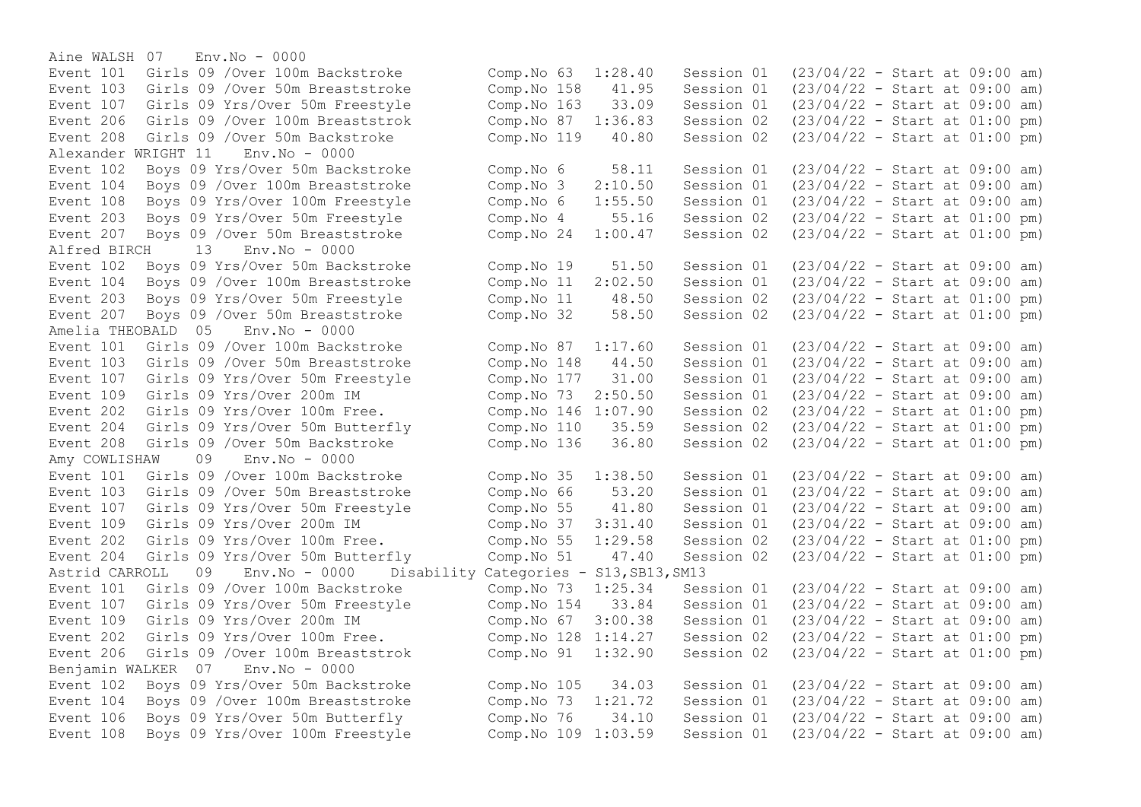Aine WALSH 07 Env.No - 0000 Event 208 Girls 09 /Over 50m Backstroke Comp.No 119 40.80 Alexander WRIGHT 11 Env.No - 0000 Alfred BIRCH 13 Env.No - 0000 Event 203 Boys 09 Yrs/Over 50m Freestyle Comp.No 11 48.50 Session 02 Amelia THEOBALD 05 Env.No - 0000 Event 202 Girls 09 Yrs/Over 100m Free. Amy COWLISHAW 09 Env.No - 0000 Astrid CARROLL 09 Env.No - 0000 Disability Categories - S13,SB13,SM13 Event 107 Girls 09 Yrs/Over 50m Freestyle Comp.No 154 33.84 Session 01 Benjamin WALKER 07 Env.No - 0000

Event 101 Girls 09 /Over 100m Backstroke Comp.No 63 1:28.40 Session 01 (23/04/22 - Start at 09:00 am)<br>Event 103 Girls 09 /Over 50m Breaststroke Comp.No 158 41.95 Session 01 (23/04/22 - Start at 09:00 am) Event 103 Girls 09 /Over 50m Breaststroke Comp.No 158 41.95 Session 01 (23/04/22 - Start at 09:00 am) Event 107 Girls 09 Yrs/Over 50m Freestyle Comp.No 163 33.09 Session 01 (23/04/22 - Start at 09:00 am)<br>Event 206 Girls 09 /Over 100m Breaststrok Comp.No 87 1:36.83 Session 02 (23/04/22 - Start at 01:00 pm) Event 206 Girls 09 /Over 100m Breaststrok (Comp. No 87 1:36.83 Session 02 (23/04/22 - Start at 01:00 pm)<br>Event 208 Girls 09 /Over 50m Backstroke (Comp. No 119 40.80 Session 02 (23/04/22 - Start at 01:00 pm) Event 102 Boys 09 Yrs/Over 50m Backstroke Comp. No 6 58.11 Session 01 (23/04/22 - Start at 09:00 am)<br>Event 104 Bovs 09 /Over 100m Breaststroke Comp. No 3 2:10.50 Session 01 (23/04/22 - Start at 09:00 am)  $2:10.50$  Session 01 (23/04/22 - Start at 09:00 am) Event 108 Boys 09 Yrs/Over 100m Freestyle Comp.No 6 1:55.50 Session 01 (23/04/22 - Start at 09:00 am) Event 203 Boys 09 Yrs/Over 50m Freestyle Comp.No 4 55.16 Session 02 (23/04/22 - Start at 01:00 pm)<br>Event 207 Boys 09 /Over 50m Breaststroke Comp.No 24 1:00.47 Session 02 (23/04/22 - Start at 01:00 pm) Event 207 Boys 09 /Over 50m Breaststroke Comp.No 24 1:00.47 Session 02 (23/04/22 - Start at 01:00 pm) Event 102 Boys 09 Yrs/Over 50m Backstroke Comp.No 19 51.50 Session 01 (23/04/22 - Start at 09:00 am)<br>Event 104 Boys 09 /Over 100m Breaststroke Comp.No 11 2:02.50 Session 01 (23/04/22 - Start at 09:00 am) Event 104 Boys 09 /Over 100m Breaststroke Comp.No 11 2:02.50 Session 01 (23/04/22 - Start at 09:00 am)<br>Event 203 Boys 09 Yrs/Over 50m Freestyle Comp.No 11 48.50 Session 02 (23/04/22 - Start at 01:00 pm) Event 207 Boys 09 /Over 50m Breaststroke Comp.No 32 58.50 Session 02 (23/04/22 - Start at 01:00 pm) Event 101 Girls 09 /Over 100m Backstroke Comp.No 87 1:17.60 Session 01 (23/04/22 - Start at 09:00 am) Event 103 Girls 09 /Over 50m Breaststroke Comp.No 148 44.50 Session 01 (23/04/22 - Start at 09:00 am) Event 107 Girls 09 Yrs/Over 50m Freestyle Comp.No 177 31.00 Session 01 (23/04/22 - Start at 09:00 am)<br>Event 109 Girls 09 Yrs/Over 200m IM Comp.No 73 2:50.50 Session 01 (23/04/22 - Start at 09:00 am) Event 109 Girls 09 Yrs/Over 200m IM Comp.No 73 2:50.50 Session 01 (23/04/22 - Start at 09:00 am)<br>Event 202 Girls 09 Yrs/Over 100m Free. Comp.No 146 1:07.90 Session 02 (23/04/22 - Start at 01:00 pm) Event 204 Girls 09 Yrs/Over 50m Butterfly Comp.No 110 35.59 Session 02 (23/04/22 - Start at 01:00 pm) Event 208 Girls 09 /Over 50m Backstroke Comp.No 136 36.80 Session 02 (23/04/22 - Start at 01:00 pm) Event 101 Girls 09 /Over 100m Backstroke Comp.No 35 1:38.50 Session 01 (23/04/22 - Start at 09:00 am) Event 103 Girls 09 /Over 50m Breaststroke Comp.No 66 53.20 Session 01 (23/04/22 - Start at 09:00 am) Event 107 Girls 09 Yrs/Over 50m Freestyle Comp.No 55 41.80 Session 01 (23/04/22 - Start at 09:00 am) Event 109 Girls 09 Yrs/Over 200m IM Comp.No 37 3:31.40 Session 01 (23/04/22 - Start at 09:00 am) Event 202 Girls 09 Yrs/Over 100m Free. Comp.No 55 1:29.58 Session 02 (23/04/22 - Start at 01:00 pm) Event 204 Girls 09 Yrs/Over 50m Butterfly Comp.No 51 47.40 Session 02 (23/04/22 - Start at 01:00 pm) Event 101 Girls 09 /Over 100m Backstroke Comp.No 73 1:25.34 Session 01 (23/04/22 - Start at 09:00 am)<br>Event 107 Girls 09 Yrs/Over 50m Freestyle Comp.No 154 33.84 Session 01 (23/04/22 - Start at 09:00 am) Event 109 Girls 09 Yrs/Over 200m IM Comp.No 67 3:00.38 Session 01 (23/04/22 - Start at 09:00 am) Event 202 Girls 09 Yrs/Over 100m Free. Comp.No 128 1:14.27 Session 02 (23/04/22 - Start at 01:00 pm) Event 206 Girls 09 /Over 100m Breaststrok Comp.No 91 1:32.90 Session 02 (23/04/22 - Start at 01:00 pm) Event 102 Boys 09 Yrs/Over 50m Backstroke Comp.No 105 34.03 Session 01 (23/04/22 - Start at 09:00 am) Event 104 Boys 09 /Over 100m Breaststroke Comp.No 73 1:21.72 Session 01 (23/04/22 - Start at 09:00 am) Event 106 Boys 09 Yrs/Over 50m Butterfly Comp.No 76 34.10 Session 01 (23/04/22 - Start at 09:00 am) Event 108 Boys 09 Yrs/Over 100m Freestyle Comp.No 109 1:03.59 Session 01 (23/04/22 - Start at 09:00 am)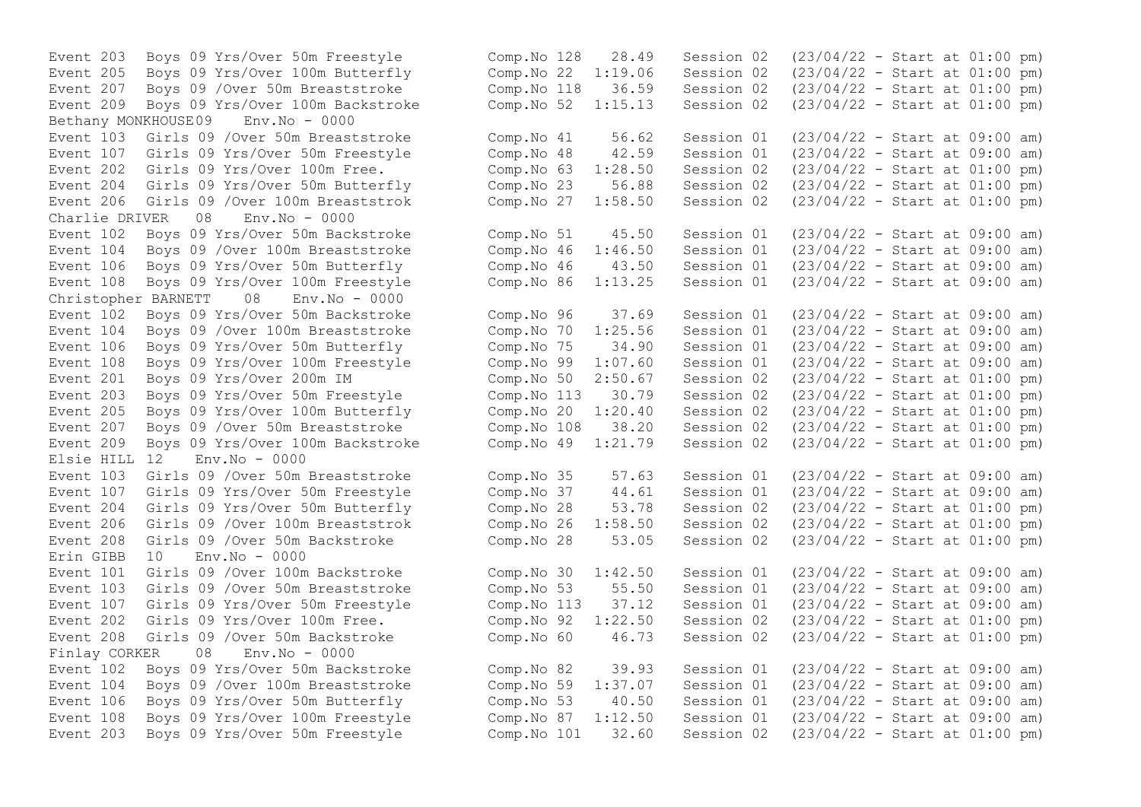Event 209 Boys 09 Yrs/Over 100m Backstroke Comp.No 52 1:15.13 Session 02 Bethany MONKHOUSE09 Env.No - 0000 Event 204 Girls 09 Yrs/Over 50m Butterfly Comp.No 23 56.88 Session 02 Charlie DRIVER 08 Event 108 Boys 09 Yrs/Over 100m Freestyle Christopher BARNETT 08 Env.No - 0000 Event 205 Boys 09 Yrs/Over 100m Butterfly Comp.No 20 Elsie HILL 12 Env.No - 0000 Erin GIBB  $10$  Env. No - 0000 Finlay CORKER 08 Env.No - 0000

Event 203 Boys 09 Yrs/Over 50m Freestyle Comp.No 128 28.49 Session 02 (23/04/22 - Start at 01:00 pm) Event 205 Boys 09 Yrs/Over 100m Butterfly Comp.No 22 1:19.06 Session 02 (23/04/22 - Start at 01:00 pm) Event 207 Boys 09 / Over 50m Breaststroke Comp. No 118 36.59 Session 02 (23/04/22 - Start at 01:00 pm)<br>Event 209 Boys 09 Yrs/Over 100m Backstroke Comp. No 52 1:15.13 Session 02 (23/04/22 - Start at 01:00 pm) Event 103 Girls 09 /Over 50m Breaststroke Comp.No 41 56.62 Session 01 (23/04/22 - Start at 09:00 am)<br>Event 107 Girls 09 Yrs/Over 50m Freestyle Comp.No 48 42.59 Session 01 (23/04/22 - Start at 09:00 am) Event 107 Girls 09 Yrs/Over 50m Freestyle Comp.No 48 42.59 Session 01 (23/04/22 - Start at 09:00 am)<br>Event 202 Girls 09 Yrs/Over 100m Free. Comp.No 63 1:28.50 Session 02 (23/04/22 - Start at 01:00 pm) Event 202 Girls 09 Yrs/Over 100m Free.<br>
Event 204 Girls 09 Yrs/Over 50m Butterfly (Comp.No 23 56.88 Session 02 (23/04/22 - Start at 01:00 pm) Event 206 Girls 09 /Over 100m Breaststrok Comp.No 27 1:58.50 Session 02 (23/04/22 - Start at 01:00 pm)<br>Charlie DRIVER 08 Env.No - 0000 Event 102 Boys 09 Yrs/Over 50m Backstroke Comp. No 51 45.50 Session 01 (23/04/22 - Start at 09:00 am)<br>Event 104 Bovs 09 /Over 100m Breaststroke Comp. No 46 1:46.50 Session 01 (23/04/22 - Start at 09:00 am) Event 104 Boys 09 /Over 100m Breaststroke Comp.No 46 1:46.50 Session 01 (23/04/22 - Start at 09:00 am) Event 106 Boys 09 Yrs/Over 50m Butterfly Comp.No 46 43.50 Session 01 (23/04/22 - Start at 09:00 am) Event 102 Boys 09 Yrs/Over 50m Backstroke Comp.No 96 37.69 Session 01 (23/04/22 - Start at 09:00 am) Event 104 Boys 09 /Over 100m Breaststroke Comp.No 70 1:25.56 Session 01 (23/04/22 - Start at 09:00 am) Event 106 Boys 09 Yrs/Over 50m Butterfly Comp.No 75 34.90 Session 01 (23/04/22 - Start at 09:00 am) Event 108 Boys 09 Yrs/Over 100m Freestyle Comp.No 99 1:07.60 Session 01 (23/04/22 - Start at 09:00 am) Event 201 Boys 09 Yrs/Over 200m IM Comp.No 50 2:50.67 Session 02 (23/04/22 - Start at 01:00 pm) Event 203 Boys 09 Yrs/Over 50m Freestyle Comp.No 113 30.79 Session 02 (23/04/22 - Start at 01:00 pm)<br>Event 205 Boys 09 Yrs/Over 100m Butterfly Comp.No 20 1:20.40 Session 02 (23/04/22 - Start at 01:00 pm) Event 207 Boys 09 /Over 50m Breaststroke Comp.No 108 38.20 Session 02 (23/04/22 - Start at 01:00 pm) Event 209 Boys 09 Yrs/Over 100m Backstroke Comp.No 49 1:21.79 Session 02 (23/04/22 - Start at 01:00 pm) Event 103 Girls 09 /Over 50m Breaststroke Comp.No 35 57.63 Session 01 (23/04/22 - Start at 09:00 am) Event 107 Girls 09 Yrs/Over 50m Freestyle Comp.No 37 44.61 Session 01 (23/04/22 - Start at 09:00 am)<br>Event 204 Girls 09 Yrs/Over 50m Butterfly Comp.No 28 53.78 Session 02 (23/04/22 - Start at 01:00 pm) Event 204 Girls 09 Yrs/Over 50m Butterfly Comp.No 28 53.78 Session 02 (23/04/22 - Start at 01:00 pm) Event 206 Girls 09 /Over 100m Breaststrok Comp.No 26 1:58.50 Session 02 (23/04/22 - Start at 01:00 pm) Event 208 Girls 09 /Over 50m Backstroke Comp.No 28 53.05 Session 02 (23/04/22 - Start at 01:00 pm) Event 101 Girls 09 /Over 100m Backstroke Comp.No 30 1:42.50 Session 01 (23/04/22 - Start at 09:00 am) Event 103 Girls 09 /Over 50m Breaststroke Comp.No 53 55.50 Session 01 (23/04/22 - Start at 09:00 am) Event 107 Girls 09 Yrs/Over 50m Freestyle Comp.No 113 37.12 Session 01 (23/04/22 - Start at 09:00 am) Event 202 Girls 09 Yrs/Over 100m Free. Comp.No 92 1:22.50 Session 02 (23/04/22 - Start at 01:00 pm) Event 208 Girls 09 /Over 50m Backstroke Comp.No 60 46.73 Session 02 (23/04/22 - Start at 01:00 pm) Event 102 Boys 09 Yrs/Over 50m Backstroke Comp.No 82 39.93 Session 01 (23/04/22 - Start at 09:00 am) Event 104 Boys 09 /Over 100m Breaststroke Comp.No 59 1:37.07 Session 01 (23/04/22 - Start at 09:00 am) Event 106 Boys 09 Yrs/Over 50m Butterfly Comp.No 53 40.50 Session 01 (23/04/22 - Start at 09:00 am) Event 108 Boys 09 Yrs/Over 100m Freestyle Comp.No 87 1:12.50 Session 01 (23/04/22 - Start at 09:00 am) Event 203 Boys 09 Yrs/Over 50m Freestyle Comp.No 101 32.60 Session 02 (23/04/22 - Start at 01:00 pm)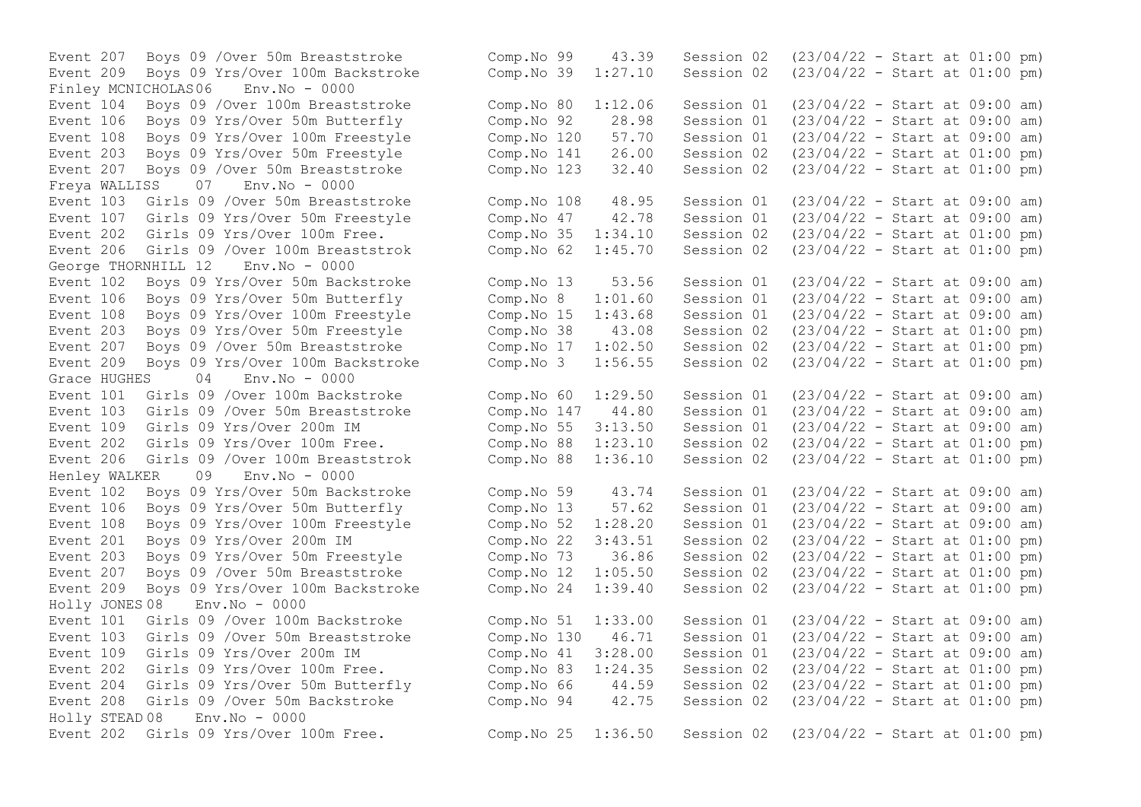Event 209 Boys 09 Yrs/Over 100m Backstroke Comp.No 39 1:27.10 Session 02 Finley MCNICHOLAS06 Env.No - 0000 Event 207 Boys 09 / Over 50m Breaststroke Comp.No 123 32.40 Session 02 Freya WALLISS 07 Env.No - 0000 Event 206 Girls 09 /Over 100m Breaststrok Comp.No 62 1:45.70 Session 02 George THORNHILL 12 Env.No - 0000 Event 106 Boys 09 Yrs/Over 50m Butterfly Comp.No 8 1:01.60 Session 01 Event 203 Boys 09 Yrs/Over 50m Freestyle Comp.No 38 43.08 Session 02 Event 209 Boys 09 Yrs/Over 100m Backstroke Comp.No 3 1:56.55 Session 02 Grace HUGHES 04 Env.No - 0000 Event 103 Girls 09 / Over 50m Breaststroke Comp. No 147 Event 202 Girls 09 Yrs/Over 100m Free. Comp.No 88  $1:23.10$  Session 02 Henley WALKER 09 Env.No - 0000 Event 207 Boys 09 / Over 50m Breaststroke Comp.No 12 1:05.50 Session 02 Holly JONES 08 Env.No - 0000 Holly STEAD 08 Env.No - 0000

Event 207 Boys 09 /Over 50m Breaststroke Comp.No 99 43.39 Session 02 (23/04/22 - Start at 01:00 pm)<br>Event 209 Boys 09 Yrs/Over 100m Backstroke Comp.No 39 1:27.10 Session 02 (23/04/22 - Start at 01:00 pm) Event 104 Boys 09 /Over 100m Breaststroke Comp.No 80 1:12.06 Session 01 (23/04/22 - Start at 09:00 am) Event 106 Boys 09 Yrs/Over 50m Butterfly Comp.No 92 28.98 Session 01 (23/04/22 - Start at 09:00 am) Event 108 Boys 09 Yrs/Over 100m Freestyle Comp.No 120 57.70 Session 01 (23/04/22 - Start at 09:00 am)<br>Event 203 Bovs 09 Yrs/Over 50m Freestyle Comp.No 141 26.00 Session 02 (23/04/22 - Start at 01:00 pm) Event 203 Boys 09 Yrs/Over 50m Freestyle Comp.No 141 26.00 Session 02 (23/04/22 - Start at 01:00 pm)<br>Event 207 Boys 09 /Over 50m Breaststroke Comp.No 123 32.40 Session 02 (23/04/22 - Start at 01:00 pm) Event 103 Girls 09 /Over 50m Breaststroke Comp.No 108 48.95 Session 01 (23/04/22 - Start at 09:00 am) Event 107 Girls 09 Yrs/Over 50m Freestyle Comp.No 47 42.78 Session 01 (23/04/22 - Start at 09:00 am) Event 202 Girls 09 Yrs/Over 100m Free.<br>
Event 206 Girls 09 /Over 100m Breaststrok Comp.No 62 1:45.70 Session 02 (23/04/22 - Start at 01:00 pm) Event 102 Boys 09 Yrs/Over 50m Backstroke Comp.No 13 53.56 Session 01 (23/04/22 - Start at 09:00 am)<br>Event 106 Boys 09 Yrs/Over 50m Butterfly Comp.No 8 1:01.60 Session 01 (23/04/22 - Start at 09:00 am) Event 108 Boys 09 Yrs/Over 100m Freestyle Comp.No 15 1:43.68 Session 01 (23/04/22 - Start at 09:00 am)<br>Event 203 Boys 09 Yrs/Over 50m Freestyle Comp.No 38 43.08 Session 02 (23/04/22 - Start at 01:00 pm) Event 207 Boys 09 /Over 50m Breaststroke Comp.No 17 1:02.50 Session 02 (23/04/22 - Start at 01:00 pm)<br>Event 209 Boys 09 Yrs/Over 100m Backstroke Comp.No 3 1:56.55 Session 02 (23/04/22 - Start at 01:00 pm) Event 101 Girls 09 /Over 100m Backstroke Comp.No 60 1:29.50 Session 01 (23/04/22 - Start at 09:00 am)<br>Event 103 Girls 09 /Over 50m Breaststroke Comp.No 147 44.80 Session 01 (23/04/22 - Start at 09:00 am) Event 109 Girls 09 Yrs/Over 200m IM Comp.No 55 3:13.50 Session 01 (23/04/22 - Start at 09:00 am)<br>Event 202 Girls 09 Yrs/Over 100m Free. Comp.No 88 1:23.10 Session 02 (23/04/22 - Start at 01:00 pm) Event 206 Girls 09 /Over 100m Breaststrok Comp.No 88 1:36.10 Session 02 (23/04/22 - Start at 01:00 pm) Event 102 Boys 09 Yrs/Over 50m Backstroke Comp.No 59 43.74 Session 01 (23/04/22 - Start at 09:00 am) Event 106 Boys 09 Yrs/Over 50m Butterfly Comp.No 13 57.62 Session 01 (23/04/22 - Start at 09:00 am) Event 108 Boys 09 Yrs/Over 100m Freestyle Comp.No 52 1:28.20 Session 01 (23/04/22 - Start at 09:00 am) Event 201 Boys 09 Yrs/Over 200m IM Comp.No 22 3:43.51 Session 02 (23/04/22 - Start at 01:00 pm)<br>Event 203 Boys 09 Yrs/Over 50m Freestyle Comp.No 73 36.86 Session 02 (23/04/22 - Start at 01:00 pm) Event 203 Boys 09 Yrs/Over 50m Freestyle Comp.No 73 36.86 Session 02 (23/04/22 - Start at 01:00 pm)<br>Event 207 Boys 09 /Over 50m Breaststroke Comp.No 12 1:05.50 Session 02 (23/04/22 - Start at 01:00 pm) Event 209 Boys 09 Yrs/Over 100m Backstroke Comp.No 24 1:39.40 Session 02 (23/04/22 - Start at 01:00 pm) Event 101 Girls 09 /Over 100m Backstroke Comp.No 51 1:33.00 Session 01 (23/04/22 - Start at 09:00 am) Event 103 Girls 09 /Over 50m Breaststroke Comp.No 130 46.71 Session 01 (23/04/22 - Start at 09:00 am) Event 109 Girls 09 Yrs/Over 200m IM Comp.No 41 3:28.00 Session 01 (23/04/22 - Start at 09:00 am) Event 202 Girls 09 Yrs/Over 100m Free. Comp.No 83 1:24.35 Session 02 (23/04/22 - Start at 01:00 pm) Event 204 Girls 09 Yrs/Over 50m Butterfly Comp.No 66 44.59 Session 02 (23/04/22 - Start at 01:00 pm) Event 208 Girls 09 /Over 50m Backstroke Comp.No 94 42.75 Session 02 (23/04/22 - Start at 01:00 pm) Event 202 Girls 09 Yrs/Over 100m Free. Comp.No 25 1:36.50 Session 02 (23/04/22 - Start at 01:00 pm)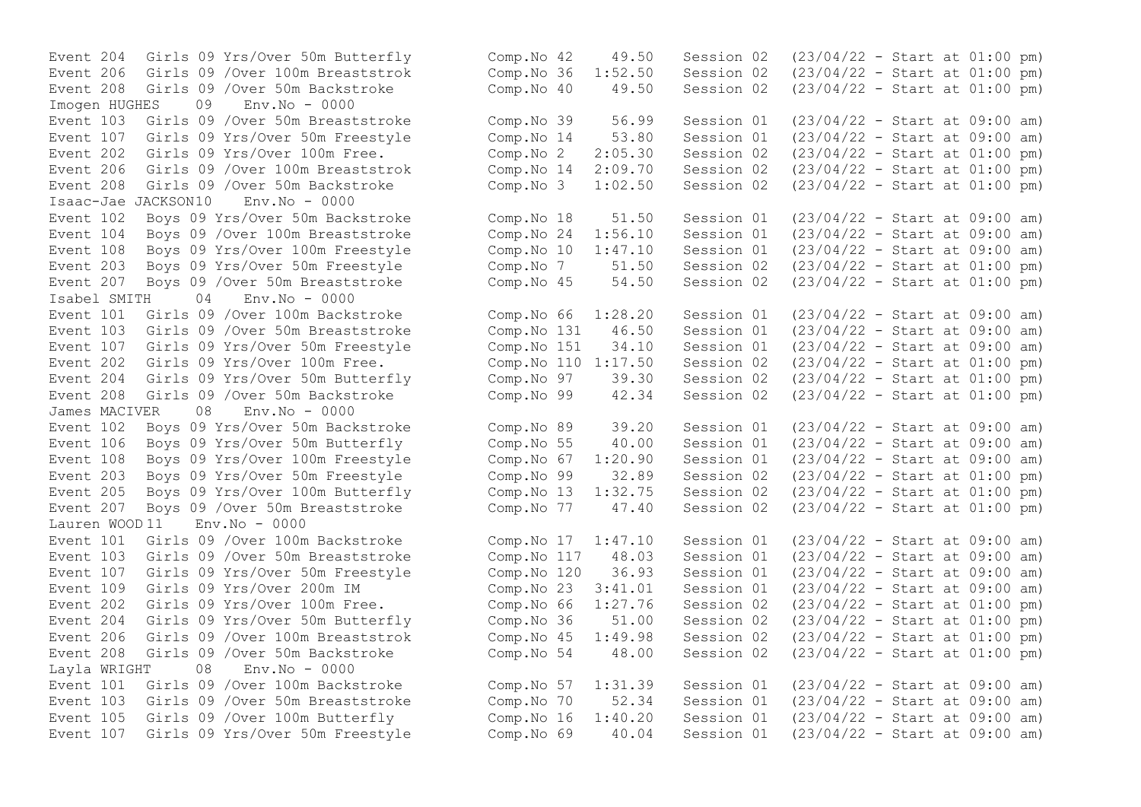Event 208 Girls 09 /Over 50m Backstroke Comp.No 40 49.50 Session 02 Imogen HUGHES 09 Env.No - 0000 Event 202 Girls 09 Yrs/Over 100m Free. Comp.No 2 2:05.30 Session 02<br>Event 206 Girls 09 /Over 100m Breaststrok Comp.No 14 2:09.70 Session 02 Event 208 Girls 09 /Over 50m Backstroke Comp.No 3 1:02.50 Session 02 Isaac-Jae JACKSON10 Env.No - 0000 Event 207 Boys 09 /Over 50m Breaststroke Comp.No 45<br>
Isabel SMITH 04 Env.No - 0000 Isabel SMITH 04 Env.No - 0000 Event 208 Girls 09 /Over 50m Backstroke Comp.No 99 42.34 Session 02<br>James MACIVER 08 Env No - 0000 James MACIVER Event 203 Boys 09 Yrs/Over 50m Freestyle Comp.No 99 32.89 Session 02<br>Event 205 Boys 09 Yrs/Over 100m Butterfly - Comp.No 13 1:32.75 Session 02 Lauren WOOD 11 Env.No - 0000 Layla WRIGHT 08 Env.No - 0000

Event 204 Girls 09 Yrs/Over 50m Butterfly Comp.No 42 49.50 Session 02 (23/04/22 - Start at 01:00 pm) Event 206 Girls 09 /Over 100m Breaststrok Comp.No 36 1:52.50 Session 02 (23/04/22 - Start at 01:00 pm) Event 103 Girls 09 /Over 50m Breaststroke Comp.No 39 56.99 Session 01 (23/04/22 - Start at 09:00 am) Event 107 Girls 09 Yrs/Over 50m Freestyle Comp.No 14 53.80 Session 01 (23/04/22 - Start at 09:00 am)<br>Event 202 Girls 09 Yrs/Over 100m Free. Comp.No 2 2:05.30 Session 02 (23/04/22 - Start at 01:00 pm) Event 206 Girls 09 /Over 100m Breaststrok Comp.No 14 2:09.70 Session 02 (23/04/22 - Start at 01:00 pm)<br>Event 208 Girls 09 /Over 50m Backstroke Comp.No 3 1:02.50 Session 02 (23/04/22 - Start at 01:00 pm) Event 102 Boys 09 Yrs/Over 50m Backstroke Comp.No 18 51.50 Session 01 (23/04/22 - Start at 09:00 am) Event 104 Boys 09 /Over 100m Breaststroke Comp.No 24 1:56.10 Session 01 (23/04/22 - Start at 09:00 am) Event 108 Boys 09 Yrs/Over 100m Freestyle Comp.No 10 1:47.10 Session 01 (23/04/22 - Start at 09:00 am)<br>Event 203 Boys 09 Yrs/Over 50m Freestyle Comp.No 7 51.50 Session 02 (23/04/22 - Start at 01:00 pm) Event 203 Boys 09 Yrs/Over 50m Freestyle Comp.No 7 51.50 Session 02 (23/04/22 - Start at 01:00 pm)<br>Event 207 Boys 09 /Over 50m Breaststroke Comp.No 45 54.50 Session 02 (23/04/22 - Start at 01:00 pm) Event 101 Girls 09 /Over 100m Backstroke Comp.No 66 1:28.20 Session 01 (23/04/22 - Start at 09:00 am) Event 103 Girls 09 /Over 50m Breaststroke Comp.No 131 46.50 Session 01 (23/04/22 - Start at 09:00 am) Event 107 Girls 09 Yrs/Over 50m Freestyle Comp.No 151 34.10 Session 01 (23/04/22 - Start at 09:00 am) Event 202 Girls 09 Yrs/Over 100m Free. Comp.No 110 1:17.50 Session 02 (23/04/22 - Start at 01:00 pm) Event 204 Girls 09 Yrs/Over 50m Butterfly Comp.No 97 39.30 Session 02 (23/04/22 - Start at 01:00 pm)<br>Event 208 Girls 09 /Over 50m Backstroke Comp.No 99 42.34 Session 02 (23/04/22 - Start at 01:00 pm) Event 102 Boys 09 Yrs/Over 50m Backstroke Comp.No 89 39.20 Session 01 (23/04/22 - Start at 09:00 am) Event 106 Boys 09 Yrs/Over 50m Butterfly Comp.No 55 40.00 Session 01 (23/04/22 - Start at 09:00 am) Event 108 Boys 09 Yrs/Over 100m Freestyle Comp.No 67 1:20.90 Session 01 (23/04/22 - Start at 09:00 am)<br>Event 203 Boys 09 Yrs/Over 50m Freestyle Comp.No 99 32.89 Session 02 (23/04/22 - Start at 01:00 pm) Event 205 Boys 09 Yrs/Over 100m Butterfly Comp.No 13 1:32.75 Session 02 (23/04/22 - Start at 01:00 pm) Event 207 Boys 09 / Over 50m Breaststroke Comp. No 77 47.40 Session 02 (23/04/22 - Start at 01:00 pm) Event 101 Girls 09 /Over 100m Backstroke Comp.No 17 1:47.10 Session 01 (23/04/22 - Start at 09:00 am) Event 103 Girls 09 /Over 50m Breaststroke Comp.No 117 48.03 Session 01 (23/04/22 - Start at 09:00 am) Event 107 Girls 09 Yrs/Over 50m Freestyle Comp.No 120 36.93 Session 01 (23/04/22 - Start at 09:00 am) Event 109 Girls 09 Yrs/Over 200m IM Comp.No 23 3:41.01 Session 01 (23/04/22 - Start at 09:00 am) Event 202 Girls 09 Yrs/Over 100m Free. Comp.No 66 1:27.76 Session 02 (23/04/22 - Start at 01:00 pm) Event 204 Girls 09 Yrs/Over 50m Butterfly Comp.No 36 51.00 Session 02 (23/04/22 - Start at 01:00 pm) Event 206 Girls 09 /Over 100m Breaststrok Comp.No 45 1:49.98 Session 02 (23/04/22 - Start at 01:00 pm) Event 208 Girls 09 /Over 50m Backstroke Comp.No 54 48.00 Session 02 (23/04/22 - Start at 01:00 pm) Event 101 Girls 09 /Over 100m Backstroke Comp.No 57 1:31.39 Session 01 (23/04/22 - Start at 09:00 am) Event 103 Girls 09 /Over 50m Breaststroke Comp.No 70 52.34 Session 01 (23/04/22 - Start at 09:00 am) Event 105 Girls 09 /Over 100m Butterfly Comp.No 16 1:40.20 Session 01 (23/04/22 - Start at 09:00 am) Event 107 Girls 09 Yrs/Over 50m Freestyle Comp.No 69 40.04 Session 01 (23/04/22 - Start at 09:00 am)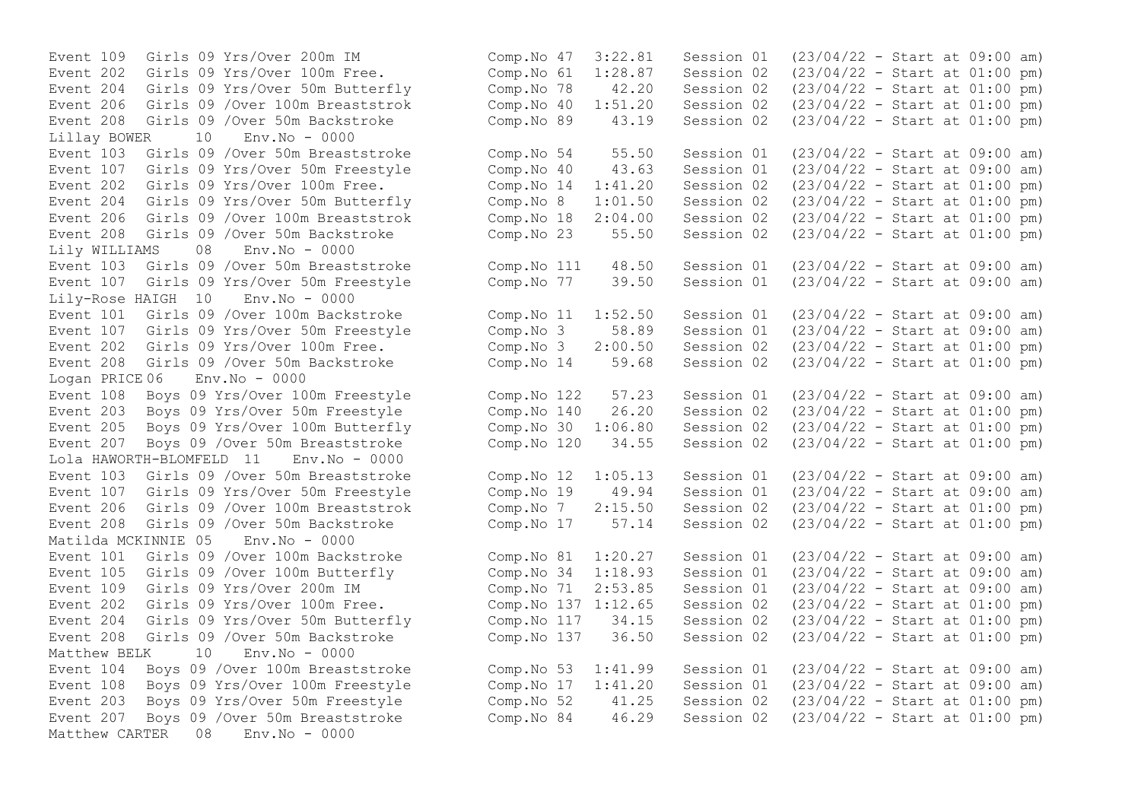Event 208 Girls 09 /Over 50m Backstroke Comp.No 89 43.19 Session 02 Lillay BOWER 10 Env.No - 0000 Event 204 Girls 09 Yrs/Over 50m Butterfly Comp.No 8 1:01.50 Session 02 Event 208 Girls 09 /Over 50m Backstroke Comp.No 23 55.50 Session 02 Lily WILLIAMS 08 Env.No - 0000 Event 107 Girls 09 Yrs/Over 50m Freestyle Lily-Rose HAIGH 10 Env.No - 0000 Event 208 Girls 09 /Over 50m Backstroke Comp.No 14 59.68 Session 02 Logan PRICE 06 Env.No - 0000 Event 203 Boys 09 Yrs/Over 50m Freestyle Comp.No 140 26.20 Session 02 Event 207 Boys 09 /Over 50m Breaststroke  $\sim$  Comp.No 120  $\sim$  34.55 Session 02 Lola HAWORTH-BLOMFELD 11 Env.No - 0000 Matilda MCKINNIE 05 Env.No - 0000 Matthew BELK 10 Env.No - 0000 Event 203 Boys 09 Yrs/Over 50m Freestyle Comp.No 52 41.25 Session 02 Matthew CARTER 08 Env.No - 0000

Event 109 Girls 09 Yrs/Over 200m IM Comp.No 47 3:22.81 Session 01 (23/04/22 - Start at 09:00 am) Event 202 Girls 09 Yrs/Over 100m Free. Comp.No 61 1:28.87 Session 02 (23/04/22 - Start at 01:00 pm) Event 204 Girls 09 Yrs/Over 50m Butterfly Comp.No 78 42.20 Session 02 (23/04/22 - Start at 01:00 pm) Event 206 Girls 09 /Over 100m Breaststrok Comp.No 40 1:51.20 Session 02 (23/04/22 - Start at 01:00 pm)<br>Event 208 Girls 09 /Over 50m Backstroke Comp.No 89 43.19 Session 02 (23/04/22 - Start at 01:00 pm) Event 103 Girls 09 /Over 50m Breaststroke Comp. No 54 55.50 Session 01 (23/04/22 - Start at 09:00 am)<br>Event 107 Girls 09 Yrs/Over 50m Freestyle Comp. No 40 43.63 Session 01 (23/04/22 - Start at 09:00 am) Event 107 Girls 09 Yrs/Over 50m Freestyle Comp.No 40 43.63 Session 01 (23/04/22 - Start at 09:00 am)<br>Event 202 Girls 09 Yrs/Over 100m Free. Comp.No 14 1:41.20 Session 02 (23/04/22 - Start at 01:00 pm) Event 202 Girls 09 Yrs/Over 100m Free.<br>
Event 204 Girls 09 Yrs/Over 50m Butterfly Comp.No 8 1:01.50 Session 02 (23/04/22 - Start at 01:00 pm) Event 206 Girls 09 /Over 100m Breaststrok Comp.No 18 2:04.00 Session 02 (23/04/22 - Start at 01:00 pm)<br>Event 208 Girls 09 /Over 50m Backstroke Comp.No 23 55.50 Session 02 (23/04/22 - Start at 01:00 pm) Event 103 Girls 09 /Over 50m Breaststroke Comp.No 111 48.50 Session 01 (23/04/22 - Start at 09:00 am)<br>Event 107 Girls 09 Yrs/Over 50m Freestyle Comp.No 77 39.50 Session 01 (23/04/22 - Start at 09:00 am) Event 101 Girls 09 /Over 100m Backstroke Comp.No 11 1:52.50 Session 01 (23/04/22 - Start at 09:00 am) Event 107 Girls 09 Yrs/Over 50m Freestyle Comp.No 3 58.89 Session 01 (23/04/22 - Start at 09:00 am) Event 202 Girls 09 Yrs/Over 100m Free.<br>
Event 208 Girls 09 /Over 50m Backstroke Comp.No 14 59.68 Session 02 (23/04/22 - Start at 01:00 pm) Event 108 Boys 09 Yrs/Over 100m Freestyle Comp.No 122 57.23 Session 01 (23/04/22 - Start at 09:00 am)<br>Event 203 Boys 09 Yrs/Over 50m Freestyle Comp.No 140 26.20 Session 02 (23/04/22 - Start at 01:00 pm) Event 205 Boys 09 Yrs/Over 100m Butterfly Comp.No 30 1:06.80 Session 02 (23/04/22 - Start at 01:00 pm)<br>Event 207 Boys 09 /Over 50m Breaststroke Comp.No 120 34.55 Session 02 (23/04/22 - Start at 01:00 pm) Event 103 Girls 09 /Over 50m Breaststroke Comp.No 12 1:05.13 Session 01 (23/04/22 - Start at 09:00 am) Event 107 Girls 09 Yrs/Over 50m Freestyle Comp.No 19 49.94 Session 01 (23/04/22 - Start at 09:00 am) Event 206 Girls 09 /Over 100m Breaststrok Comp.No 7 2:15.50 Session 02 (23/04/22 - Start at 01:00 pm) Event 208 Girls 09 /Over 50m Backstroke Comp.No 17 57.14 Session 02 (23/04/22 - Start at 01:00 pm) Event 101 Girls 09 /Over 100m Backstroke Comp.No 81 1:20.27 Session 01 (23/04/22 - Start at 09:00 am) Event 105 Girls 09 /Over 100m Butterfly Comp.No 34 1:18.93 Session 01 (23/04/22 - Start at 09:00 am) Event 109 Girls 09 Yrs/Over 200m IM Comp.No 71 2:53.85 Session 01 (23/04/22 - Start at 09:00 am) Event 202 Girls 09 Yrs/Over 100m Free. Comp.No 137 1:12.65 Session 02 (23/04/22 - Start at 01:00 pm) Event 204 Girls 09 Yrs/Over 50m Butterfly Comp.No 117 34.15 Session 02 (23/04/22 - Start at 01:00 pm) Event 208 Girls 09 /Over 50m Backstroke Comp.No 137 36.50 Session 02 (23/04/22 - Start at 01:00 pm) Event 104 Boys 09 /Over 100m Breaststroke Comp.No 53 1:41.99 Session 01 (23/04/22 - Start at 09:00 am) Event 108 Boys 09 Yrs/Over 100m Freestyle Comp.No 17 1:41.20 Session 01 (23/04/22 - Start at 09:00 am)<br>Event 203 Boys 09 Yrs/Over 50m Freestyle Comp.No 52 41.25 Session 02 (23/04/22 - Start at 01:00 pm) Event 207 Boys 09 /Over 50m Breaststroke Comp.No 84 46.29 Session 02 (23/04/22 - Start at 01:00 pm)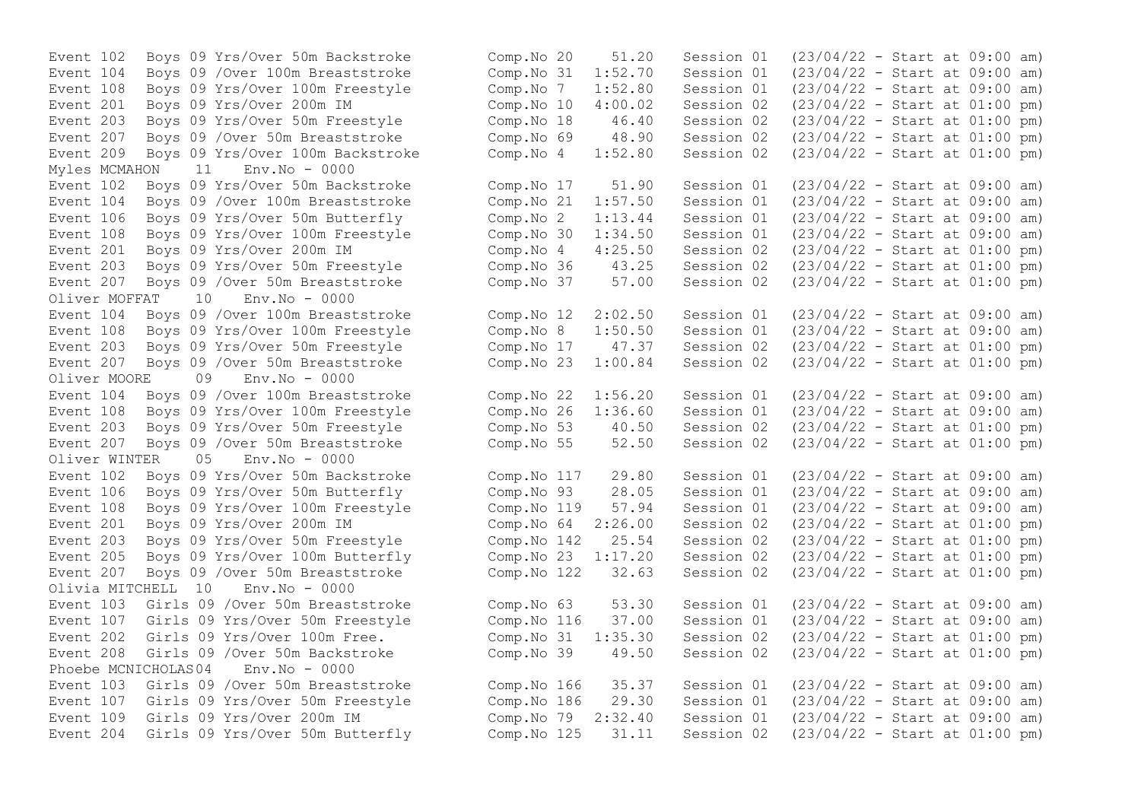Event 108 Boys 09 Yrs/Over 100m Freestyle Comp.No 7 1:52.80 Session 01 Myles MCMAHON 11 Env.No - 0000<br>Event 102 Boys 09 Yrs/Over 50m Backstroke Event 207 Boys 09 / Over 50m Breaststroke Oliver MOFFAT 10 Env.No - 0000 Oliver MOORE 09 Env.No - 0000 Event 108 Boys 09 Yrs/Over 100m Freestyle Comp.No 26 Oliver WINTER 05 Env.No - 0000 Event 205 Boys 09 Yrs/Over 100m Butterfly Comp.No 23 1:17.20 Session 02 Olivia MITCHELL 10 Env.No - 0000 Phoebe MCNICHOLAS04 Env.No - 0000

Event 102 Boys 09 Yrs/Over 50m Backstroke Comp. No 20 51.20 Session 01 (23/04/22 - Start at 09:00 am)<br>Event 104 Boys 09 /Over 100m Breaststroke Comp. No 31 1:52.70 Session 01 (23/04/22 - Start at 09:00 am) Event 104 Boys 09 /Over 100m Breaststroke Comp.No 31 1:52.70 Session 01 (23/04/22 - Start at 09:00 am) Event 201 Boys 09 Yrs/Over 200m IM Comp.No 10 4:00.02 Session 02 (23/04/22 - Start at 01:00 pm) Event 203 Boys 09 Yrs/Over 50m Freestyle Comp.No 18 46.40 Session 02 (23/04/22 - Start at 01:00 pm) Event 207 Boys 09 /Over 50m Breaststroke (Comp. No 69 (28.90 Session 02 (23/04/22 - Start at 01:00 pm)<br>Event 209 Boys 09 Yrs/Over 100m Backstroke (Comp. No 4 1:52.80 Session 02 (23/04/22 - Start at 01:00 pm) Event 209 Boys 09 Yrs/Over 100m Backstroke Comp.No 4 1:52.80 Session 02 (23/04/22 - Start at 01:00 pm) Event 102 Boys 09 Yrs/Over 50m Backstroke Comp.No 17 51.90 Session 01 (23/04/22 - Start at 09:00 am) Event 104 Boys 09 /Over 100m Breaststroke Comp.No 21 1:57.50 Session 01 (23/04/22 - Start at 09:00 am) Event 106 Boys 09 Yrs/Over 50m Butterfly Comp.No 2 1:13.44 Session 01 (23/04/22 - Start at 09:00 am) Event 108 Boys 09 Yrs/Over 100m Freestyle Comp.No 30 1:34.50 Session 01 (23/04/22 - Start at 09:00 am) Event 201 Boys 09 Yrs/Over 200m IM Comp.No 4 4:25.50 Session 02 (23/04/22 - Start at 01:00 pm) Event 203 Boys 09 Yrs/Over 50m Freestyle Comp.No 36 43.25 Session 02 (23/04/22 - Start at 01:00 pm)<br>Event 207 Boys 09 /Over 50m Breaststroke Comp.No 37 57.00 Session 02 (23/04/22 - Start at 01:00 pm) Event 104 Boys 09 /Over 100m Breaststroke Comp.No 12 2:02.50 Session 01 (23/04/22 - Start at 09:00 am) Event 108 Boys 09 Yrs/Over 100m Freestyle Comp.No 8 1:50.50 Session 01 (23/04/22 - Start at 09:00 am) Event 203 Boys 09 Yrs/Over 50m Freestyle Comp.No 17 47.37 Session 02 (23/04/22 - Start at 01:00 pm) Event 207 Boys 09 /Over 50m Breaststroke Comp.No 23 1:00.84 Session 02 (23/04/22 - Start at 01:00 pm) Event 104 Boys 09 /Over 100m Breaststroke Comp.No 22 1:56.20 Session 01 (23/04/22 - Start at 09:00 am)<br>Event 108 Boys 09 Yrs/Over 100m Freestyle Comp.No 26 1:36.60 Session 01 (23/04/22 - Start at 09:00 am) Event 203 Boys 09 Yrs/Over 50m Freestyle Comp.No 53 40.50 Session 02 (23/04/22 - Start at 01:00 pm) Event 207 Boys 09 /Over 50m Breaststroke Comp.No 55 52.50 Session 02 (23/04/22 - Start at 01:00 pm) Event 102 Boys 09 Yrs/Over 50m Backstroke Comp.No 117 29.80 Session 01 (23/04/22 - Start at 09:00 am) Event 106 Boys 09 Yrs/Over 50m Butterfly Comp.No 93 28.05 Session 01 (23/04/22 - Start at 09:00 am) Event 108 Boys 09 Yrs/Over 100m Freestyle Comp.No 119 57.94 Session 01 (23/04/22 - Start at 09:00 am) Event 201 Boys 09 Yrs/Over 200m IM Comp.No 64 2:26.00 Session 02 (23/04/22 - Start at 01:00 pm) Event 203 Boys 09 Yrs/Over 50m Freestyle Comp.No 142 25.54 Session 02 (23/04/22 - Start at 01:00 pm)<br>Event 205 Boys 09 Yrs/Over 100m Butterfly Comp.No 23 1:17.20 Session 02 (23/04/22 - Start at 01:00 pm) Event 207 Boys 09 /Over 50m Breaststroke Comp.No 122 32.63 Session 02 (23/04/22 - Start at 01:00 pm) Event 103 Girls 09 /Over 50m Breaststroke Comp.No 63 53.30 Session 01 (23/04/22 - Start at 09:00 am) Event 107 Girls 09 Yrs/Over 50m Freestyle Comp.No 116 37.00 Session 01 (23/04/22 - Start at 09:00 am) Event 202 Girls 09 Yrs/Over 100m Free. Comp.No 31 1:35.30 Session 02 (23/04/22 - Start at 01:00 pm) Event 208 Girls 09 /Over 50m Backstroke Comp.No 39 49.50 Session 02 (23/04/22 - Start at 01:00 pm) Event 103 Girls 09 /Over 50m Breaststroke Comp.No 166 35.37 Session 01 (23/04/22 - Start at 09:00 am) Event 107 Girls 09 Yrs/Over 50m Freestyle Comp.No 186 29.30 Session 01 (23/04/22 - Start at 09:00 am) Event 109 Girls 09 Yrs/Over 200m IM Comp.No 79 2:32.40 Session 01 (23/04/22 - Start at 09:00 am) Event 204 Girls 09 Yrs/Over 50m Butterfly Comp.No 125 31.11 Session 02 (23/04/22 - Start at 01:00 pm)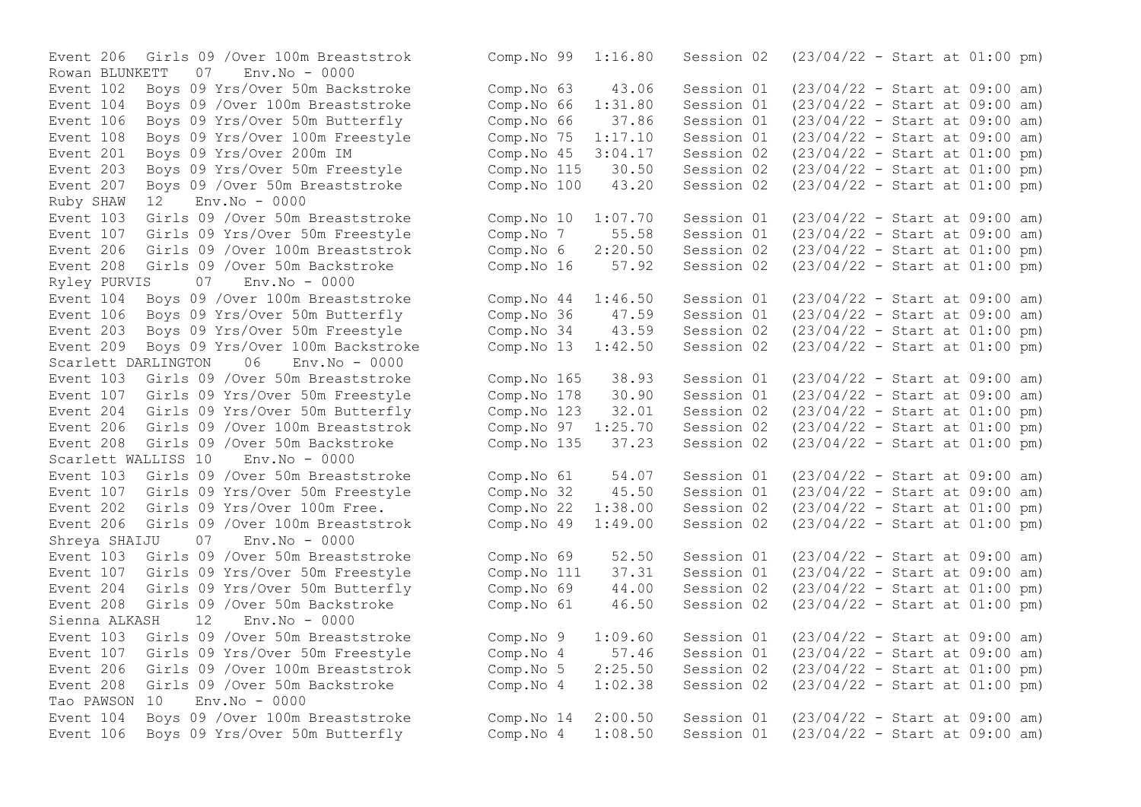Rowan BLUNKETT 07 Env.No - 0000 Event 207 Boys 09 / Over 50m Breaststroke Ruby SHAW 12 Env.No - 0000 Event 208 Girls 09 /Over 50m Backstroke Comp.No 16 57.92 Session 02 Ryley PURVIS 07 Env.No - 0000 Scarlett DARLINGTON 06 Env.No - 0000 Event 208 Girls 09 /Over 50m Backstroke Comp.No 135 37.23 Session 02 Scarlett WALLISS 10 Env.No - 0000 Shreya SHAIJU 07 Env.No - 0000 Sienna ALKASH 12 Env.No - 0000 Tao PAWSON 10 Env.No - 0000

Event 206 Girls 09 /Over 100m Breaststrok Comp.No 99 1:16.80 Session 02 (23/04/22 - Start at 01:00 pm) Event 102 Boys 09 Yrs/Over 50m Backstroke Comp.No 63 43.06 Session 01 (23/04/22 - Start at 09:00 am) Event 104 Boys 09 /Over 100m Breaststroke Comp.No 66 1:31.80 Session 01 (23/04/22 - Start at 09:00 am) Event 106 Boys 09 Yrs/Over 50m Butterfly Comp.No 66 37.86 Session 01 (23/04/22 - Start at 09:00 am) Event 108 Boys 09 Yrs/Over 100m Freestyle Comp.No 75 1:17.10 Session 01 (23/04/22 - Start at 09:00 am)<br>Event 201 Boys 09 Yrs/Over 200m IM Comp.No 45 3:04.17 Session 02 (23/04/22 - Start at 01:00 pm) Event 201 Boys 09 Yrs/Over 200m IM Comp.No 45 3:04.17 Session 02 (23/04/22 - Start at 01:00 pm)<br>Event 203 Boys 09 Yrs/Over 50m Freestyle Comp.No 115 30.50 Session 02 (23/04/22 - Sta Event 203 Boys 09 Yrs/Over 50m Freestyle Comp.No 115 30.50 Session 02 (23/04/22 - Start at 01:00 pm)<br>Event 207 Boys 09 /Over 50m Breaststroke Comp.No 100 43.20 Session 02 (23/04/22 - Start at 01:00 pm) Event 103 Girls 09 /Over 50m Breaststroke Comp.No 10 1:07.70 Session 01 (23/04/22 - Start at 09:00 am) Event 107 Girls 09 Yrs/Over 50m Freestyle Comp.No 7 55.58 Session 01 (23/04/22 - Start at 09:00 am) Event 206 Girls 09 /Over 100m Breaststrok Comp.No 6 2:20.50 Session 02 (23/04/22 - Start at 01:00 pm) Event 104 Boys 09 /Over 100m Breaststroke Comp.No 44 1:46.50 Session 01 (23/04/22 - Start at 09:00 am) Event 106 Boys 09 Yrs/Over 50m Butterfly Comp.No 36 47.59 Session 01 (23/04/22 - Start at 09:00 am) Event 203 Boys 09 Yrs/Over 50m Freestyle Comp.No 34 43.59 Session 02 (23/04/22 - Start at 01:00 pm) Event 209 Boys 09 Yrs/Over 100m Backstroke Comp.No 13 1:42.50 Session 02 (23/04/22 - Start at 01:00 pm) Event 103 Girls 09 /Over 50m Breaststroke Comp.No 165 38.93 Session 01 (23/04/22 - Start at 09:00 am) Event 107 Girls 09 Yrs/Over 50m Freestyle Comp.No 178 30.90 Session 01 (23/04/22 - Start at 09:00 am)<br>Event 204 Girls 09 Yrs/Over 50m Butterfly Comp.No 123 32.01 Session 02 (23/04/22 - Start at 01:00 pm) Event 204 Girls 09 Yrs/Over 50m Butterfly Comp.No 123 32.01 Session 02 (23/04/22 - Start at 01:00 pm)<br>Event 206 Girls 09 /Over 100m Breaststrok Comp.No 97 1:25.70 Session 02 (23/04/22 - Start at 01:00 pm) Event 206 Girls 09 /Over 100m Breaststrok Comp.No 97 1:25.70 Session 02 (23/04/22 - Start at 01:00 pm)<br>Event 208 Girls 09 /Over 50m Backstroke Comp.No 135 37.23 Session 02 (23/04/22 - Start at 01:00 pm) Event 103 Girls 09 /Over 50m Breaststroke Comp.No 61 54.07 Session 01 (23/04/22 - Start at 09:00 am) Event 107 Girls 09 Yrs/Over 50m Freestyle Comp.No 32 45.50 Session 01 (23/04/22 - Start at 09:00 am) Event 202 Girls 09 Yrs/Over 100m Free. Comp.No 22 1:38.00 Session 02 (23/04/22 - Start at 01:00 pm) Event 206 Girls 09 /Over 100m Breaststrok Comp.No 49 1:49.00 Session 02 (23/04/22 - Start at 01:00 pm) Event 103 Girls 09 /Over 50m Breaststroke Comp.No 69 52.50 Session 01 (23/04/22 - Start at 09:00 am) Event 107 Girls 09 Yrs/Over 50m Freestyle Comp.No 111 37.31 Session 01 (23/04/22 - Start at 09:00 am) Event 204 Girls 09 Yrs/Over 50m Butterfly Comp.No 69 44.00 Session 02 (23/04/22 - Start at 01:00 pm) Event 208 Girls 09 /Over 50m Backstroke Comp.No 61 46.50 Session 02 (23/04/22 - Start at 01:00 pm) Event 103 Girls 09 /Over 50m Breaststroke Comp.No 9 1:09.60 Session 01 (23/04/22 - Start at 09:00 am) Event 107 Girls 09 Yrs/Over 50m Freestyle Comp.No 4 57.46 Session 01 (23/04/22 - Start at 09:00 am) Event 206 Girls 09 /Over 100m Breaststrok Comp.No 5 2:25.50 Session 02 (23/04/22 - Start at 01:00 pm) Event 208 Girls 09 /Over 50m Backstroke Comp.No 4 1:02.38 Session 02 (23/04/22 - Start at 01:00 pm) Event 104 Boys 09 /Over 100m Breaststroke Comp.No 14 2:00.50 Session 01 (23/04/22 - Start at 09:00 am) Event 106 Boys 09 Yrs/Over 50m Butterfly Comp.No 4 1:08.50 Session 01 (23/04/22 - Start at 09:00 am)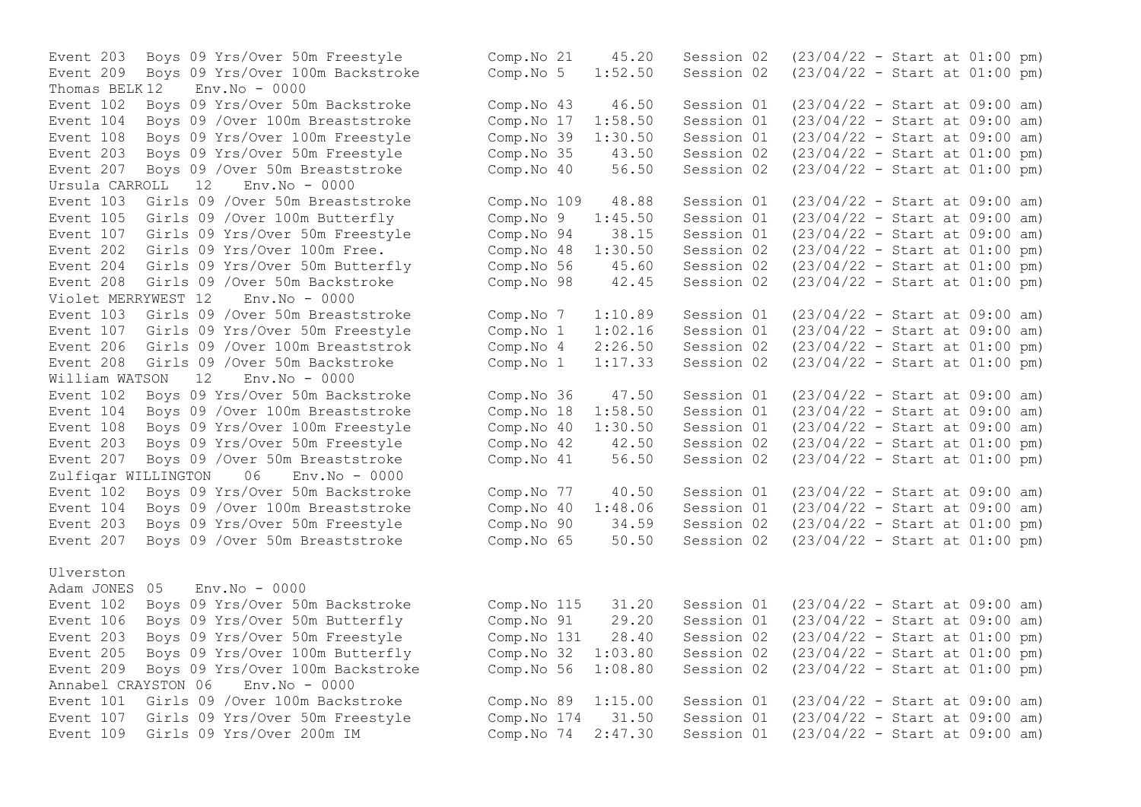Event 209 Boys 09 Yrs/Over 100m Backstroke Comp.No 5 1:52.50 Session 02 Thomas BELK  $12$  Env. No - 0000 Event 207 Boys 09 /Over 50m Breaststroke Comp.No 40<br>Ursula CARROLL 12 Env.No - 0000  $Ursu$ la CARROLL  $12$ Event 208 Girls 09 /Over 50m Backstroke Violet MERRYWEST 12 Env.No - 0000 Event 208 Girls 09 / Over 50m Backstroke Comp.No 1 1:17.33 Session 02 William WATSON 12 Env.No - 0000 Event 104 Boys 09 / Over 100m Breaststroke Comp.No 18 1:58.50 Session 01 Event 203 Boys 09 Yrs/Over 50m Freestyle Comp.No 42 - 42.50 Session 02 Zulfiqar WILLINGTON 06 Env.No - 0000 Event 104 Boys 09 / Over 100m Breaststroke Comp. No 40 1:48.06 Session 01 Ulverston Adam JONES 05 Env.No - 0000 Annabel CRAYSTON 06 Env.No - 0000

Event 203 Boys 09 Yrs/Over 50m Freestyle Comp.No 21 45.20 Session 02 (23/04/22 - Start at 01:00 pm)<br>Event 209 Boys 09 Yrs/Over 100m Backstroke Comp.No 5 1:52.50 Session 02 (23/04/22 - Start at 01:00 pm) Event 102 Boys 09 Yrs/Over 50m Backstroke Comp.No 43 46.50 Session 01 (23/04/22 - Start at 09:00 am) Event 104 Boys 09 /Over 100m Breaststroke Comp.No 17 1:58.50 Session 01 (23/04/22 - Start at 09:00 am) Event 108 Boys 09 Yrs/Over 100m Freestyle Comp.No 39 1:30.50 Session 01 (23/04/22 - Start at 09:00 am)<br>Event 203 Bovs 09 Yrs/Over 50m Freestyle Comp.No 35 43.50 Session 02 (23/04/22 - Start at 01:00 pm) Event 203 Boys 09 Yrs/Over 50m Freestyle Comp.No 35 43.50 Session 02 (23/04/22 - Start at 01:00 pm)<br>Event 207 Boys 09 /Over 50m Breaststroke Comp.No 40 56.50 Session 02 (23/04/22 - Start at 01:00 pm) Event 103 Girls 09 /Over 50m Breaststroke Comp.No 109 48.88 Session 01 (23/04/22 - Start at 09:00 am) Event 105 Girls 09 /Over 100m Butterfly Comp.No 9 1:45.50 Session 01 (23/04/22 - Start at 09:00 am) Event 107 Girls 09 Yrs/Over 50m Freestyle Comp.No 94 38.15 Session 01 (23/04/22 - Start at 09:00 am) Event 202 Girls 09 Yrs/Over 100m Free. Comp.No 48 1:30.50 Session 02 (23/04/22 - Start at 01:00 pm)<br>Event 204 Girls 09 Yrs/Over 50m Butterfly Comp.No 56 45.60 Session 02 (23/04/22 - Start at 01:00 pm) Event 204 Girls 09 Yrs/Over 50m Butterfly Comp.No 56 45.60 Session 02 (23/04/22 - Start at 01:00 pm)<br>Event 208 Girls 09 /Over 50m Backstroke Comp.No 98 42.45 Session 02 (23/04/22 - Start at 01:00 pm) Event 103 Girls 09 /Over 50m Breaststroke Comp.No 7 1:10.89 Session 01 (23/04/22 - Start at 09:00 am) Event 107 Girls 09 Yrs/Over 50m Freestyle Comp.No 1 1:02.16 Session 01 (23/04/22 - Start at 09:00 am) Event 206 Girls 09 /Over 100m Breaststrok Comp.No 4 2:26.50 Session 02 (23/04/22 - Start at 01:00 pm)<br>Event 208 Girls 09 /Over 50m Backstroke Comp.No 1 1:17.33 Session 02 (23/04/22 - Start at 01:00 pm) Event 102 Boys 09 Yrs/Over 50m Backstroke Comp.No 36 47.50 Session 01 (23/04/22 - Start at 09:00 am)<br>Event 104 Boys 09 /Over 100m Breaststroke Comp.No 18 1:58.50 Session 01 (23/04/22 - Start at 09:00 am) Event 108 Boys 09 Yrs/Over 100m Freestyle Comp.No 40 1:30.50 Session 01 (23/04/22 - Start at 09:00 am)<br>Event 203 Bovs 09 Yrs/Over 50m Freestyle Comp.No 42 42.50 Session 02 (23/04/22 - Start at 01:00 pm) Event 207 Boys 09 /Over 50m Breaststroke Comp.No 41 56.50 Session 02 (23/04/22 - Start at 01:00 pm) Event 102 Boys 09 Yrs/Over 50m Backstroke Comp.No 77 40.50 Session 01 (23/04/22 - Start at 09:00 am)<br>Event 104 Bovs 09 /Over 100m Breaststroke Comp.No 40 1:48.06 Session 01 (23/04/22 - Start at 09:00 am) Event 203 Boys 09 Yrs/Over 50m Freestyle Comp.No 90 34.59 Session 02 (23/04/22 - Start at 01:00 pm) Event 207 Boys 09 /Over 50m Breaststroke Comp.No 65 50.50 Session 02 (23/04/22 - Start at 01:00 pm) Event 102 Boys 09 Yrs/Over 50m Backstroke Comp.No 115 31.20 Session 01 (23/04/22 - Start at 09:00 am) Event 106 Boys 09 Yrs/Over 50m Butterfly Comp.No 91 29.20 Session 01 (23/04/22 - Start at 09:00 am) Event 203 Boys 09 Yrs/Over 50m Freestyle Comp.No 131 28.40 Session 02 (23/04/22 - Start at 01:00 pm) Event 205 Boys 09 Yrs/Over 100m Butterfly Comp.No 32 1:03.80 Session 02 (23/04/22 - Start at 01:00 pm) Event 209 Boys 09 Yrs/Over 100m Backstroke Comp.No 56 1:08.80 Session 02 (23/04/22 - Start at 01:00 pm) Event 101 Girls 09 /Over 100m Backstroke Comp.No 89 1:15.00 Session 01 (23/04/22 - Start at 09:00 am) Event 107 Girls 09 Yrs/Over 50m Freestyle Comp.No 174 31.50 Session 01 (23/04/22 - Start at 09:00 am) Event 109 Girls 09 Yrs/Over 200m IM Comp.No 74 2:47.30 Session 01 (23/04/22 - Start at 09:00 am)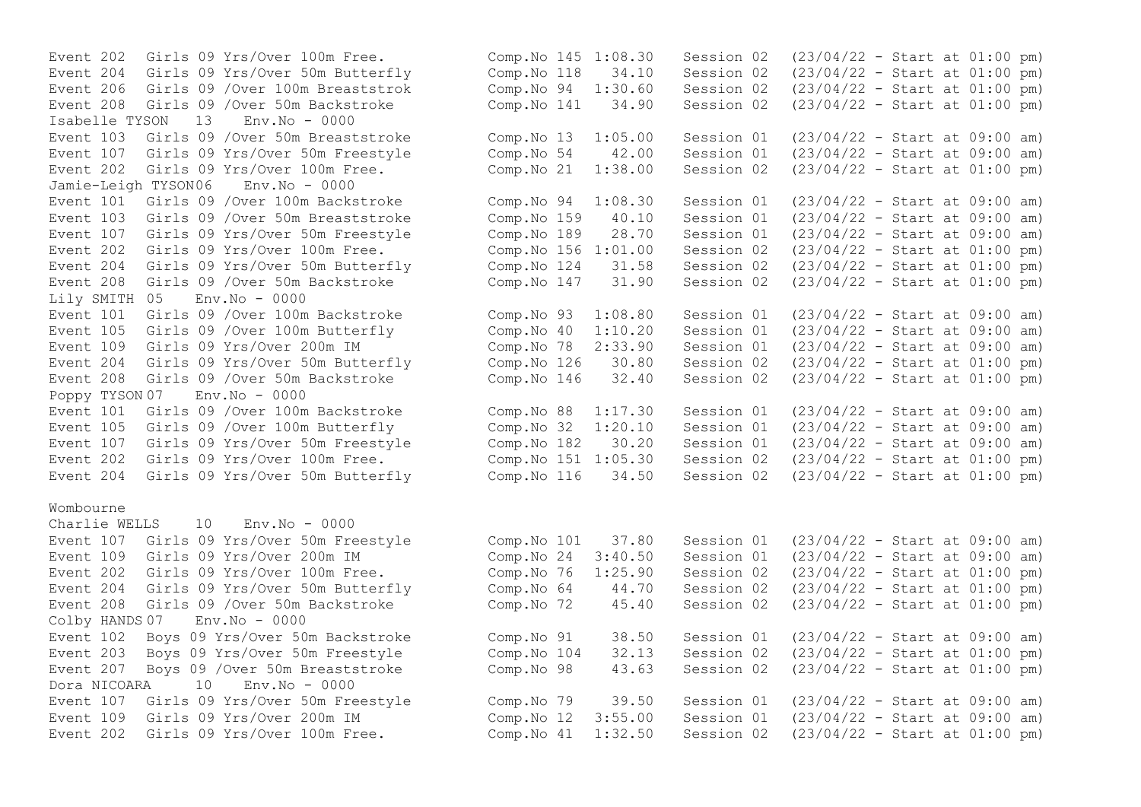Event 202 Girls 09 Yrs/Over 100m Free. Event 204 Girls 09 Yrs/Over 50m Butterfly Event 206 Girls 09 /Over 100m Breaststrok Event 208 Girls 09 / Over 50m Backstroke Isabelle TYSON 13 Env.No - 0000 Event  $103$  Girls  $09$  /Over 50m Breaststroke Event 107 Girls 09 Yrs/Over 50m Freestyle Event 202 Girls 09 Yrs/Over 100m Free. Jamie-Leigh TYSON06 Env.No - 0000 Event 101 Girls 09 /Over 100m Backstroke Event 103 Girls 09 /Over 50m Breaststroke Event 107 Girls 09 Yrs/Over 50m Freestyle Event 202 Girls 09 Yrs/Over 100m Free. Event 204 Girls 09 Yrs/Over 50m Butterfly Event 208 Girls 09 /Over 50m Backstroke Lily SMITH 05 Env.No - 0000 Event 101 Girls 09 / Over 100m Backstroke Event 105 Girls 09 /Over 100m Butterfly Event 109 Girls 09 Yrs/Over 200m IM Event 204 Girls 09 Yrs/Over 50m Butterfly Event 208 Girls 09 /Over 50m Backstroke Poppy TYSON 07 Env.No - 0000 Event 101 Girls 09 /Over 100m Backstroke Event 105 Girls 09 /Over 100m Butterfly Event 107 Girls 09 Yrs/Over 50m Freestyle Event 202 Girls 09 Yrs/Over 100m Free. Event 204 Girls 09 Yrs/Over 50m Butterfly

### Wombourne

Charlie WELLS 10 Env.No - 0000 Event 107 Girls 09 Yrs/Over 50m Freestyle Event  $109$  Girls  $09$  Yrs/Over 200m IM Event 202 Girls 09 Yrs/Over 100m Free. Event 204 Girls 09 Yrs/Over 50m Butterfly Event 208 Girls 09 /Over 50m Backstroke Colby HANDS 07 Env.No - 0000 Event 102 Boys 09 Yrs/Over 50m Backstroke Event 203 Boys 09 Yrs/Over 50m Freestyle Event 207 Boys 09 / Over 50m Breaststroke Dora NICOARA 10 Env.No - 0000 Event 107 Girls 09 Yrs/Over 50m Freestyle Event 109 Girls 09 Yrs/Over 200m IM Event  $202$  Girls 09 Yrs/Over 100m Free.

| Comp.No 145<br>Comp.No 118<br>Comp.No 94<br>Comp.No 141                               | 1:08.30<br>34.10<br>1:30.60<br>34.90                   | Session 02<br>Session 02<br>Session 02<br>Session 02                             | $(23/04/22 - Start at 01:00 pm)$<br>$(23/04/22 - Start at 01:00 pm)$<br>$(23/04/22 - Start at 01:00 pm)$<br>$(23/04/22 - Start at 01:00 pm)$                                                                     |  |  |     |
|---------------------------------------------------------------------------------------|--------------------------------------------------------|----------------------------------------------------------------------------------|------------------------------------------------------------------------------------------------------------------------------------------------------------------------------------------------------------------|--|--|-----|
| Comp.No 13<br>Comp.No 54<br>Comp.No 21                                                | 1:05.00<br>42.00<br>1:38.00                            | Session 01<br>Session 01<br>Session 02                                           | $(23/04/22 - Start at 09:00 am)$<br>$(23/04/22 - Start at 09:00 am)$<br>$(23/04/22 - Start at 01:00 pm)$                                                                                                         |  |  |     |
| Comp.No 94<br>Comp.No 159<br>Comp.No 189<br>Comp.No 156<br>Comp.No 124<br>Comp.No 147 | 1:08.30<br>40.10<br>28.70<br>1:01.00<br>31.58<br>31.90 | Session 01<br>Session 01<br>Session 01<br>Session 02<br>Session 02<br>Session 02 | $(23/04/22 - Start at 09:00 am)$<br>$(23/04/22 - Start at 09:00 am)$<br>$(23/04/22 - Start at 09:00 am)$<br>$(23/04/22 - Start at 01:00$<br>$(23/04/22 - Start at 01:00 pm)$<br>$(23/04/22 - Start at 01:00 pm)$ |  |  | pm) |
| Comp.No 93<br>Comp.No 40<br>Comp.No 78<br>Comp.No 126<br>Comp.No 146                  | 1:08.80<br>1:10.20<br>2:33.90<br>30.80<br>32.40        | Session 01<br>Session 01<br>Session 01<br>Session 02<br>Session 02               | $(23/04/22 - Start at 09:00 am)$<br>$(23/04/22 - Start at 09:00 am)$<br>$(23/04/22 - Start at 09:00 am)$<br>$(23/04/22 - Start at 01:00 pm)$<br>$(23/04/22 - Start at 01:00 pm)$                                 |  |  |     |
| Comp.No 88<br>Comp.No 32<br>Comp.No 182<br>Comp.No 151<br>Comp.No 116                 | 1:17.30<br>1:20.10<br>30.20<br>1:05.30<br>34.50        | Session 01<br>Session 01<br>Session 01<br>Session 02<br>Session 02               | $(23/04/22 - Start at 09:00 am)$<br>$(23/04/22 - Start at 09:00 am)$<br>$(23/04/22 - \text{Start at } 09:00$<br>$(23/04/22 - Start at 01:00 pm)$<br>$(23/04/22 - Start at 01:00 pm)$                             |  |  | am) |
| Comp.No 101<br>Comp.No 24<br>Comp.No 76<br>Comp.No 64<br>Comp.No 72                   | 37.80<br>3:40.50<br>1:25.90<br>44.70<br>45.40          | Session 01<br>Session 01<br>Session 02<br>Session 02<br>Session 02               | $(23/04/22 - Start at 09:00 am)$<br>$(23/04/22 - Start at 09:00 am)$<br>$(23/04/22 - Start at 01:00 pm)$<br>$(23/04/22 - Start at 01:00 pm)$<br>$(23/04/22 - Start at 01:00 pm)$                                 |  |  |     |
| Comp.No 91<br>Comp.No 104<br>Comp.No 98                                               | 38.50<br>32.13<br>43.63                                | Session 01<br>Session 02<br>Session 02                                           | $(23/04/22 - Start at 09:00 am)$<br>$(23/04/22 - Start at 01:00 pm)$<br>$(23/04/22 - Start at 01:00 pm)$                                                                                                         |  |  |     |
| Comp.No 79<br>Comp.No 12<br>Comp.No 41                                                | 39.50<br>3:55.00<br>1:32.50                            | Session 01<br>Session 01<br>Session 02                                           | $(23/04/22 - Start at 09:00 am)$<br>$(23/04/22 - Start at 09:00 am)$<br>$(23/04/22 - Start at 01:00 pm)$                                                                                                         |  |  |     |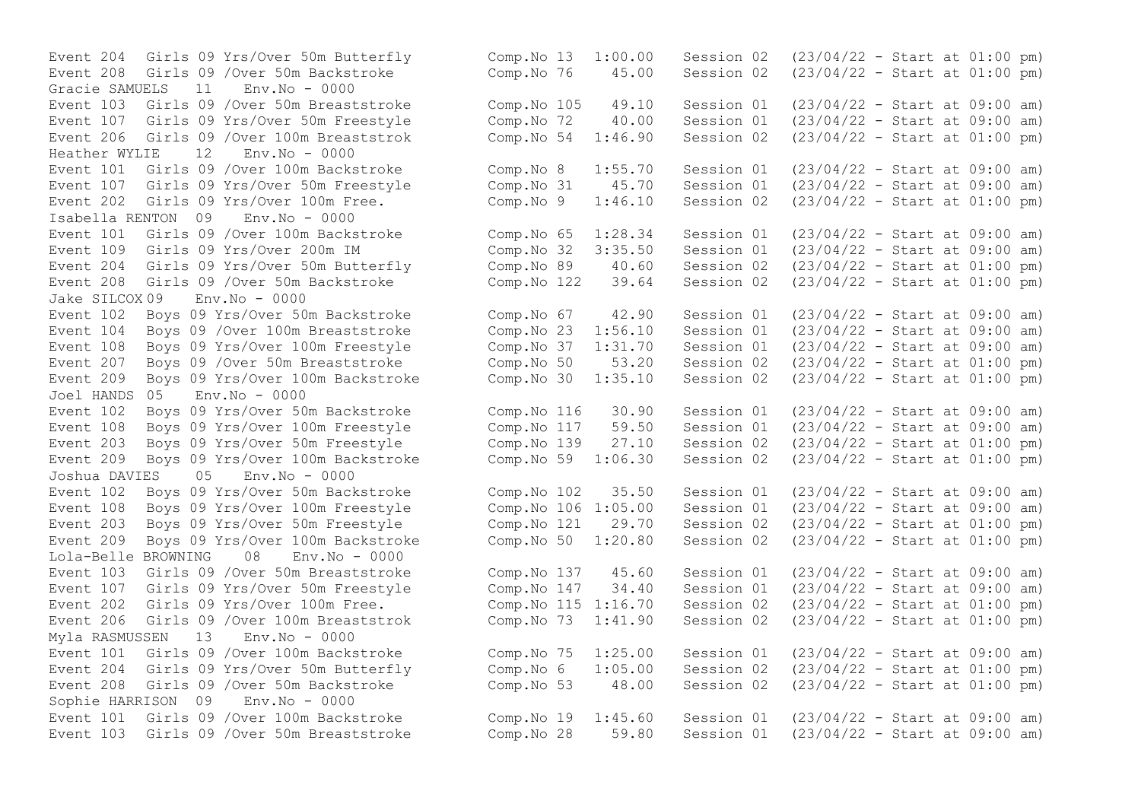Gracie SAMUELS 11 Env.No - 0000 Event 206 Girls 09 / Over 100m Breaststrok Comp. No 54 1:46.90 Session 02 Heather WYLIE 12 Env.No - 0000 Event 107 Girls 09 Yrs/Over 50m Freestyle Comp.No 31 45.70 Session 01 Isabella RENTON 09 Env.No - 0000 Event 109 Girls 09 Yrs/Over 200m IM Comp.No 32 3:35.50 Session 01<br>Event 204 Girls 09 Yrs/Over 50m Butterfly Comp.No 89 40.60 Session 02 Event 208 Girls 09 / Over 50m Backstroke Jake SILCOX 09 Env.No - 0000 Event 209 Boys 09 Yrs/Over 100m Backstroke  $\sim$  Comp.No 30  $1:35.10$  Session 02 Joel HANDS 05 Env.No - 0000 Joshua DAVIES 05 Env.No - 0000 Event 108 Boys 09 Yrs/Over 100m Freestyle Comp.No 106 1:05.00 Session 01 Lola-Belle BROWNING 08 Env.No - 0000 Myla RASMUSSEN 13 Env.No - 0000 Sophie HARRISON 09 Env.No - 0000

Event 204 Girls 09 Yrs/Over 50m Butterfly Comp.No 13 1:00.00 Session 02 (23/04/22 - Start at 01:00 pm)<br>Event 208 Girls 09 /Over 50m Backstroke Comp.No 76 45.00 Session 02 (23/04/22 - Start at 01:00 pm) Event 208 Girls 09 /Over 50m Backstroke Comp.No 76 45.00 Session 02 (23/04/22 - Start at 01:00 pm) Event 103 Girls 09 /Over 50m Breaststroke Comp.No 105 49.10 Session 01 (23/04/22 - Start at 09:00 am) Event 107 Girls 09 Yrs/Over 50m Freestyle Comp.No 72 40.00 Session 01 (23/04/22 - Start at 09:00 am)<br>Event 206 Girls 09 /Over 100m Breaststrok Comp.No 54 1:46.90 Session 02 (23/04/22 - Start at 01:00 pm) Event 101 Girls 09 /Over 100m Backstroke Comp.No 8 1:55.70 Session 01 (23/04/22 - Start at 09:00 am)<br>Event 107 Girls 09 Yrs/Over 50m Freestyle Comp.No 31 45.70 Session 01 (23/04/22 - Start at 09:00 am) Event 202 Girls 09 Yrs/Over 100m Free. Comp.No 9 1:46.10 Session 02 (23/04/22 - Start at 01:00 pm) Event 101 Girls 09 /Over 100m Backstroke Comp.No 65 1:28.34 Session 01 (23/04/22 - Start at 09:00 am)<br>Event 109 Girls 09 Yrs/Over 200m IM Comp.No 32 3:35.50 Session 01 (23/04/22 - Start at 09:00 am) Event 204 Girls 09 Yrs/Over 50m Butterfly Comp.No 89 40.60 Session 02 (23/04/22 - Start at 01:00 pm) Event 102 Boys 09 Yrs/Over 50m Backstroke Comp.No 67 42.90 Session 01 (23/04/22 - Start at 09:00 am) Event 104 Boys 09 /Over 100m Breaststroke Comp.No 23 1:56.10 Session 01 (23/04/22 - Start at 09:00 am) Event 108 Boys 09 Yrs/Over 100m Freestyle Comp.No 37 1:31.70 Session 01 (23/04/22 - Start at 09:00 am) Event 207 Boys 09 /Over 50m Breaststroke Comp.No 50 53.20 Session 02 (23/04/22 - Start at 01:00 pm)<br>Event 209 Boys 09 Yrs/Over 100m Backstroke Comp.No 30 1:35.10 Session 02 (23/04/22 - Start at 01:00 pm) Event 102 Boys 09 Yrs/Over 50m Backstroke Comp.No 116 30.90 Session 01 (23/04/22 - Start at 09:00 am) Event 108 Boys 09 Yrs/Over 100m Freestyle Comp.No 117 59.50 Session 01 (23/04/22 - Start at 09:00 am) Event 203 Boys 09 Yrs/Over 50m Freestyle Comp.No 139 27.10 Session 02 (23/04/22 - Start at 01:00 pm) Event 209 Boys 09 Yrs/Over 100m Backstroke Comp.No 59 1:06.30 Session 02 (23/04/22 - Start at 01:00 pm) Event 102 Boys 09 Yrs/Over 50m Backstroke Comp.No 102 35.50 Session 01 (23/04/22 - Start at 09:00 am)<br>Event 108 Boys 09 Yrs/Over 100m Freestyle Comp.No 106 1:05.00 Session 01 (23/04/22 - Start at 09:00 am) Event 203 Boys 09 Yrs/Over 50m Freestyle Comp.No 121 29.70 Session 02 (23/04/22 - Start at 01:00 pm) Event 209 Boys 09 Yrs/Over 100m Backstroke Comp.No 50 1:20.80 Session 02 (23/04/22 - Start at 01:00 pm) Event 103 Girls 09 /Over 50m Breaststroke Comp.No 137 45.60 Session 01 (23/04/22 - Start at 09:00 am) Event 107 Girls 09 Yrs/Over 50m Freestyle Comp.No 147 34.40 Session 01 (23/04/22 - Start at 09:00 am) Event 202 Girls 09 Yrs/Over 100m Free. Comp.No 115 1:16.70 Session 02 (23/04/22 - Start at 01:00 pm) Event 206 Girls 09 /Over 100m Breaststrok Comp.No 73 1:41.90 Session 02 (23/04/22 - Start at 01:00 pm) Event 101 Girls 09 /Over 100m Backstroke Comp.No 75 1:25.00 Session 01 (23/04/22 - Start at 09:00 am) Event 204 Girls 09 Yrs/Over 50m Butterfly Comp.No 6 1:05.00 Session 02 (23/04/22 - Start at 01:00 pm) Event 208 Girls 09 /Over 50m Backstroke Comp.No 53 48.00 Session 02 (23/04/22 - Start at 01:00 pm) Event 101 Girls 09 /Over 100m Backstroke Comp.No 19 1:45.60 Session 01 (23/04/22 - Start at 09:00 am) Event 103 Girls 09 /Over 50m Breaststroke Comp.No 28 59.80 Session 01 (23/04/22 - Start at 09:00 am)